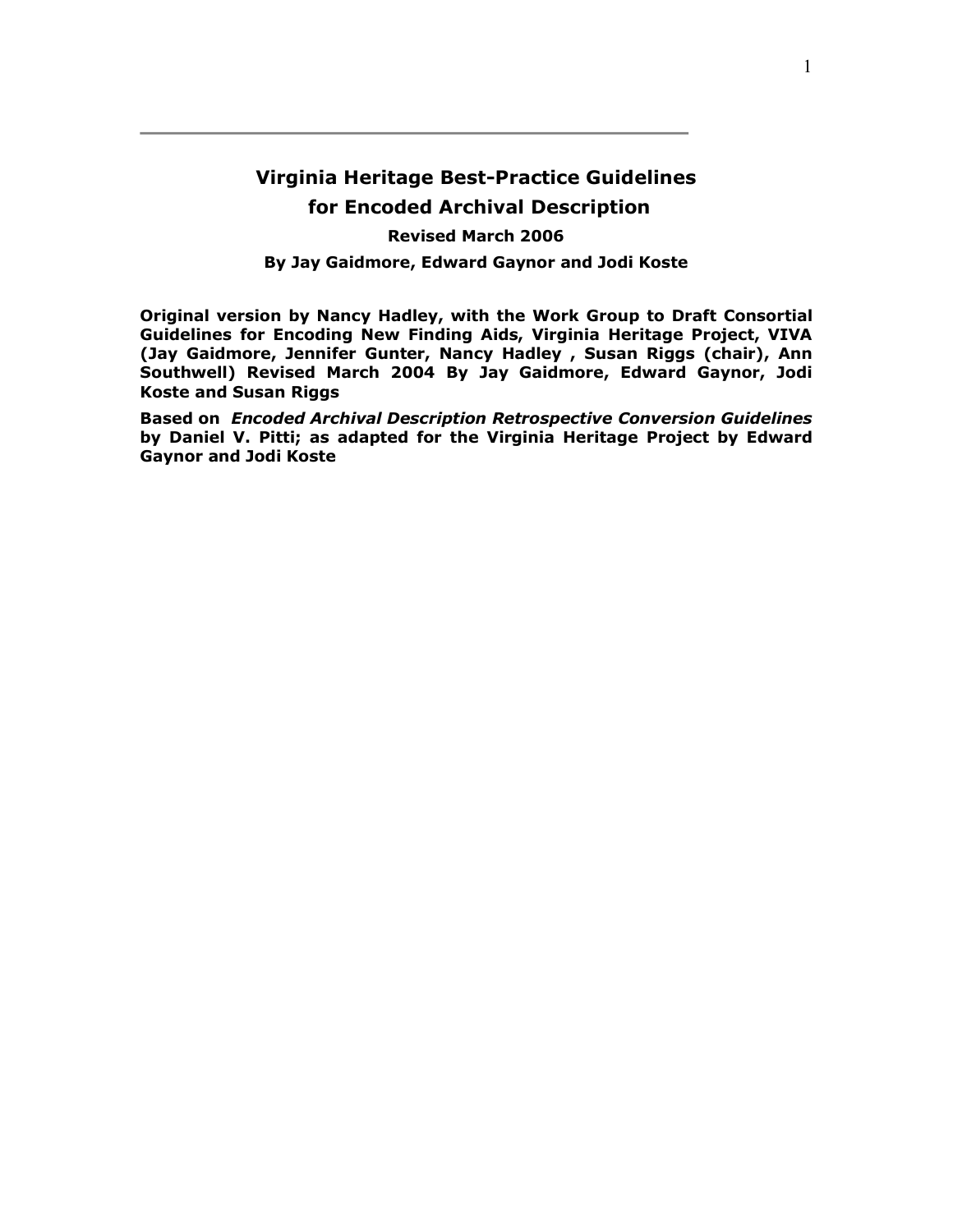## **Virginia Heritage Best-Practice Guidelines for Encoded Archival Description Revised March 2006**

**By Jay Gaidmore, Edward Gaynor and Jodi Koste** 

**Original version by Nancy Hadley, with the Work Group to Draft Consortial Guidelines for Encoding New Finding Aids, Virginia Heritage Project, VIVA (Jay Gaidmore, Jennifer Gunter, Nancy Hadley , Susan Riggs (chair), Ann Southwell) Revised March 2004 By Jay Gaidmore, Edward Gaynor, Jodi Koste and Susan Riggs** 

**Based on** *Encoded Archival Description Retrospective Conversion Guidelines* **by Daniel V. Pitti; as adapted for the Virginia Heritage Project by Edward Gaynor and Jodi Koste**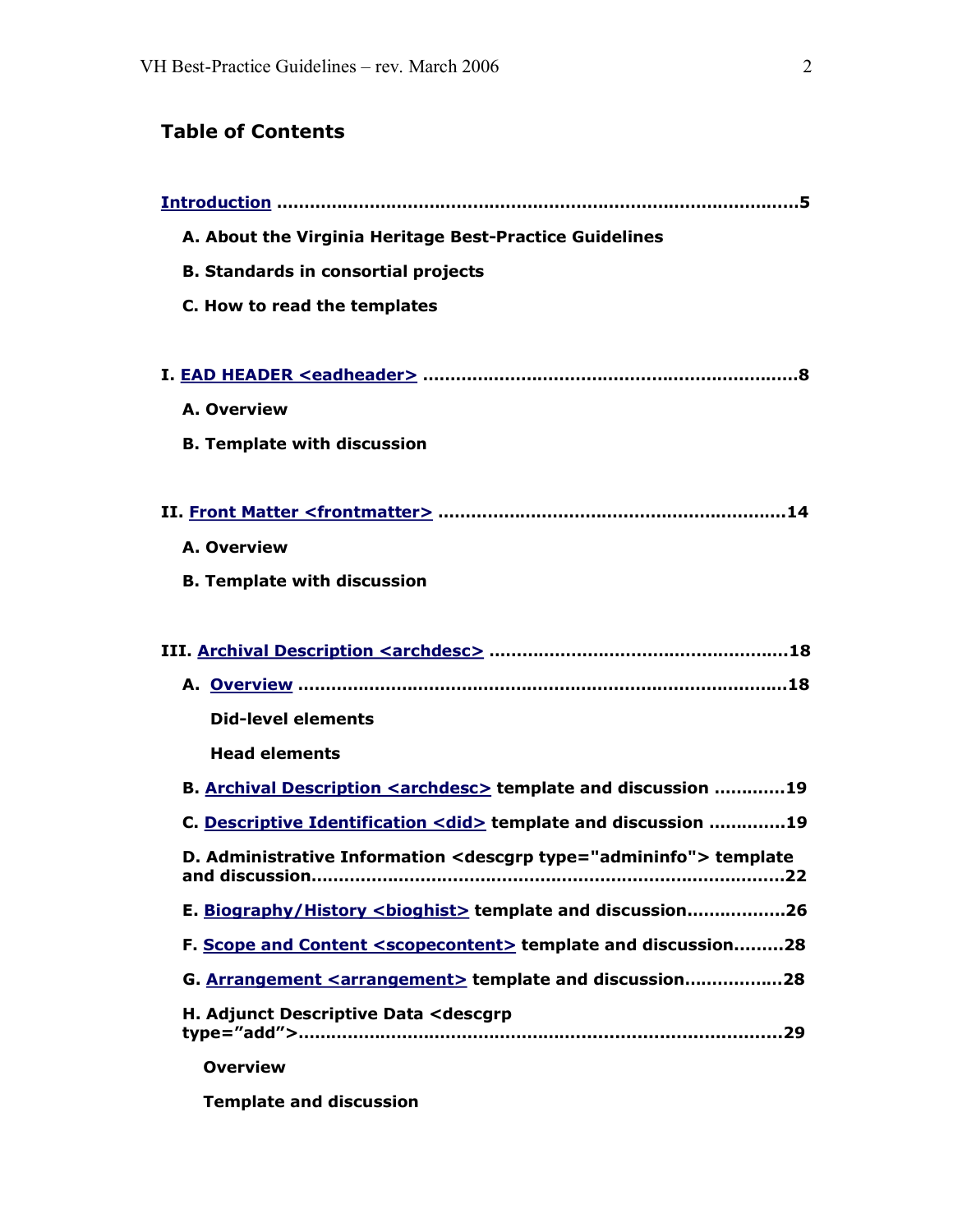# **Table of Contents**

| A. About the Virginia Heritage Best-Practice Guidelines                      |
|------------------------------------------------------------------------------|
| <b>B. Standards in consortial projects</b>                                   |
| C. How to read the templates                                                 |
|                                                                              |
|                                                                              |
| A. Overview                                                                  |
| <b>B. Template with discussion</b>                                           |
|                                                                              |
|                                                                              |
| A. Overview                                                                  |
| <b>B. Template with discussion</b>                                           |
|                                                                              |
|                                                                              |
|                                                                              |
| <b>Did-level elements</b>                                                    |
| <b>Head elements</b>                                                         |
| B. Archival Description <archdesc> template and discussion 19</archdesc>     |
| C. Descriptive Identification <did> template and discussion 19</did>         |
| D. Administrative Information <descgrp type="admininfo"> template</descgrp>  |
| E. Biography/History <bioghist> template and discussion26</bioghist>         |
| F. Scope and Content <scopecontent> template and discussion28</scopecontent> |
| G. Arrangement <arrangement> template and discussion28</arrangement>         |
| H. Adjunct Descriptive Data <descgrp< td=""></descgrp<>                      |
| <b>Overview</b>                                                              |

**Template and discussion**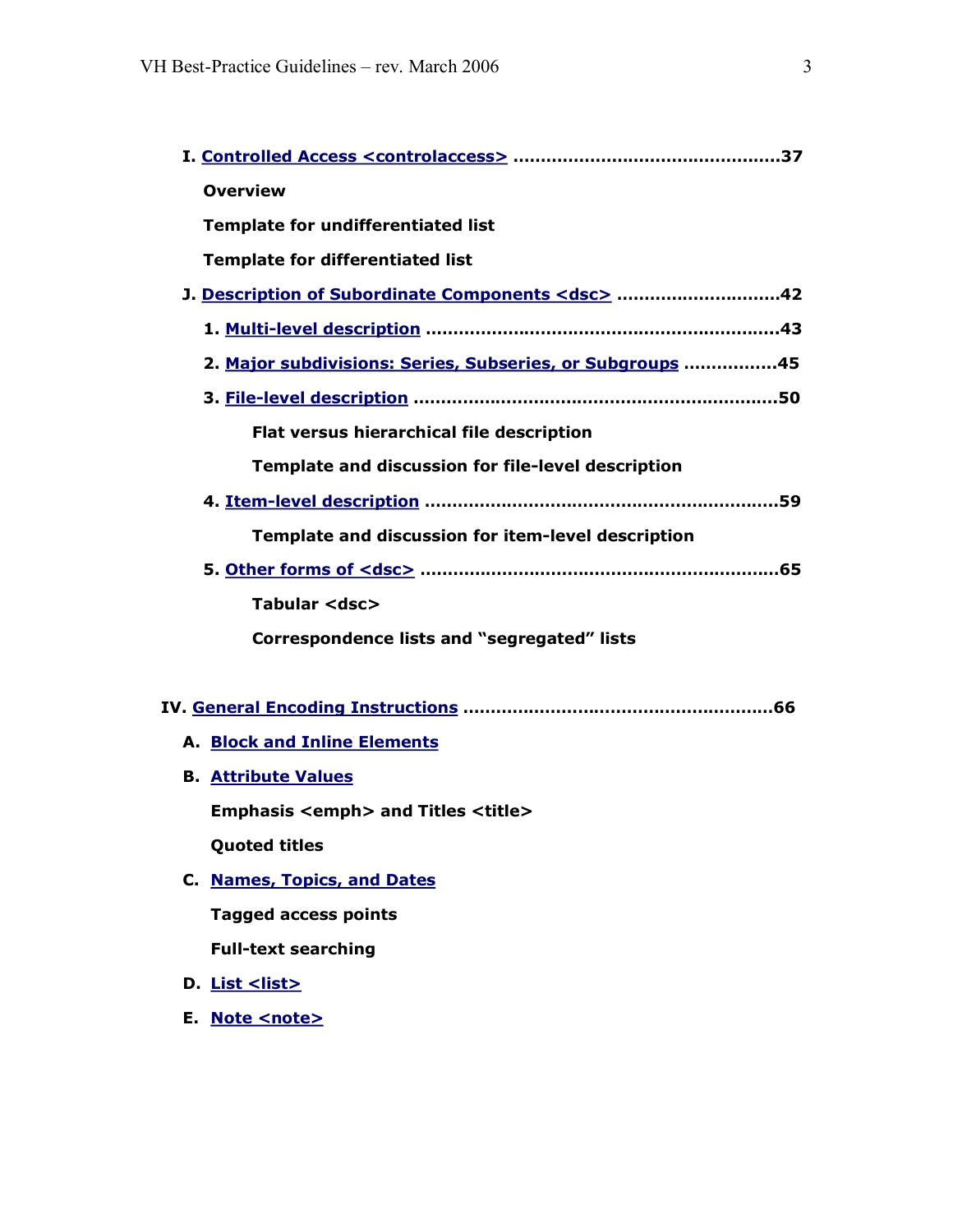| <b>Overview</b>                                           |
|-----------------------------------------------------------|
| <b>Template for undifferentiated list</b>                 |
| <b>Template for differentiated list</b>                   |
| J. Description of Subordinate Components <dsc> 42</dsc>   |
|                                                           |
| 2. Major subdivisions: Series, Subseries, or Subgroups 45 |
|                                                           |
| Flat versus hierarchical file description                 |
| Template and discussion for file-level description        |
|                                                           |
| Template and discussion for item-level description        |
|                                                           |
| Tabular <dsc></dsc>                                       |
| Correspondence lists and "segregated" lists               |
|                                                           |
|                                                           |
| <b>A. Block and Inline Elements</b>                       |
| <b>B. Attribute Values</b>                                |
| <b>Emphasis <emph> and Titles <title></title></emph></b>  |
| <b>Quoted titles</b>                                      |
| C. Names, Topics, and Dates                               |
| <b>Tagged access points</b>                               |
| <b>Full-text searching</b>                                |
| D. <u>List <list></list></u>                              |
| E. Note <note></note>                                     |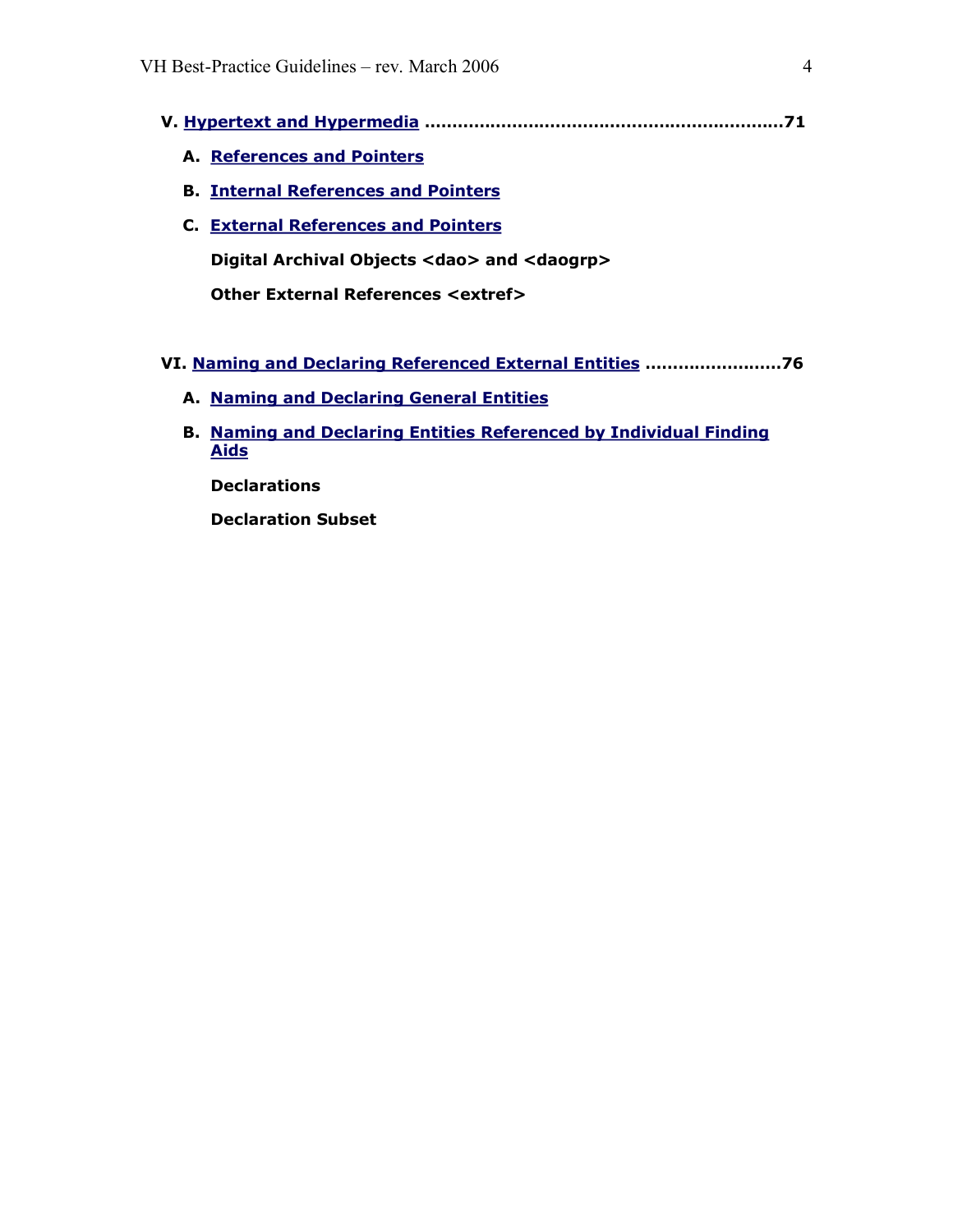- **V. [Hypertext and](#page-70-0) Hypermedia …………………………………………………………71** 
	- **A. [References and Pointers](#page-70-0)**
	- **B. Internal [References and Pointers](#page-70-1)**
	- **C. External [References and](#page-71-0) Pointers**

**Digital Archival Objects <dao> and <daogrp>**

**Other External References <extref>**

- **VI. Naming and Declaring [Referenced External](#page-75-0) Entities ……………….……76** 
	- **A. [Naming and](#page-75-1) Declaring General Entities**
	- **B. Naming and Declaring [Entities Referenced by](#page-75-2) Individual Finding Aids**

**Declarations**

**Declaration Subset**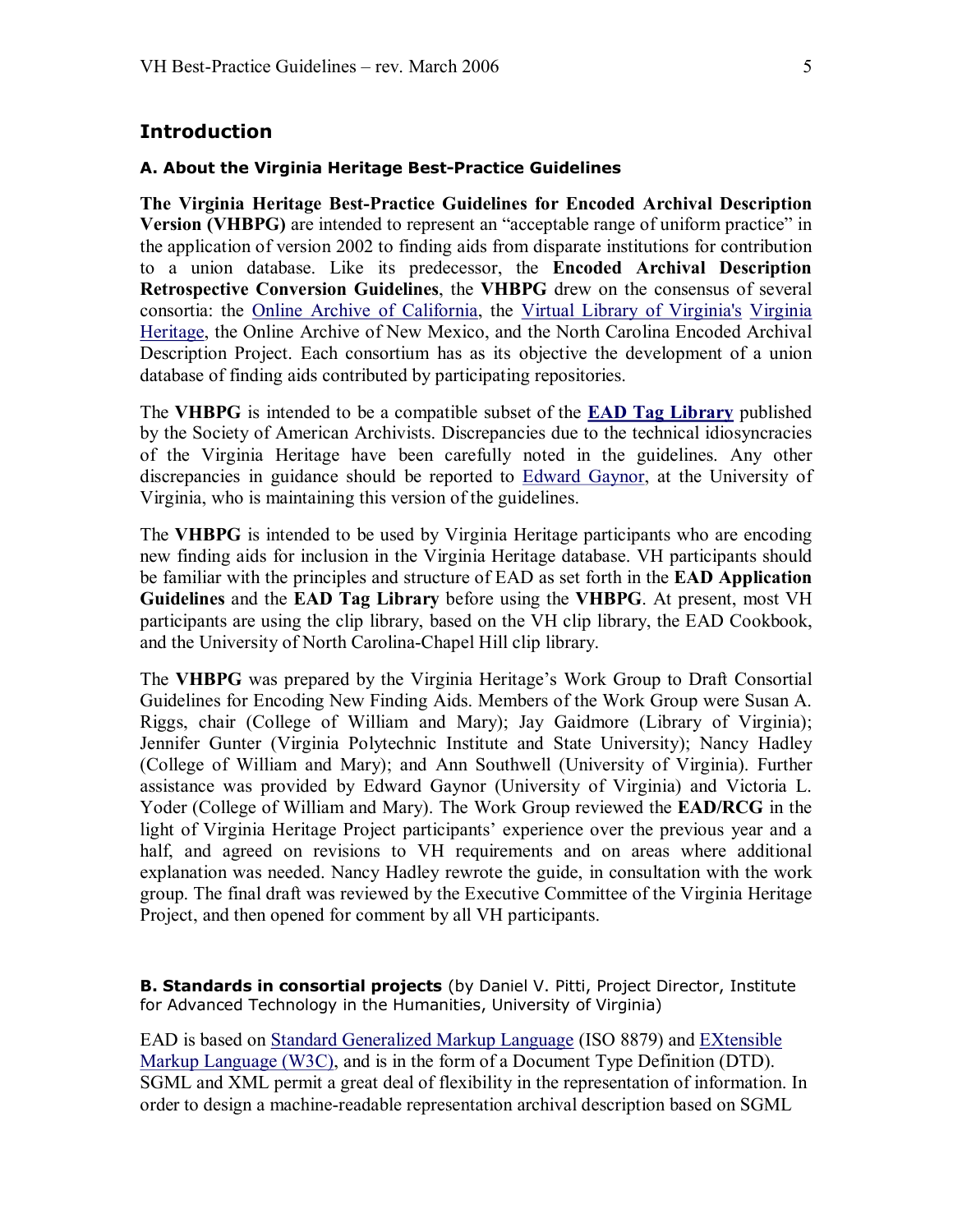### <span id="page-4-0"></span>**Introduction**

#### **A. About the Virginia Heritage Best-Practice Guidelines**

**The Virginia Heritage Best-Practice Guidelines for Encoded Archival Description Version (VHBPG)** are intended to represent an "acceptable range of uniform practice" in the application of version 2002 to finding aids from disparate institutions for contribution to a union database. Like its predecessor, the **Encoded Archival Description Retrospective Conversion Guidelines**, the **VHBPG** drew on the consensus of several consortia: the Online Archive of [California](http://www.oac.cdlib.org/), the Virtual Library of [Virginia's](http://www.viva.lib.va.us/) Virginia Heritage, the Online Archive of New Mexico, and the North [Carolina Encoded Archival](http://www.lib.virginia.edu/vhp/index.html)  Description Project. Each consortium has as its objective the development of a union database of finding aids contributed by participating repositories.

The **VHBPG** is intended to be a compatible subset of the **[EAD Tag Library](http://www.loc.gov/ead/tglib/index.html)** published by the Society of American Archivists. Discrepancies due to the technical idiosyncracies of the Virginia Heritage have been carefully noted in the guidelines. Any other discrepancies in guidance should be reported to [Edward](mailto:gaynor@virginia.edu) Gaynor, at the University of Virginia, who is maintaining this version of the guidelines.

The **VHBPG** is intended to be used by Virginia Heritage participants who are encoding new finding aids for inclusion in the Virginia Heritage database. VH participants should be familiar with the principles and structure of EAD as set forth in the **EAD Application Guidelines** and the **EAD Tag Library** before using the **VHBPG**. At present, most VH participants are using the clip library, based on the VH clip library, the EAD Cookbook, and the University of North Carolina-Chapel Hill clip library.

The **VHBPG** was prepared by the Virginia Heritage's Work Group to Draft Consortial Guidelines for Encoding New Finding Aids. Members of the Work Group were Susan A. Riggs, chair (College of William and Mary); Jay Gaidmore (Library of Virginia); Jennifer Gunter (Virginia Polytechnic Institute and State University); Nancy Hadley (College of William and Mary); and Ann Southwell (University of Virginia). Further assistance was provided by Edward Gaynor (University of Virginia) and Victoria L. Yoder (College of William and Mary). The Work Group reviewed the **EAD/RCG** in the light of Virginia Heritage Project participants' experience over the previous year and a half, and agreed on revisions to VH requirements and on areas where additional explanation was needed. Nancy Hadley rewrote the guide, in consultation with the work group. The final draft was reviewed by the Executive Committee of the Virginia Heritage Project, and then opened for comment by all VH participants.

**B. Standards in consortial projects** (by Daniel V. Pitti, Project Director, Institute for Advanced Technology in the Humanities, University of Virginia)

EAD is based on [Standard Generalized Markup Language](http://www.w3.org/XML/) (ISO 8879) and EXtensible Markup Language (W3C), and is in the form of a Document Type Definition (DTD). SGML and XML permit a great deal of flexibility in the representation of information. In order to design a machine-readable representation archival description based on SGML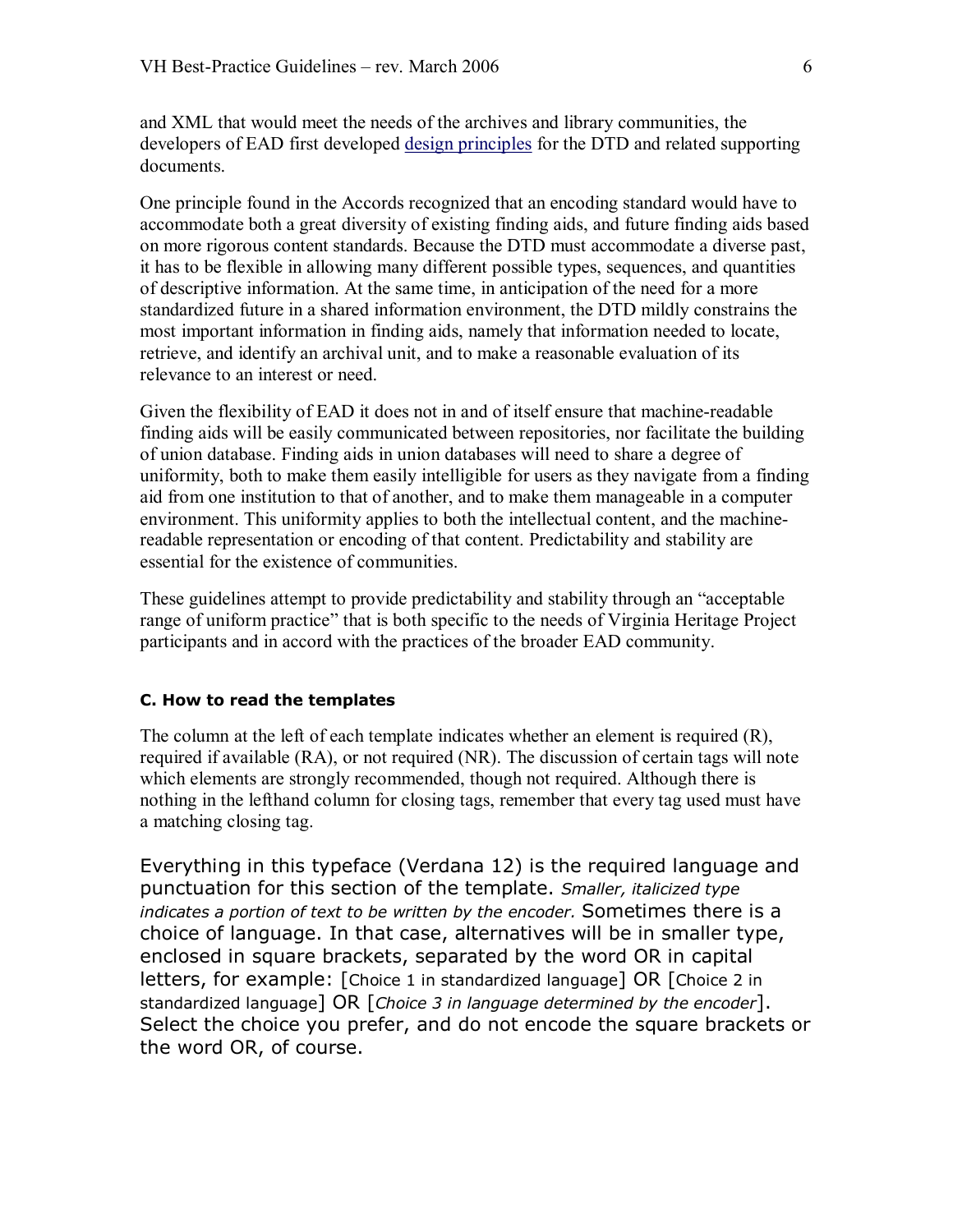and XML that would meet the needs of the archives and library communities, the developers of EAD first developed design [principles](http://lcweb.loc.gov/ead/eaddsgn.html) for the DTD and related supporting documents.

One principle found in the Accords recognized that an encoding standard would have to accommodate both a great diversity of existing finding aids, and future finding aids based on more rigorous content standards. Because the DTD must accommodate a diverse past, it has to be flexible in allowing many different possible types, sequences, and quantities of descriptive information. At the same time, in anticipation of the need for a more standardized future in a shared information environment, the DTD mildly constrains the most important information in finding aids, namely that information needed to locate, retrieve, and identify an archival unit, and to make a reasonable evaluation of its relevance to an interest or need.

Given the flexibility of EAD it does not in and of itself ensure that machine-readable finding aids will be easily communicated between repositories, nor facilitate the building of union database. Finding aids in union databases will need to share a degree of uniformity, both to make them easily intelligible for users as they navigate from a finding aid from one institution to that of another, and to make them manageable in a computer environment. This uniformity applies to both the intellectual content, and the machine readable representation or encoding of that content. Predictability and stability are essential for the existence of communities.

These guidelines attempt to provide predictability and stability through an "acceptable range of uniform practice" that is both specific to the needs of Virginia Heritage Project participants and in accord with the practices of the broader EAD community.

#### **C. How to read the templates**

The column at the left of each template indicates whether an element is required (R), required if available (RA), or not required (NR). The discussion of certain tags will note which elements are strongly recommended, though not required. Although there is nothing in the lefthand column for closing tags, remember that every tag used must have a matching closing tag.

Everything in this typeface (Verdana 12) is the required language and punctuation for this section of the template. *Smaller, italicized type indicates a portion of text to be written by the encoder.* Sometimes there is a choice of language. In that case, alternatives will be in smaller type, enclosed in square brackets, separated by the word OR in capital letters, for example: [Choice 1 in standardized language] OR [Choice 2 in standardized language] OR [*Choice 3 in language determined by the encoder*]. Select the choice you prefer, and do not encode the square brackets or the word OR, of course.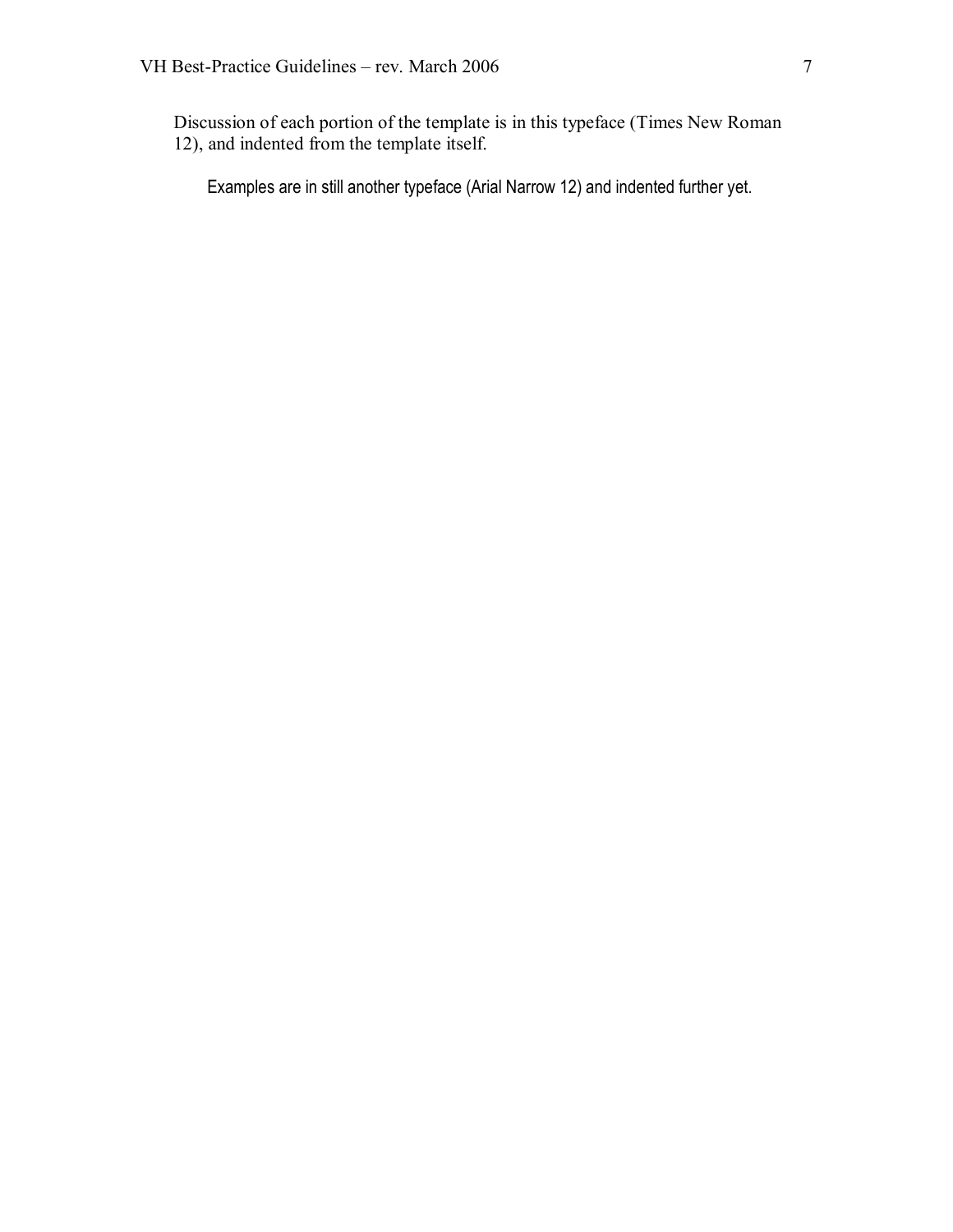Discussion of each portion of the template is in this typeface (Times New Roman 12), and indented from the template itself.

Examples are in still another typeface (Arial Narrow 12) and indented further yet.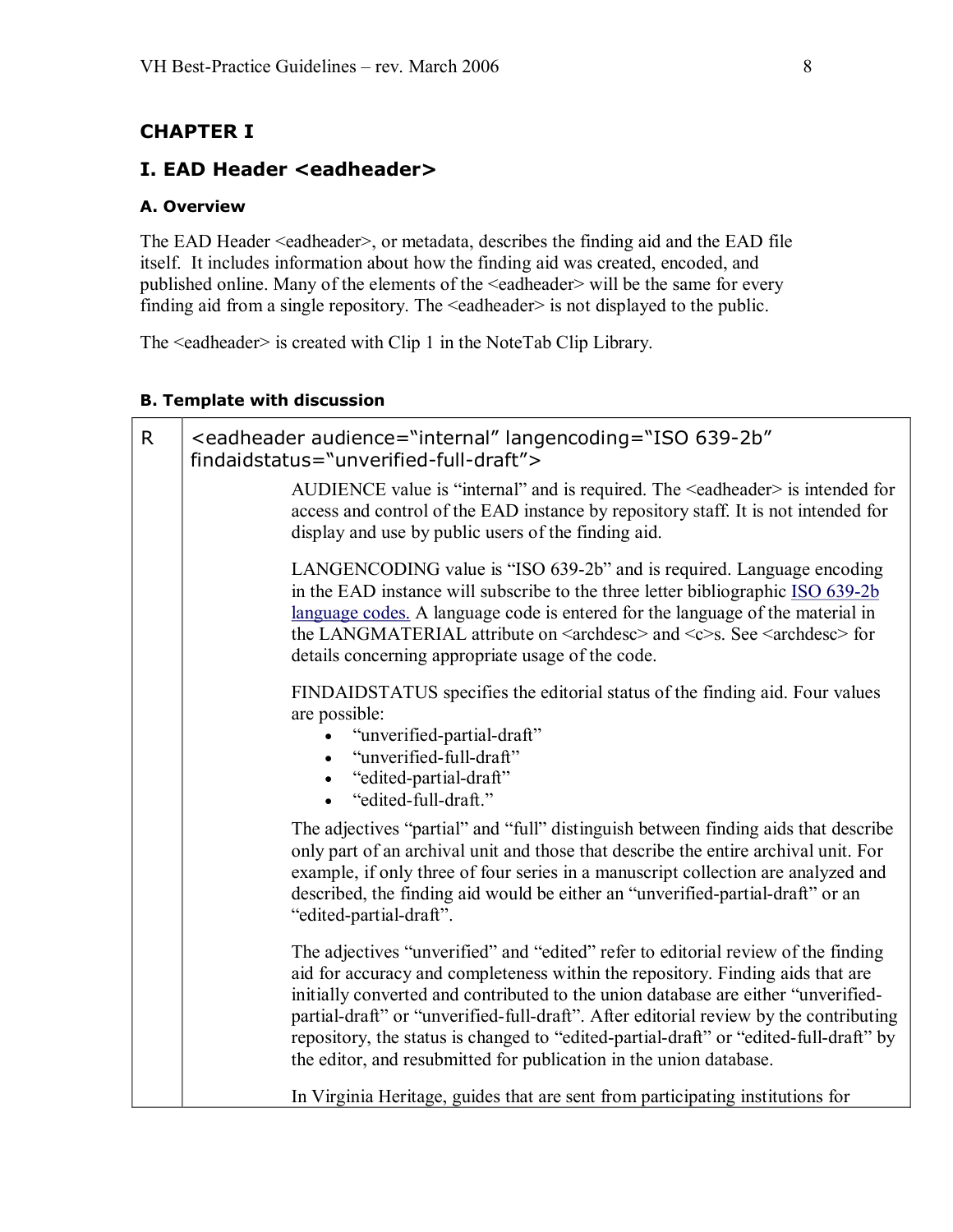## <span id="page-7-0"></span>**CHAPTER I**

### **I. EAD Header <eadheader>**

### **A. Overview**

The EAD Header <eadheader>, or metadata, describes the finding aid and the EAD file itself. It includes information about how the finding aid was created, encoded, and published online. Many of the elements of the <eadheader> will be the same for every finding aid from a single repository. The <eadheader> is not displayed to the public.

The <eadheader> is created with Clip 1 in the NoteTab Clip Library.

#### **B. Template with discussion**

| $\mathsf{R}$ | <eadheader <br="" audience="internal" langencoding="ISO 639-2b">findaidstatus="unverified-full-draft"&gt;</eadheader>                                                                                                                                                                                                                                                                                                                                                                                            |
|--------------|------------------------------------------------------------------------------------------------------------------------------------------------------------------------------------------------------------------------------------------------------------------------------------------------------------------------------------------------------------------------------------------------------------------------------------------------------------------------------------------------------------------|
|              | AUDIENCE value is "internal" and is required. The <eadheader> is intended for<br/>access and control of the EAD instance by repository staff. It is not intended for<br/>display and use by public users of the finding aid.</eadheader>                                                                                                                                                                                                                                                                         |
|              | LANGENCODING value is "ISO 639-2b" and is required. Language encoding<br>in the EAD instance will subscribe to the three letter bibliographic ISO 639-2b<br>language codes. A language code is entered for the language of the material in<br>the LANGMATERIAL attribute on <archdesc> and <c>s. See <archdesc> for<br/>details concerning appropriate usage of the code.</archdesc></c></archdesc>                                                                                                              |
|              | FINDAIDSTATUS specifies the editorial status of the finding aid. Four values<br>are possible:<br>"unverified-partial-draft"<br>"unverified-full-draft"<br>"edited-partial-draft"<br>"edited-full-draft."                                                                                                                                                                                                                                                                                                         |
|              | The adjectives "partial" and "full" distinguish between finding aids that describe<br>only part of an archival unit and those that describe the entire archival unit. For<br>example, if only three of four series in a manuscript collection are analyzed and<br>described, the finding aid would be either an "unverified-partial-draft" or an<br>"edited-partial-draft".                                                                                                                                      |
|              | The adjectives "unverified" and "edited" refer to editorial review of the finding<br>aid for accuracy and completeness within the repository. Finding aids that are<br>initially converted and contributed to the union database are either "unverified-<br>partial-draft" or "unverified-full-draft". After editorial review by the contributing<br>repository, the status is changed to "edited-partial-draft" or "edited-full-draft" by<br>the editor, and resubmitted for publication in the union database. |
|              | In Virginia Heritage, guides that are sent from participating institutions for                                                                                                                                                                                                                                                                                                                                                                                                                                   |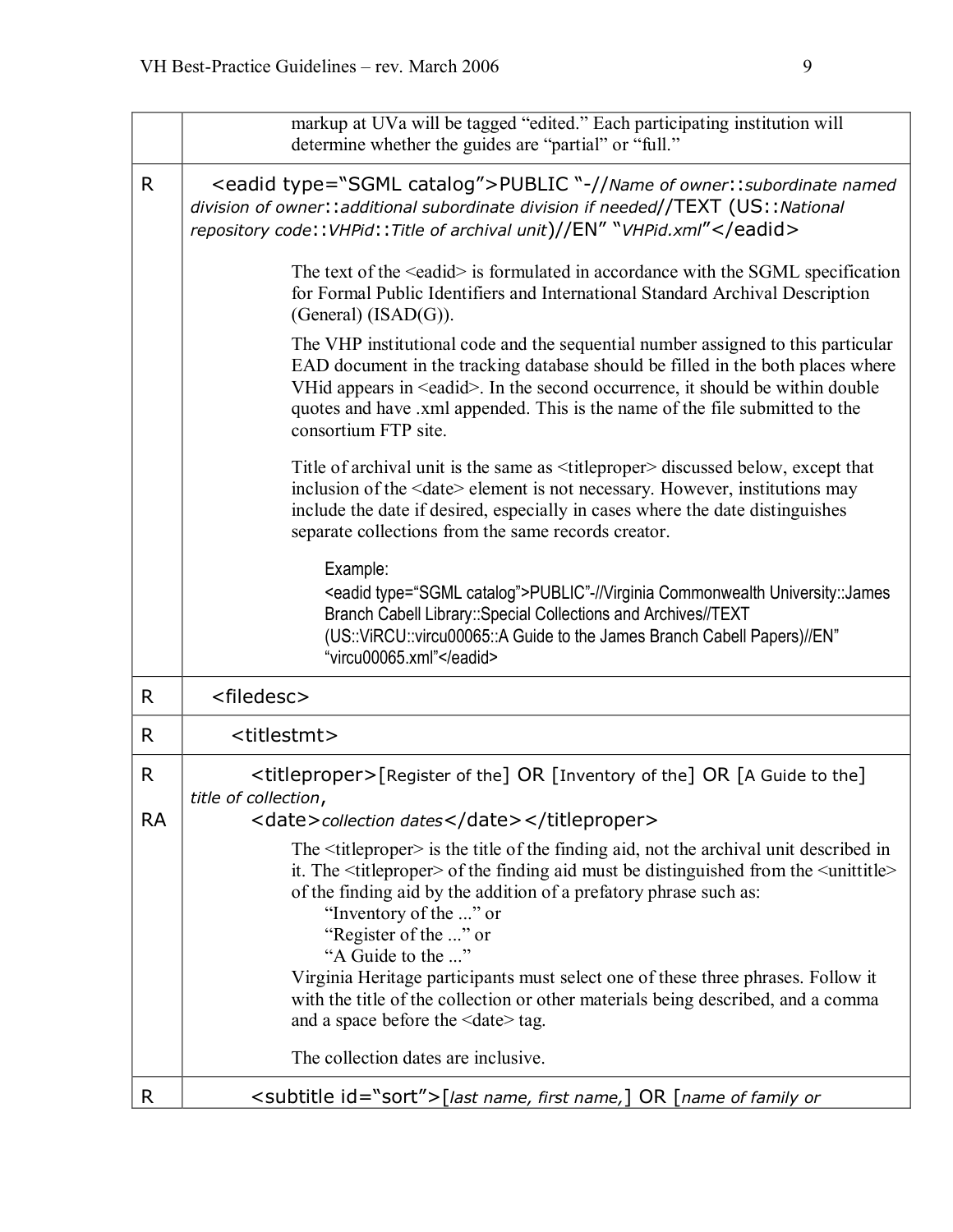|                           | markup at UVa will be tagged "edited." Each participating institution will<br>determine whether the guides are "partial" or "full."                                                                                                                                                                                                                                                                                                                                                                                                                                                |
|---------------------------|------------------------------------------------------------------------------------------------------------------------------------------------------------------------------------------------------------------------------------------------------------------------------------------------------------------------------------------------------------------------------------------------------------------------------------------------------------------------------------------------------------------------------------------------------------------------------------|
| R.                        | <eadid type="SGML catalog">PUBLIC "-//Name of owner:: subordinate named<br/>division of owner:: additional subordinate division if needed//TEXT (US:: National<br/>repository code:: VHPid:: Title of archival unit)//EN" "VHPid.xml"</eadid>                                                                                                                                                                                                                                                                                                                                      |
|                           | The text of the <eadid> is formulated in accordance with the SGML specification<br/>for Formal Public Identifiers and International Standard Archival Description<br/>(General) <math>(ISAD(G))</math>.</eadid>                                                                                                                                                                                                                                                                                                                                                                    |
|                           | The VHP institutional code and the sequential number assigned to this particular<br>EAD document in the tracking database should be filled in the both places where<br>VHid appears in <eadid>. In the second occurrence, it should be within double<br/>quotes and have .xml appended. This is the name of the file submitted to the<br/>consortium FTP site.</eadid>                                                                                                                                                                                                             |
|                           | Title of archival unit is the same as <titleproper> discussed below, except that<br/>inclusion of the <date> element is not necessary. However, institutions may<br/>include the date if desired, especially in cases where the date distinguishes<br/>separate collections from the same records creator.</date></titleproper>                                                                                                                                                                                                                                                    |
|                           | Example:<br><eadid type="SGML catalog">PUBLIC"-//Virginia Commonwealth University::James<br/>Branch Cabell Library:: Special Collections and Archives//TEXT<br/>(US::ViRCU::vircu00065::A Guide to the James Branch Cabell Papers)//EN"<br/>"vircu00065.xml"</eadid>                                                                                                                                                                                                                                                                                                               |
| R                         | <filedesc></filedesc>                                                                                                                                                                                                                                                                                                                                                                                                                                                                                                                                                              |
| R                         | <titlestmt></titlestmt>                                                                                                                                                                                                                                                                                                                                                                                                                                                                                                                                                            |
| $\mathsf{R}$<br><b>RA</b> | <titleproper>[Register of the] OR [Inventory of the] OR [A Guide to the]<br/>title of collection,<br/><date>collection dates</date></titleproper>                                                                                                                                                                                                                                                                                                                                                                                                                                  |
|                           | The $\leq$ titleproper> is the title of the finding aid, not the archival unit described in<br>it. The <title proper=""> of the finding aid must be distinguished from the <unittitle><br/>of the finding aid by the addition of a prefatory phrase such as:<br/>"Inventory of the " or<br/>"Register of the " or<br/>"A Guide to the "<br/>Virginia Heritage participants must select one of these three phrases. Follow it<br/>with the title of the collection or other materials being described, and a comma<br/>and a space before the <date>tag.</date></unittitle></title> |
|                           | The collection dates are inclusive.                                                                                                                                                                                                                                                                                                                                                                                                                                                                                                                                                |
| R                         | <subtitle id="sort">[last name, first name,] OR [name of family or</subtitle>                                                                                                                                                                                                                                                                                                                                                                                                                                                                                                      |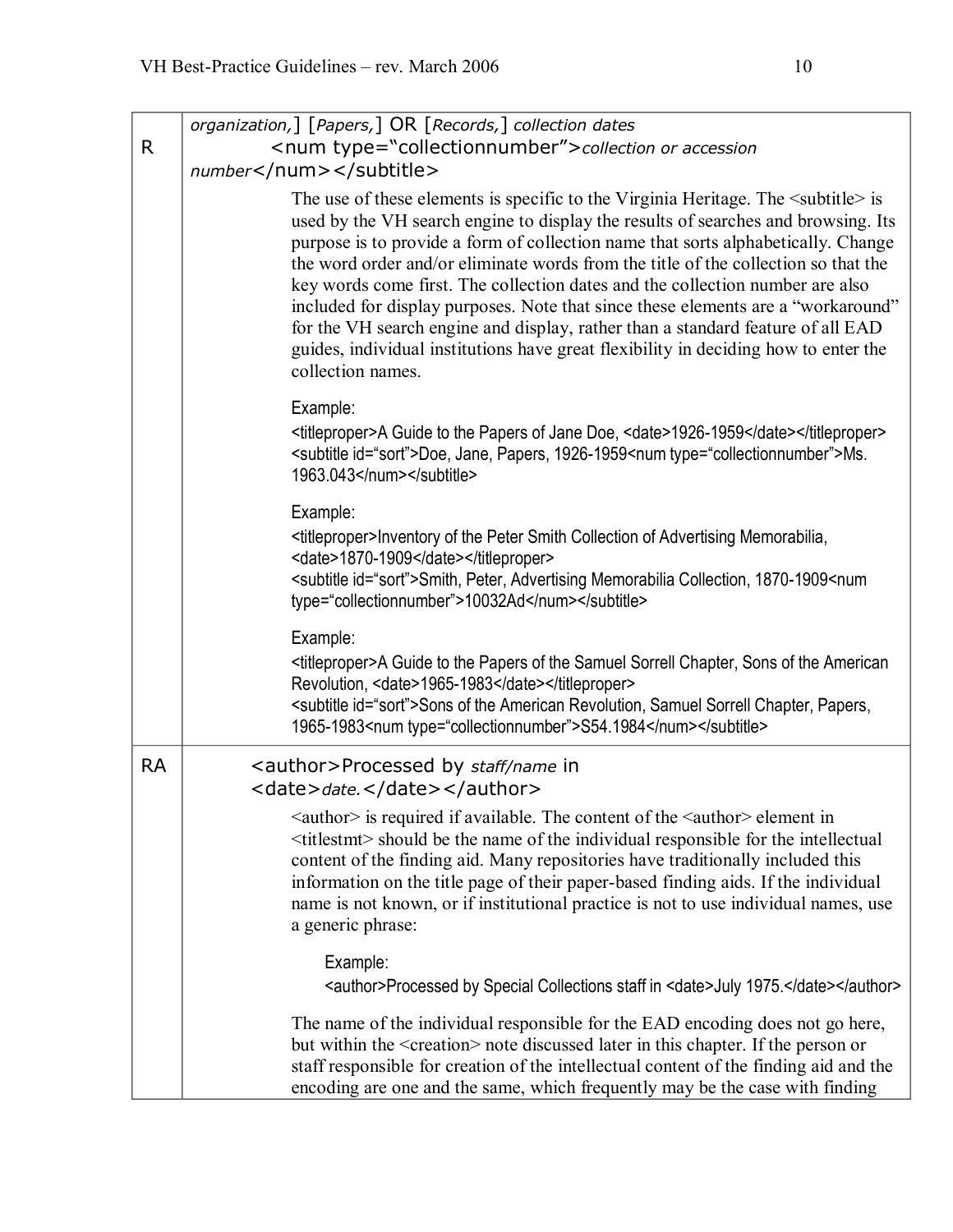| R.        | organization,] [Papers,] OR [Records,] collection dates<br><num type="collectionnumber">collection or accession<br/>number</num>                                                                                                                                                                                                                                                                                                                                                                                                                                                                                                                                                                                                  |
|-----------|-----------------------------------------------------------------------------------------------------------------------------------------------------------------------------------------------------------------------------------------------------------------------------------------------------------------------------------------------------------------------------------------------------------------------------------------------------------------------------------------------------------------------------------------------------------------------------------------------------------------------------------------------------------------------------------------------------------------------------------|
|           | The use of these elements is specific to the Virginia Heritage. The $\leq$ subtitle $\geq$ is<br>used by the VH search engine to display the results of searches and browsing. Its<br>purpose is to provide a form of collection name that sorts alphabetically. Change<br>the word order and/or eliminate words from the title of the collection so that the<br>key words come first. The collection dates and the collection number are also<br>included for display purposes. Note that since these elements are a "workaround"<br>for the VH search engine and display, rather than a standard feature of all EAD<br>guides, individual institutions have great flexibility in deciding how to enter the<br>collection names. |
|           | Example:<br><titleproper>A Guide to the Papers of Jane Doe, <date>1926-1959</date></titleproper><br><subtitle id="sort">Doe, Jane, Papers, 1926-1959<num type="collectionnumber">Ms.<br/>1963.043</num></subtitle>                                                                                                                                                                                                                                                                                                                                                                                                                                                                                                                |
|           | Example:<br><titleproper>Inventory of the Peter Smith Collection of Advertising Memorabilia,<br/><date>1870-1909</date></titleproper><br><subtitle id="sort">Smith, Peter, Advertising Memorabilia Collection, 1870-1909<num<br>type="collectionnumber"&gt;10032Ad</num<br></subtitle>                                                                                                                                                                                                                                                                                                                                                                                                                                            |
|           | Example:<br><titleproper>A Guide to the Papers of the Samuel Sorrell Chapter, Sons of the American<br/>Revolution, <date>1965-1983</date></titleproper><br><subtitle id="sort">Sons of the American Revolution, Samuel Sorrell Chapter, Papers,<br/>1965-1983<num type="collectionnumber">S54.1984</num></subtitle>                                                                                                                                                                                                                                                                                                                                                                                                               |
| <b>RA</b> | <author>Processed by staff/name in<br/><date>date.</date></author>                                                                                                                                                                                                                                                                                                                                                                                                                                                                                                                                                                                                                                                                |
|           | <author> is required if available. The content of the <author> element in<br/><titlestmt> should be the name of the individual responsible for the intellectual<br/>content of the finding aid. Many repositories have traditionally included this<br/>information on the title page of their paper-based finding aids. If the individual<br/>name is not known, or if institutional practice is not to use individual names, use<br/>a generic phrase:</titlestmt></author></author>                                                                                                                                                                                                                                             |
|           | Example:<br><author>Processed by Special Collections staff in <date>July 1975.</date></author>                                                                                                                                                                                                                                                                                                                                                                                                                                                                                                                                                                                                                                    |
|           | The name of the individual responsible for the EAD encoding does not go here,<br>but within the <creation> note discussed later in this chapter. If the person or<br/>staff responsible for creation of the intellectual content of the finding aid and the<br/>encoding are one and the same, which frequently may be the case with finding</creation>                                                                                                                                                                                                                                                                                                                                                                           |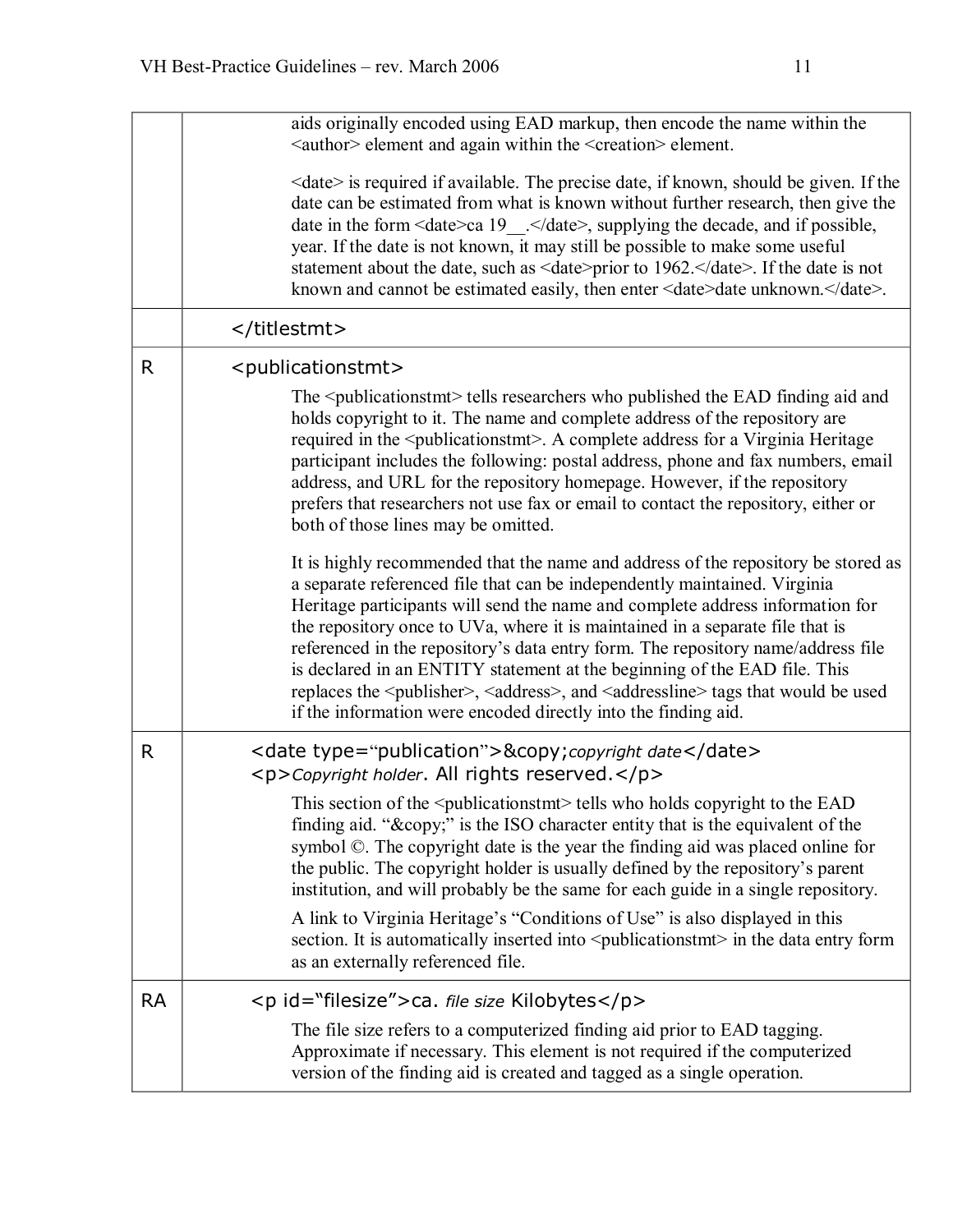|           | aids originally encoded using EAD markup, then encode the name within the<br><author> element and again within the <creation> element.</creation></author>                                                                                                                                                                                                                                                                                                                                                                                                                                                                                                                                 |
|-----------|--------------------------------------------------------------------------------------------------------------------------------------------------------------------------------------------------------------------------------------------------------------------------------------------------------------------------------------------------------------------------------------------------------------------------------------------------------------------------------------------------------------------------------------------------------------------------------------------------------------------------------------------------------------------------------------------|
|           | <date> is required if available. The precise date, if known, should be given. If the<br/>date can be estimated from what is known without further research, then give the<br/>date in the form <date>ca 19_</date>, supplying the decade, and if possible,<br/>year. If the date is not known, it may still be possible to make some useful<br/>statement about the date, such as <date>prior to 1962.</date>. If the date is not<br/>known and cannot be estimated easily, then enter <date>date unknown.</date>.</date>                                                                                                                                                                  |
|           |                                                                                                                                                                                                                                                                                                                                                                                                                                                                                                                                                                                                                                                                                            |
| R.        | <publicationstmt></publicationstmt>                                                                                                                                                                                                                                                                                                                                                                                                                                                                                                                                                                                                                                                        |
|           | The <publicationstmt> tells researchers who published the EAD finding aid and<br/>holds copyright to it. The name and complete address of the repository are<br/>required in the <publicationstmt>. A complete address for a Virginia Heritage<br/>participant includes the following: postal address, phone and fax numbers, email<br/>address, and URL for the repository homepage. However, if the repository<br/>prefers that researchers not use fax or email to contact the repository, either or<br/>both of those lines may be omitted.</publicationstmt></publicationstmt>                                                                                                        |
|           | It is highly recommended that the name and address of the repository be stored as<br>a separate referenced file that can be independently maintained. Virginia<br>Heritage participants will send the name and complete address information for<br>the repository once to UVa, where it is maintained in a separate file that is<br>referenced in the repository's data entry form. The repository name/address file<br>is declared in an ENTITY statement at the beginning of the EAD file. This<br>replaces the <publisher>, <address>, and <addressline> tags that would be used<br/>if the information were encoded directly into the finding aid.</addressline></address></publisher> |
| R         | <date type="publication">© copyright date</date><br><p>Copyright holder. All rights reserved.</p>                                                                                                                                                                                                                                                                                                                                                                                                                                                                                                                                                                                          |
|           | This section of the <publicationstmt> tells who holds copyright to the EAD<br/>finding aid. "©" is the ISO character entity that is the equivalent of the<br/>symbol ©. The copyright date is the year the finding aid was placed online for<br/>the public. The copyright holder is usually defined by the repository's parent<br/>institution, and will probably be the same for each guide in a single repository.</publicationstmt>                                                                                                                                                                                                                                                    |
|           | A link to Virginia Heritage's "Conditions of Use" is also displayed in this<br>section. It is automatically inserted into <publicationstmt> in the data entry form<br/>as an externally referenced file.</publicationstmt>                                                                                                                                                                                                                                                                                                                                                                                                                                                                 |
| <b>RA</b> | <p id="filesize">ca. file size Kilobytes</p>                                                                                                                                                                                                                                                                                                                                                                                                                                                                                                                                                                                                                                               |
|           | The file size refers to a computerized finding aid prior to EAD tagging.<br>Approximate if necessary. This element is not required if the computerized<br>version of the finding aid is created and tagged as a single operation.                                                                                                                                                                                                                                                                                                                                                                                                                                                          |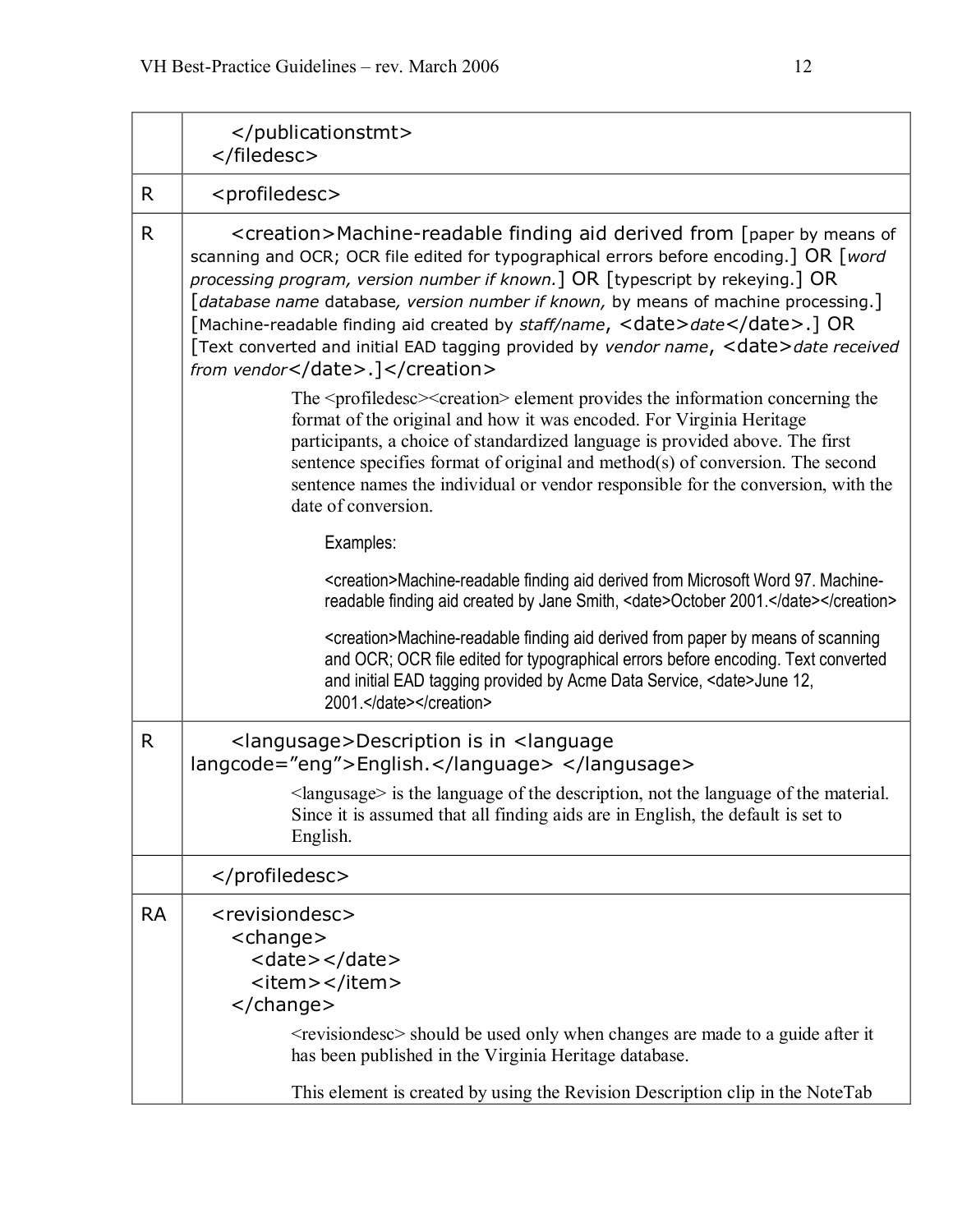|              | <br>                                                                                                                                                                                                                                                                                                                                                                                                                                                                                                                                                   |
|--------------|--------------------------------------------------------------------------------------------------------------------------------------------------------------------------------------------------------------------------------------------------------------------------------------------------------------------------------------------------------------------------------------------------------------------------------------------------------------------------------------------------------------------------------------------------------|
| R            | <profiledesc></profiledesc>                                                                                                                                                                                                                                                                                                                                                                                                                                                                                                                            |
| $\mathsf{R}$ | <creation>Machine-readable finding aid derived from [paper by means of<br/>scanning and OCR; OCR file edited for typographical errors before encoding.] OR [word<br/>processing program, version number if known.] OR [typescript by rekeying.] OR<br/>[database name database, version number if known, by means of machine processing.]<br/>[Machine-readable finding aid created by staff/name, <date>date</date>.] OR<br/>[Text converted and initial EAD tagging provided by vendor name, <date>date received<br/>from vendor</date>.]</creation> |
|              | The <profiledesc><creation> element provides the information concerning the<br/>format of the original and how it was encoded. For Virginia Heritage<br/>participants, a choice of standardized language is provided above. The first<br/>sentence specifies format of original and method(s) of conversion. The second<br/>sentence names the individual or vendor responsible for the conversion, with the<br/>date of conversion.</creation></profiledesc>                                                                                          |
|              | Examples:                                                                                                                                                                                                                                                                                                                                                                                                                                                                                                                                              |
|              | <creation>Machine-readable finding aid derived from Microsoft Word 97. Machine-<br/>readable finding aid created by Jane Smith, <date>October 2001.</date></creation>                                                                                                                                                                                                                                                                                                                                                                                  |
|              | <creation>Machine-readable finding aid derived from paper by means of scanning<br/>and OCR; OCR file edited for typographical errors before encoding. Text converted<br/>and initial EAD tagging provided by Acme Data Service, <date>June 12,<br/>2001.</date></creation>                                                                                                                                                                                                                                                                             |
| R            | <langusage>Description is in <language<br>langcode="eng"&gt;English. </language<br></langusage>                                                                                                                                                                                                                                                                                                                                                                                                                                                        |
|              | <langusage> is the language of the description, not the language of the material.<br/>Since it is assumed that all finding aids are in English, the default is set to<br/>English.</langusage>                                                                                                                                                                                                                                                                                                                                                         |
|              |                                                                                                                                                                                                                                                                                                                                                                                                                                                                                                                                                        |
| <b>RA</b>    | <revisiondesc><br/><change><br/><date></date><br/><item></item><br/></change><br/><revisiondesc> should be used only when changes are made to a guide after it<br/>has been published in the Virginia Heritage database.<br/>This element is created by using the Revision Description clip in the NoteTab</revisiondesc></revisiondesc>                                                                                                                                                                                                               |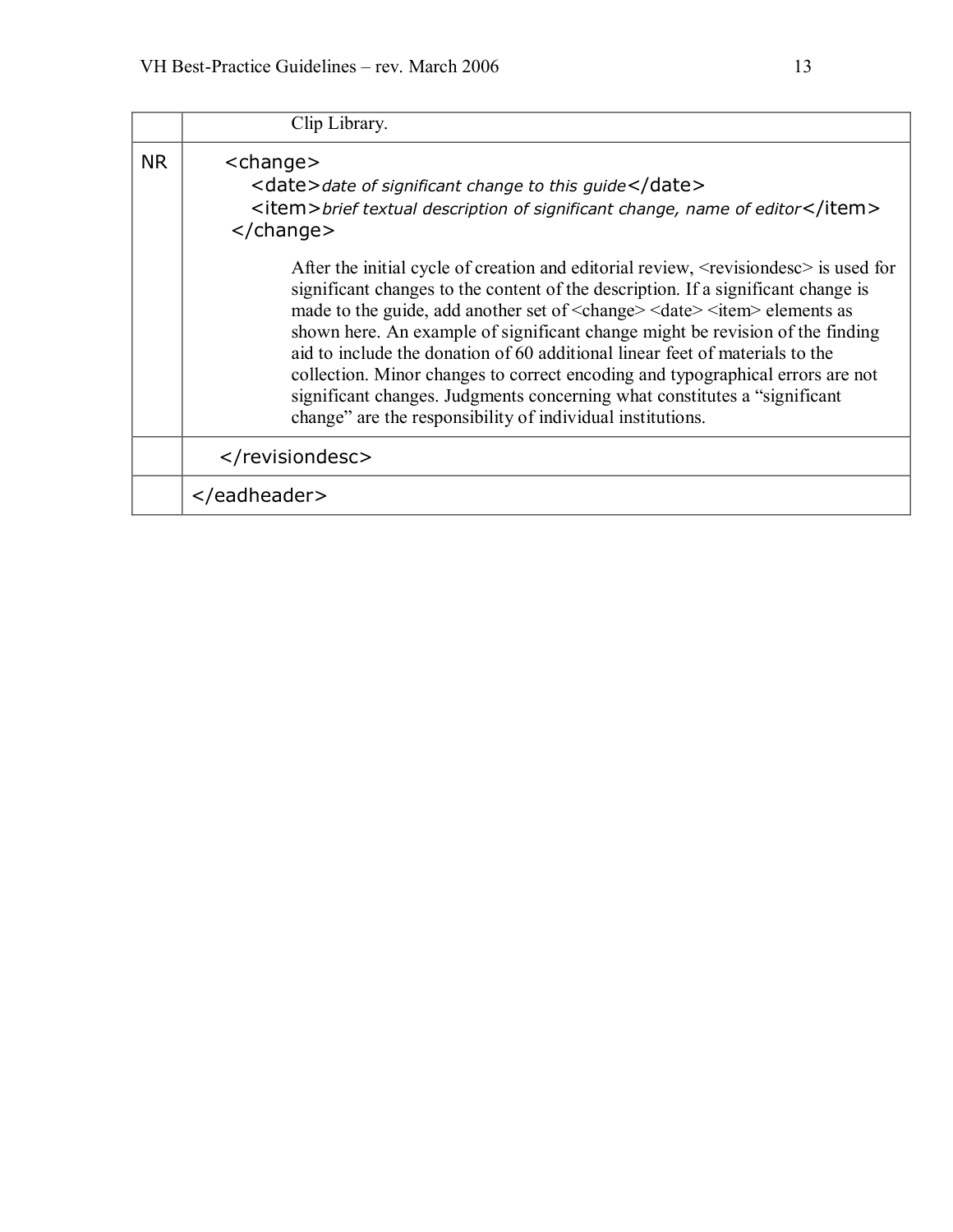|           | Clip Library.                                                                                                                                                                                                                                                                                                                                                                                                                                                                                                                                                                                                                                                                                    |
|-----------|--------------------------------------------------------------------------------------------------------------------------------------------------------------------------------------------------------------------------------------------------------------------------------------------------------------------------------------------------------------------------------------------------------------------------------------------------------------------------------------------------------------------------------------------------------------------------------------------------------------------------------------------------------------------------------------------------|
| <b>NR</b> | <change><br/><date>date of significant change to this guide</date><br/><item>brief textual description of significant change, name of editor</item><br/><math>\langle</math>/change<math>\rangle</math></change>                                                                                                                                                                                                                                                                                                                                                                                                                                                                                 |
|           | After the initial cycle of creation and editorial review, <revisiondesc> is used for<br/>significant changes to the content of the description. If a significant change is<br/>made to the guide, add another set of <change> <date> <item> elements as<br/>shown here. An example of significant change might be revision of the finding<br/>aid to include the donation of 60 additional linear feet of materials to the<br/>collection. Minor changes to correct encoding and typographical errors are not<br/>significant changes. Judgments concerning what constitutes a "significant<br/>change" are the responsibility of individual institutions.</item></date></change></revisiondesc> |
|           |                                                                                                                                                                                                                                                                                                                                                                                                                                                                                                                                                                                                                                                                                                  |
|           |                                                                                                                                                                                                                                                                                                                                                                                                                                                                                                                                                                                                                                                                                                  |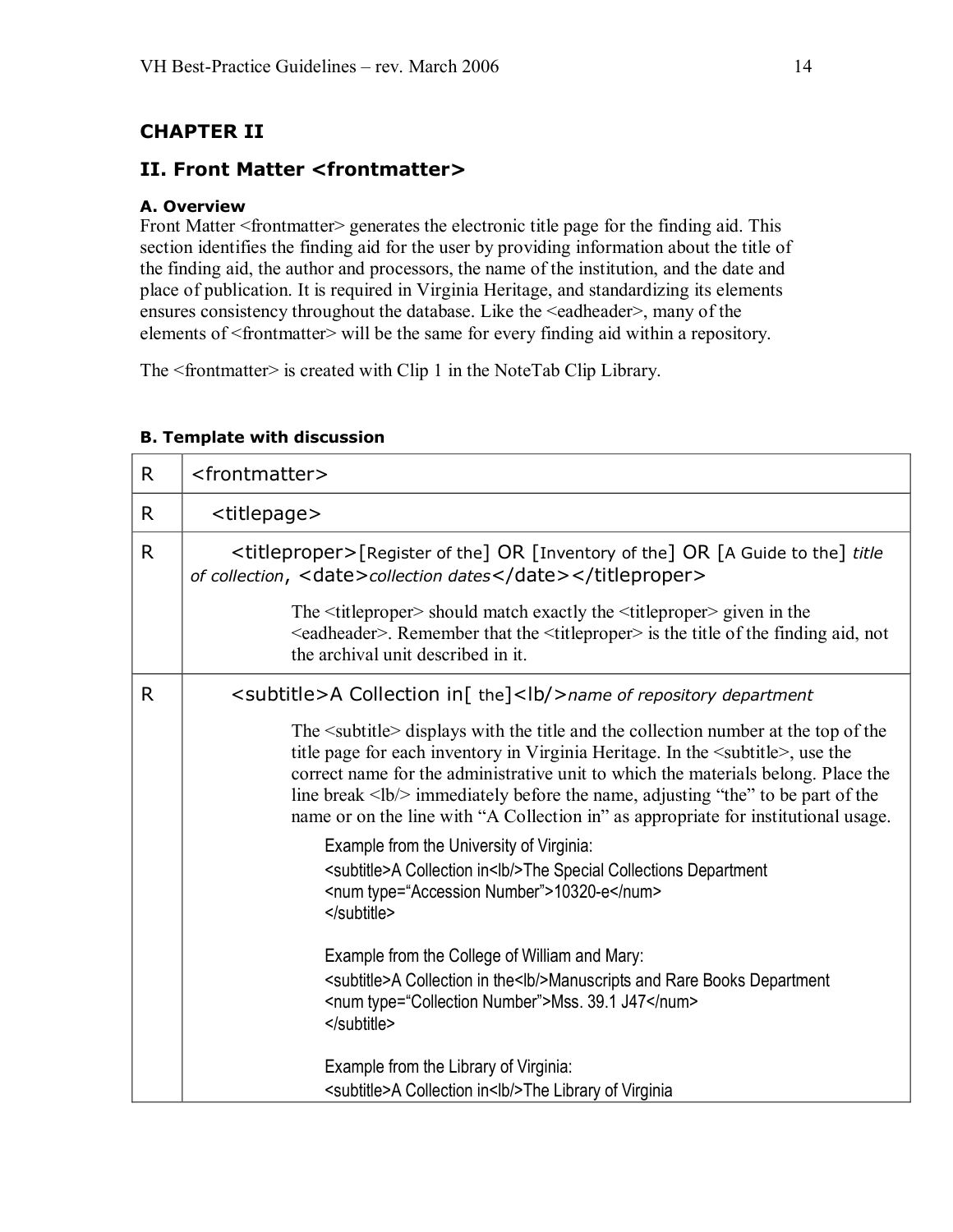# <span id="page-13-0"></span>**CHAPTER II**

## **II. Front Matter <frontmatter>**

### **A. Overview**

Front Matter <frontmatter> generates the electronic title page for the finding aid. This section identifies the finding aid for the user by providing information about the title of the finding aid, the author and processors, the name of the institution, and the date and place of publication. It is required in Virginia Heritage, and standardizing its elements ensures consistency throughout the database. Like the <eadheader>, many of the elements of <frontmatter> will be the same for every finding aid within a repository.

The <frontmatter> is created with Clip 1 in the NoteTab Clip Library.

| R. | <frontmatter></frontmatter>                                                                                                                                                                                                                                                                                                                                                                                                                                                                          |
|----|------------------------------------------------------------------------------------------------------------------------------------------------------------------------------------------------------------------------------------------------------------------------------------------------------------------------------------------------------------------------------------------------------------------------------------------------------------------------------------------------------|
| R. | <titlepage></titlepage>                                                                                                                                                                                                                                                                                                                                                                                                                                                                              |
| R  | <titleproper>[Register of the] OR [Inventory of the] OR [A Guide to the] title<br/>of collection, <date>collection dates</date></titleproper>                                                                                                                                                                                                                                                                                                                                                        |
|    | The $\leq$ titleproper> should match exactly the $\leq$ titleproper> given in the<br><eadheader>. Remember that the <titleproper> is the title of the finding aid, not<br/>the archival unit described in it.</titleproper></eadheader>                                                                                                                                                                                                                                                              |
| R. | <subtitle>A Collection in[ the]<lb></lb> hame of repository department</subtitle>                                                                                                                                                                                                                                                                                                                                                                                                                    |
|    | The <subtitle> displays with the title and the collection number at the top of the<br/>title page for each inventory in Virginia Heritage. In the <subtitle>, use the<br/>correct name for the administrative unit to which the materials belong. Place the<br/>line break <math>\langle</math> -lb/<math>\rangle</math> immediately before the name, adjusting "the" to be part of the<br/>name or on the line with "A Collection in" as appropriate for institutional usage.</subtitle></subtitle> |
|    | Example from the University of Virginia:<br><subtitle>A Collection in<lb></lb>&gt;lb/&gt;The Special Collections Department<br/><num type="Accession Number">10320-e</num><br/></subtitle>                                                                                                                                                                                                                                                                                                           |
|    | Example from the College of William and Mary:<br><subtitle>A Collection in the<lb></lb>Manuscripts and Rare Books Department<br/><num type="Collection Number">Mss. 39.1 J47</num><br/></subtitle>                                                                                                                                                                                                                                                                                                   |
|    | Example from the Library of Virginia:<br><subtitle>A Collection in<lb></lb>&gt;lb/&gt;The Library of Virginia</subtitle>                                                                                                                                                                                                                                                                                                                                                                             |

### **B. Template with discussion**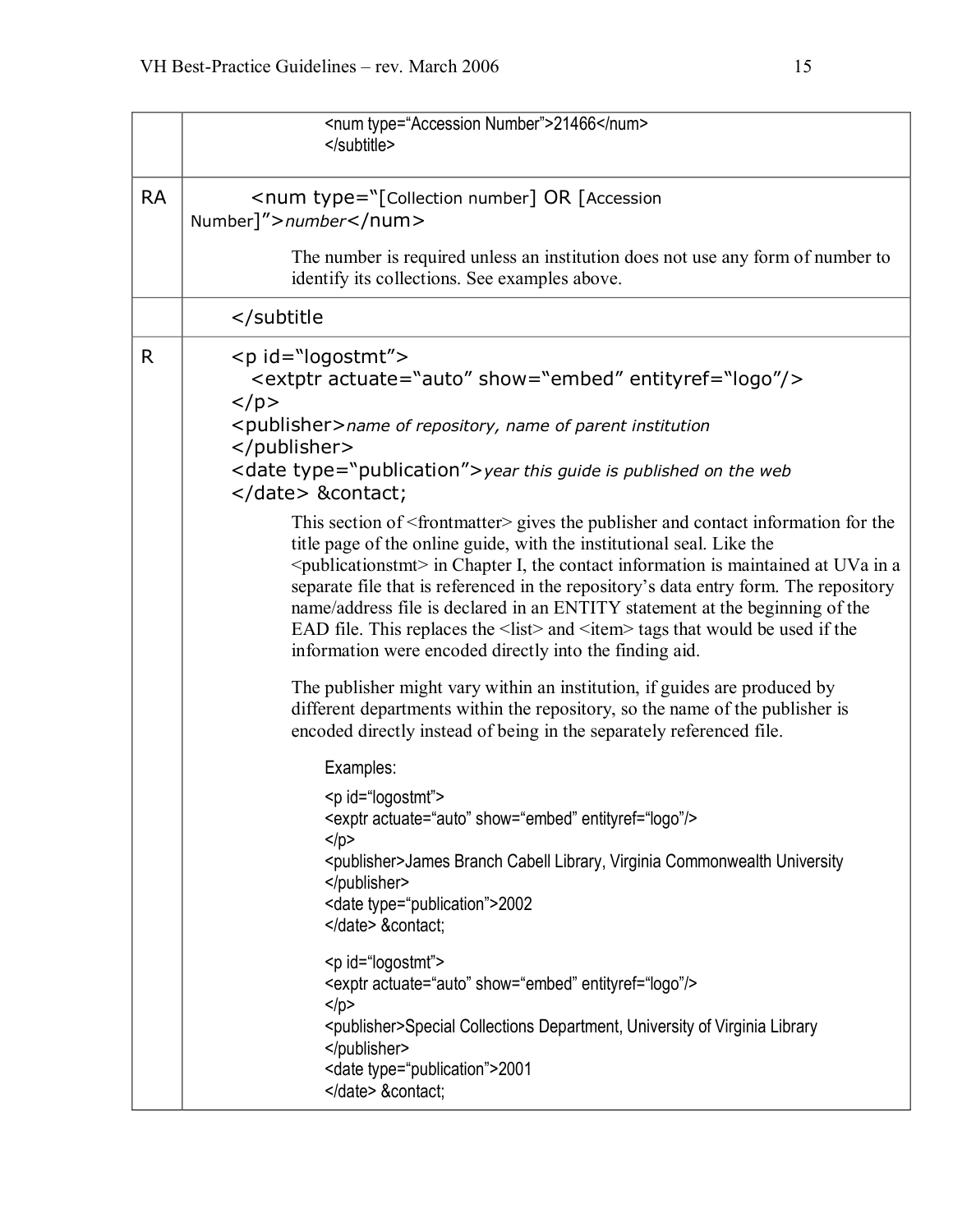|           | <num type="Accession Number">21466</num><br>                                                                                                                                                                                                                                                                                                                                                                                                                                                                                                                                                                            |
|-----------|-------------------------------------------------------------------------------------------------------------------------------------------------------------------------------------------------------------------------------------------------------------------------------------------------------------------------------------------------------------------------------------------------------------------------------------------------------------------------------------------------------------------------------------------------------------------------------------------------------------------------|
| <b>RA</b> | <num type="[Collection number] OR [Accession&lt;br&gt;Number]">number</num>                                                                                                                                                                                                                                                                                                                                                                                                                                                                                                                                             |
|           | The number is required unless an institution does not use any form of number to<br>identify its collections. See examples above.                                                                                                                                                                                                                                                                                                                                                                                                                                                                                        |
|           |                                                                                                                                                                                                                                                                                                                                                                                                                                                                                                                                                                                                                         |
| R         | <p id="logostmt"><br/><extptr actuate="auto" entityref="logo" show="embed"></extptr><br/><math>&lt;</math>/p&gt;</p>                                                                                                                                                                                                                                                                                                                                                                                                                                                                                                    |
|           | <publisher>name of repository, name of parent institution<br/></publisher>                                                                                                                                                                                                                                                                                                                                                                                                                                                                                                                                              |
|           | <date type="publication"> year this guide is published on the web<br/></date> &contact                                                                                                                                                                                                                                                                                                                                                                                                                                                                                                                                  |
|           | This section of <frontmatter> gives the publisher and contact information for the<br/>title page of the online guide, with the institutional seal. Like the<br/><math>\leq</math>publicationstmt&gt; in Chapter I, the contact information is maintained at UVa in a<br/>separate file that is referenced in the repository's data entry form. The repository<br/>name/address file is declared in an ENTITY statement at the beginning of the<br/>EAD file. This replaces the <list> and <item> tags that would be used if the<br/>information were encoded directly into the finding aid.</item></list></frontmatter> |
|           | The publisher might vary within an institution, if guides are produced by<br>different departments within the repository, so the name of the publisher is<br>encoded directly instead of being in the separately referenced file.                                                                                                                                                                                                                                                                                                                                                                                       |
|           | Examples:                                                                                                                                                                                                                                                                                                                                                                                                                                                                                                                                                                                                               |
|           | <p id="logostmt"><br/><exptr actuate="auto" entityref="logo" show="embed"></exptr><br/><math>&lt;</math>/p&gt;</p>                                                                                                                                                                                                                                                                                                                                                                                                                                                                                                      |
|           | <publisher>James Branch Cabell Library, Virginia Commonwealth University<br/></publisher><br><date type="publication">2002<br/></date> &contact                                                                                                                                                                                                                                                                                                                                                                                                                                                                         |
|           | <p id="logostmt"><br/><exptr actuate="auto" entityref="logo" show="embed"></exptr><br/><math>&lt;</math>/p&gt;<br/><publisher>Special Collections Department, University of Virginia Library</publisher></p>                                                                                                                                                                                                                                                                                                                                                                                                            |
|           | <br><date type="publication">2001<br/></date> &contact                                                                                                                                                                                                                                                                                                                                                                                                                                                                                                                                                                  |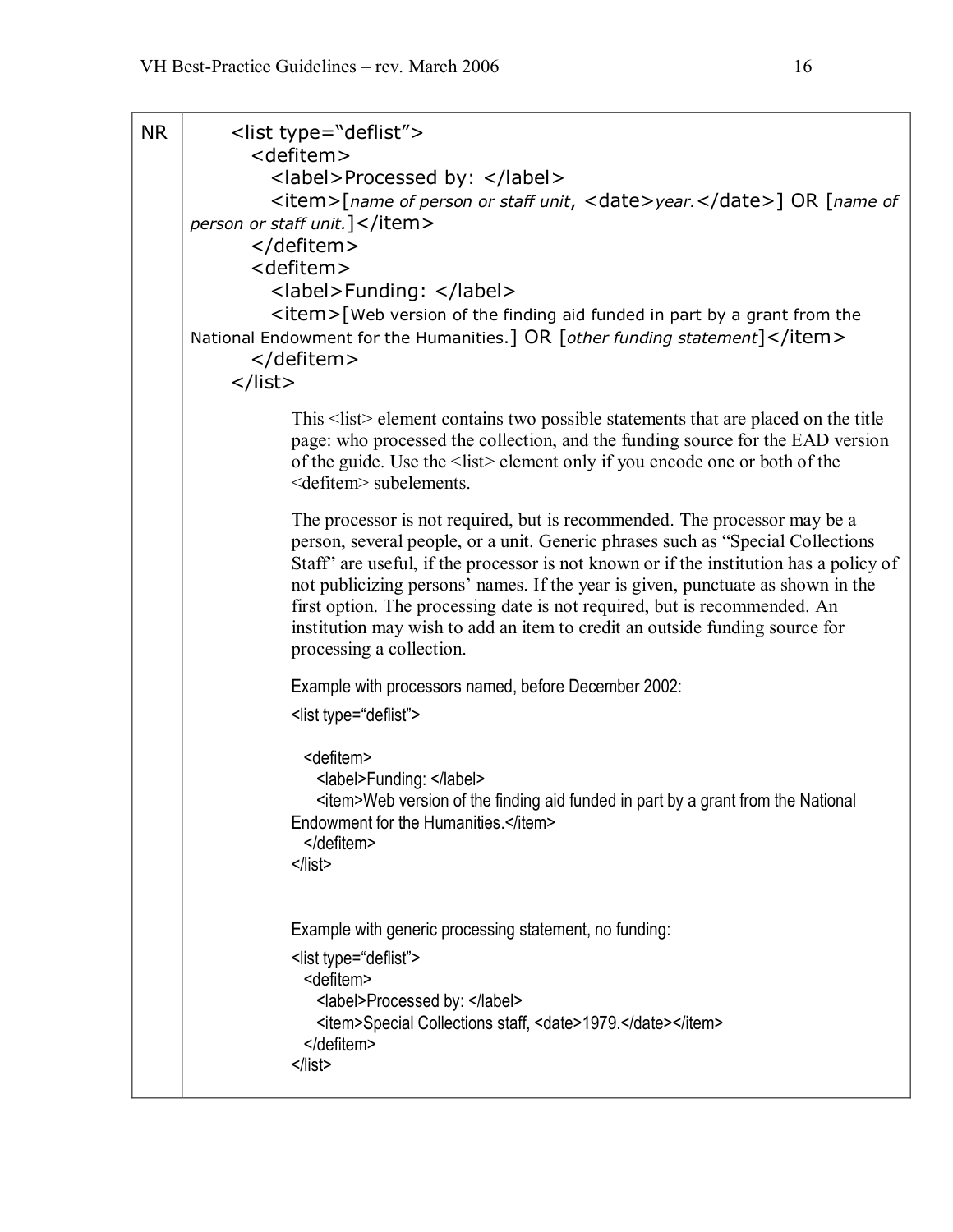| <b>NR</b> | <list type="deflist"><br/><defitem><br/><label>Processed by: </label><br/><item>[name of person or staff unit, <date>year.</date>] OR [name of<br/>person or staff unit.   </item><br/></defitem><br/><defitem><br/><label>Funding: </label><br/><item>[Web version of the finding aid funded in part by a grant from the<br/>National Endowment for the Humanities.] OR [other funding statement]</item><br/></defitem><br/><math>\langle</math>/list&gt;</list>                                                                  |
|-----------|------------------------------------------------------------------------------------------------------------------------------------------------------------------------------------------------------------------------------------------------------------------------------------------------------------------------------------------------------------------------------------------------------------------------------------------------------------------------------------------------------------------------------------|
|           | This <list> element contains two possible statements that are placed on the title<br/>page: who processed the collection, and the funding source for the EAD version<br/>of the guide. Use the <list> element only if you encode one or both of the<br/><defitem> subelements.</defitem></list></list>                                                                                                                                                                                                                             |
|           | The processor is not required, but is recommended. The processor may be a<br>person, several people, or a unit. Generic phrases such as "Special Collections"<br>Staff" are useful, if the processor is not known or if the institution has a policy of<br>not publicizing persons' names. If the year is given, punctuate as shown in the<br>first option. The processing date is not required, but is recommended. An<br>institution may wish to add an item to credit an outside funding source for<br>processing a collection. |
|           | Example with processors named, before December 2002:                                                                                                                                                                                                                                                                                                                                                                                                                                                                               |
|           | <list type="deflist"></list>                                                                                                                                                                                                                                                                                                                                                                                                                                                                                                       |
|           | <defitem><br/><label>Funding: </label><br/><item>Web version of the finding aid funded in part by a grant from the National<br/>Endowment for the Humanities.</item><br/></defitem><br>$<$ /list>                                                                                                                                                                                                                                                                                                                                  |
|           | Example with generic processing statement, no funding:<br><list type="deflist"><br/><defitem><br/><label>Processed by: </label><br/><item>Special Collections staff, <date>1979.</date></item><br/></defitem><br/><math>&lt;</math>/list&gt;</list>                                                                                                                                                                                                                                                                                |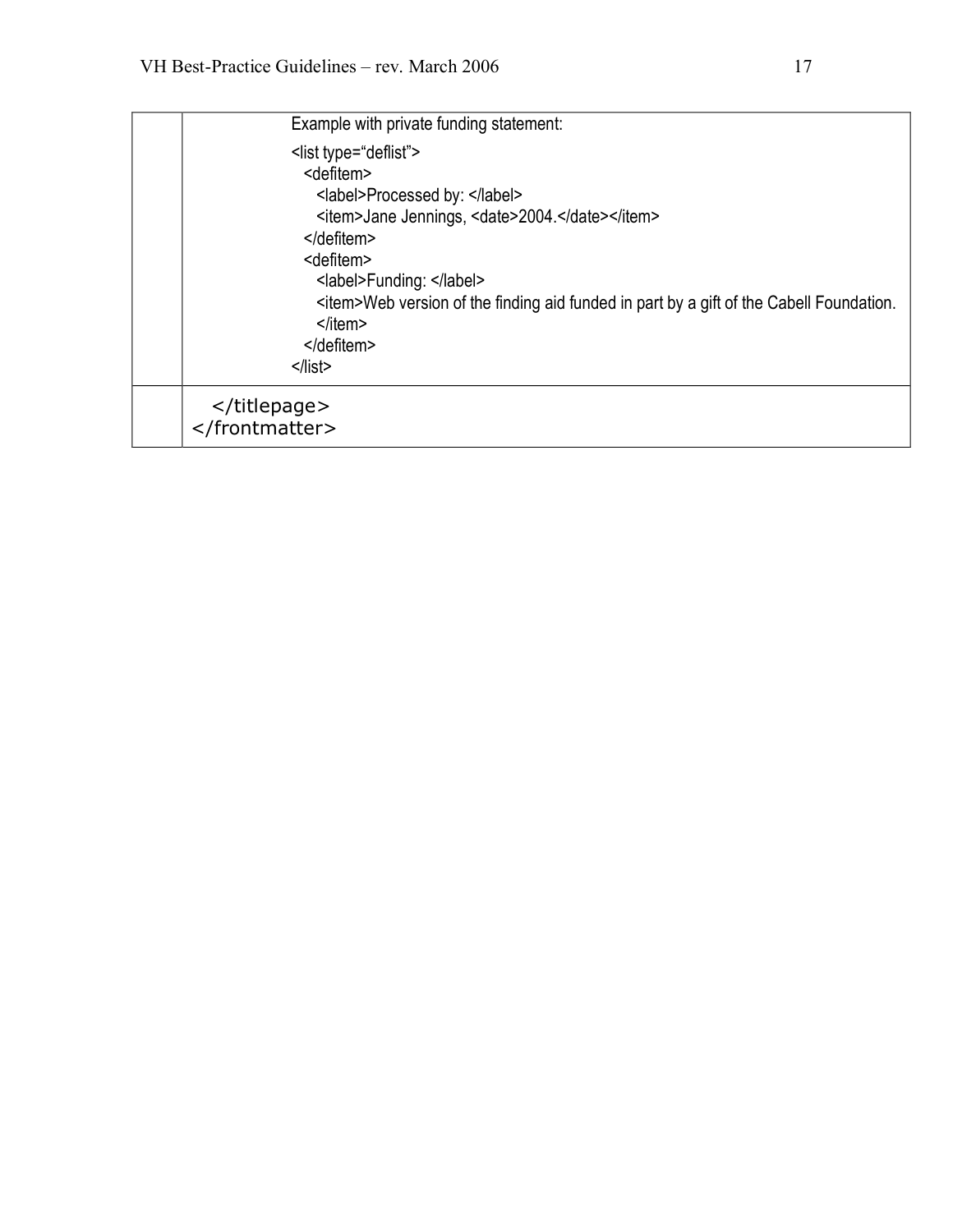| Example with private funding statement:                                                                                                                                                                                                                                                                                                                                                                |
|--------------------------------------------------------------------------------------------------------------------------------------------------------------------------------------------------------------------------------------------------------------------------------------------------------------------------------------------------------------------------------------------------------|
| <list type="deflist"><br/><defitem><br/><label>Processed by: </label><br/><item>Jane Jennings, <date>2004.</date></item><br/><math>&lt;</math>/defitem&gt;<br/><defitem><br/><label>Funding: </label><br/><item>Web version of the finding aid funded in part by a gift of the Cabell Foundation.<br/><math>&lt;</math>/item&gt;<br/></item></defitem><br/><math>&lt;</math>/list&gt;</defitem></list> |
| <br>                                                                                                                                                                                                                                                                                                                                                                                                   |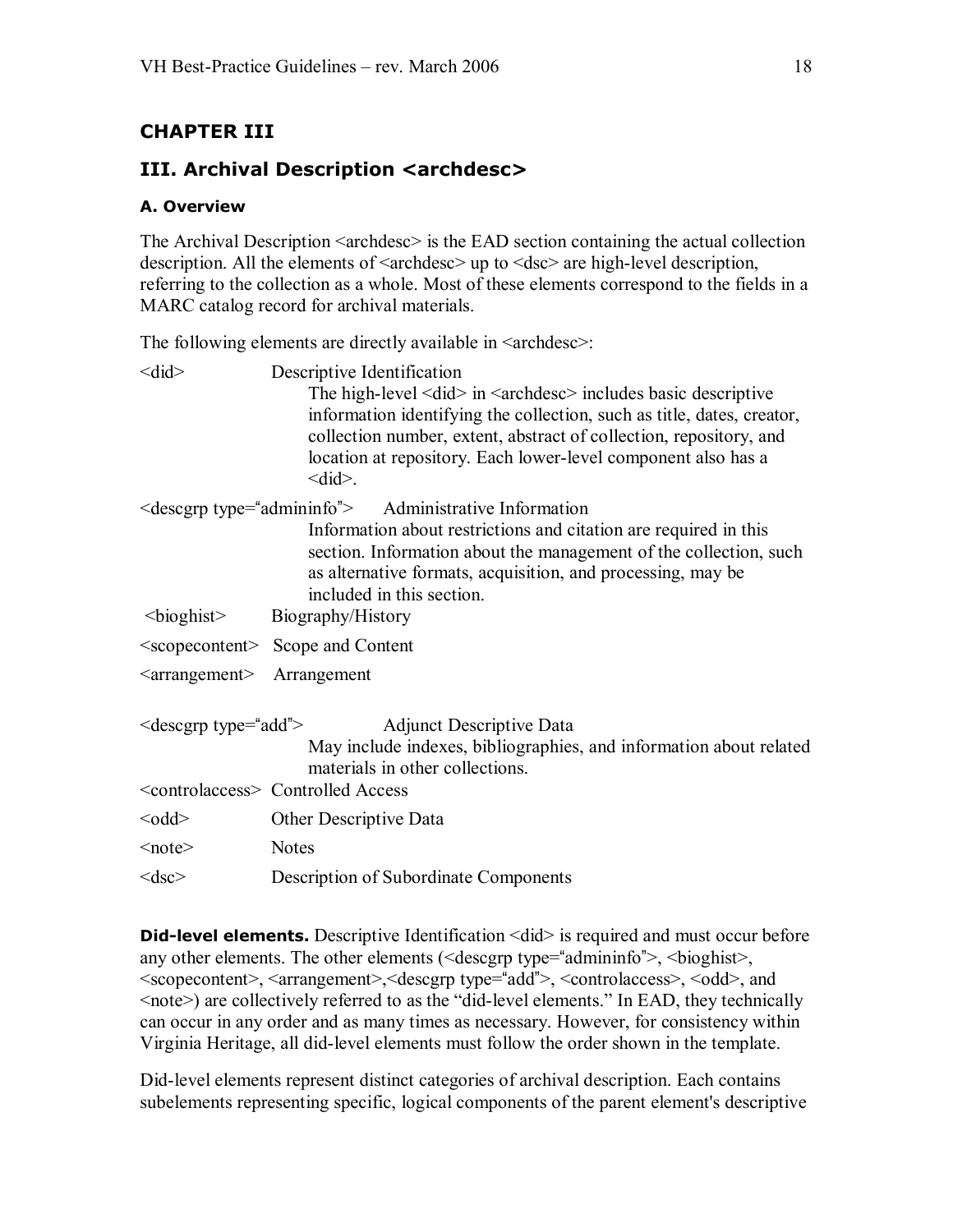# <span id="page-17-0"></span>**CHAPTER III**

# **III. Archival Description <archdesc>**

### <span id="page-17-1"></span>**A. Overview**

The Archival Description  $\langle\text{archdesc}\rangle$  is the EAD section containing the actual collection description. All the elements of  $\langle \text{archdesc} \rangle$  up to  $\langle \text{dsc} \rangle$  are high-level description, referring to the collection as a whole. Most of these elements correspond to the fields in a MARC catalog record for archival materials.

The following elements are directly available in  $\langle$  archdesc $\rangle$ :

| $\leq$ did $\geq$         | Descriptive Identification<br>The high-level $\leq$ did $>$ in $\leq$ archdesc $>$ includes basic descriptive<br>information identifying the collection, such as title, dates, creator,<br>collection number, extent, abstract of collection, repository, and<br>location at repository. Each lower-level component also has a<br>$\leq$ did $\geq$ . |
|---------------------------|-------------------------------------------------------------------------------------------------------------------------------------------------------------------------------------------------------------------------------------------------------------------------------------------------------------------------------------------------------|
|                           | $\le$ descgrp type="admininfo"> Administrative Information<br>Information about restrictions and citation are required in this<br>section. Information about the management of the collection, such<br>as alternative formats, acquisition, and processing, may be<br>included in this section.                                                       |
| $\leq$ bioghist $\geq$    | Biography/History                                                                                                                                                                                                                                                                                                                                     |
|                           | <scopecontent> Scope and Content</scopecontent>                                                                                                                                                                                                                                                                                                       |
| $\leq$ arrangement $\geq$ | Arrangement                                                                                                                                                                                                                                                                                                                                           |
| $\le$ descgrp type="add"> | <b>Adjunct Descriptive Data</b><br>May include indexes, bibliographies, and information about related<br>materials in other collections.                                                                                                                                                                                                              |
|                           | <controlaccess> Controlled Access</controlaccess>                                                                                                                                                                                                                                                                                                     |
| $<$ odd $>$               | Other Descriptive Data                                                                                                                                                                                                                                                                                                                                |
| $note>$                   | <b>Notes</b>                                                                                                                                                                                                                                                                                                                                          |
| $<$ dsc $>$               | Description of Subordinate Components                                                                                                                                                                                                                                                                                                                 |
|                           |                                                                                                                                                                                                                                                                                                                                                       |

**Did-level elements.** Descriptive Identification  $\langle \text{did} \rangle$  is required and must occur before any other elements. The other elements (<descgrp type="admininfo">, <bioghist>, <scopecontent>, <arrangement>,<descgrp type="add">, <controlaccess>, <odd>, and  $\leq$ note>) are collectively referred to as the "did-level elements." In EAD, they technically can occur in any order and as many times as necessary. However, for consistency within Virginia Heritage, all did-level elements must follow the order shown in the template.

Did-level elements represent distinct categories of archival description. Each contains subelements representing specific, logical components of the parent element's descriptive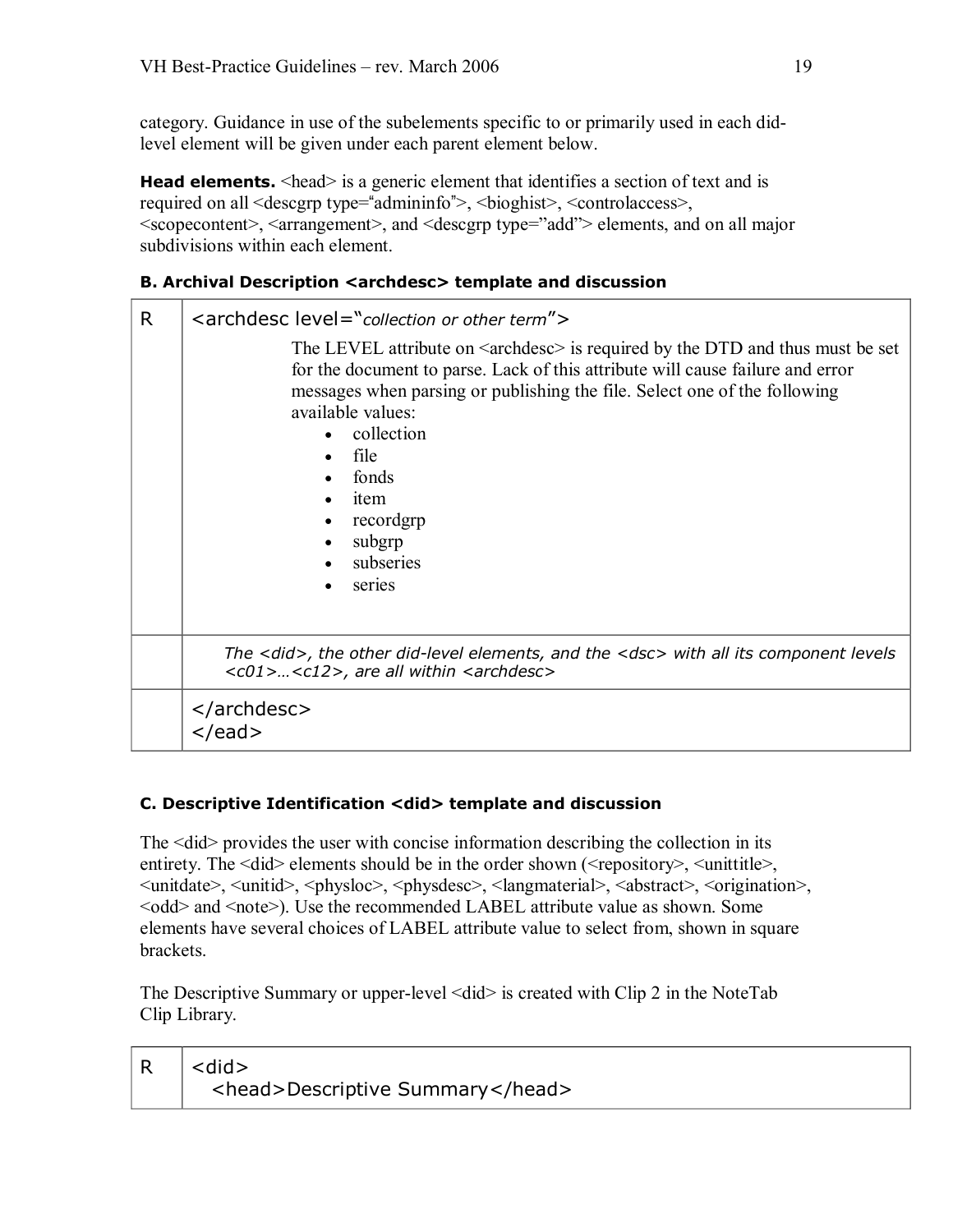category. Guidance in use of the subelements specific to or primarily used in each didlevel element will be given under each parent element below.

**Head elements.**  $\leq$  head $\geq$  is a generic element that identifies a section of text and is required on all <descgrp type="admininfo">, <br/> <br/>bioghist>, <controlaccess>, <scopecontent>, <arrangement>, and <descgrp type="add"> elements, and on all major subdivisions within each element.

## <span id="page-18-0"></span>**B. Archival Description <archdesc> template and discussion**

| R | <archdesc level="collection or other term"></archdesc>                                                                                                                                                                                                                                                                                                                   |
|---|--------------------------------------------------------------------------------------------------------------------------------------------------------------------------------------------------------------------------------------------------------------------------------------------------------------------------------------------------------------------------|
|   | The LEVEL attribute on $\langle$ archdesc $\rangle$ is required by the DTD and thus must be set<br>for the document to parse. Lack of this attribute will cause failure and error<br>messages when parsing or publishing the file. Select one of the following<br>available values:<br>collection<br>file<br>fonds<br>item<br>recordgrp<br>subgrp<br>subseries<br>series |
|   | The <did>, the other did-level elements, and the <dsc> with all its component levels<br/><c01><c12>, are all within <archdesc></archdesc></c12></c01></dsc></did>                                                                                                                                                                                                        |
|   | <br>$<$ /ead>                                                                                                                                                                                                                                                                                                                                                            |

## <span id="page-18-1"></span>**C. Descriptive Identification <did> template and discussion**

The  $\leq$  did  $\geq$  provides the user with concise information describing the collection in its entirety. The <did> elements should be in the order shown (<repository>, <unittitle>, <unitdate>, <unitid>, <physloc>, <physdesc>, <langmaterial>, <abstract>, <origination>, <odd> and <note>). Use the recommended LABEL attribute value as shown. Some elements have several choices of LABEL attribute value to select from, shown in square brackets.

The Descriptive Summary or upper-level <did> is created with Clip 2 in the NoteTab Clip Library.

| $R \mid$ < did >                 |
|----------------------------------|
| <head>Descriptive Summary</head> |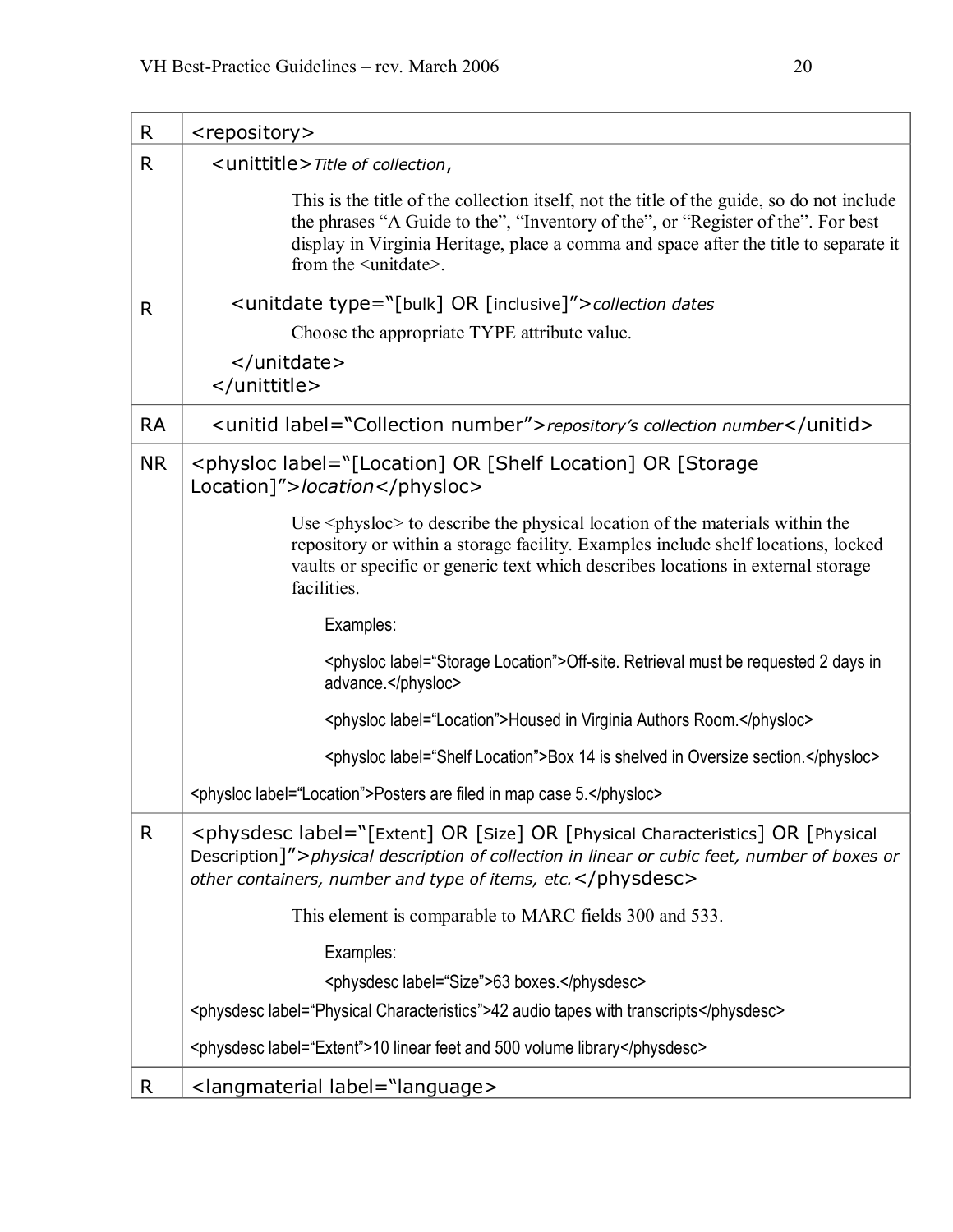| R            | <repository></repository>                                                                                                                                                                                                                                                                                |  |
|--------------|----------------------------------------------------------------------------------------------------------------------------------------------------------------------------------------------------------------------------------------------------------------------------------------------------------|--|
| R            | <unittitle>Title of collection,</unittitle>                                                                                                                                                                                                                                                              |  |
|              | This is the title of the collection itself, not the title of the guide, so do not include<br>the phrases "A Guide to the", "Inventory of the", or "Register of the". For best<br>display in Virginia Heritage, place a comma and space after the title to separate it<br>from the <unitdate>.</unitdate> |  |
| R            | <unitdate type="[bulk] OR [inclusive]">collection dates</unitdate>                                                                                                                                                                                                                                       |  |
|              | Choose the appropriate TYPE attribute value.                                                                                                                                                                                                                                                             |  |
|              | <br>                                                                                                                                                                                                                                                                                                     |  |
| <b>RA</b>    | <unitid label="Collection number">repository's collection number</unitid>                                                                                                                                                                                                                                |  |
| <b>NR</b>    | <physloc label="[Location] OR [Shelf Location] OR [Storage&lt;br&gt;Location]">location</physloc>                                                                                                                                                                                                        |  |
|              | Use $\langle$ physloc $>$ to describe the physical location of the materials within the<br>repository or within a storage facility. Examples include shelf locations, locked<br>vaults or specific or generic text which describes locations in external storage<br>facilities.                          |  |
|              | Examples:                                                                                                                                                                                                                                                                                                |  |
|              | <physioc label="Storage Location">Off-site. Retrieval must be requested 2 days in<br/>advance.</physioc>                                                                                                                                                                                                 |  |
|              | <physloc label="Location">Housed in Virginia Authors Room.</physloc>                                                                                                                                                                                                                                     |  |
|              | <physloc label="Shelf Location">Box 14 is shelved in Oversize section.</physloc>                                                                                                                                                                                                                         |  |
|              | <physloc label="Location">Posters are filed in map case 5.</physloc>                                                                                                                                                                                                                                     |  |
| $\mathsf{R}$ | <physdesc label="[Extent] OR [Size] OR [Physical Characteristics] OR [Physical&lt;br&gt;Description]">physical description of collection in linear or cubic feet, number of boxes or<br/>other containers, number and type of items, etc. </physdesc>                                                    |  |
|              | This element is comparable to MARC fields 300 and 533.                                                                                                                                                                                                                                                   |  |
|              | Examples:                                                                                                                                                                                                                                                                                                |  |
|              | <physdesc label="Size">63 boxes.</physdesc>                                                                                                                                                                                                                                                              |  |
|              | <physdesc label="Physical Characteristics">42 audio tapes with transcripts</physdesc>                                                                                                                                                                                                                    |  |
|              | <physdesc label="Extent">10 linear feet and 500 volume library</physdesc>                                                                                                                                                                                                                                |  |
| R            | <langmaterial label="language>                                                                                                                                                                                                                                                                           |  |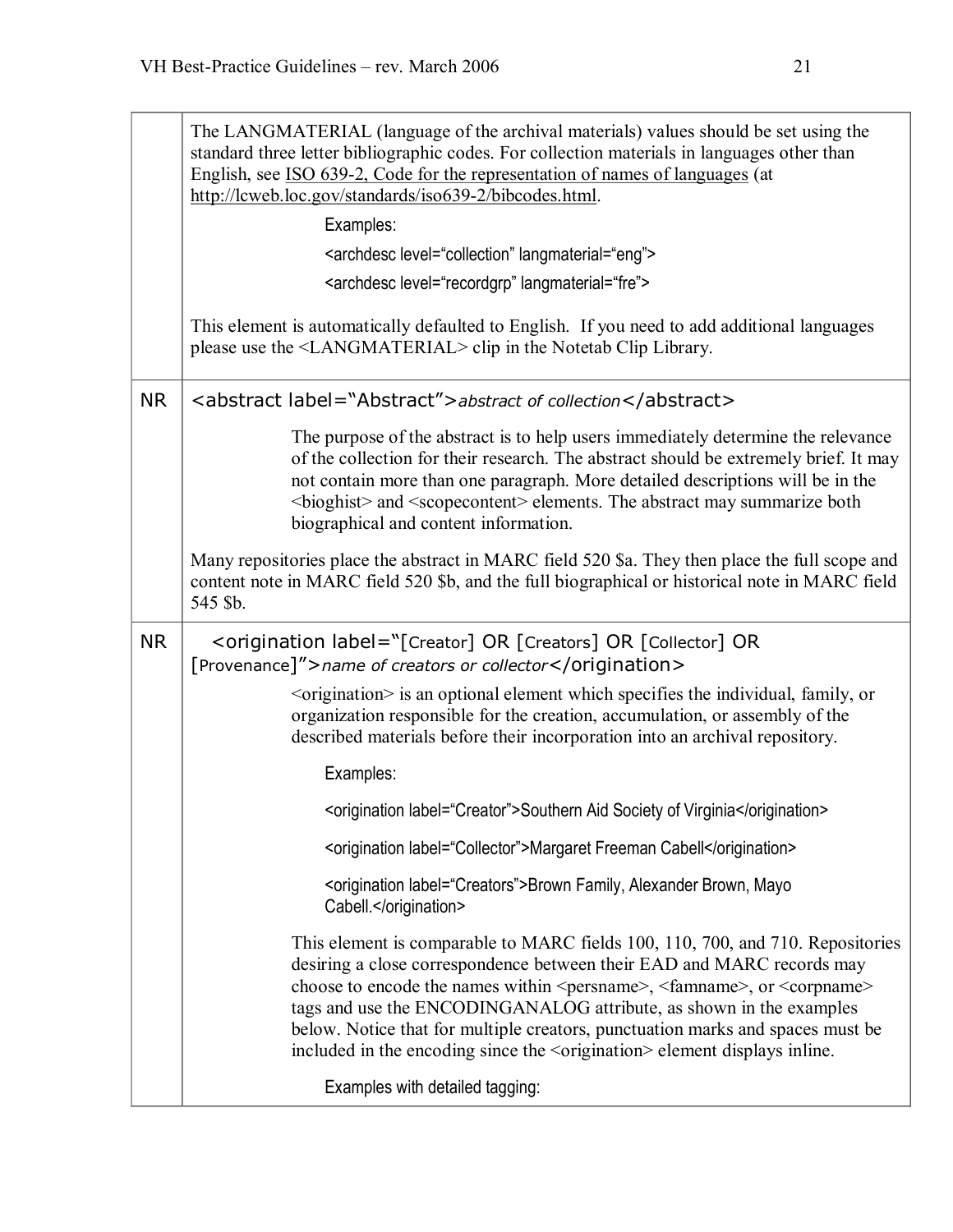|           | The LANGMATERIAL (language of the archival materials) values should be set using the<br>standard three letter bibliographic codes. For collection materials in languages other than<br>English, see ISO 639-2, Code for the representation of names of languages (at<br>http://lcweb.loc.gov/standards/iso639-2/bibcodes.html.                                                                                                                                                                                              |  |
|-----------|-----------------------------------------------------------------------------------------------------------------------------------------------------------------------------------------------------------------------------------------------------------------------------------------------------------------------------------------------------------------------------------------------------------------------------------------------------------------------------------------------------------------------------|--|
|           | Examples:                                                                                                                                                                                                                                                                                                                                                                                                                                                                                                                   |  |
|           | <archdesc langmaterial="eng" level="collection"></archdesc>                                                                                                                                                                                                                                                                                                                                                                                                                                                                 |  |
|           | <archdesc langmaterial="fre" level="recordgrp"></archdesc>                                                                                                                                                                                                                                                                                                                                                                                                                                                                  |  |
|           | This element is automatically defaulted to English. If you need to add additional languages<br>please use the <langmaterial> clip in the Notetab Clip Library.</langmaterial>                                                                                                                                                                                                                                                                                                                                               |  |
| <b>NR</b> | <abstract label="Abstract">abstract of collection</abstract>                                                                                                                                                                                                                                                                                                                                                                                                                                                                |  |
|           | The purpose of the abstract is to help users immediately determine the relevance<br>of the collection for their research. The abstract should be extremely brief. It may<br>not contain more than one paragraph. More detailed descriptions will be in the<br><br>shighist> and <scope<br></scope<br> content> elements. The abstract may summarize both<br>biographical and content information.                                                                                                                           |  |
|           | Many repositories place the abstract in MARC field 520 \$a. They then place the full scope and<br>content note in MARC field 520 \$b, and the full biographical or historical note in MARC field<br>545 \$b.                                                                                                                                                                                                                                                                                                                |  |
| <b>NR</b> | <origination label="[Creator] OR [Creators] OR [Collector] OR&lt;br&gt;[Provenance]">name of creators or collector</origination>                                                                                                                                                                                                                                                                                                                                                                                            |  |
|           | <br>sorigination> is an optional element which specifies the individual, family, or<br>organization responsible for the creation, accumulation, or assembly of the<br>described materials before their incorporation into an archival repository.                                                                                                                                                                                                                                                                           |  |
|           | Examples:                                                                                                                                                                                                                                                                                                                                                                                                                                                                                                                   |  |
|           | <origination label="Creator">Southern Aid Society of Virginia</origination>                                                                                                                                                                                                                                                                                                                                                                                                                                                 |  |
|           | <origination label="Collector">Margaret Freeman Cabell</origination>                                                                                                                                                                                                                                                                                                                                                                                                                                                        |  |
|           | <origination label="Creators">Brown Family, Alexander Brown, Mayo<br/>Cabell </origination>                                                                                                                                                                                                                                                                                                                                                                                                                                 |  |
|           | This element is comparable to MARC fields 100, 110, 700, and 710. Repositories<br>desiring a close correspondence between their EAD and MARC records may<br>choose to encode the names within <persname>, <faminame>, or <corpname><br/>tags and use the ENCODINGANALOG attribute, as shown in the examples<br/>below. Notice that for multiple creators, punctuation marks and spaces must be<br/>included in the encoding since the <origination> element displays inline.</origination></corpname></faminame></persname> |  |
|           | Examples with detailed tagging:                                                                                                                                                                                                                                                                                                                                                                                                                                                                                             |  |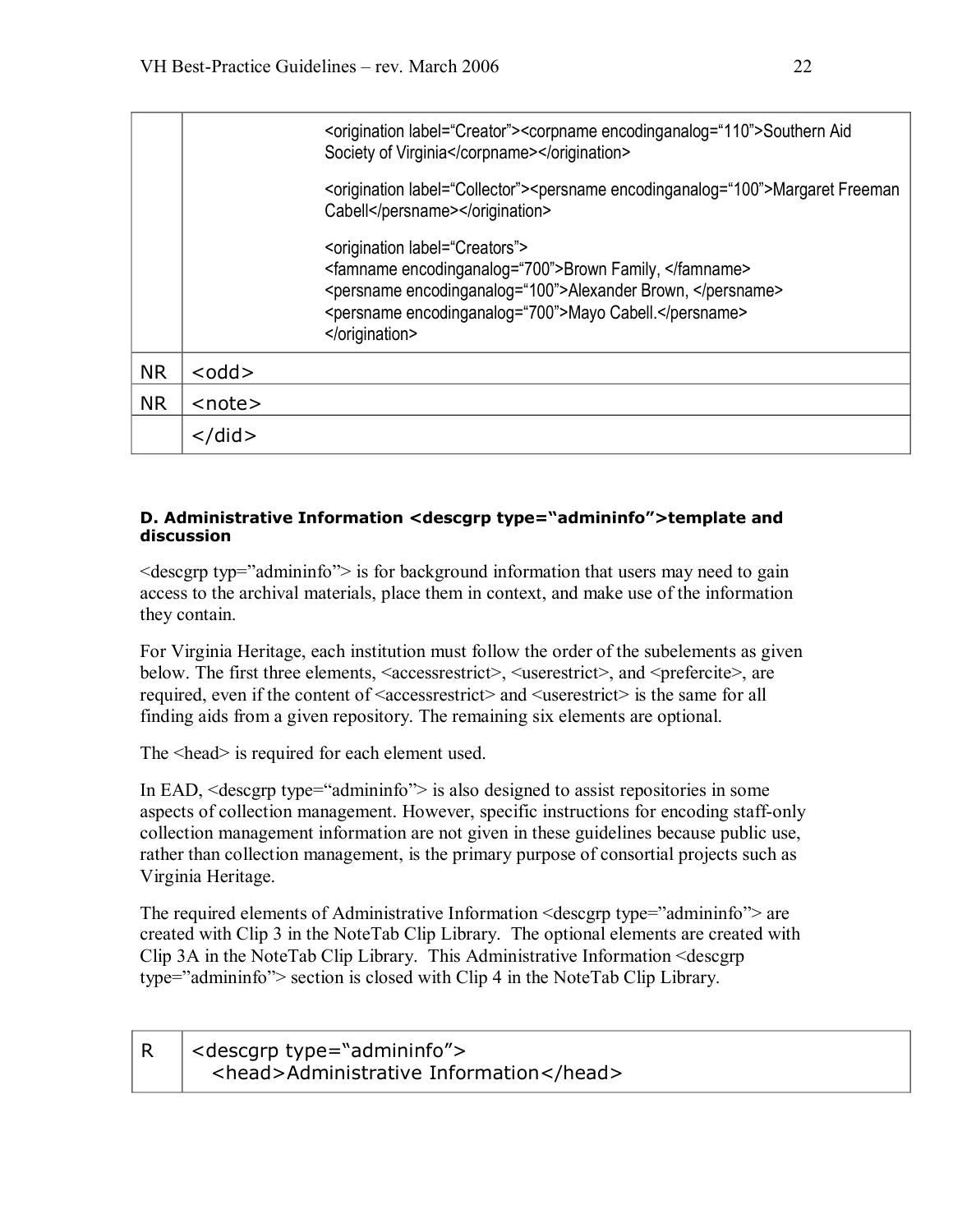|           |              | <origination label="Creator"><corpname encodinganalog="110">Southern Aid<br/>Society of Virginia</corpname></origination>                                                                                                               |
|-----------|--------------|-----------------------------------------------------------------------------------------------------------------------------------------------------------------------------------------------------------------------------------------|
|           |              | <origination label="Collector"><persname encodinganalog="100">Margaret Freeman<br/>Cabell</persname></origination>                                                                                                                      |
|           |              | <origination label="Creators"><br/><famname encodinganalog="700">Brown Family, </famname><br/><persname encodinganalog="100">Alexander Brown, </persname><br/><persname encodinganalog="700">Mayo Cabell.</persname><br/></origination> |
| <b>NR</b> | $<$ odd $>$  |                                                                                                                                                                                                                                         |
| <b>NR</b> | $<$ note $>$ |                                                                                                                                                                                                                                         |
|           |              |                                                                                                                                                                                                                                         |

### **D. Administrative Information <descgrp type="admininfo">template and discussion**

 $\leq$  descgrp typ="admininfo" $\geq$  is for background information that users may need to gain access to the archival materials, place them in context, and make use of the information they contain.

For Virginia Heritage, each institution must follow the order of the subelements as given below. The first three elements, <accessrestrict>, <userestrict>, and <prefercite>, are required, even if the content of <accessrestrict> and <userestrict> is the same for all finding aids from a given repository. The remaining six elements are optional.

The  $\epsilon$ -head is required for each element used.

In EAD, <descgrp type="admininfo"> is also designed to assist repositories in some aspects of collection management. However, specific instructions for encoding staff-only collection management information are not given in these guidelines because public use, rather than collection management, is the primary purpose of consortial projects such as Virginia Heritage.

The required elements of Administrative Information <descgrp type="admininfo"> are created with Clip 3 in the NoteTab Clip Library. The optional elements are created with Clip 3A in the NoteTab Clip Library. This Administrative Information <descgrp type="admininfo"> section is closed with Clip 4 in the NoteTab Clip Library.

| $R$ <descgrp type="admininfo"></descgrp> |
|------------------------------------------|
| <head>Administrative Information</head>  |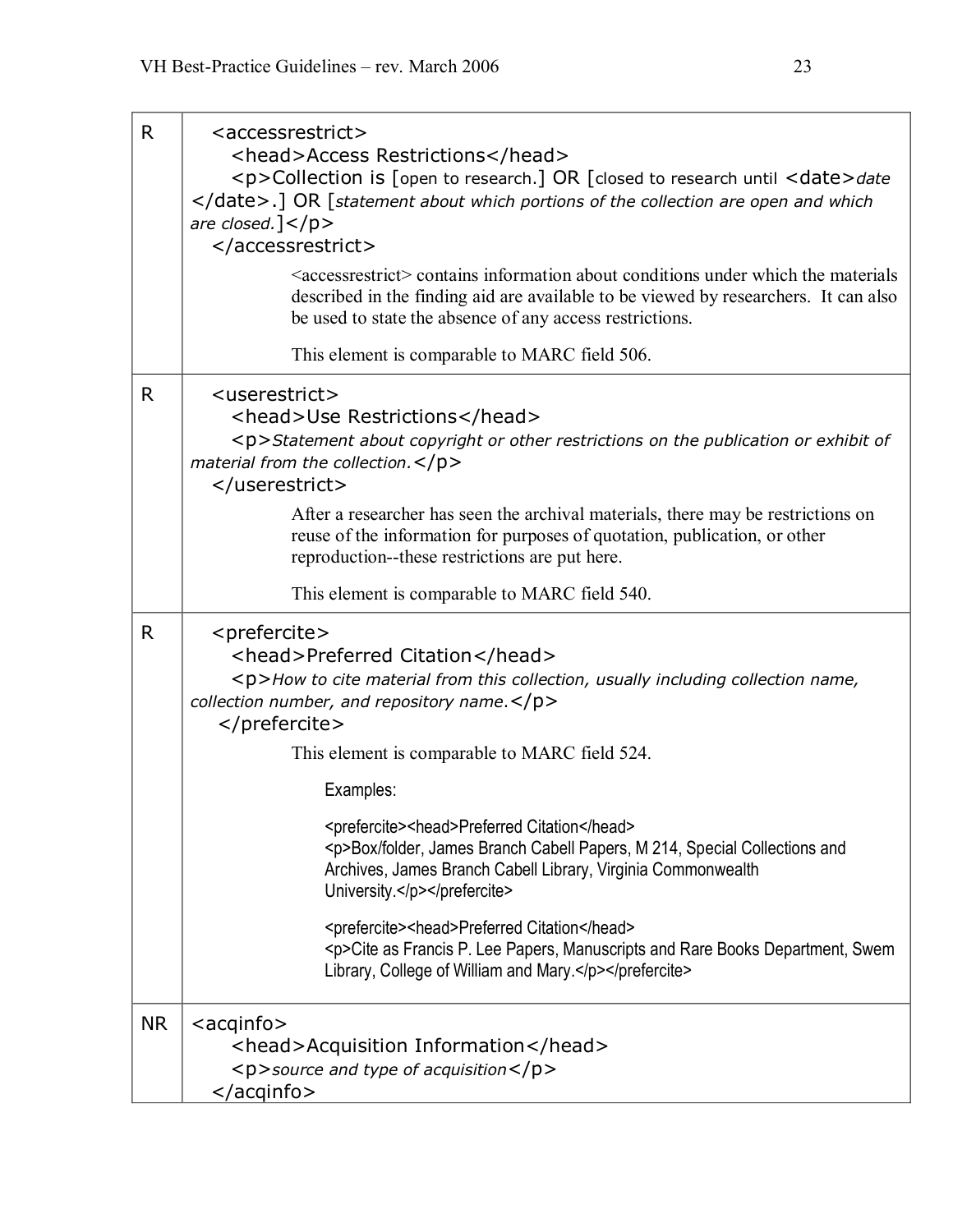| R         | <accessrestrict><br/><head>Access Restrictions</head><br/><p>Collection is [open to research.] OR [closed to research until <date>date<br/></date>.] OR [statement about which portions of the collection are open and which<br/>are closed.]<math>&lt;</math>/p&gt;<br/></p></accessrestrict><br><accessrestrict> contains information about conditions under which the materials<br/>described in the finding aid are available to be viewed by researchers. It can also<br/>be used to state the absence of any access restrictions.<br/>This element is comparable to MARC field 506.</accessrestrict>                                                                                       |
|-----------|--------------------------------------------------------------------------------------------------------------------------------------------------------------------------------------------------------------------------------------------------------------------------------------------------------------------------------------------------------------------------------------------------------------------------------------------------------------------------------------------------------------------------------------------------------------------------------------------------------------------------------------------------------------------------------------------------|
| R         | <userestrict><br/><head>Use Restrictions</head><br/><p>Statement about copyright or other restrictions on the publication or exhibit of<br/>material from the collection. <math>&lt;</math>/p&gt;<br/></p></userestrict><br>After a researcher has seen the archival materials, there may be restrictions on<br>reuse of the information for purposes of quotation, publication, or other<br>reproduction--these restrictions are put here.<br>This element is comparable to MARC field 540.                                                                                                                                                                                                     |
| R         | <prefercite><br/><head>Preferred Citation</head><br/><p>How to cite material from this collection, usually including collection name,<br/>collection number, and repository name.</p><br/></prefercite><br>This element is comparable to MARC field 524.<br>Examples:<br><prefercite><head>Preferred Citation</head><br/><p>Box/folder, James Branch Cabell Papers, M 214, Special Collections and<br/>Archives, James Branch Cabell Library, Virginia Commonwealth<br/>University.</p></prefercite><br><prefercite><head>Preferred Citation</head><br/><p>Cite as Francis P. Lee Papers, Manuscripts and Rare Books Department, Swem<br/>Library, College of William and Mary.</p></prefercite> |
| <b>NR</b> | $<$ acqinfo $>$<br><head>Acquisition Information</head><br><p>source and type of acquisition</p><br>                                                                                                                                                                                                                                                                                                                                                                                                                                                                                                                                                                                             |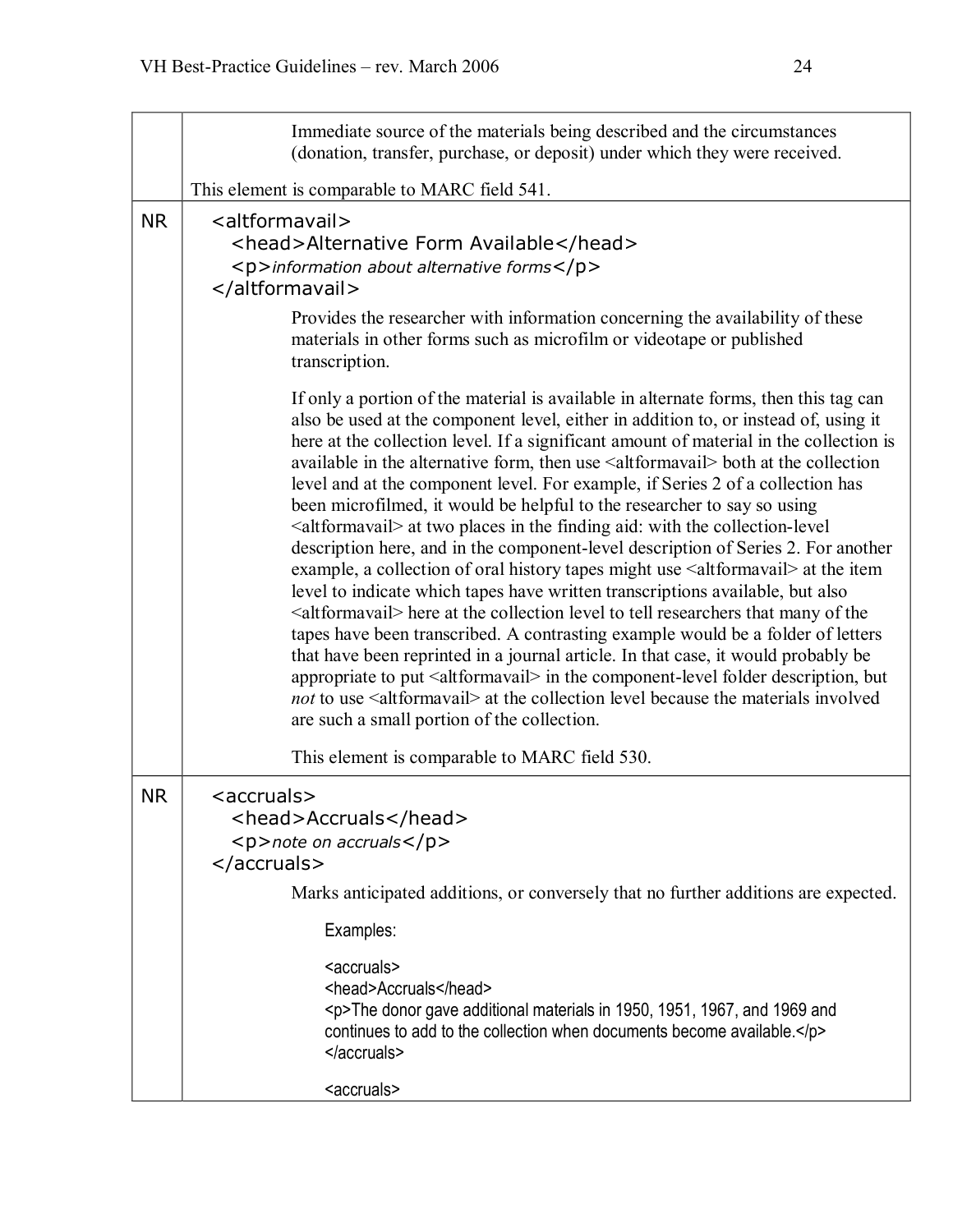|           | Immediate source of the materials being described and the circumstances<br>(donation, transfer, purchase, or deposit) under which they were received.                                                                                                                                                                                                                                                                                                                                                                                                                                                                                                                                                                                                                                                                                                                                                                                                                                                                                                                                                                                                                                                                                                                                                                                                                                                                                                           |  |
|-----------|-----------------------------------------------------------------------------------------------------------------------------------------------------------------------------------------------------------------------------------------------------------------------------------------------------------------------------------------------------------------------------------------------------------------------------------------------------------------------------------------------------------------------------------------------------------------------------------------------------------------------------------------------------------------------------------------------------------------------------------------------------------------------------------------------------------------------------------------------------------------------------------------------------------------------------------------------------------------------------------------------------------------------------------------------------------------------------------------------------------------------------------------------------------------------------------------------------------------------------------------------------------------------------------------------------------------------------------------------------------------------------------------------------------------------------------------------------------------|--|
|           | This element is comparable to MARC field 541.                                                                                                                                                                                                                                                                                                                                                                                                                                                                                                                                                                                                                                                                                                                                                                                                                                                                                                                                                                                                                                                                                                                                                                                                                                                                                                                                                                                                                   |  |
| <b>NR</b> | <altformavail><br/><head>Alternative Form Available</head><br/><p>information about alternative forms</p><br/></altformavail><br>Provides the researcher with information concerning the availability of these                                                                                                                                                                                                                                                                                                                                                                                                                                                                                                                                                                                                                                                                                                                                                                                                                                                                                                                                                                                                                                                                                                                                                                                                                                                  |  |
|           | materials in other forms such as microfilm or videotape or published<br>transcription.                                                                                                                                                                                                                                                                                                                                                                                                                                                                                                                                                                                                                                                                                                                                                                                                                                                                                                                                                                                                                                                                                                                                                                                                                                                                                                                                                                          |  |
|           | If only a portion of the material is available in alternate forms, then this tag can<br>also be used at the component level, either in addition to, or instead of, using it<br>here at the collection level. If a significant amount of material in the collection is<br>available in the alternative form, then use <altformavail> both at the collection<br/>level and at the component level. For example, if Series 2 of a collection has<br/>been microfilmed, it would be helpful to the researcher to say so using<br/><altformavail> at two places in the finding aid: with the collection-level<br/>description here, and in the component-level description of Series 2. For another<br/>example, a collection of oral history tapes might use <altformavail> at the item<br/>level to indicate which tapes have written transcriptions available, but also<br/><altformavail> here at the collection level to tell researchers that many of the<br/>tapes have been transcribed. A contrasting example would be a folder of letters<br/>that have been reprinted in a journal article. In that case, it would probably be<br/>appropriate to put <altformavail> in the component-level folder description, but<br/><i>not</i> to use <altformavail> at the collection level because the materials involved<br/>are such a small portion of the collection.</altformavail></altformavail></altformavail></altformavail></altformavail></altformavail> |  |
|           | This element is comparable to MARC field 530.                                                                                                                                                                                                                                                                                                                                                                                                                                                                                                                                                                                                                                                                                                                                                                                                                                                                                                                                                                                                                                                                                                                                                                                                                                                                                                                                                                                                                   |  |
| <b>NR</b> | <accruals><br/><head>Accruals</head><br/><p>note on accruals</p><br/></accruals>                                                                                                                                                                                                                                                                                                                                                                                                                                                                                                                                                                                                                                                                                                                                                                                                                                                                                                                                                                                                                                                                                                                                                                                                                                                                                                                                                                                |  |
|           | Marks anticipated additions, or conversely that no further additions are expected.                                                                                                                                                                                                                                                                                                                                                                                                                                                                                                                                                                                                                                                                                                                                                                                                                                                                                                                                                                                                                                                                                                                                                                                                                                                                                                                                                                              |  |
|           | Examples:                                                                                                                                                                                                                                                                                                                                                                                                                                                                                                                                                                                                                                                                                                                                                                                                                                                                                                                                                                                                                                                                                                                                                                                                                                                                                                                                                                                                                                                       |  |
|           | <accruals><br/><head>Accruals</head><br/><p>The donor gave additional materials in 1950, 1951, 1967, and 1969 and<br/>continues to add to the collection when documents become available.</p><br/></accruals><br><accruals></accruals>                                                                                                                                                                                                                                                                                                                                                                                                                                                                                                                                                                                                                                                                                                                                                                                                                                                                                                                                                                                                                                                                                                                                                                                                                          |  |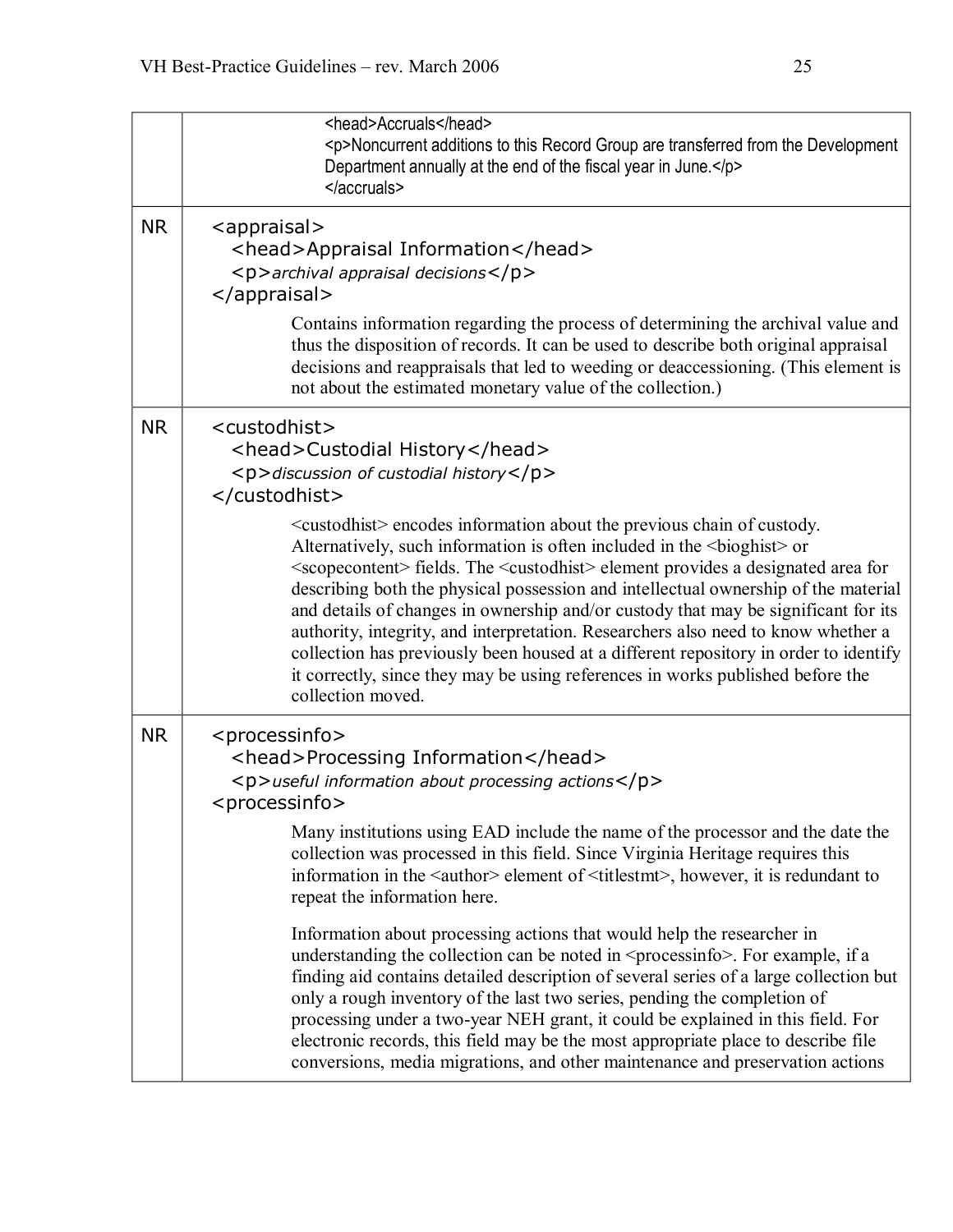|           | <head>Accruals</head><br><p>Noncurrent additions to this Record Group are transferred from the Development<br/>Department annually at the end of the fiscal year in June.</p><br>                                                                                                                                                                                                                                                                                                                                                                                                                                                                                                                                                                                                                                                                                                                                                                                                                                                                                                                         |
|-----------|-----------------------------------------------------------------------------------------------------------------------------------------------------------------------------------------------------------------------------------------------------------------------------------------------------------------------------------------------------------------------------------------------------------------------------------------------------------------------------------------------------------------------------------------------------------------------------------------------------------------------------------------------------------------------------------------------------------------------------------------------------------------------------------------------------------------------------------------------------------------------------------------------------------------------------------------------------------------------------------------------------------------------------------------------------------------------------------------------------------|
| <b>NR</b> | <appraisal><br/><head>Appraisal Information</head><br/><math>&lt;</math>p&gt;archival appraisal decisions<math>&lt;</math>/p&gt;<br/></appraisal><br>Contains information regarding the process of determining the archival value and<br>thus the disposition of records. It can be used to describe both original appraisal<br>decisions and reappraisals that led to weeding or deaccessioning. (This element is<br>not about the estimated monetary value of the collection.)                                                                                                                                                                                                                                                                                                                                                                                                                                                                                                                                                                                                                          |
| <b>NR</b> | <custodhist><br/><head>Custodial History</head><br/><p>discussion of custodial history</p><br/></custodhist><br><custodhist> encodes information about the previous chain of custody.<br/>Alternatively, such information is often included in the <br/>bioghist&gt; or<br/><scopecontent> fields. The <custodhist> element provides a designated area for<br/>describing both the physical possession and intellectual ownership of the material<br>and details of changes in ownership and/or custody that may be significant for its<br/>authority, integrity, and interpretation. Researchers also need to know whether a<br/>collection has previously been housed at a different repository in order to identify<br/>it correctly, since they may be using references in works published before the<br/>collection moved.</br></custodhist></scopecontent></custodhist>                                                                                                                                                                                                                             |
| <b>NR</b> | <processinfo><br/><head>Processing Information</head><br/><p>useful information about processing actions</p><br/><math>&lt;</math>processinfo<math>&gt;</math><br/>Many institutions using EAD include the name of the processor and the date the<br/>collection was processed in this field. Since Virginia Heritage requires this<br/>information in the <author> element of <titlestmt>, however, it is redundant to<br/>repeat the information here.<br/>Information about processing actions that would help the researcher in<br/>understanding the collection can be noted in <processinfo>. For example, if a<br/>finding aid contains detailed description of several series of a large collection but<br/>only a rough inventory of the last two series, pending the completion of<br/>processing under a two-year NEH grant, it could be explained in this field. For<br/>electronic records, this field may be the most appropriate place to describe file<br/>conversions, media migrations, and other maintenance and preservation actions</processinfo></titlestmt></author></processinfo> |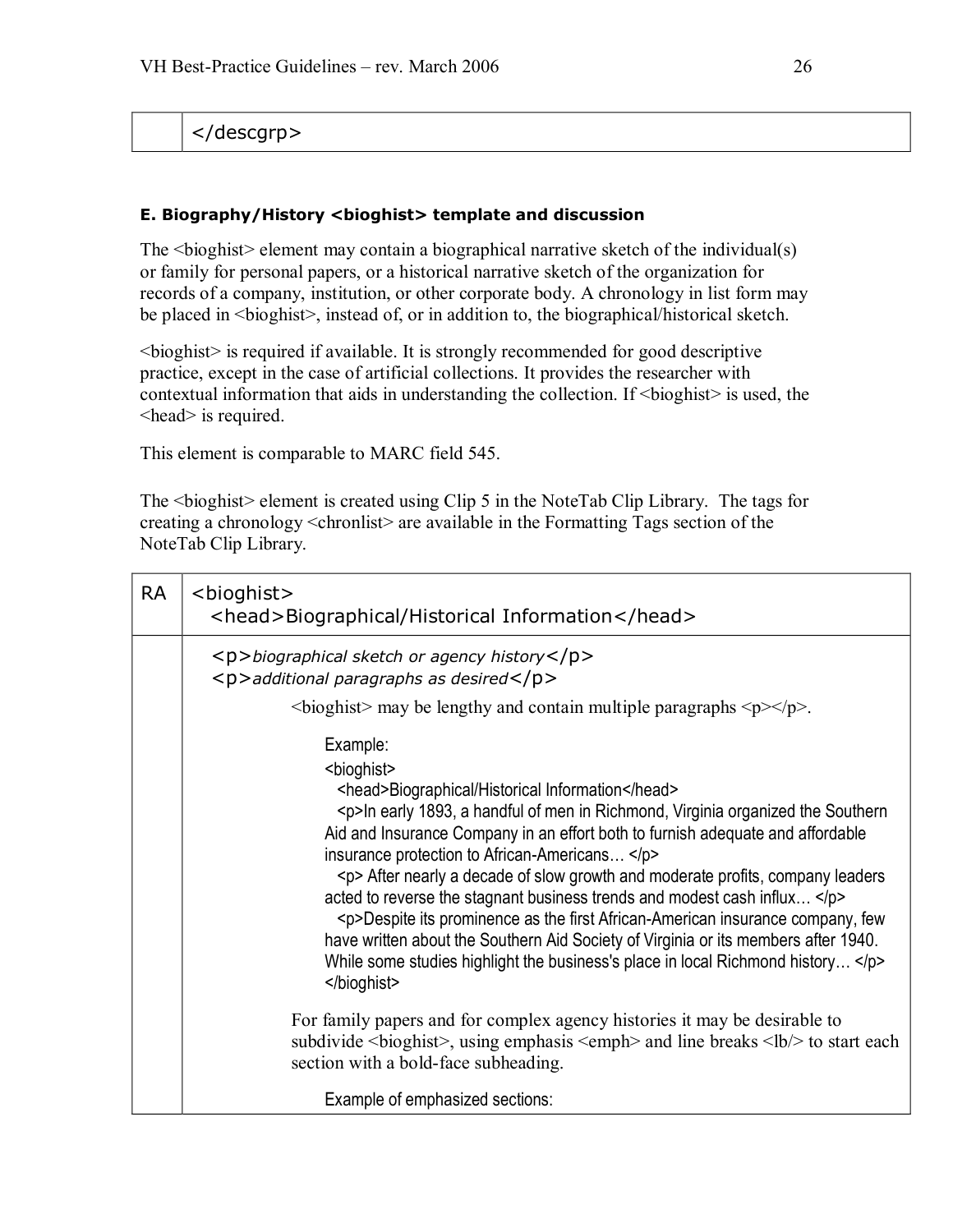</descgrp>

### <span id="page-25-0"></span>**E. Biography/History <bioghist> template and discussion**

The  $\leq$ bioghist $\geq$  element may contain a biographical narrative sketch of the individual(s) or family for personal papers, or a historical narrative sketch of the organization for records of a company, institution, or other corporate body. A chronology in list form may be placed in  $\langle$ bioghist $\rangle$ , instead of, or in addition to, the biographical/historical sketch.

<bioghist> is required if available. It is strongly recommended for good descriptive practice, except in the case of artificial collections. It provides the researcher with contextual information that aids in understanding the collection. If  $\leq$  bioghist $\geq$  is used, the <head> is required.

This element is comparable to MARC field 545.

The <br/>bioghist> element is created using Clip 5 in the NoteTab Clip Library. The tags for creating a chronology <chronlist> are available in the Formatting Tags section of the NoteTab Clip Library.

| <b>RA</b> | <bioghist><br/><head>Biographical/Historical Information</head></bioghist>                                                                                                                                                                                                                                                                                                                                                                                                                                                                                                                                                                                                                                                                            |
|-----------|-------------------------------------------------------------------------------------------------------------------------------------------------------------------------------------------------------------------------------------------------------------------------------------------------------------------------------------------------------------------------------------------------------------------------------------------------------------------------------------------------------------------------------------------------------------------------------------------------------------------------------------------------------------------------------------------------------------------------------------------------------|
|           | $\langle p \rangle$ biographical sketch or agency history $\langle p \rangle$<br><p>additional paragraphs as desired</p><br>$\langle \text{bioghist} \rangle$ may be lengthy and contain multiple paragraphs $\langle p \rangle \langle p \rangle$ .                                                                                                                                                                                                                                                                                                                                                                                                                                                                                                  |
|           | Example:<br><bioghist><br/><head>Biographical/Historical Information</head><br/><p>In early 1893, a handful of men in Richmond, Virginia organized the Southern<br/>Aid and Insurance Company in an effort both to furnish adequate and affordable<br/>insurance protection to African-Americans </p><br/><p> After nearly a decade of slow growth and moderate profits, company leaders<br/>acted to reverse the stagnant business trends and modest cash influx </p><br/><p>Despite its prominence as the first African-American insurance company, few<br/>have written about the Southern Aid Society of Virginia or its members after 1940.<br/>While some studies highlight the business's place in local Richmond history </p><br/></bioghist> |
|           | For family papers and for complex agency histories it may be desirable to<br>subdivide<br>bioghist>, using emphasis <emph> and line breaks <lb></lb> <lb></lb>to start each<br/>section with a bold-face subheading.</emph>                                                                                                                                                                                                                                                                                                                                                                                                                                                                                                                           |
|           | Example of emphasized sections:                                                                                                                                                                                                                                                                                                                                                                                                                                                                                                                                                                                                                                                                                                                       |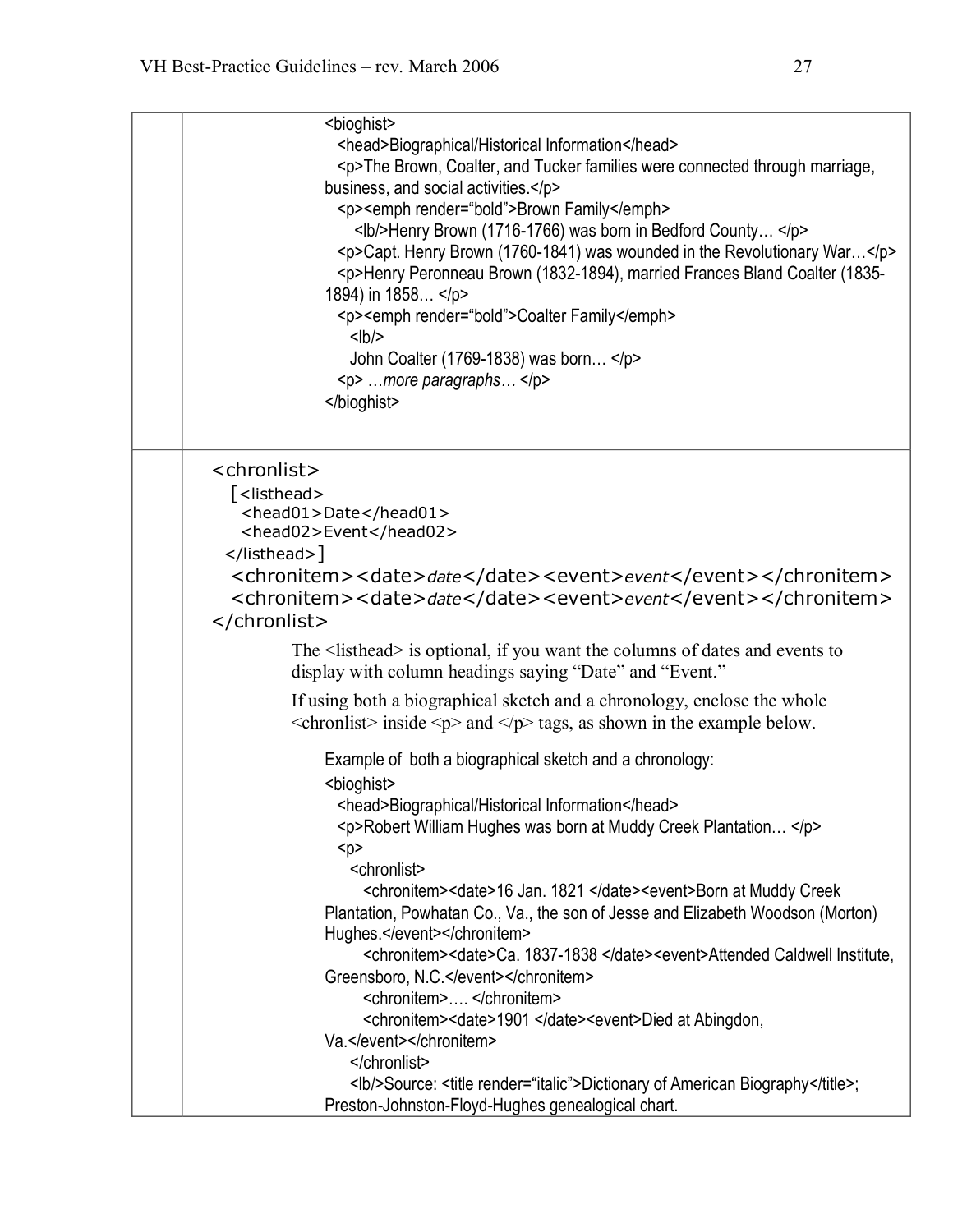| <bioghist></bioghist>                                                                        |  |
|----------------------------------------------------------------------------------------------|--|
| <head>Biographical/Historical Information</head>                                             |  |
| <p>The Brown, Coalter, and Tucker families were connected through marriage,</p>              |  |
| business, and social activities.                                                             |  |
| <p><emph render="bold">Brown Family</emph></p>                                               |  |
| <lb></lb> Henry Brown (1716-1766) was born in Bedford County                                 |  |
| <p>Capt. Henry Brown (1760-1841) was wounded in the Revolutionary War</p>                    |  |
| <p>Henry Peronneau Brown (1832-1894), married Frances Bland Coalter (1835-</p>               |  |
| 1894) in 1858                                                                                |  |
| <p><emph render="bold">Coalter Family</emph></p>                                             |  |
| $<$ lb/>                                                                                     |  |
|                                                                                              |  |
| John Coalter (1769-1838) was born                                                            |  |
| <p> more paragraphs </p>                                                                     |  |
|                                                                                              |  |
|                                                                                              |  |
| <chronlist></chronlist>                                                                      |  |
| [ <listhead></listhead>                                                                      |  |
| <head01>Date</head01>                                                                        |  |
| <head02>Event</head02>                                                                       |  |
| ]                                                                                            |  |
| <chronitem><date>date</date><event>event</event></chronitem>                                 |  |
| <chronitem><date>date</date><event>event</event></chronitem>                                 |  |
|                                                                                              |  |
|                                                                                              |  |
| The <list head=""> is optional, if you want the columns of dates and events to</list>        |  |
| display with column headings saying "Date" and "Event."                                      |  |
| If using both a biographical sketch and a chronology, enclose the whole                      |  |
| $\le$ chronlist> inside $\le$ p> and $\le$ /p> tags, as shown in the example below.          |  |
|                                                                                              |  |
| Example of both a biographical sketch and a chronology:                                      |  |
| <bioghist></bioghist>                                                                        |  |
| <head>Biographical/Historical Information</head>                                             |  |
| <p>Robert William Hughes was born at Muddy Creek Plantation </p>                             |  |
| < p >                                                                                        |  |
| <chronlist></chronlist>                                                                      |  |
| <chronitem><date>16 Jan. 1821 </date><event>Born at Muddy Creek</event></chronitem>          |  |
|                                                                                              |  |
| Plantation, Powhatan Co., Va., the son of Jesse and Elizabeth Woodson (Morton)               |  |
| Hughes.                                                                                      |  |
| <chronitem><date>Ca. 1837-1838</date><event>Attended Caldwell Institute.</event></chronitem> |  |
| Greensboro, N.C.                                                                             |  |
| <chronitem> </chronitem>                                                                     |  |
| <chronitem><date>1901 </date><event>Died at Abingdon,</event></chronitem>                    |  |
| Va.                                                                                          |  |
|                                                                                              |  |
| <lb></lb> Source: <title render="italic">Dictionary of American Biography</title> ;          |  |
| Preston-Johnston-Floyd-Hughes genealogical chart.                                            |  |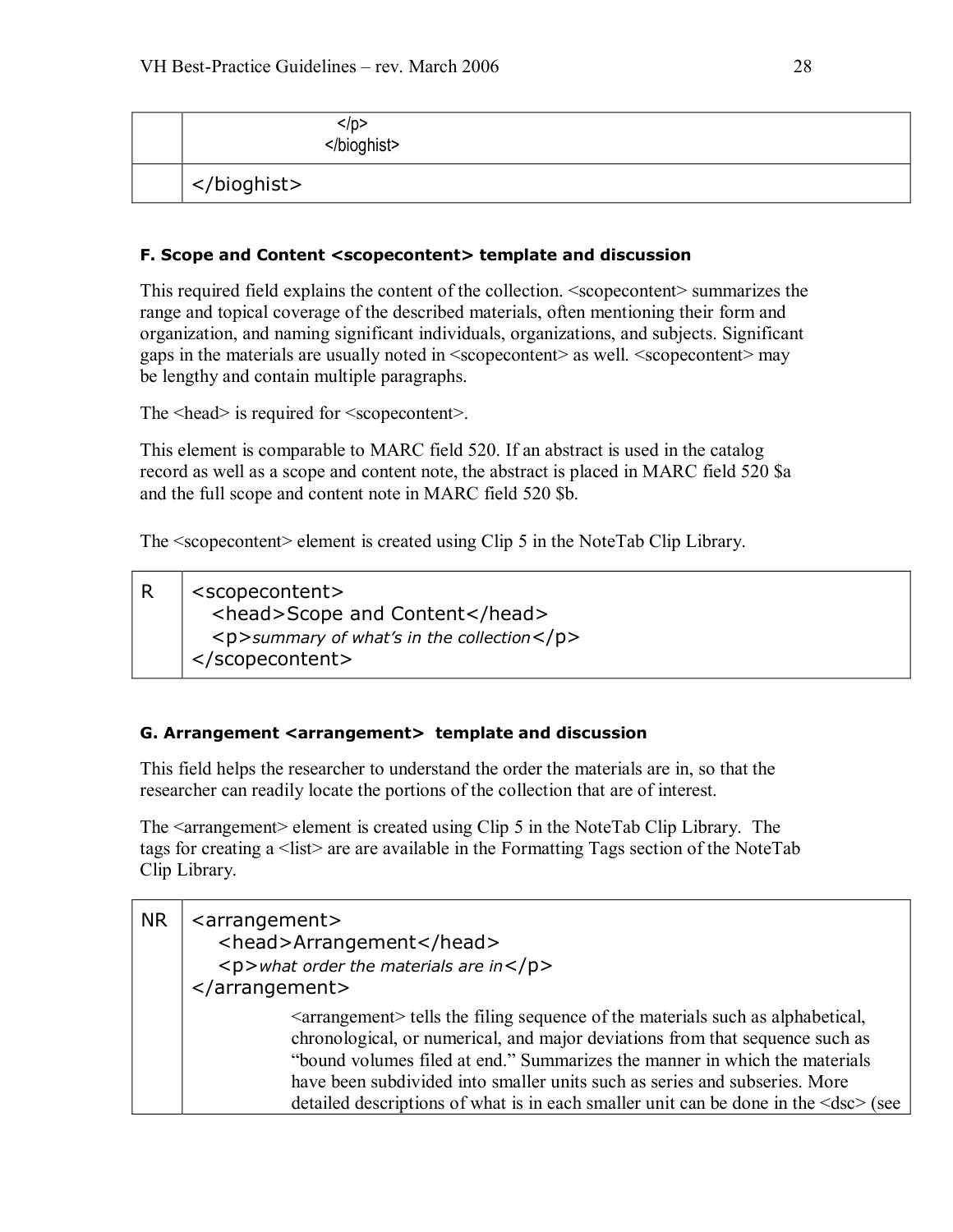| ./D<br> |
|---------|
|         |

### <span id="page-27-0"></span>**F. Scope and Content <scopecontent> template and discussion**

This required field explains the content of the collection. <scopecontent> summarizes the range and topical coverage of the described materials, often mentioning their form and organization, and naming significant individuals, organizations, and subjects. Significant gaps in the materials are usually noted in <scopecontent> as well. <scopecontent> may be lengthy and contain multiple paragraphs.

The  $\leq$  head is required for  $\leq$  scopecontent  $\geq$ .

This element is comparable to MARC field 520. If an abstract is used in the catalog record as well as a scope and content note, the abstract is placed in MARC field 520 \$a and the full scope and content note in MARC field 520 \$b.

The <scopecontent> element is created using Clip 5 in the NoteTab Clip Library.

| $ $ <scopecontent></scopecontent>          |
|--------------------------------------------|
| <head>Scope and Content</head>             |
| <p>summary of what's in the collection</p> |
| $\sqrt{\frac{1}{1}}$                       |

### <span id="page-27-1"></span>**G. Arrangement <arrangement> template and discussion**

This field helps the researcher to understand the order the materials are in, so that the researcher can readily locate the portions of the collection that are of interest.

The <arrangement> element is created using Clip 5 in the NoteTab Clip Library. The tags for creating a <list> are are available in the Formatting Tags section of the NoteTab Clip Library.

| <b>NR</b> | <arrangement><br/><head>Arrangement</head><br/><math>&lt;</math>p&gt;what order the materials are in<math>&lt;</math>/p&gt;<br/><math>\langle</math>arrangement&gt;</arrangement>                                                                                                                                                                                                                                                         |
|-----------|-------------------------------------------------------------------------------------------------------------------------------------------------------------------------------------------------------------------------------------------------------------------------------------------------------------------------------------------------------------------------------------------------------------------------------------------|
|           | <arrangement> tells the filing sequence of the materials such as alphabetical,<br/>chronological, or numerical, and major deviations from that sequence such as<br/>"bound volumes filed at end." Summarizes the manner in which the materials<br/>have been subdivided into smaller units such as series and subseries. More<br/>detailed descriptions of what is in each smaller unit can be done in the <dsc> (see</dsc></arrangement> |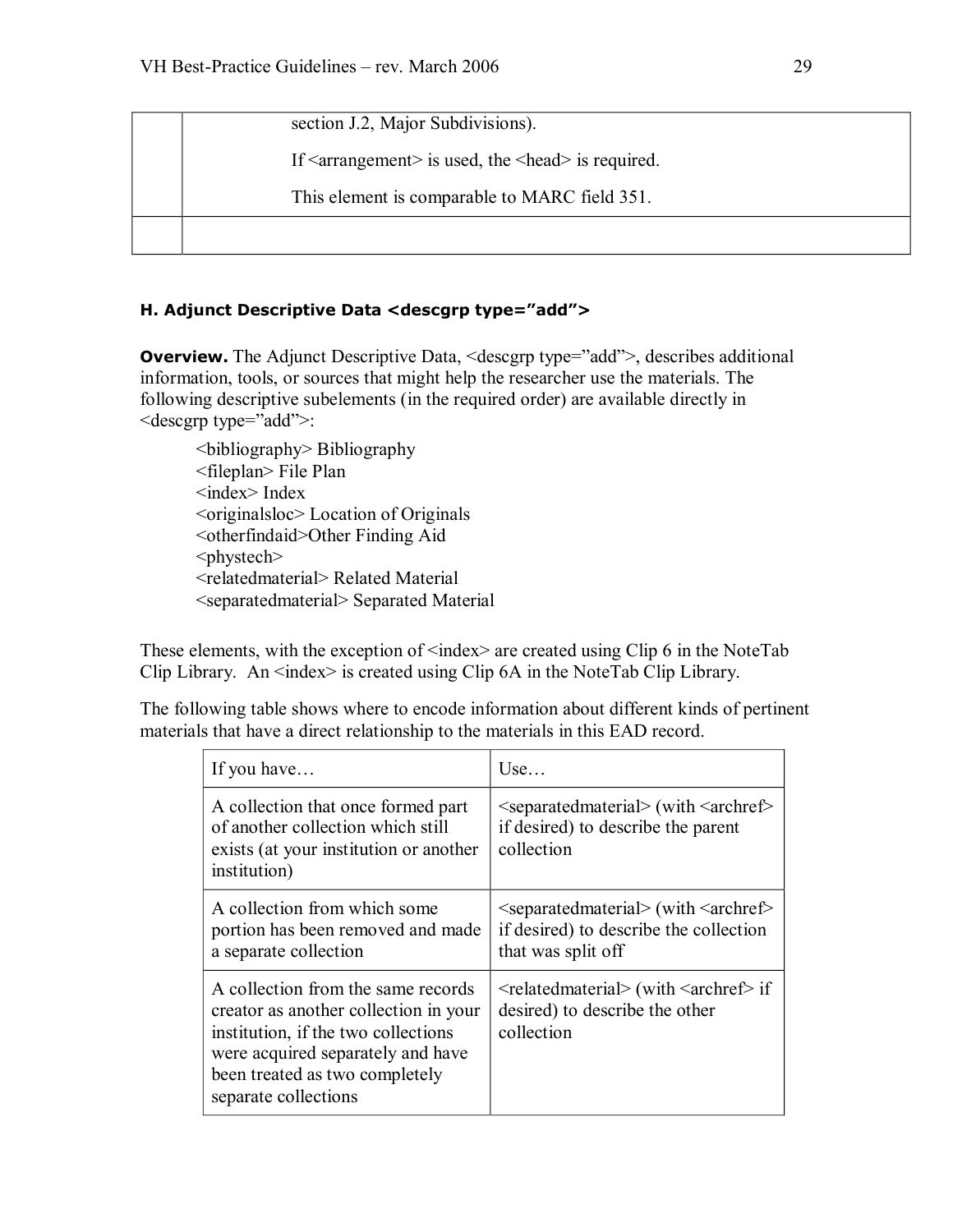section J.2, Major Subdivisions).

If  $\leq$  arrangement $\geq$  is used, the  $\leq$  head $\geq$  is required.

This element is comparable to MARC field 351.

## **H. Adjunct Descriptive Data <descgrp type="add">**

**Overview.** The Adjunct Descriptive Data, <descgrp type="add">, describes additional information, tools, or sources that might help the researcher use the materials. The following descriptive subelements (in the required order) are available directly in <descgrp type="add">:

<bibliography> Bibliography <fileplan> File Plan <index> Index <originalsloc> Location of Originals <otherfindaid>Other Finding Aid <phystech> <relatedmaterial> Related Material <separatedmaterial> Separated Material

These elements, with the exception of  $\langle$ index $\rangle$  are created using Clip 6 in the NoteTab Clip Library. An  $\langle$ index $\rangle$  is created using Clip 6A in the NoteTab Clip Library.

The following table shows where to encode information about different kinds of pertinent materials that have a direct relationship to the materials in this EAD record.

| If you have                                                                                                                                                                                                       | Use                                                                                                                      |
|-------------------------------------------------------------------------------------------------------------------------------------------------------------------------------------------------------------------|--------------------------------------------------------------------------------------------------------------------------|
| A collection that once formed part<br>of another collection which still<br>exists (at your institution or another<br>institution)                                                                                 | $\leq$ separatedmaterial $>$ (with $\leq$ archref $>$<br>if desired) to describe the parent<br>collection                |
| A collection from which some<br>portion has been removed and made<br>a separate collection                                                                                                                        | $\leq$ separatedmaterial $>$ (with $\leq$ archref $\geq$<br>if desired) to describe the collection<br>that was split off |
| A collection from the same records<br>creator as another collection in your<br>institution, if the two collections<br>were acquired separately and have<br>been treated as two completely<br>separate collections | $\le$ relatedmaterial> (with $\le$ archref> if<br>desired) to describe the other<br>collection                           |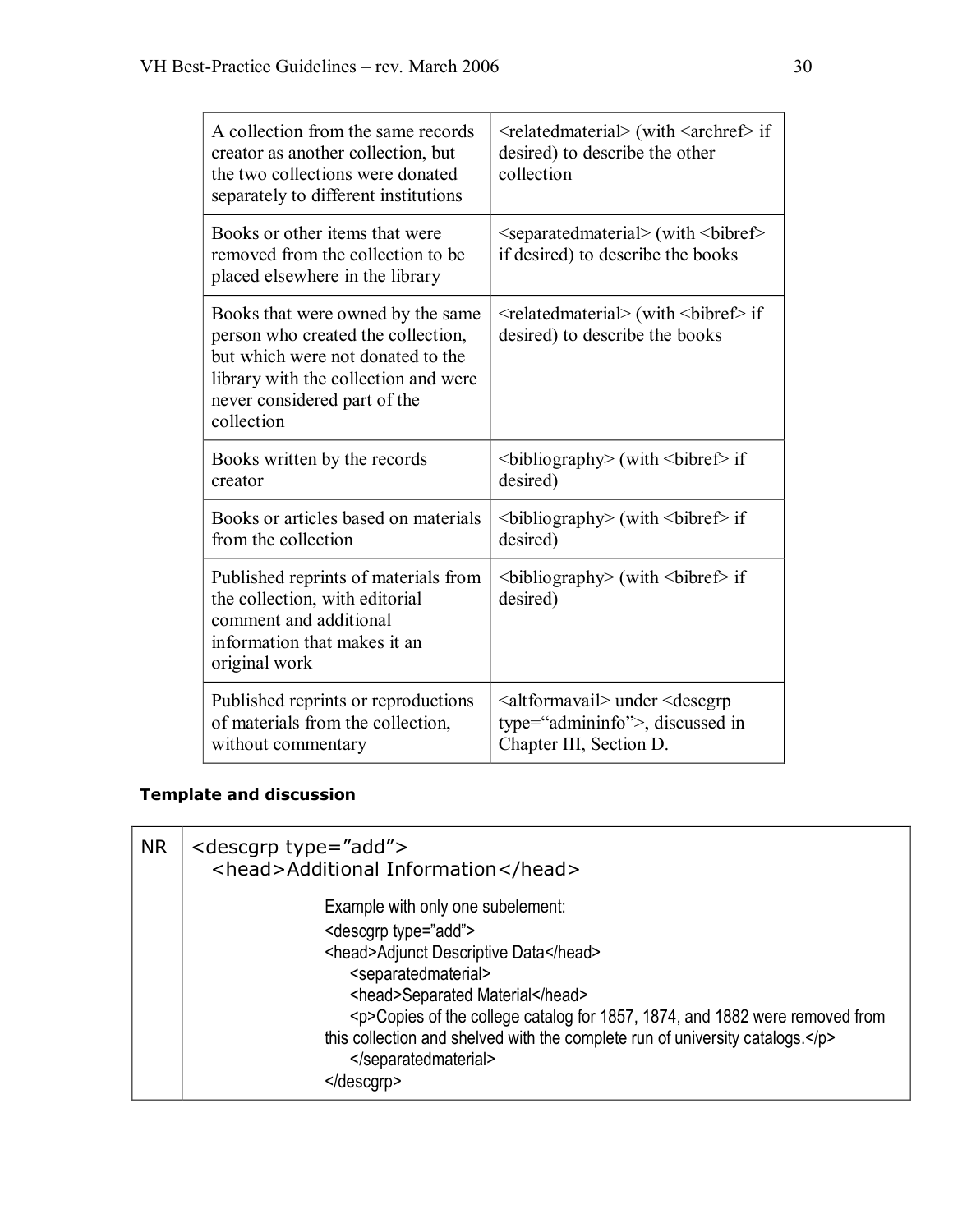| A collection from the same records<br>creator as another collection, but<br>the two collections were donated<br>separately to different institutions                                               | <relatedmaterial> (with <archref> if<br/>desired) to describe the other<br/>collection</archref></relatedmaterial>          |
|----------------------------------------------------------------------------------------------------------------------------------------------------------------------------------------------------|-----------------------------------------------------------------------------------------------------------------------------|
| Books or other items that were<br>removed from the collection to be<br>placed elsewhere in the library                                                                                             | <separatedmaterial> (with <br/>bibref&gt;<br/>if desired) to describe the books</separatedmaterial>                         |
| Books that were owned by the same<br>person who created the collection,<br>but which were not donated to the<br>library with the collection and were<br>never considered part of the<br>collection | <relatedmaterial> (with <br/>bibref&gt; if<br/>desired) to describe the books</relatedmaterial>                             |
| Books written by the records<br>creator                                                                                                                                                            | $\rightarrow$ bibliography> (with $\rightarrow$ bibref> if<br>desired)                                                      |
| Books or articles based on materials<br>from the collection                                                                                                                                        | $\rightarrow$ bibliography> (with $\rightarrow$ bibref> if<br>desired)                                                      |
| Published reprints of materials from<br>the collection, with editorial<br>comment and additional<br>information that makes it an<br>original work                                                  | $\rightarrow$ bibliography> (with $\rightarrow$ bibref> if<br>desired)                                                      |
| Published reprints or reproductions<br>of materials from the collection,<br>without commentary                                                                                                     | <altformavail> under <descgrp<br>type="admininfo"&gt;, discussed in<br/>Chapter III, Section D.</descgrp<br></altformavail> |

## **Template and discussion**

| <b>NR</b> | <descgrp type="add"><br/><head>Additional Information</head></descgrp>          |
|-----------|---------------------------------------------------------------------------------|
|           | Example with only one subelement:                                               |
|           | <descgrp type="add"></descgrp>                                                  |
|           | <head>Adjunct Descriptive Data</head>                                           |
|           | <separatedmaterial></separatedmaterial>                                         |
|           | <head>Separated Material</head>                                                 |
|           | <p>Copies of the college catalog for 1857, 1874, and 1882 were removed from</p> |
|           | this collection and shelved with the complete run of university catalogs.<br>   |
|           |                                                                                 |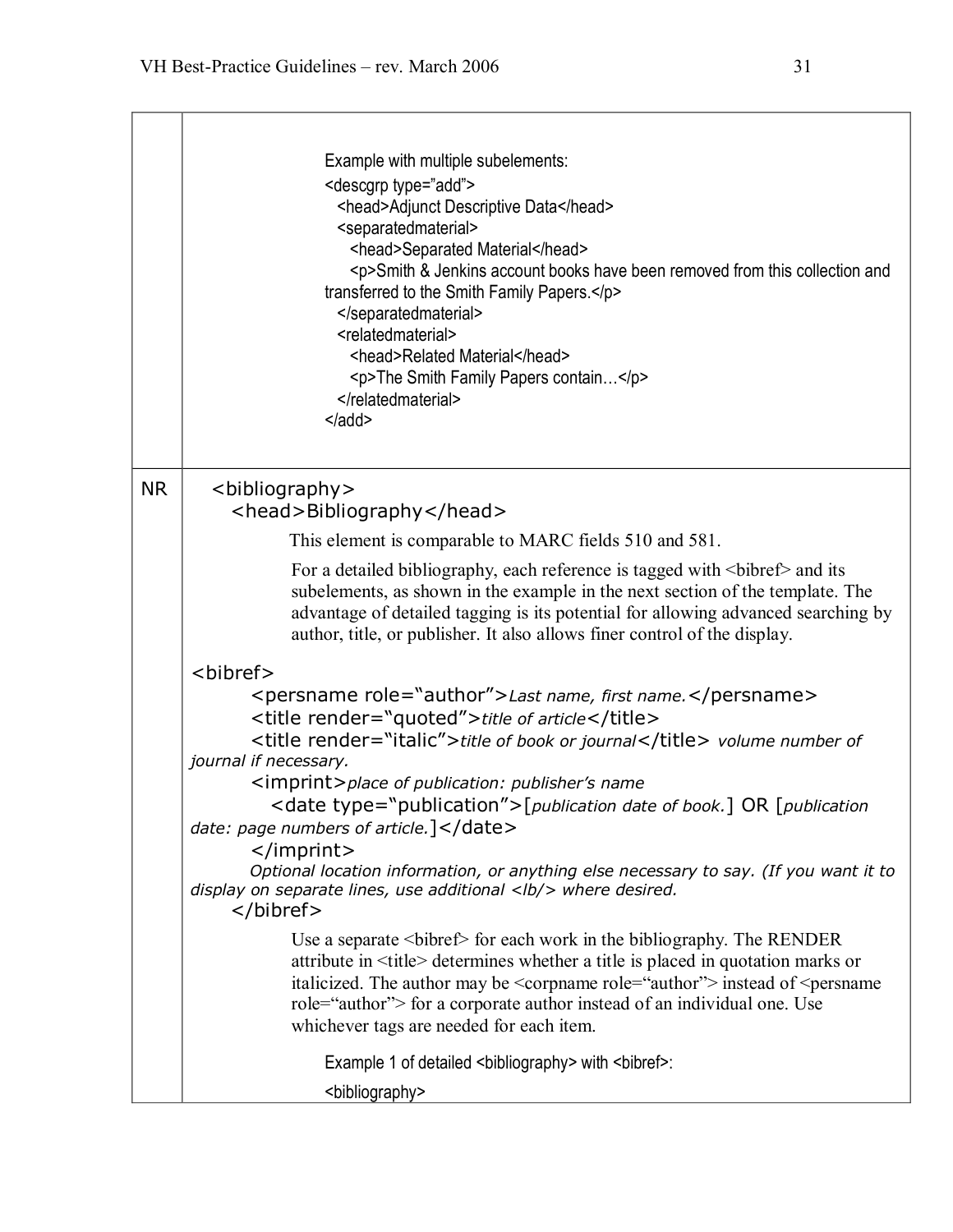|           | Example with multiple subelements:<br><descgrp type="add"><br/><head>Adjunct Descriptive Data</head><br/><separatedmaterial><br/><head>Separated Material</head><br/><p>Smith &amp; Jenkins account books have been removed from this collection and<br/>transferred to the Smith Family Papers.</p><br/></separatedmaterial><br/><relatedmaterial><br/><head>Related Material</head><br/><p>The Smith Family Papers contain</p><br/></relatedmaterial><br/><math>\leq</math> /add&gt;</descgrp> |
|-----------|--------------------------------------------------------------------------------------------------------------------------------------------------------------------------------------------------------------------------------------------------------------------------------------------------------------------------------------------------------------------------------------------------------------------------------------------------------------------------------------------------|
| <b>NR</b> | <bibliography><br/><head>Bibliography</head></bibliography>                                                                                                                                                                                                                                                                                                                                                                                                                                      |
|           |                                                                                                                                                                                                                                                                                                                                                                                                                                                                                                  |
|           | This element is comparable to MARC fields 510 and 581.<br>For a detailed bibliography, each reference is tagged with<br>bibref> and its                                                                                                                                                                                                                                                                                                                                                          |
|           | subelements, as shown in the example in the next section of the template. The<br>advantage of detailed tagging is its potential for allowing advanced searching by<br>author, title, or publisher. It also allows finer control of the display.                                                                                                                                                                                                                                                  |
|           | <bibref></bibref>                                                                                                                                                                                                                                                                                                                                                                                                                                                                                |
|           | <persname role="author">Last name, first name.</persname>                                                                                                                                                                                                                                                                                                                                                                                                                                        |
|           | <title render="quoted">title of article</title><br><title render="italic">title of book or journal</title> volume number of                                                                                                                                                                                                                                                                                                                                                                      |
|           | journal if necessary.                                                                                                                                                                                                                                                                                                                                                                                                                                                                            |
|           | <imprint>place of publication: publisher's name<br/><date type="publication">[publication date of book.] OR [publication</date></imprint>                                                                                                                                                                                                                                                                                                                                                        |
|           | date: page numbers of article.]                                                                                                                                                                                                                                                                                                                                                                                                                                                                  |
|           | $<$ /imprint>                                                                                                                                                                                                                                                                                                                                                                                                                                                                                    |
|           | Optional location information, or anything else necessary to say. (If you want it to<br>display on separate lines, use additional <lb></lb> where desired.<br>                                                                                                                                                                                                                                                                                                                                   |
|           | Use a separate<br>bibliography. The RENDER<br>attribute in <title> determines whether a title is placed in quotation marks or<br/>italicized. The author may be <corpname role="author"> instead of <persname<br>role="author"&gt; for a corporate author instead of an individual one. Use<br>whichever tags are needed for each item.</br></persname<br></corpname></title>                                                                                                                    |
|           | Example 1 of detailed <bibliography> with <bibref>:</bibref></bibliography>                                                                                                                                                                                                                                                                                                                                                                                                                      |
|           | <blbliography></blbliography>                                                                                                                                                                                                                                                                                                                                                                                                                                                                    |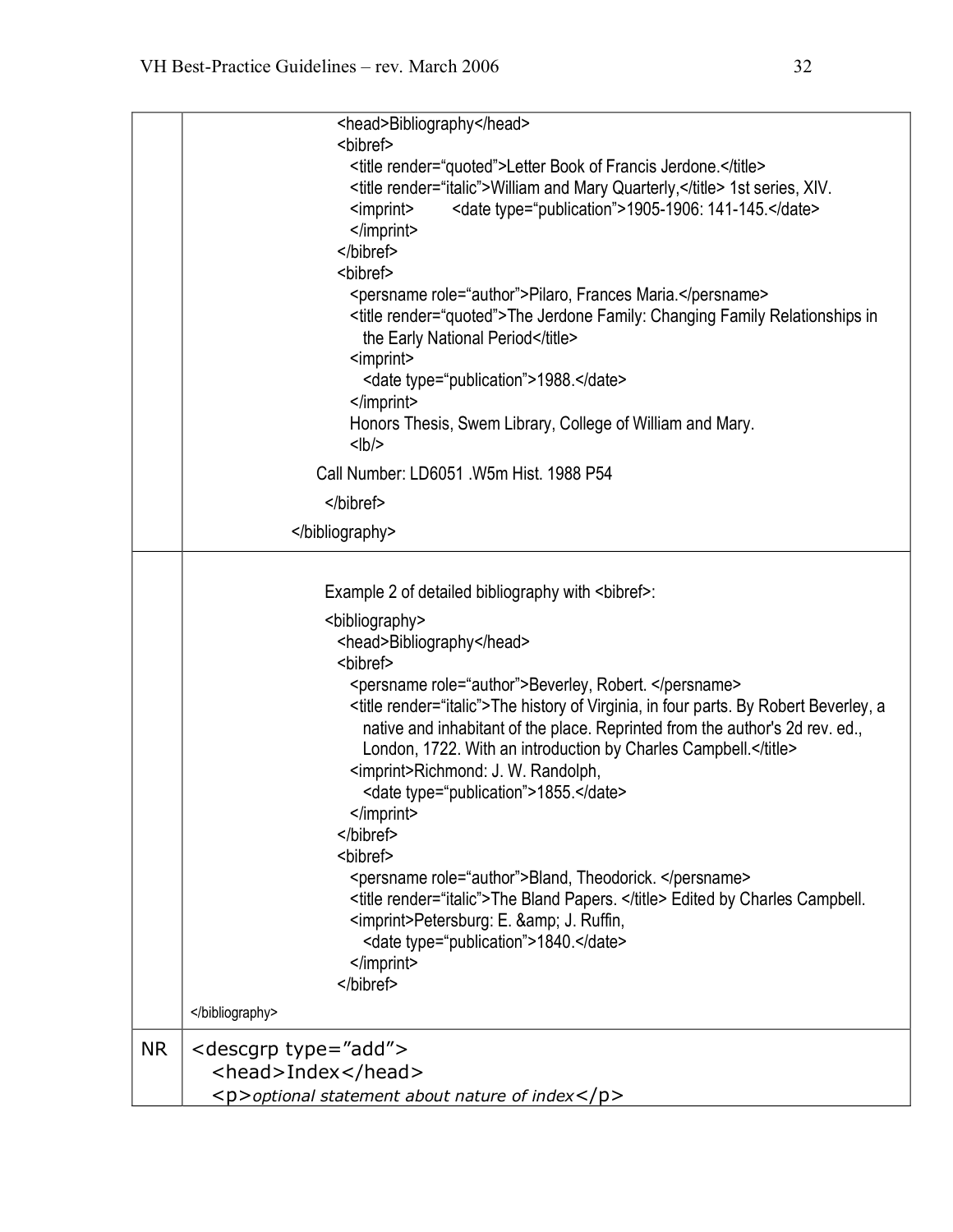|           | <head>Bibliography</head>                                                                                                               |
|-----------|-----------------------------------------------------------------------------------------------------------------------------------------|
|           | <bibref></bibref>                                                                                                                       |
|           | <title render="quoted">Letter Book of Francis Jerdone.</title>                                                                          |
|           | <title render="italic">William and Mary Quarterly,</title> 1st series, XIV.                                                             |
|           | <date type="publication">1905-1906: 141-145.</date><br><imprint></imprint>                                                              |
|           | $<$ /imprint><br>                                                                                                                       |
|           | <bibref></bibref>                                                                                                                       |
|           | <persname role="author">Pilaro, Frances Maria.</persname>                                                                               |
|           | <title render="quoted">The Jerdone Family: Changing Family Relationships in</title>                                                     |
|           | the Early National Period                                                                                                               |
|           | <imprint></imprint>                                                                                                                     |
|           | <date type="publication">1988.</date>                                                                                                   |
|           |                                                                                                                                         |
|           | Honors Thesis, Swem Library, College of William and Mary.                                                                               |
|           | $<$ lb/>                                                                                                                                |
|           | Call Number: LD6051 .W5m Hist. 1988 P54                                                                                                 |
|           |                                                                                                                                         |
|           |                                                                                                                                         |
|           |                                                                                                                                         |
|           | Example 2 of detailed bibliography with<br>bibref>:                                                                                     |
|           | <blbliography></blbliography>                                                                                                           |
|           | <head>Bibliography</head>                                                                                                               |
|           | <bibref></bibref>                                                                                                                       |
|           | <persname role="author">Beverley, Robert. </persname>                                                                                   |
|           | <title render="italic">The history of Virginia, in four parts. By Robert Beverley, a</title>                                            |
|           | native and inhabitant of the place. Reprinted from the author's 2d rev. ed.,                                                            |
|           | London, 1722. With an introduction by Charles Campbell.                                                                                 |
|           | <imprint>Richmond: J. W. Randolph,</imprint>                                                                                            |
|           | <date type="publication">1855.</date>                                                                                                   |
|           |                                                                                                                                         |
|           |                                                                                                                                         |
|           | <bibref></bibref>                                                                                                                       |
|           | <persname role="author">Bland, Theodorick. </persname><br><title render="italic">The Bland Papers. </title> Edited by Charles Campbell. |
|           | <imprint>Petersburg: E. &amp; J. Ruffin,</imprint>                                                                                      |
|           | <date type="publication">1840.</date>                                                                                                   |
|           | $<$ /imprint>                                                                                                                           |
|           |                                                                                                                                         |
|           |                                                                                                                                         |
| <b>NR</b> | <descgrp type="add"></descgrp>                                                                                                          |
|           | <head>Index</head>                                                                                                                      |
|           | $\langle p \rangle$ optional statement about nature of index $\langle p \rangle$                                                        |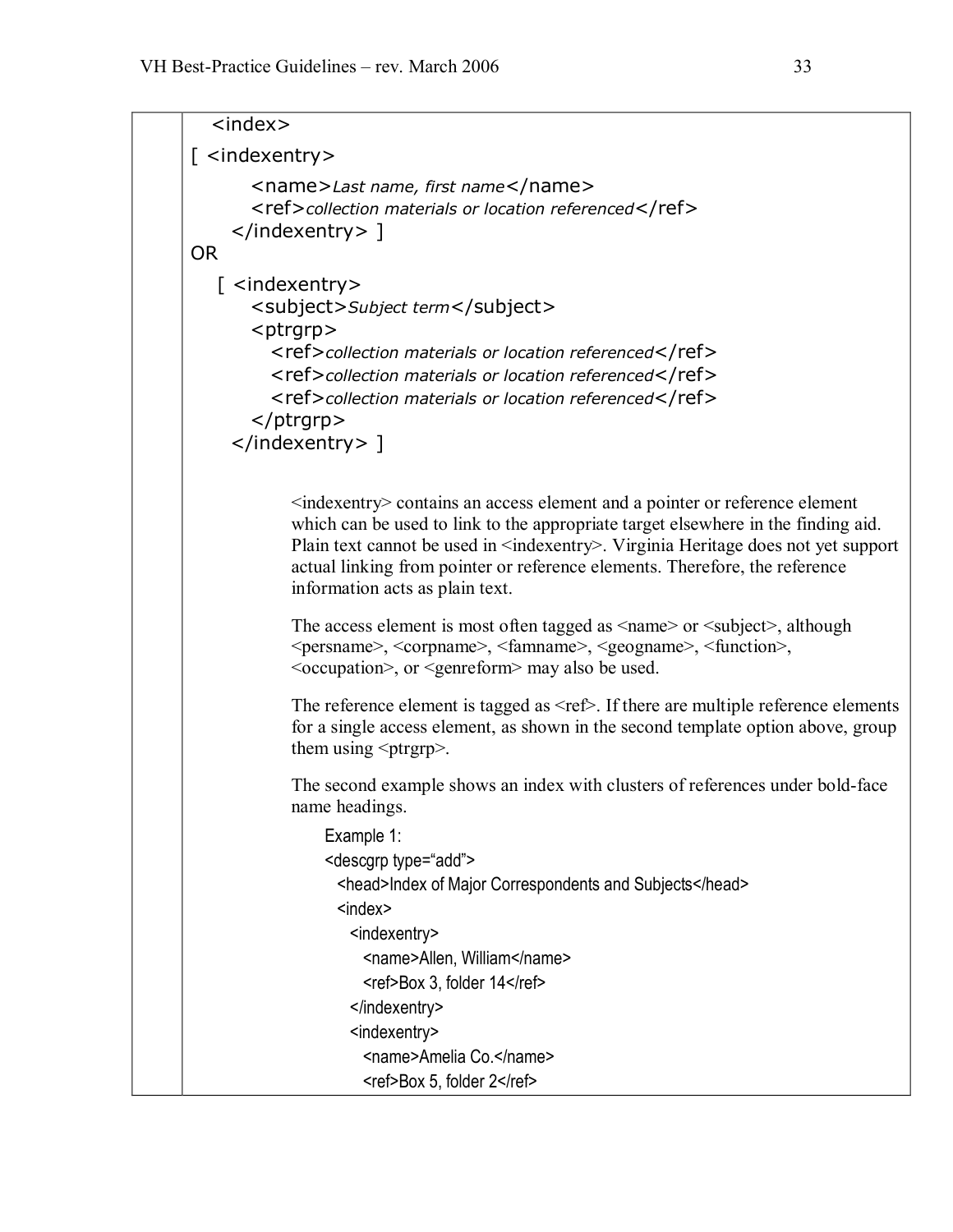```
<index> 
[ <indexentry>
        <name>Last name, first name</name> 
        <ref>collection materials or location referenced</ref> 
     </indexentry> ] 
OR 
   [ <indexentry> 
        <subject>Subject term</subject> 
        <ptrgrp> 
          <ref>collection materials or location referenced</ref> 
          <ref>collection materials or location referenced</ref> 
          <ref>collection materials or location referenced</ref> 
        </ptrgrp> 
     </indexentry> ]
             <indexentry> contains an access element and a pointer or reference element 
             which can be used to link to the appropriate target elsewhere in the finding aid.
             Plain text cannot be used in <indexentry>. Virginia Heritage does not yet support
             actual linking from pointer or reference elements. Therefore, the reference 
             information acts as plain text.
             The access element is most often tagged as \langle name\rangle or \langle subject\rangle, although
             <persname>, <corpname>, <famname>, <geogname>, <function>,
             <occupation>, or <genreform> may also be used.
             The reference element is tagged as \leq ref>. If there are multiple reference elements
             for a single access element, as shown in the second template option above, group 
             them using \langleptrgrp\rangle.
             The second example shows an index with clusters of references under bold-face
             name headings. Example 1: 
                 <descgrp type="add"> 
                   <head>Index of Major Correspondents and Subjects</head> 
                   <index> 
                     <indexentry> 
                      <name>Allen, William</name> 
                      <ref>Box 3, folder 14</ref> 
                     </indexentry> 
                     <indexentry> 
                      <name>Amelia Co.</name> 
                      <ref>Box 5, folder 2</ref>
```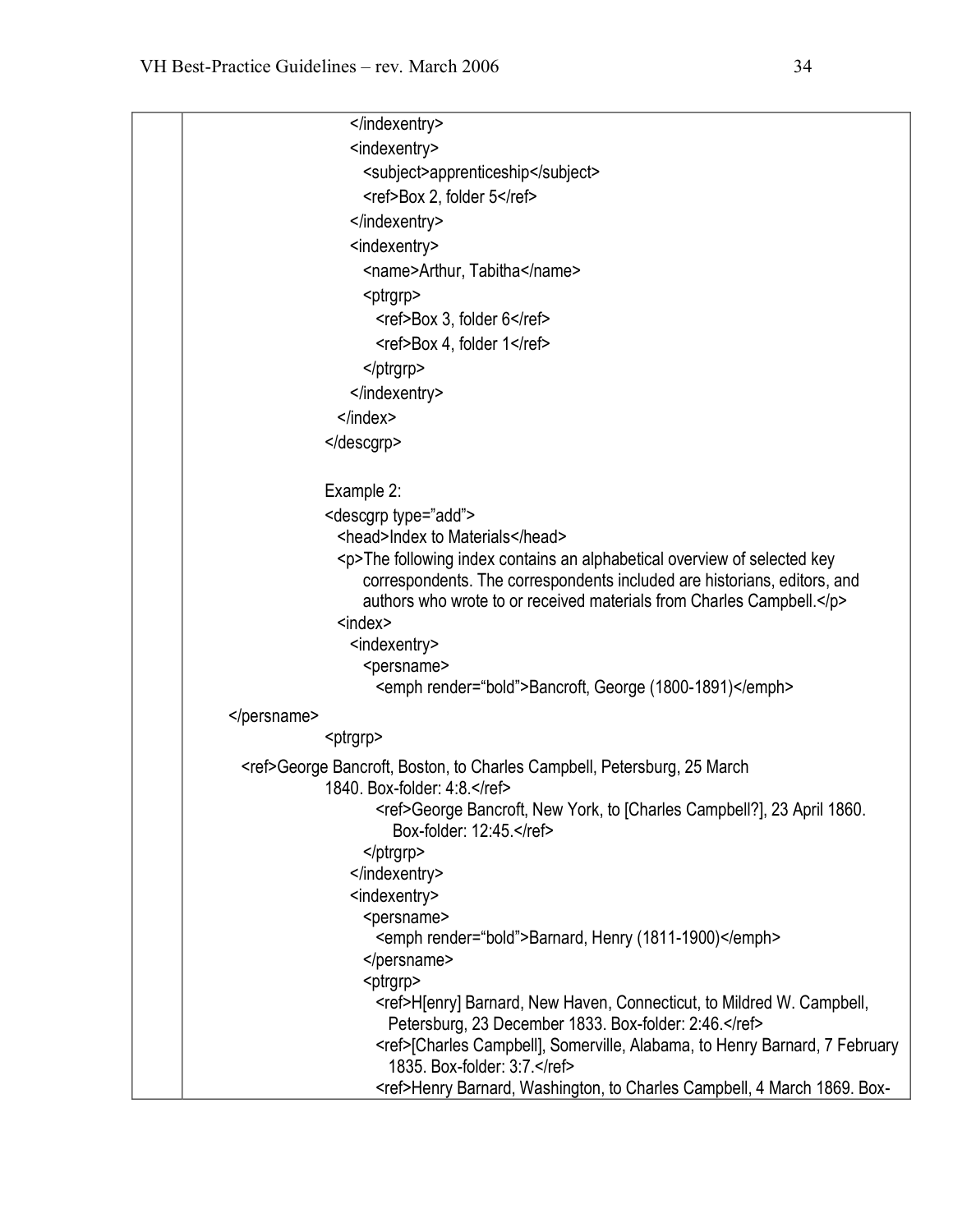```
</indexentry> 
                 <indexentry> 
                   <subject>apprenticeship</subject> 
                   <ref>Box 2, folder 5</ref> 
                 </indexentry> 
                 <indexentry> 
                   <name>Arthur, Tabitha</name> 
                   <ptrgrp> 
                     <ref>Box 3, folder 6</ref> 
                     <ref>Box 4, folder 1</ref> 
                   </ptrgrp> 
                 </indexentry> 
               </index> 
             </descgrp> 
             Example 2: 
             <descgrp type="add"> 
               <head>Index to Materials</head> 
               <p>The following index contains an alphabetical overview of selected key
                   correspondents. The correspondents included are historians, editors, and 
                   authors who wrote to or received materials from Charles Campbell.</p> 
               <index> 
                 <indexentry> 
                   <persname> 
                     <emph render="bold">Bancroft, George (1800-1891)</emph>
</persname> 
             <ptrgrp> 
 <ref>George Bancroft, Boston, to Charles Campbell, Petersburg, 25 March 
             1840. Box-folder: 4:8.</ref>
                     <ref>George Bancroft, New York, to [Charles Campbell?], 23 April 1860. Box-folder: 12:45.</ref>
                   </ptrgrp> 
                 </indexentry> 
                 <indexentry> 
                   <persname> 
                     <emph render="bold">Barnard, Henry (1811-1900)</emph>
                   </persname> 
                   <ptrgrp> 
                     <ref>H[enry] Barnard, New Haven, Connecticut, to Mildred W. Campbell,
                      Petersburg, 23 December 1833. Box-folder: 2:46.</ref>
                     <ref>[Charles Campbell], Somerville, Alabama, to Henry Barnard, 7 February
                      1835. Box-folder: 3:7.</ref>
                     <ref>Henry Barnard, Washington, to Charles Campbell, 4 March 1869. Box-
```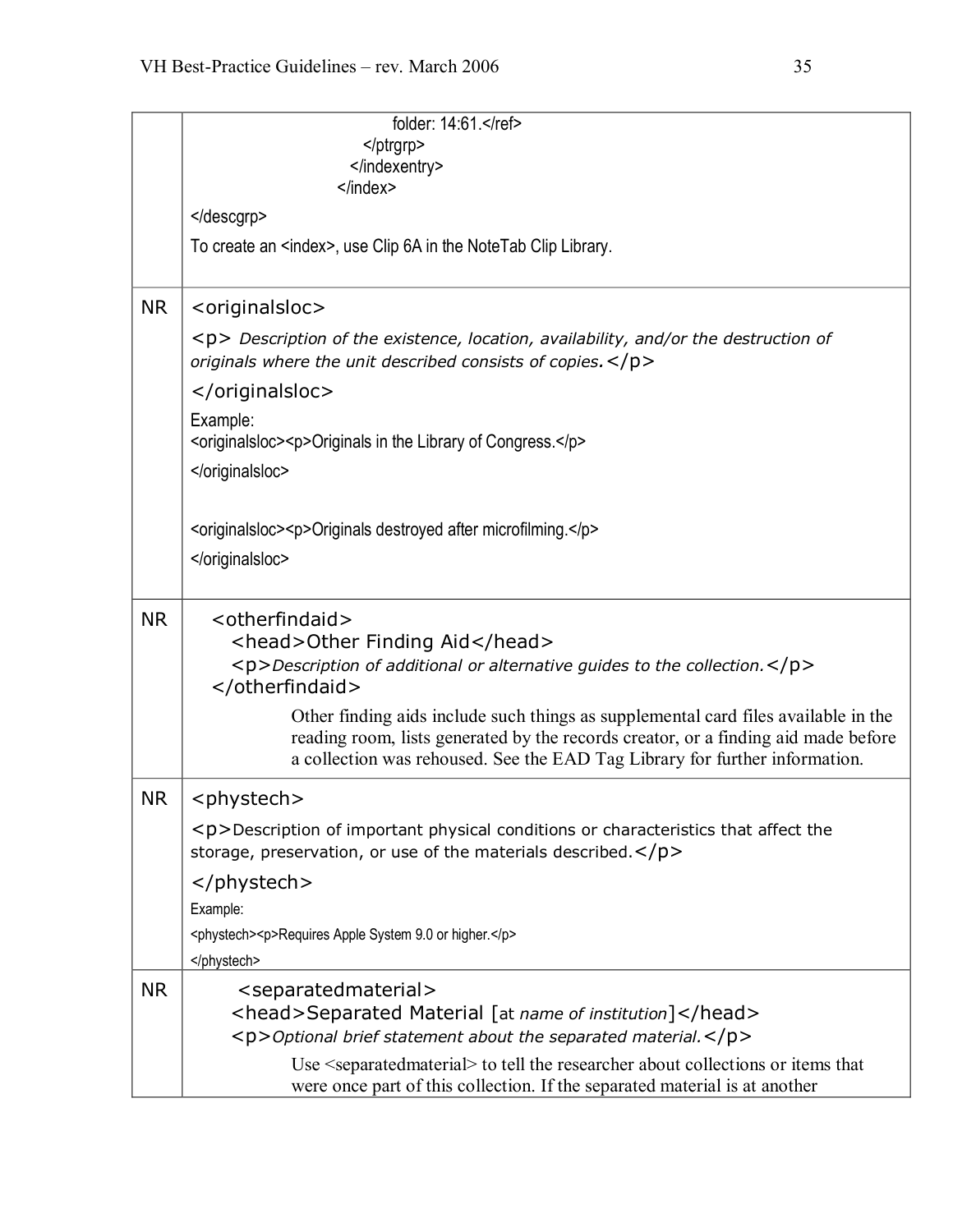|           | folder: 14:61.                                                                                                                                                                                                                                          |
|-----------|---------------------------------------------------------------------------------------------------------------------------------------------------------------------------------------------------------------------------------------------------------|
|           |                                                                                                                                                                                                                                                         |
|           | <br>$<$ /index $>$                                                                                                                                                                                                                                      |
|           |                                                                                                                                                                                                                                                         |
|           |                                                                                                                                                                                                                                                         |
|           | To create an <index>, use Clip 6A in the NoteTab Clip Library.</index>                                                                                                                                                                                  |
|           |                                                                                                                                                                                                                                                         |
| <b>NR</b> | <originalsloc></originalsloc>                                                                                                                                                                                                                           |
|           | <p> Description of the existence, location, availability, and/or the destruction of<br/>originals where the unit described consists of copies. <math>&lt;</math>/p&gt;</p>                                                                              |
|           |                                                                                                                                                                                                                                                         |
|           | Example:                                                                                                                                                                                                                                                |
|           | <originalsloc><p>Originals in the Library of Congress.</p></originalsloc>                                                                                                                                                                               |
|           |                                                                                                                                                                                                                                                         |
|           |                                                                                                                                                                                                                                                         |
|           | <originalsloc><p>Originals destroyed after microfilming.</p></originalsloc>                                                                                                                                                                             |
|           |                                                                                                                                                                                                                                                         |
|           |                                                                                                                                                                                                                                                         |
| <b>NR</b> | <otherfindaid></otherfindaid>                                                                                                                                                                                                                           |
|           | <head>Other Finding Aid</head>                                                                                                                                                                                                                          |
|           | <p>Description of additional or alternative guides to the collection.</p><br>                                                                                                                                                                           |
|           |                                                                                                                                                                                                                                                         |
|           | Other finding aids include such things as supplemental card files available in the<br>reading room, lists generated by the records creator, or a finding aid made before<br>a collection was rehoused. See the EAD Tag Library for further information. |
| <b>NR</b> | <phystech></phystech>                                                                                                                                                                                                                                   |
|           | $\langle p \rangle$ Description of important physical conditions or characteristics that affect the                                                                                                                                                     |
|           | storage, preservation, or use of the materials described. $<$ /p>                                                                                                                                                                                       |
|           |                                                                                                                                                                                                                                                         |
|           | Example:                                                                                                                                                                                                                                                |
|           | <phystech><p>Requires Apple System 9.0 or higher.</p></phystech>                                                                                                                                                                                        |
|           |                                                                                                                                                                                                                                                         |
| <b>NR</b> | <separatedmaterial></separatedmaterial>                                                                                                                                                                                                                 |
|           | <head>Separated Material [at name of institution]</head>                                                                                                                                                                                                |
|           | <p>Optional brief statement about the separated material.</p>                                                                                                                                                                                           |
|           | Use <separatedmaterial> to tell the researcher about collections or items that</separatedmaterial>                                                                                                                                                      |
|           | were once part of this collection. If the separated material is at another                                                                                                                                                                              |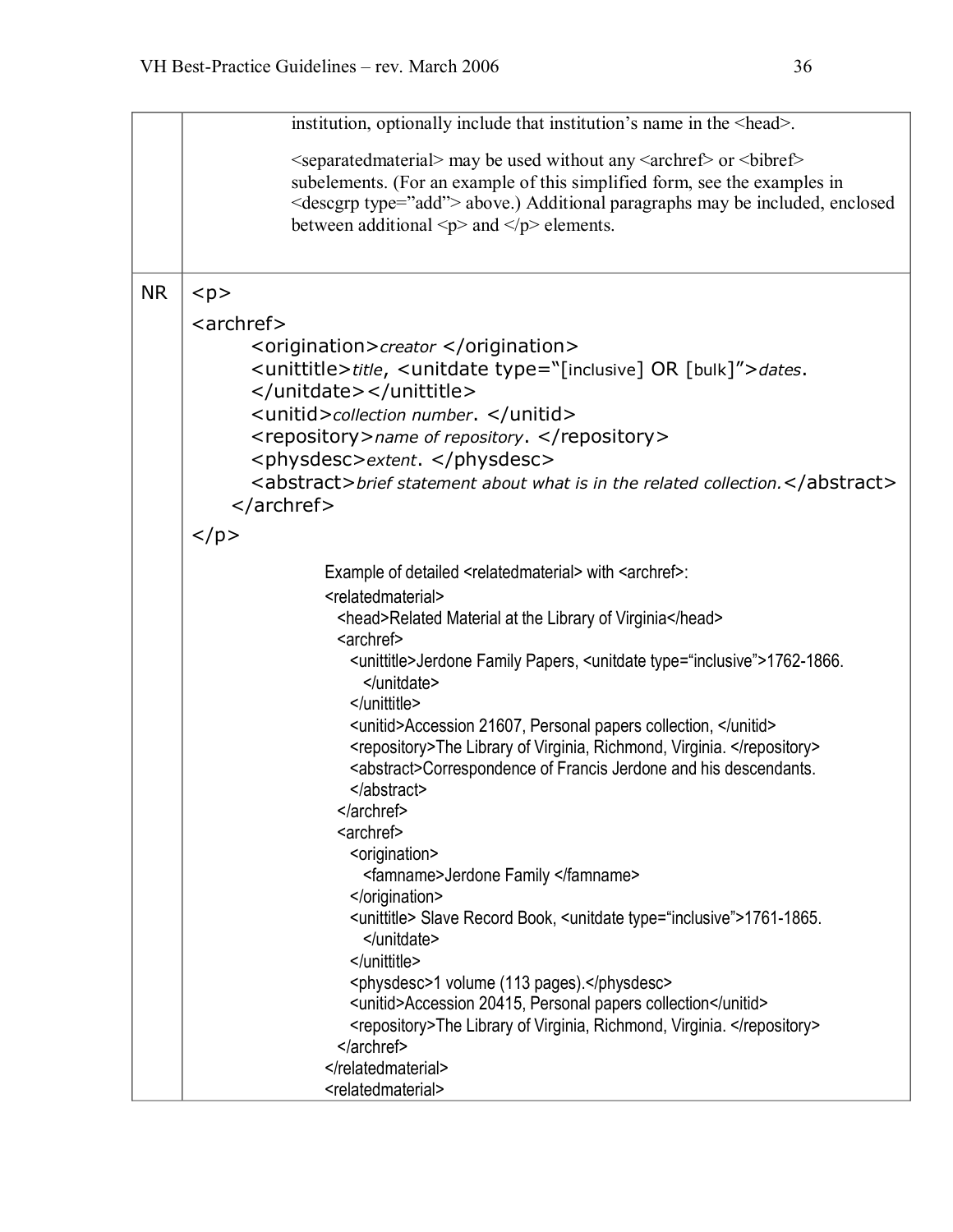| institution, optionally include that institution's name in the <head>.</head>                                                                                                                                                                                                                                                                                                        |
|--------------------------------------------------------------------------------------------------------------------------------------------------------------------------------------------------------------------------------------------------------------------------------------------------------------------------------------------------------------------------------------|
| <separated material=""> may be used without any <archref> or <br/> <br/>bibref&gt;<br/>subelements. (For an example of this simplified form, see the examples in<br/><descgrp type="add"> above.) Additional paragraphs may be included, enclosed<br/>between additional <math>\langle p \rangle</math> and <math>\langle p \rangle</math> elements.</descgrp></archref></separated> |
| < p >                                                                                                                                                                                                                                                                                                                                                                                |
| <archref></archref>                                                                                                                                                                                                                                                                                                                                                                  |
| <origination>creator </origination>                                                                                                                                                                                                                                                                                                                                                  |
| <unittitle>title, <unitdate type="[inclusive] OR [bulk]">dates.</unitdate></unittitle>                                                                                                                                                                                                                                                                                               |
|                                                                                                                                                                                                                                                                                                                                                                                      |
| <unitid>collection number. </unitid>                                                                                                                                                                                                                                                                                                                                                 |
| <repository>name of repository. </repository>                                                                                                                                                                                                                                                                                                                                        |
| <physdesc>extent. </physdesc>                                                                                                                                                                                                                                                                                                                                                        |
| <abstract>brief statement about what is in the related collection.</abstract>                                                                                                                                                                                                                                                                                                        |
|                                                                                                                                                                                                                                                                                                                                                                                      |
| $<$ /p>                                                                                                                                                                                                                                                                                                                                                                              |
| Example of detailed <relatedmaterial> with <archref>:</archref></relatedmaterial>                                                                                                                                                                                                                                                                                                    |
| <relatedmaterial></relatedmaterial>                                                                                                                                                                                                                                                                                                                                                  |
| <head>Related Material at the Library of Virginia</head>                                                                                                                                                                                                                                                                                                                             |
| <archref></archref>                                                                                                                                                                                                                                                                                                                                                                  |
| <unittitle>Jerdone Family Papers, <unitdate type="inclusive">1762-1866.<br/></unitdate></unittitle>                                                                                                                                                                                                                                                                                  |
|                                                                                                                                                                                                                                                                                                                                                                                      |
| <unitid>Accession 21607, Personal papers collection, </unitid>                                                                                                                                                                                                                                                                                                                       |
| <repository>The Library of Virginia, Richmond, Virginia. </repository>                                                                                                                                                                                                                                                                                                               |
| <abstract>Correspondence of Francis Jerdone and his descendants.</abstract>                                                                                                                                                                                                                                                                                                          |
| <br>                                                                                                                                                                                                                                                                                                                                                                                 |
| <archref></archref>                                                                                                                                                                                                                                                                                                                                                                  |
| <origination></origination>                                                                                                                                                                                                                                                                                                                                                          |
| <famname>Jerdone Family </famname>                                                                                                                                                                                                                                                                                                                                                   |
|                                                                                                                                                                                                                                                                                                                                                                                      |
| <unittitle> Slave Record Book, <unitdate type="inclusive">1761-1865.<br/><math>\frac{2}{\text{unitdate}}</math></unitdate></unittitle>                                                                                                                                                                                                                                               |
|                                                                                                                                                                                                                                                                                                                                                                                      |
| <physdesc>1 volume (113 pages).</physdesc>                                                                                                                                                                                                                                                                                                                                           |
| <unitid>Accession 20415, Personal papers collection</unitid>                                                                                                                                                                                                                                                                                                                         |
| <repository>The Library of Virginia, Richmond, Virginia. </repository>                                                                                                                                                                                                                                                                                                               |
|                                                                                                                                                                                                                                                                                                                                                                                      |
| <br><relatedmaterial></relatedmaterial>                                                                                                                                                                                                                                                                                                                                              |
|                                                                                                                                                                                                                                                                                                                                                                                      |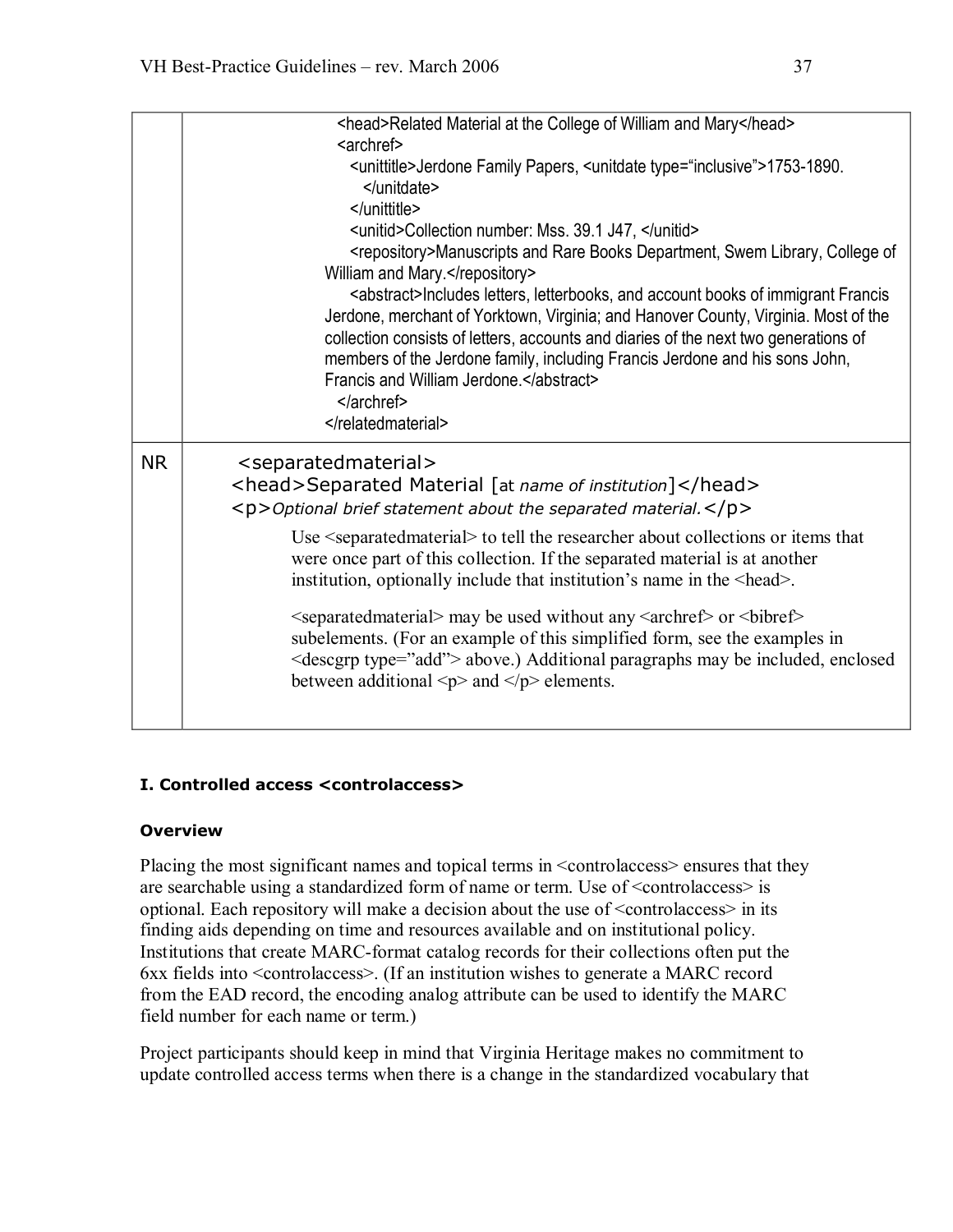|           | <head>Related Material at the College of William and Mary</head><br><archref><br/><unittitle>Jerdone Family Papers, <unitdate type="inclusive">1753-1890.<br/></unitdate><br/></unittitle><br/><unitid>Collection number: Mss. 39.1 J47, </unitid><br/><repository>Manuscripts and Rare Books Department, Swem Library, College of<br/>William and Mary.</repository><br/><abstract>Includes letters, letterbooks, and account books of immigrant Francis<br/>Jerdone, merchant of Yorktown, Virginia; and Hanover County, Virginia. Most of the<br/>collection consists of letters, accounts and diaries of the next two generations of<br/>members of the Jerdone family, including Francis Jerdone and his sons John,<br/>Francis and William Jerdone.</abstract><br/></archref><br>                                             |
|-----------|-------------------------------------------------------------------------------------------------------------------------------------------------------------------------------------------------------------------------------------------------------------------------------------------------------------------------------------------------------------------------------------------------------------------------------------------------------------------------------------------------------------------------------------------------------------------------------------------------------------------------------------------------------------------------------------------------------------------------------------------------------------------------------------------------------------------------------------|
| <b>NR</b> | <separatedmaterial><br/><head>Separated Material [at name of institution]</head><br/><p>Optional brief statement about the separated material.</p><br/>Use <separated material=""> to tell the researcher about collections or items that<br/>were once part of this collection. If the separated material is at another<br/>institution, optionally include that institution's name in the <head>.<br/><separated material=""> may be used without any <archref> or <br/> <br/>bibref&gt;<br/>subelements. (For an example of this simplified form, see the examples in<br/><descgrp type="add"> above.) Additional paragraphs may be included, enclosed<br/>between additional <math>\langle p \rangle</math> and <math>\langle p \rangle</math> elements.</descgrp></archref></separated></head></separated></separatedmaterial> |

#### **I. Controlled access <controlaccess>**

#### **Overview**

Placing the most significant names and topical terms in <controlaccess> ensures that they are searchable using a standardized form of name or term. Use of <controlaccess> is optional. Each repository will make a decision about the use of <controlaccess> in its finding aids depending on time and resources available and on institutional policy. Institutions that create MARC-format catalog records for their collections often put the 6xx fields into <controlaccess>. (If an institution wishes to generate a MARC record from the EAD record, the encoding analog attribute can be used to identify the MARC field number for each name or term.)

Project participants should keep in mind that Virginia Heritage makes no commitment to update controlled access terms when there is a change in the standardized vocabulary that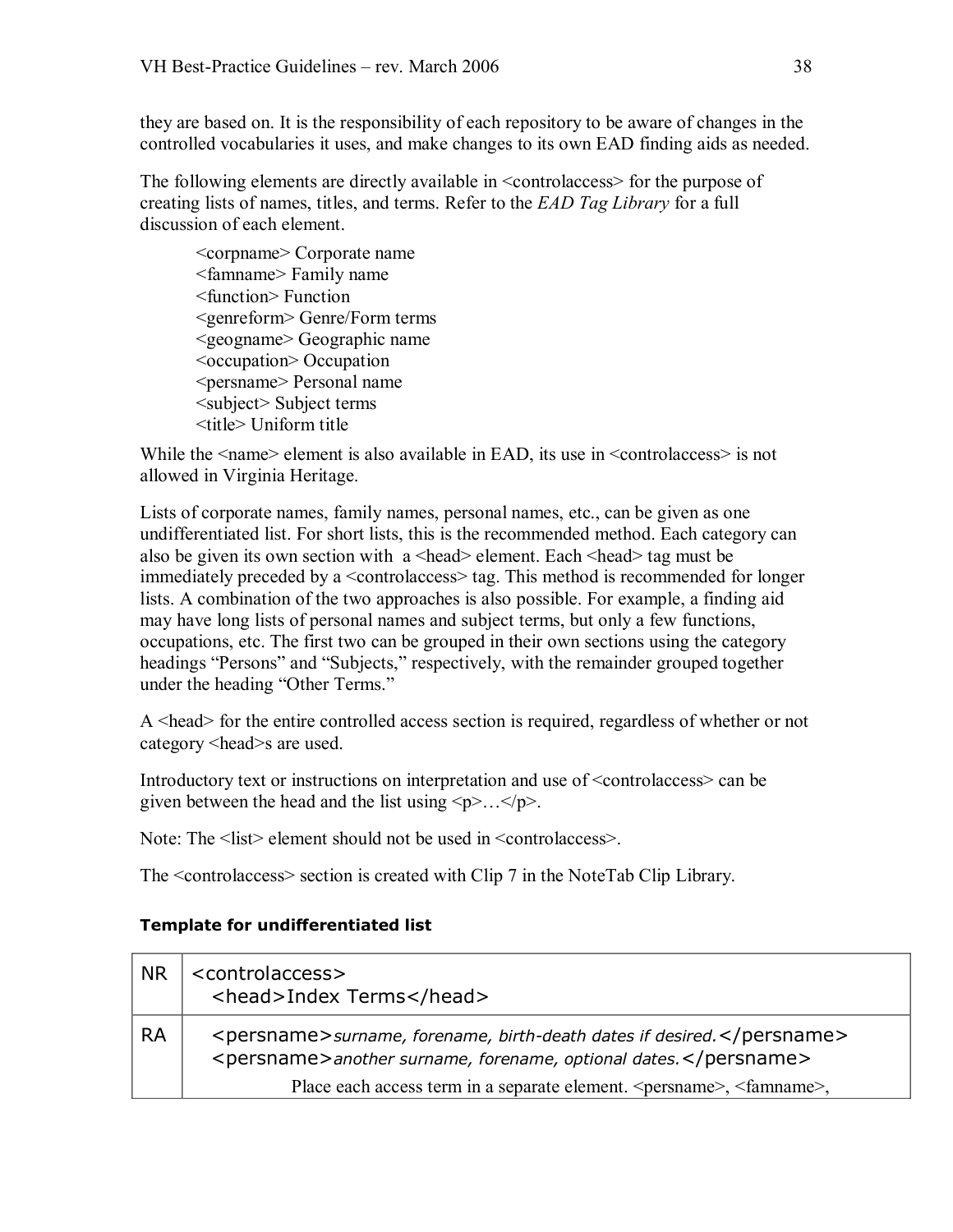they are based on. It is the responsibility of each repository to be aware of changes in the controlled vocabularies it uses, and make changes to its own EAD finding aids as needed.

The following elements are directly available in <controlaccess> for the purpose of creating lists of names, titles, and terms. Refer to the *EAD Tag Library* for a full discussion of each element.

<corpname> Corporate name <famname> Family name <function> Function <genreform> Genre/Form terms <geogname> Geographic name <occupation> Occupation <persname> Personal name <subject> Subject terms <title> Uniform title

While the  $\langle$ -name $\rangle$  element is also available in EAD, its use in  $\langle$ -controlaccess $\rangle$  is not allowed in Virginia Heritage.

Lists of corporate names, family names, personal names, etc., can be given as one undifferentiated list. For short lists, this is the recommended method. Each category can also be given its own section with a <head> element. Each <head> tag must be immediately preceded by a <controlaccess> tag. This method is recommended for longer lists. A combination of the two approaches is also possible. For example, a finding aid may have long lists of personal names and subject terms, but only a few functions, occupations, etc. The first two can be grouped in their own sections using the category headings "Persons" and "Subjects," respectively, with the remainder grouped together under the heading "Other Terms."

A <head> for the entire controlled access section is required, regardless of whether or not category <head>s are used.

Introductory text or instructions on interpretation and use of <controlaccess> can be given between the head and the list using  $\langle p \rangle$ ... $\langle p \rangle$ .

Note: The <list> element should not be used in <controlaccess>.

The <controlaccess> section is created with Clip 7 in the NoteTab Clip Library.

#### **Template for undifferentiated list**

| <b>NR</b> | <controlaccess><br/><head>Index Terms</head></controlaccess>                                                                                                                                                                            |
|-----------|-----------------------------------------------------------------------------------------------------------------------------------------------------------------------------------------------------------------------------------------|
| <b>RA</b> | <persname>surname, forename, birth-death dates if desired.</persname><br><persname>another surname, forename, optional dates.</persname><br>Place each access term in a separate element. <persuase>, <faminame>,</faminame></persuase> |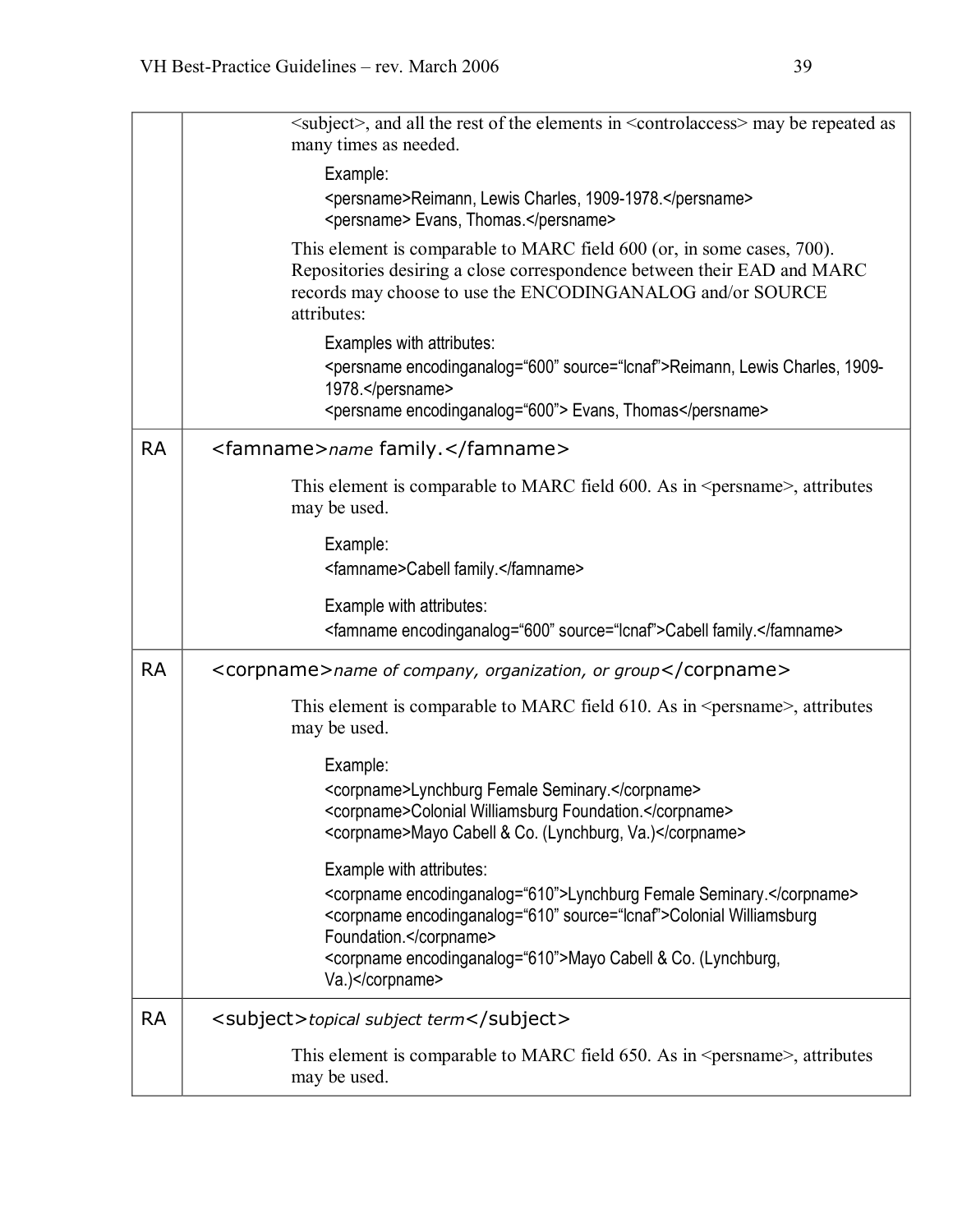|           | $\leq$ subject>, and all the rest of the elements in $\leq$ controlaccess> may be repeated as<br>many times as needed.                                                                                                         |
|-----------|--------------------------------------------------------------------------------------------------------------------------------------------------------------------------------------------------------------------------------|
|           | Example:<br><persname>Reimann, Lewis Charles, 1909-1978.</persname><br><persname> Evans, Thomas.</persname>                                                                                                                    |
|           | This element is comparable to MARC field 600 (or, in some cases, 700).<br>Repositories desiring a close correspondence between their EAD and MARC<br>records may choose to use the ENCODINGANALOG and/or SOURCE<br>attributes: |
|           | Examples with attributes:<br><persname encodinganalog="600" source="Icnaf">Reimann, Lewis Charles, 1909-<br/>1978.</persname><br><persname encodinganalog="600"> Evans, Thomas</persname>                                      |
| <b>RA</b> | <famname>name family.</famname>                                                                                                                                                                                                |
|           | This element is comparable to MARC field 600. As in <persname>, attributes<br/>may be used.</persname>                                                                                                                         |
|           | Example:<br><famname>Cabell family.</famname>                                                                                                                                                                                  |
|           | Example with attributes:<br><famname encodinganalog="600" source="Icnaf">Cabell family.</famname>                                                                                                                              |
| <b>RA</b> | <corpname>name of company, organization, or group</corpname>                                                                                                                                                                   |
|           | This element is comparable to MARC field $610$ . As in $\epsilon$ persname $\epsilon$ , attributes<br>may be used.                                                                                                             |
|           | Example:                                                                                                                                                                                                                       |
|           | <corpname>Lynchburg Female Seminary.</corpname><br><corpname>Colonial Williamsburg Foundation.</corpname><br><corpname>Mayo Cabell &amp; Co. (Lynchburg, Va.)</corpname>                                                       |
|           | Example with attributes:                                                                                                                                                                                                       |
|           | <corpname encodinganalog="610">Lynchburg Female Seminary.</corpname><br><corpname encodinganalog="610" source="Icnaf">Colonial Williamsburg<br/>Foundation.</corpname>                                                         |
|           | <corpname encodinganalog="610">Mayo Cabell &amp; Co. (Lynchburg,<br/>Va.)</corpname>                                                                                                                                           |
| <b>RA</b> | <subject>topical subject term</subject>                                                                                                                                                                                        |
|           | This element is comparable to MARC field 650. As in <persname>, attributes<br/>may be used.</persname>                                                                                                                         |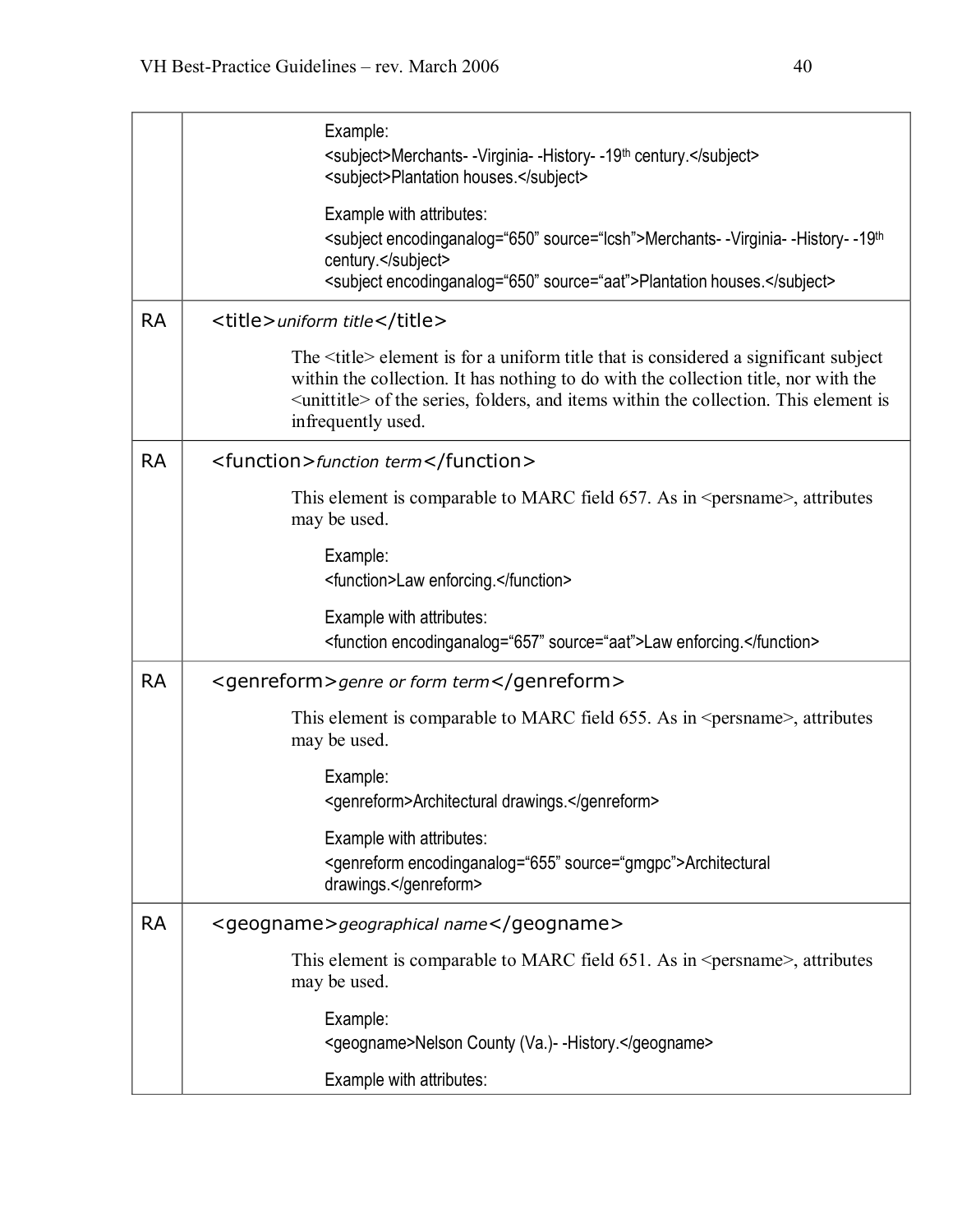|           | Example:<br><subject>Merchants--Virginia--History--19<sup>th</sup> century.</subject><br><subject>Plantation houses.</subject>                                                                                                                                                                                |
|-----------|---------------------------------------------------------------------------------------------------------------------------------------------------------------------------------------------------------------------------------------------------------------------------------------------------------------|
|           | Example with attributes:<br><subject encodinganalog="650" source="Icsh">Merchants--Virginia--History--19th<br/>century.</subject><br><subject encodinganalog="650" source="aat">Plantation houses.</subject>                                                                                                  |
| <b>RA</b> | <title>uniform title</title>                                                                                                                                                                                                                                                                                  |
|           | The <title> element is for a uniform title that is considered a significant subject<br/>within the collection. It has nothing to do with the collection title, nor with the<br/><unititle> of the series, folders, and items within the collection. This element is<br/>infrequently used.</unititle></title> |
| <b>RA</b> | <function>function term</function>                                                                                                                                                                                                                                                                            |
|           | This element is comparable to MARC field 657. As in <persname>, attributes<br/>may be used.</persname>                                                                                                                                                                                                        |
|           | Example:<br><function>Law enforcing.</function>                                                                                                                                                                                                                                                               |
|           | Example with attributes:<br><function encodinganalog="657" source="aat">Law enforcing.</function>                                                                                                                                                                                                             |
| <b>RA</b> | <genreform>genre or form term</genreform>                                                                                                                                                                                                                                                                     |
|           | This element is comparable to MARC field 655. As in <persname>, attributes<br/>may be used.</persname>                                                                                                                                                                                                        |
|           | Example:<br><genreform>Architectural drawings.</genreform>                                                                                                                                                                                                                                                    |
|           | Example with attributes:<br><genreform encodinganalog="655" source="gmgpc">Architectural<br/>drawings.</genreform>                                                                                                                                                                                            |
| <b>RA</b> | <geogname>geographical name</geogname>                                                                                                                                                                                                                                                                        |
|           | This element is comparable to MARC field 651. As in <persname>, attributes<br/>may be used.</persname>                                                                                                                                                                                                        |
|           | Example:<br><geogname>Nelson County (Va.)- -History.</geogname>                                                                                                                                                                                                                                               |
|           | Example with attributes:                                                                                                                                                                                                                                                                                      |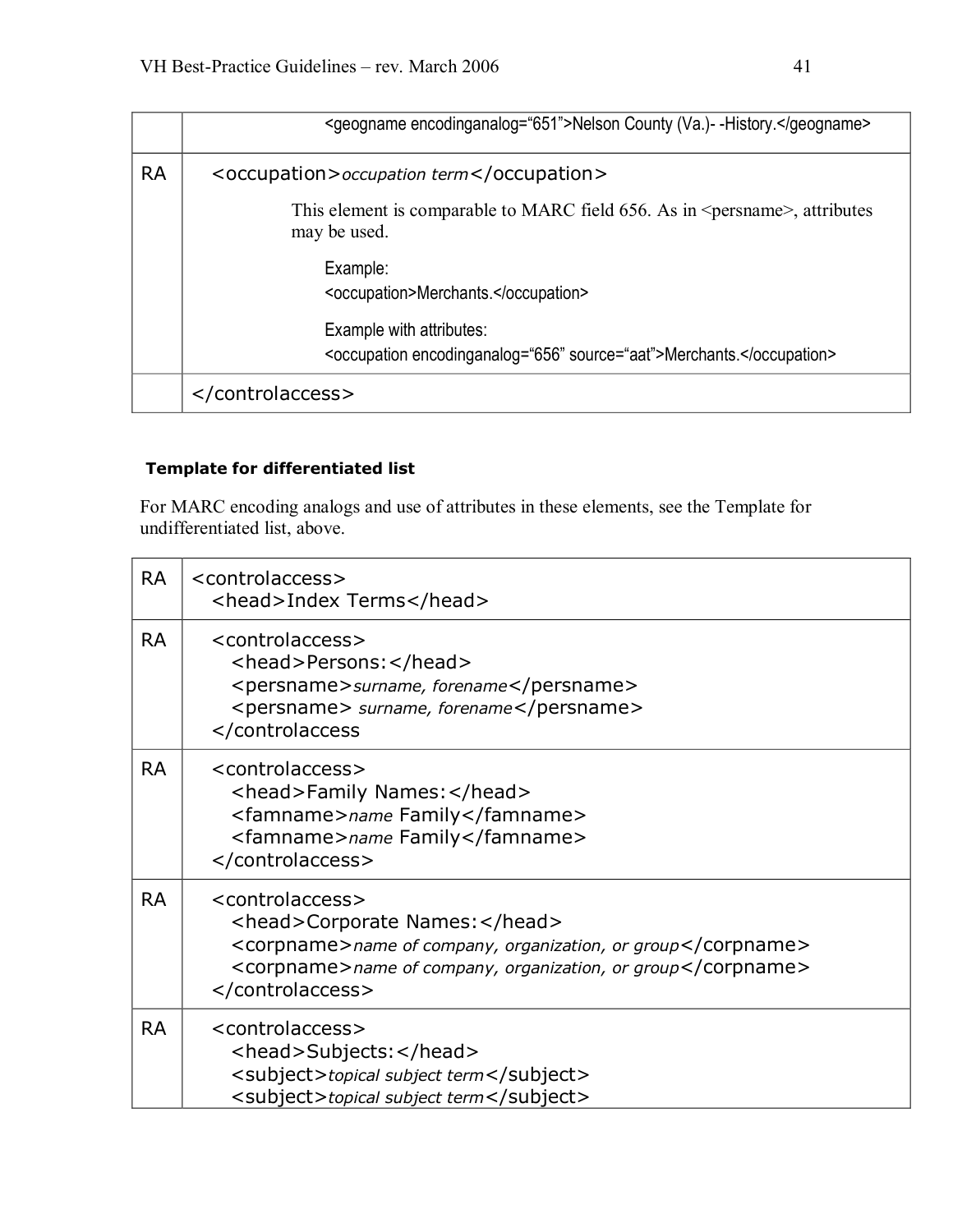|           | <geogname encodinganalog="651">Nelson County (Va.)- -History.</geogname>                               |
|-----------|--------------------------------------------------------------------------------------------------------|
| <b>RA</b> | <occupation>occupation term</occupation>                                                               |
|           | This element is comparable to MARC field 656. As in <persname>, attributes<br/>may be used.</persname> |
|           | Example:<br><occupation>Merchants.</occupation>                                                        |
|           | Example with attributes:<br><occupation encodinganalog="656" source="aat">Merchants.</occupation>      |
|           |                                                                                                        |

# **Template for differentiated list**

For MARC encoding analogs and use of attributes in these elements, see the Template for undifferentiated list, above.

| <b>RA</b> | <controlaccess><br/><head>Index Terms</head></controlaccess>                                                                                                                                             |
|-----------|----------------------------------------------------------------------------------------------------------------------------------------------------------------------------------------------------------|
| <b>RA</b> | <controlaccess><br/><head>Persons:</head><br/><persname>surname, forename</persname><br/><persname> surname, forename</persname><br/></controlaccess>                                                    |
| <b>RA</b> | <controlaccess><br/><head>Family Names: </head><br/><famname>name Family</famname><br/><famname>name Family</famname><br/></controlaccess>                                                               |
| <b>RA</b> | <controlaccess><br/><head>Corporate Names:</head><br/><corpname>name of company, organization, or group</corpname><br/><corpname>name of company, organization, or group</corpname><br/></controlaccess> |
| <b>RA</b> | <controlaccess><br/><head>Subjects:</head><br/><subject>topical subject term</subject><br/><subject>topical subject term</subject></controlaccess>                                                       |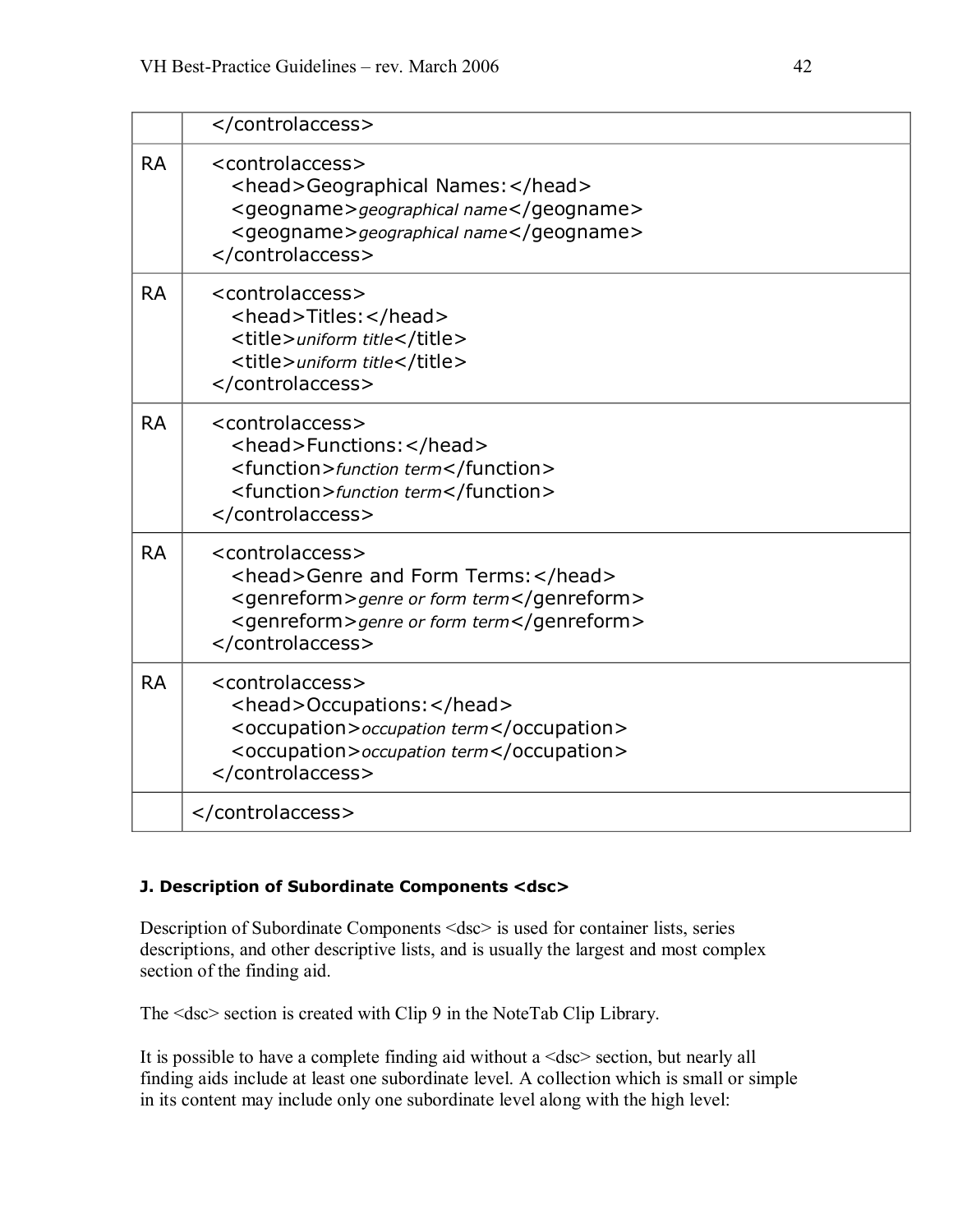| <b>RA</b> | <controlaccess><br/><head>Geographical Names:</head><br/><geogname>geographical name</geogname><br/><geogname>geographical name</geogname><br/></controlaccess>         |
|-----------|-------------------------------------------------------------------------------------------------------------------------------------------------------------------------|
| <b>RA</b> | <controlaccess><br/><head>Titles:</head><br/><title>uniform title</title><br/><title>uniform title</title><br/></controlaccess>                                         |
| <b>RA</b> | <controlaccess><br/><head>Functions:</head><br/><function>function term</function><br/><function>function term</function><br/></controlaccess>                          |
| <b>RA</b> | <controlaccess><br/><head>Genre and Form Terms:</head><br/><genreform>genre or form term</genreform><br/><genreform>genre or form term</genreform><br/></controlaccess> |
| <b>RA</b> | <controlaccess><br/><head>Occupations:</head><br/><occupation> occupation term</occupation><br/><occupation> occupation term</occupation><br/></controlaccess>          |
|           |                                                                                                                                                                         |

#### **J. Description of Subordinate Components <dsc>**

Description of Subordinate Components <dsc> is used for container lists, series descriptions, and other descriptive lists, and is usually the largest and most complex section of the finding aid.

The <dsc> section is created with Clip 9 in the NoteTab Clip Library.

It is possible to have a complete finding aid without a <dsc> section, but nearly all finding aids include at least one subordinate level. A collection which is small or simple in its content may include only one subordinate level along with the high level: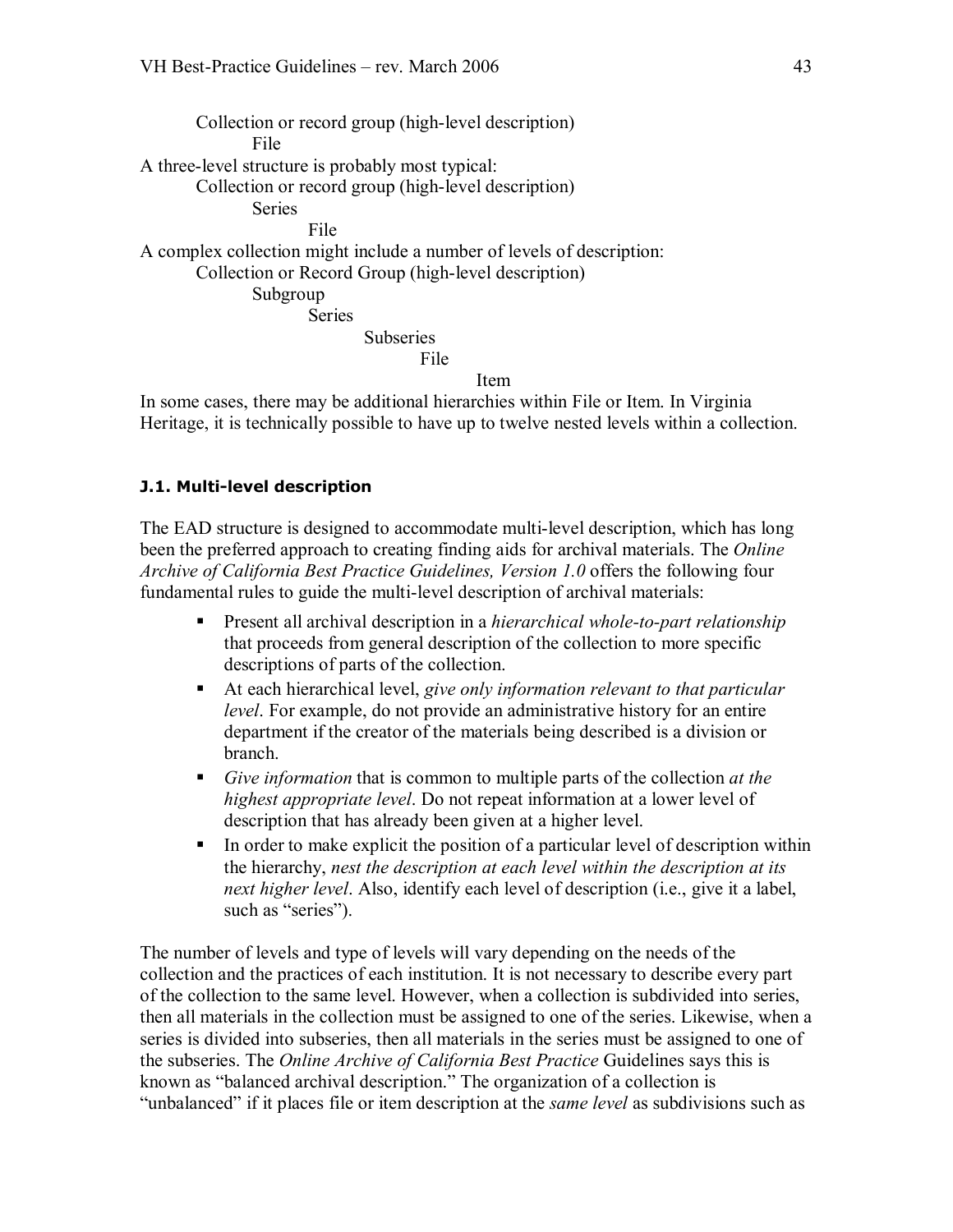Collection or record group (high-level description) File A three-level structure is probably most typical: Collection or record group (high-level description) Series File A complex collection might include a number of levels of description: Collection or Record Group (high-level description) Subgroup Series **Subseries** File Item In some cases, there may be additional hierarchies within File or Item. In Virginia

Heritage, it is technically possible to have up to twelve nested levels within a collection.

#### **J.1. Multi-level description**

The EAD structure is designed to accommodate multi-level description, which has long been the preferred approach to creating finding aids for archival materials. The *Online Archive of California Best Practice Guidelines, Version 1.0* offers the following four fundamental rules to guide the multi-level description of archival materials:

- **•** Present all archival description in a *hierarchical whole-to-part relationship* that proceeds from general description of the collection to more specific descriptions of parts of the collection.
- At each hierarchical level, *give only information relevant to that particular level*. For example, do not provide an administrative history for an entire department if the creator of the materials being described is a division or branch.
- ß *Give information* that is common to multiple parts of the collection *at the highest appropriate level*. Do not repeat information at a lower level of description that has already been given at a higher level.
- $\blacksquare$  In order to make explicit the position of a particular level of description within the hierarchy, *nest the description at each level within the description at its next higher level*. Also, identify each level of description (i.e., give it a label, such as "series").

The number of levels and type of levels will vary depending on the needs of the collection and the practices of each institution. It is not necessary to describe every part of the collection to the same level. However, when a collection is subdivided into series, then all materials in the collection must be assigned to one of the series. Likewise, when a series is divided into subseries, then all materials in the series must be assigned to one of the subseries. The *Online Archive of California Best Practice* Guidelines says this is known as "balanced archival description." The organization of a collection is "unbalanced" if it places file or item description at the *same level* as subdivisions such as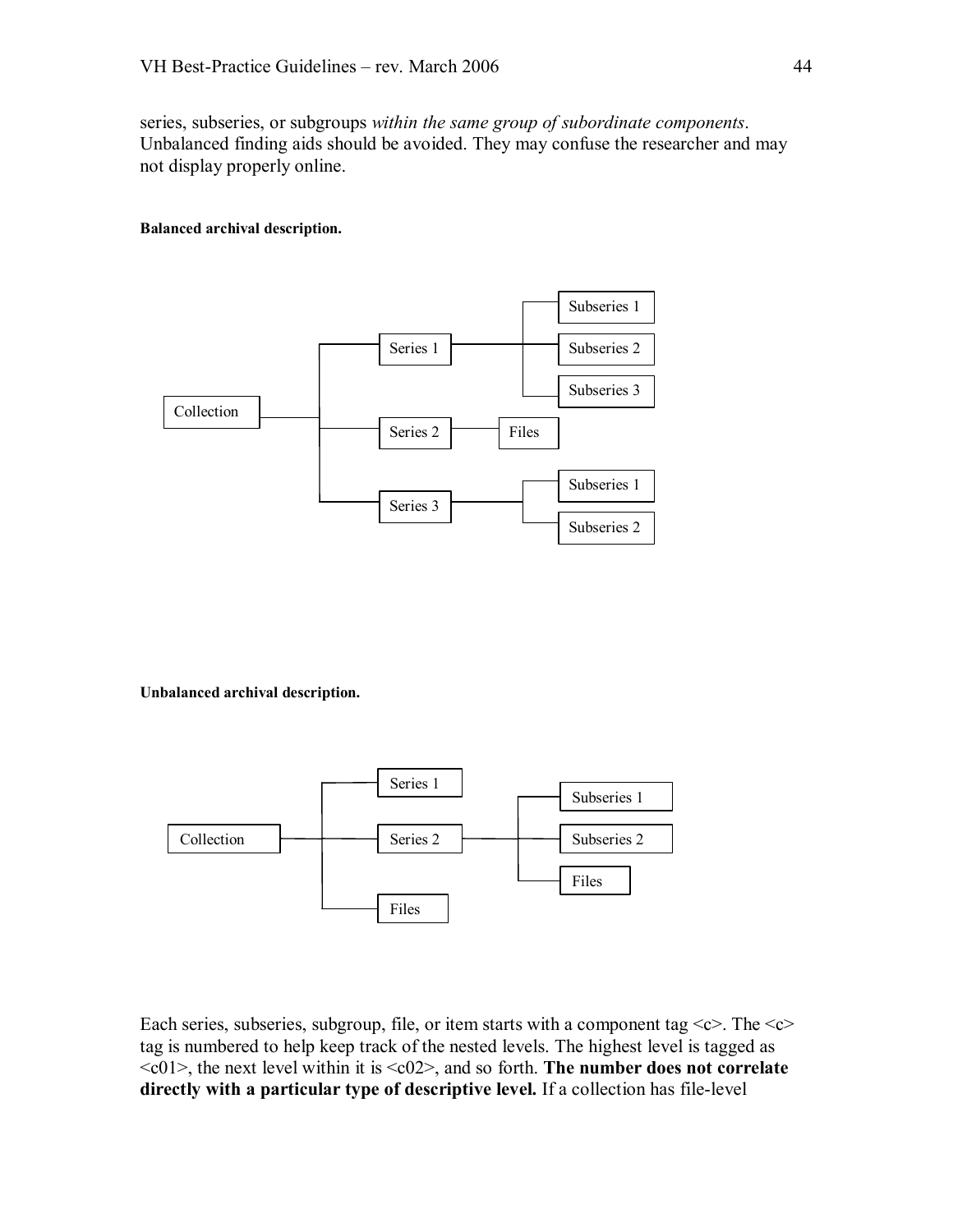series, subseries, or subgroups *within the same group of subordinate components*. Unbalanced finding aids should be avoided. They may confuse the researcher and may not display properly online.

#### **Balanced archival description.**



**Unbalanced archival description.**



Each series, subseries, subgroup, file, or item starts with a component tag  $\langle c \rangle$ . The  $\langle c \rangle$ tag is numbered to help keep track of the nested levels. The highest level is tagged as <c01>, the next level within it is <c02>, and so forth. **The number does not correlate directly with a particular type of descriptive level.** If a collection has file-level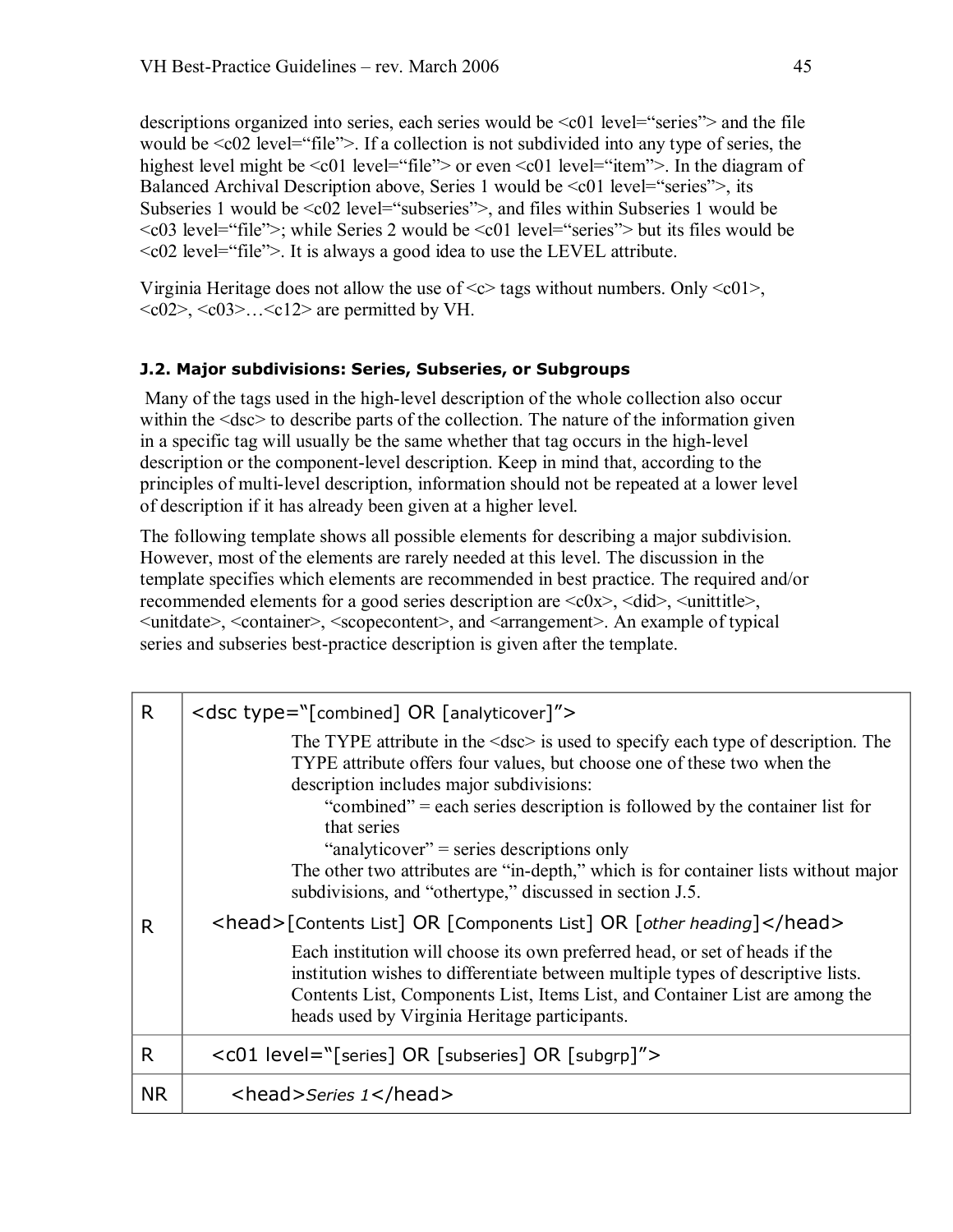descriptions organized into series, each series would be  $\leq c01$  level="series"> and the file would be <c02 level="file">. If a collection is not subdivided into any type of series, the highest level might be <c01 level="file"> or even <c01 level="item">. In the diagram of Balanced Archival Description above, Series 1 would be <c01 level="series">, its Subseries 1 would be  $\leq c02$  level="subseries">, and files within Subseries 1 would be <c03 level="file">; while Series 2 would be <c01 level="series"> but its files would be <c02 level="file">. It is always a good idea to use the LEVEL attribute.

Virginia Heritage does not allow the use of  $\langle \cos \theta \rangle$  tags without numbers. Only  $\langle \cos \theta \rangle$ ,  $\langle 02 \rangle$ ,  $\langle 03 \rangle$ ... $\langle 012 \rangle$  are permitted by VH.

#### **J.2. Major subdivisions: Series, Subseries, or Subgroups**

Many of the tags used in the high-level description of the whole collection also occur within the <dsc> to describe parts of the collection. The nature of the information given in a specific tag will usually be the same whether that tag occurs in the high-level description or the component-level description. Keep in mind that, according to the principles of multi-level description, information should not be repeated at a lower level of description if it has already been given at a higher level.

The following template shows all possible elements for describing a major subdivision. However, most of the elements are rarely needed at this level. The discussion in the template specifies which elements are recommended in best practice. The required and/or recommended elements for a good series description are  $\langle c0x \rangle$ ,  $\langle did \rangle$ ,  $\langle unititle \rangle$ , <unitdate>, <container>, <scopecontent>, and <arrangement>. An example of typical series and subseries best-practice description is given after the template.

| R.        | <dsc type="[combined] OR [analyticover]"></dsc>                                                                                                                                                                                                                                                                                                                          |
|-----------|--------------------------------------------------------------------------------------------------------------------------------------------------------------------------------------------------------------------------------------------------------------------------------------------------------------------------------------------------------------------------|
|           | The TYPE attribute in the $\langle \text{dsc} \rangle$ is used to specify each type of description. The<br>TYPE attribute offers four values, but choose one of these two when the<br>description includes major subdivisions:<br>"combined" = each series description is followed by the container list for<br>that series<br>"analyticover" = series descriptions only |
|           | The other two attributes are "in-depth," which is for container lists without major<br>subdivisions, and "othertype," discussed in section J.5.                                                                                                                                                                                                                          |
| R         | <head>[Contents List] OR [Components List] OR [other heading]</head>                                                                                                                                                                                                                                                                                                     |
|           | Each institution will choose its own preferred head, or set of heads if the<br>institution wishes to differentiate between multiple types of descriptive lists.<br>Contents List, Components List, Items List, and Container List are among the<br>heads used by Virginia Heritage participants.                                                                         |
| R         | <c01 level="[series] OR [subseries] OR [subgrp]"></c01>                                                                                                                                                                                                                                                                                                                  |
| <b>NR</b> | <head>Series 1</head>                                                                                                                                                                                                                                                                                                                                                    |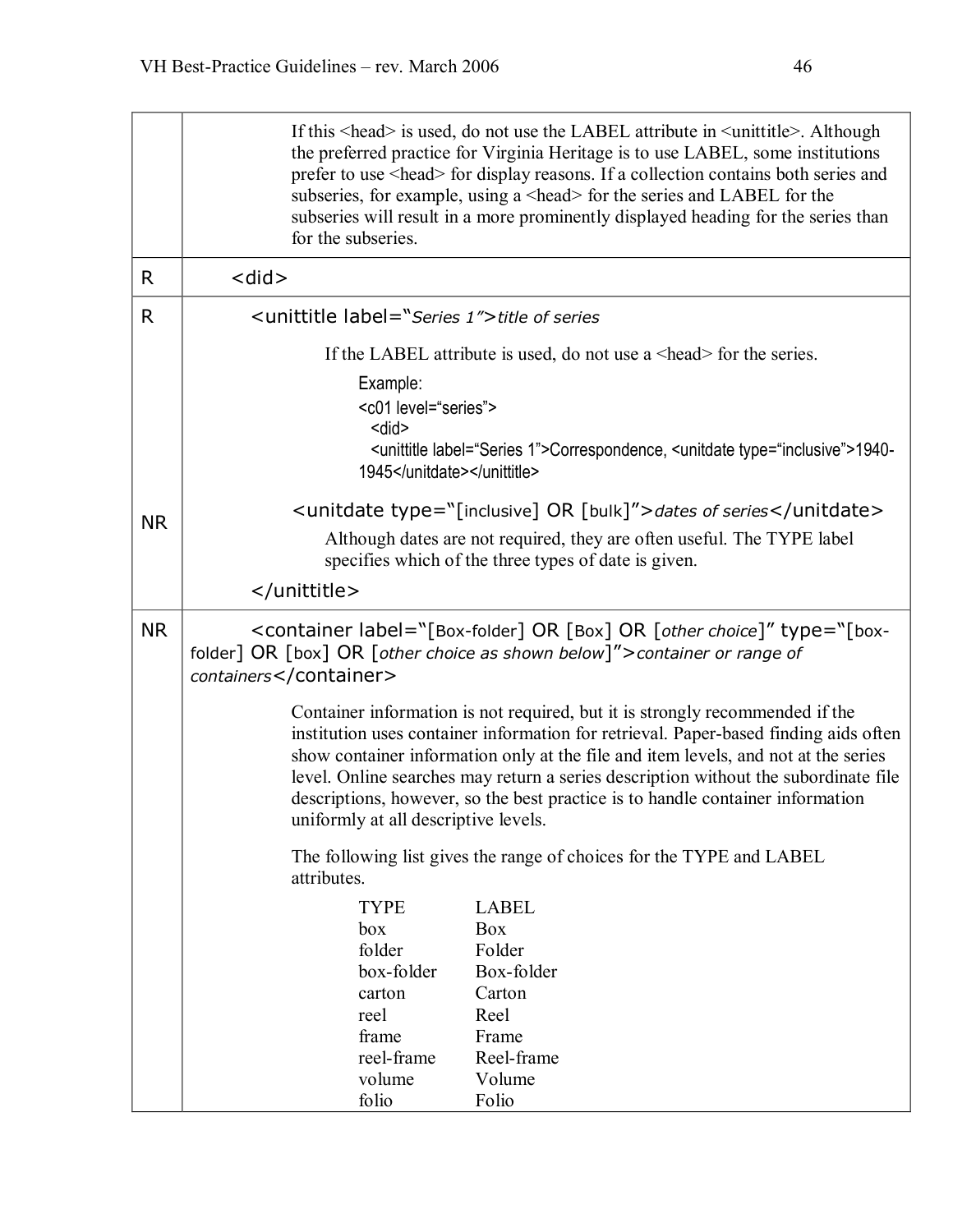|              | If this <head> is used, do not use the LABEL attribute in <unittitle>. Although<br/>the preferred practice for Virginia Heritage is to use LABEL, some institutions<br/>prefer to use <head> for display reasons. If a collection contains both series and<br/>subseries, for example, using a <head> for the series and LABEL for the<br/>subseries will result in a more prominently displayed heading for the series than<br/>for the subseries.</head></head></unittitle></head> |
|--------------|--------------------------------------------------------------------------------------------------------------------------------------------------------------------------------------------------------------------------------------------------------------------------------------------------------------------------------------------------------------------------------------------------------------------------------------------------------------------------------------|
| R            | <did></did>                                                                                                                                                                                                                                                                                                                                                                                                                                                                          |
| $\mathsf{R}$ | <unittitle label="Series 1"> title of series</unittitle>                                                                                                                                                                                                                                                                                                                                                                                                                             |
|              | If the LABEL attribute is used, do not use a $\alpha$ -head for the series.                                                                                                                                                                                                                                                                                                                                                                                                          |
|              | Example:<br><c01 level="series"><br/><did><br/><unittitle label="Series 1">Correspondence, <unitdate type="inclusive">1940-<br/>1945</unitdate></unittitle></did></c01>                                                                                                                                                                                                                                                                                                              |
| <b>NR</b>    | <unitdate type="[inclusive] OR [bulk]">dates of series</unitdate><br>Although dates are not required, they are often useful. The TYPE label<br>specifies which of the three types of date is given.                                                                                                                                                                                                                                                                                  |
|              |                                                                                                                                                                                                                                                                                                                                                                                                                                                                                      |
| <b>NR</b>    | <container label="[Box-folder] OR [Box] OR [other choice]" type="[box-&lt;br&gt;folder] OR &lt;math&gt;\lceil&lt;/math&gt; box] OR &lt;math&gt;\lceil&lt;/math&gt; other choice as shown below]"> container or range of<br/>containers</container>                                                                                                                                                                                                                                   |
|              | Container information is not required, but it is strongly recommended if the<br>institution uses container information for retrieval. Paper-based finding aids often<br>show container information only at the file and item levels, and not at the series<br>level. Online searches may return a series description without the subordinate file<br>descriptions, however, so the best practice is to handle container information<br>uniformly at all descriptive levels.          |
|              | The following list gives the range of choices for the TYPE and LABEL<br>attributes.                                                                                                                                                                                                                                                                                                                                                                                                  |
|              | <b>LABEL</b><br><b>TYPE</b><br><b>Box</b><br>box<br>folder<br>Folder<br>box-folder<br>Box-folder<br>Carton<br>carton<br>Reel<br>reel<br>Frame<br>frame<br>reel-frame<br>Reel-frame<br>volume<br>Volume                                                                                                                                                                                                                                                                               |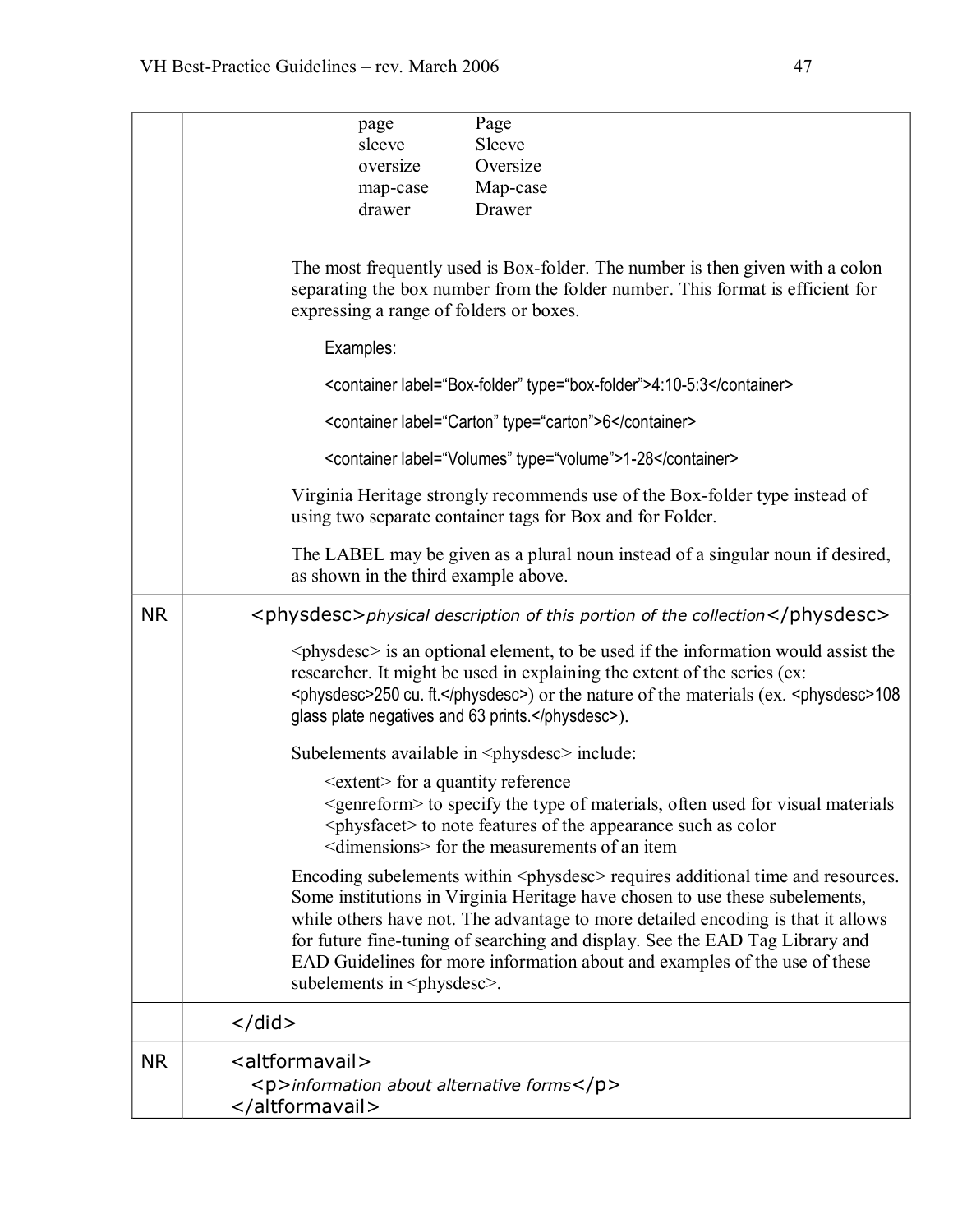|           | Page<br>page                                                                                                                                                                                                                                                                                                                                                                                                                                                                  |
|-----------|-------------------------------------------------------------------------------------------------------------------------------------------------------------------------------------------------------------------------------------------------------------------------------------------------------------------------------------------------------------------------------------------------------------------------------------------------------------------------------|
|           | sleeve<br>Sleeve                                                                                                                                                                                                                                                                                                                                                                                                                                                              |
|           | Oversize<br>oversize                                                                                                                                                                                                                                                                                                                                                                                                                                                          |
|           | Map-case<br>map-case                                                                                                                                                                                                                                                                                                                                                                                                                                                          |
|           | Drawer<br>drawer                                                                                                                                                                                                                                                                                                                                                                                                                                                              |
|           | The most frequently used is Box-folder. The number is then given with a colon<br>separating the box number from the folder number. This format is efficient for<br>expressing a range of folders or boxes.                                                                                                                                                                                                                                                                    |
|           | Examples:                                                                                                                                                                                                                                                                                                                                                                                                                                                                     |
|           | <container label="Box-folder" type="box-folder">4:10-5:3</container>                                                                                                                                                                                                                                                                                                                                                                                                          |
|           | <container label="Carton" type="carton">6</container>                                                                                                                                                                                                                                                                                                                                                                                                                         |
|           | <container label="Volumes" type="volume">1-28</container>                                                                                                                                                                                                                                                                                                                                                                                                                     |
|           | Virginia Heritage strongly recommends use of the Box-folder type instead of<br>using two separate container tags for Box and for Folder.                                                                                                                                                                                                                                                                                                                                      |
|           | The LABEL may be given as a plural noun instead of a singular noun if desired,<br>as shown in the third example above.                                                                                                                                                                                                                                                                                                                                                        |
| <b>NR</b> | <physdesc>physical description of this portion of the collection</physdesc>                                                                                                                                                                                                                                                                                                                                                                                                   |
|           | $\langle$ physdesc $>$ is an optional element, to be used if the information would assist the<br>researcher. It might be used in explaining the extent of the series (ex:<br><physdesc>250 cu. ft.</physdesc> ) or the nature of the materials (ex. <physdesc>108<br/>glass plate negatives and 63 prints.</physdesc> ).                                                                                                                                                      |
|           | Subelements available in <physitesc> include:</physitesc>                                                                                                                                                                                                                                                                                                                                                                                                                     |
|           | <extent> for a quantity reference<br/><genreform> to specify the type of materials, often used for visual materials<br/><physfacet> to note features of the appearance such as color<br/><dimensions> for the measurements of an item</dimensions></physfacet></genreform></extent>                                                                                                                                                                                           |
|           | Encoding subelements within <physitesc> requires additional time and resources.<br/>Some institutions in Virginia Heritage have chosen to use these subelements,<br/>while others have not. The advantage to more detailed encoding is that it allows<br/>for future fine-tuning of searching and display. See the EAD Tag Library and<br/>EAD Guidelines for more information about and examples of the use of these<br/>subelements in <physitese>.</physitese></physitesc> |
|           | $\langle$ did $\rangle$                                                                                                                                                                                                                                                                                                                                                                                                                                                       |
| <b>NR</b> | <altformavail></altformavail>                                                                                                                                                                                                                                                                                                                                                                                                                                                 |
|           | <p>information about alternative forms</p><br>                                                                                                                                                                                                                                                                                                                                                                                                                                |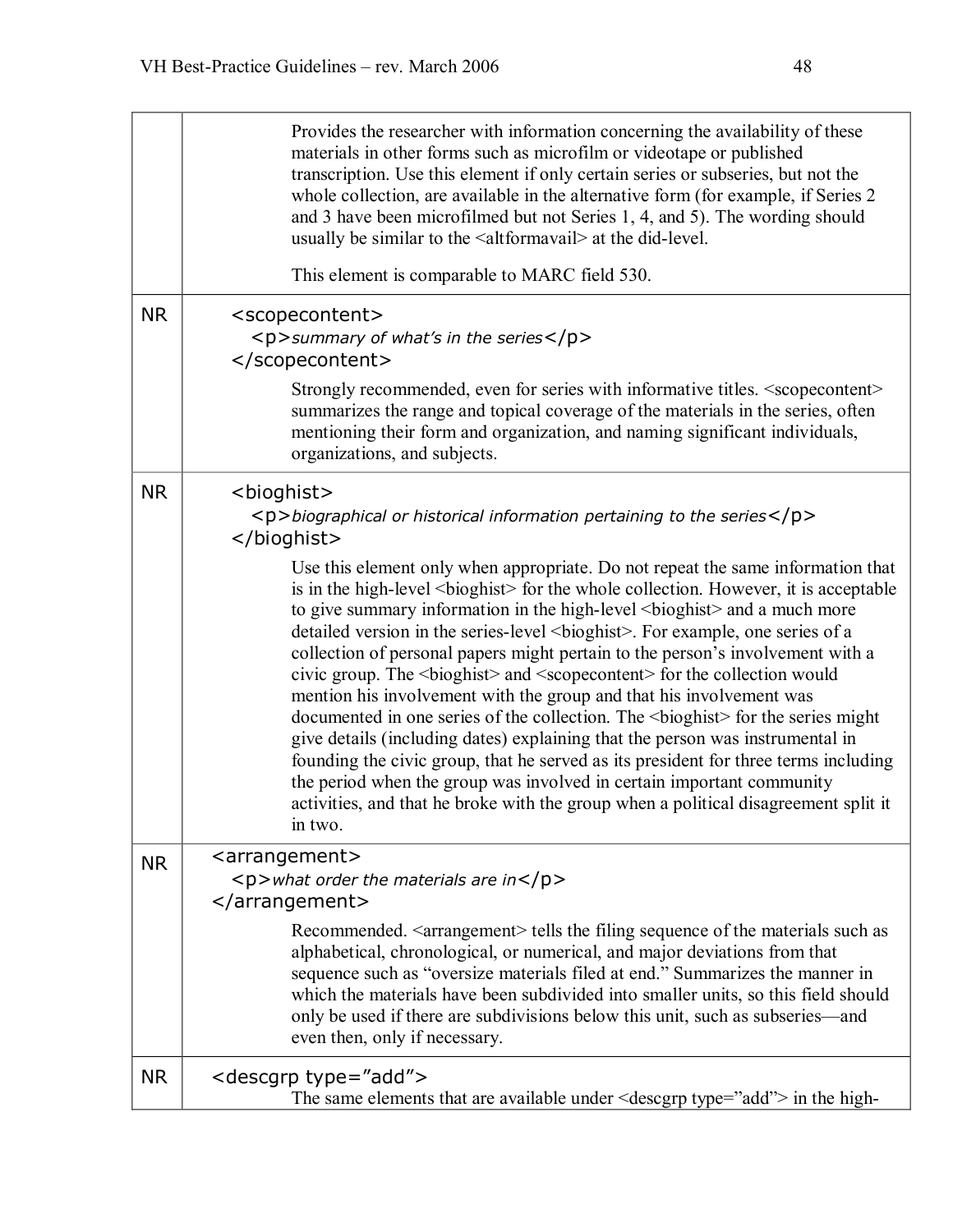|           | Provides the researcher with information concerning the availability of these<br>materials in other forms such as microfilm or videotape or published<br>transcription. Use this element if only certain series or subseries, but not the<br>whole collection, are available in the alternative form (for example, if Series 2<br>and 3 have been microfilmed but not Series 1, 4, and 5). The wording should<br>usually be similar to the <altformavail> at the did-level.</altformavail> |
|-----------|--------------------------------------------------------------------------------------------------------------------------------------------------------------------------------------------------------------------------------------------------------------------------------------------------------------------------------------------------------------------------------------------------------------------------------------------------------------------------------------------|
|           | This element is comparable to MARC field 530.                                                                                                                                                                                                                                                                                                                                                                                                                                              |
| <b>NR</b> | <scopecontent><br/><math>&lt;</math>p&gt;summary of what's in the series<math>&lt;</math>/p&gt;<br/></scopecontent>                                                                                                                                                                                                                                                                                                                                                                        |
|           | Strongly recommended, even for series with informative titles. <scopecontent><br/>summarizes the range and topical coverage of the materials in the series, often<br/>mentioning their form and organization, and naming significant individuals,<br/>organizations, and subjects.</scopecontent>                                                                                                                                                                                          |
| <b>NR</b> | <bioghist><br/><math>\langle p \rangle</math>biographical or historical information pertaining to the series<math>\langle p \rangle</math><br/></bioghist>                                                                                                                                                                                                                                                                                                                                 |
|           | Use this element only when appropriate. Do not repeat the same information that<br>is in the high-level<br>bioghist> for the whole collection. However, it is acceptable<br>to give summary information in the high-level<br>bioghist> and a much more<br>                                                                                                                                                                                                                                 |
| <b>NR</b> | <arrangement><br/><p>what order the materials are in</p><br/><math>\alpha</math>/arrangement&gt;</arrangement>                                                                                                                                                                                                                                                                                                                                                                             |
|           | Recommended. <arrangement> tells the filing sequence of the materials such as<br/>alphabetical, chronological, or numerical, and major deviations from that<br/>sequence such as "oversize materials filed at end." Summarizes the manner in<br/>which the materials have been subdivided into smaller units, so this field should<br/>only be used if there are subdivisions below this unit, such as subseries—and<br/>even then, only if necessary.</arrangement>                       |
| <b>NR</b> | <descgrp type="add"><br/>The same elements that are available under <math>\leq</math> descgrp type="add"&gt; in the high-</descgrp>                                                                                                                                                                                                                                                                                                                                                        |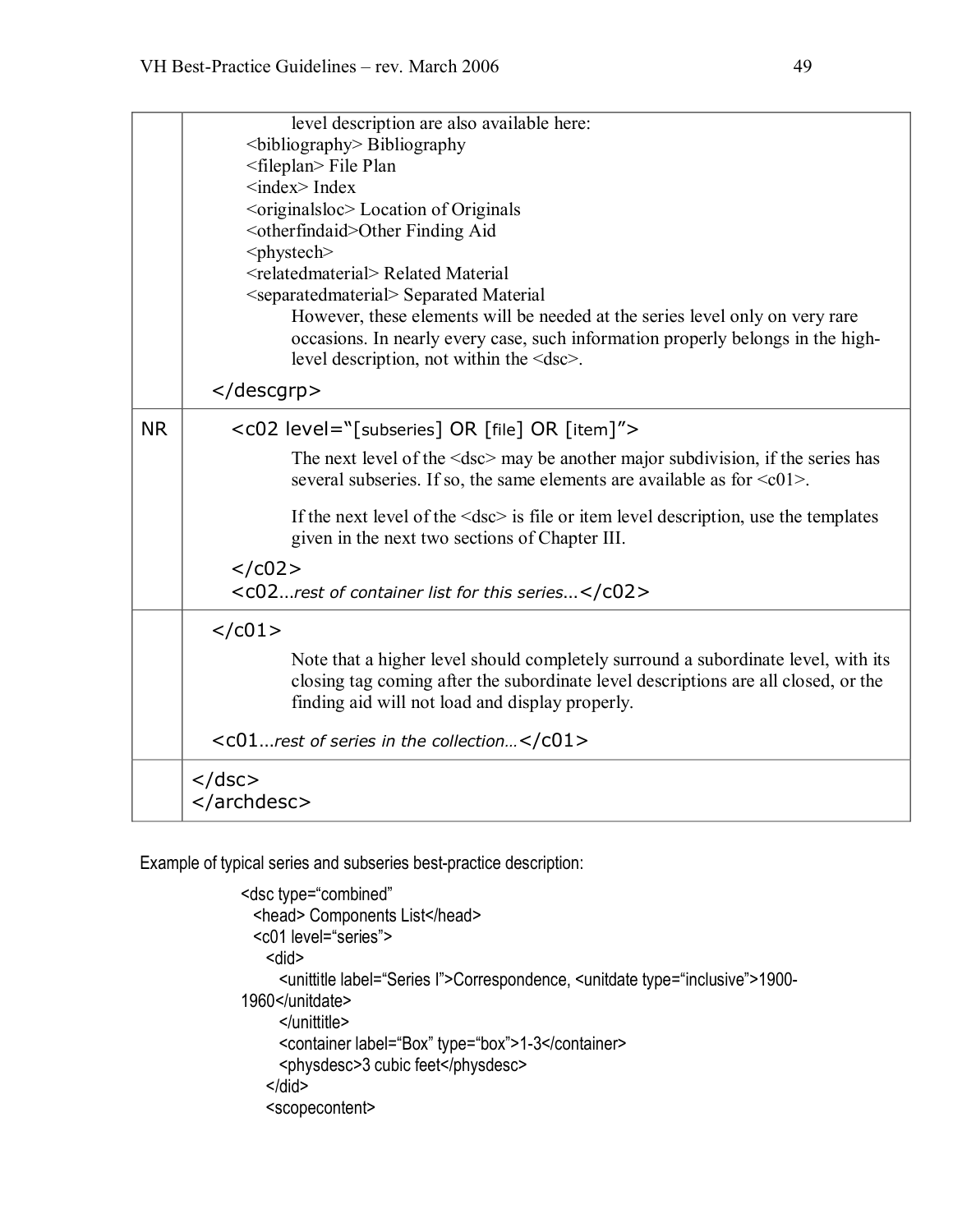|           | level description are also available here:                                                                                                                                                                                 |
|-----------|----------------------------------------------------------------------------------------------------------------------------------------------------------------------------------------------------------------------------|
|           | <br>bibliography> Bibliography                                                                                                                                                                                             |
|           | <fileplan> File Plan</fileplan>                                                                                                                                                                                            |
|           | $\langle$ index $\rangle$ Index                                                                                                                                                                                            |
|           | <br>< denomialsor<br>Location of Originals                                                                                                                                                                                 |
|           | <otherfindaid>Other Finding Aid</otherfindaid>                                                                                                                                                                             |
|           | <phystech></phystech>                                                                                                                                                                                                      |
|           | <relatedmaterial> Related Material</relatedmaterial>                                                                                                                                                                       |
|           | <separatedmaterial> Separated Material</separatedmaterial>                                                                                                                                                                 |
|           | However, these elements will be needed at the series level only on very rare                                                                                                                                               |
|           | occasions. In nearly every case, such information properly belongs in the high-<br>level description, not within the <dsc>.</dsc>                                                                                          |
|           |                                                                                                                                                                                                                            |
| <b>NR</b> | <c02 level="[subseries] OR [file] OR [item]"></c02>                                                                                                                                                                        |
|           | The next level of the $\leq$ dsc $>$ may be another major subdivision, if the series has<br>several subseries. If so, the same elements are available as for $\leq c01$ .                                                  |
|           | If the next level of the $\langle \text{dsc} \rangle$ is file or item level description, use the templates<br>given in the next two sections of Chapter III.                                                               |
|           | $<$ /c02>                                                                                                                                                                                                                  |
|           | <c02rest c02="" container="" for="" list="" of="" series<="" this=""></c02rest>                                                                                                                                            |
|           | $<$ / $c01$ >                                                                                                                                                                                                              |
|           | Note that a higher level should completely surround a subordinate level, with its<br>closing tag coming after the subordinate level descriptions are all closed, or the<br>finding aid will not load and display properly. |
|           | <c01rest c01="" collection<="" in="" of="" series="" the=""></c01rest>                                                                                                                                                     |
|           | $<$ /dsc $>$<br>                                                                                                                                                                                                           |

Example of typical series and subseries best-practice description:

```
<dsc type="combined"
 <head> Components List</head> 
 <c01 level="series"> 
   <did> 
     <unittitle label="Series I">Correspondence, <unitdate type="inclusive">1900 1960</unitdate> 
     </unittitle> 
     <container label="Box" type="box">1-3</container>
     <physdesc>3 cubic feet</physdesc> 
   </did>
   <scopecontent>
```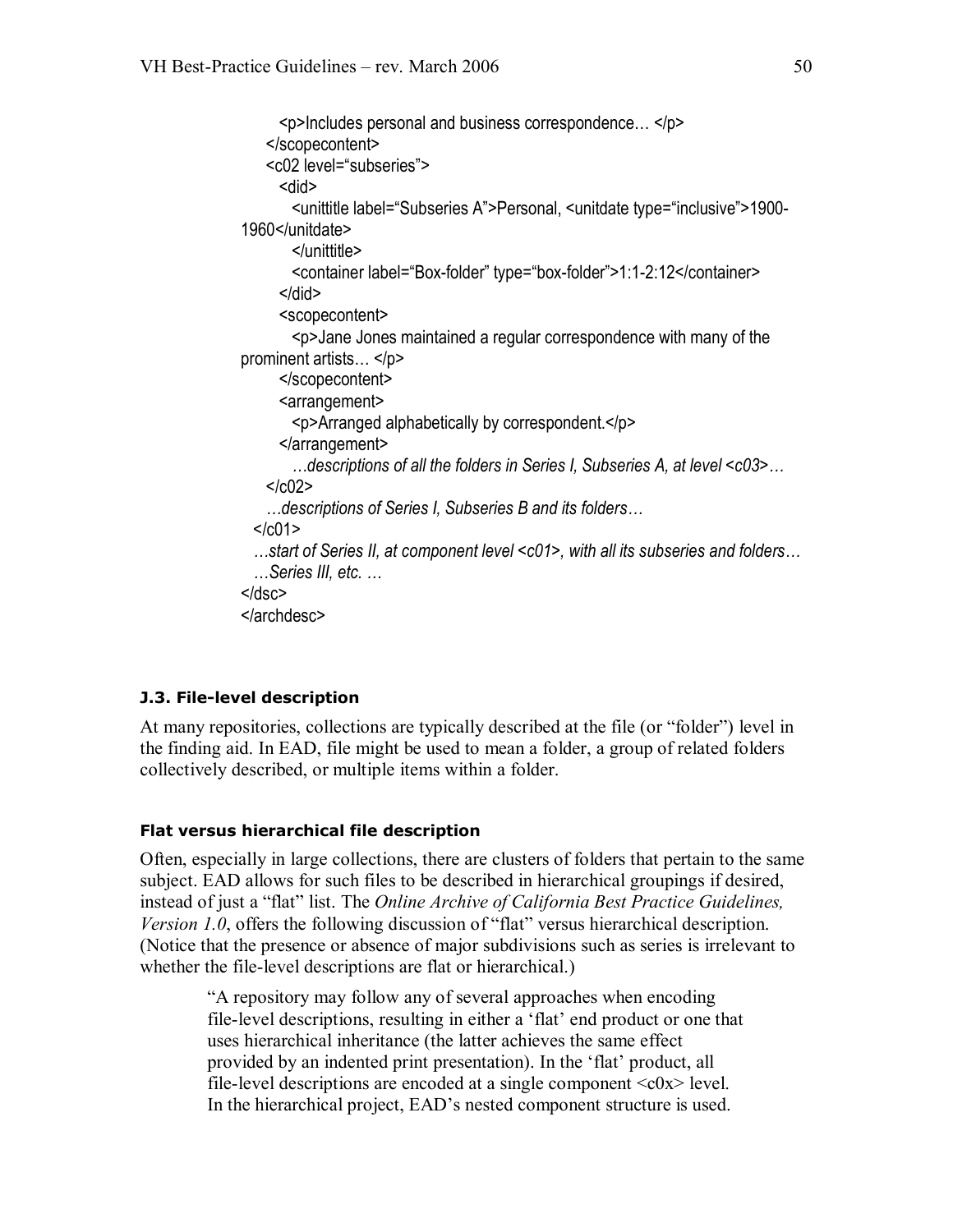```
<p>Includes personal and business correspondence… </p> 
   </scopecontent> 
   <c02 level="subseries"> 
     <did> 
       <unittitle label="Subseries A">Personal, <unitdate type="inclusive">1900
1960</unitdate> 
       </unittitle> 
       <container label="Box-folder" type="box-folder">1:1-2:12</container>
     </did>
     <scopecontent> 
       <p>Jane Jones maintained a regular correspondence with many of the
prominent artists… </p> 
     </scopecontent> 
     <arrangement> 
       <p>Arranged alphabetically by correspondent.</p> 
     </arrangement>
       …descriptions of all the folders in Series I, Subseries A, at level <c03>…
   </<02>…descriptions of Series I, Subseries B and its folders…
 </c01>
 …start of Series II, at component level <c01>, with all its subseries and folders…  …Series III, etc. …
</dsc> 
</archdesc>
```
#### **J.3. File-level description**

At many repositories, collections are typically described at the file (or "folder") level in the finding aid. In EAD, file might be used to mean a folder, a group of related folders collectively described, or multiple items within a folder.

#### **Flat versus hierarchical file description**

Often, especially in large collections, there are clusters of folders that pertain to the same subject. EAD allows for such files to be described in hierarchical groupings if desired, instead of just a "flat" list. The *Online Archive of California Best Practice Guidelines, Version 1.0*, offers the following discussion of "flat" versus hierarchical description. (Notice that the presence or absence of major subdivisions such as series is irrelevant to whether the file-level descriptions are flat or hierarchical.)

"A repository may follow any of several approaches when encoding file-level descriptions, resulting in either a 'flat' end product or one that uses hierarchical inheritance (the latter achieves the same effect provided by an indented print presentation). In the 'flat' product, all file-level descriptions are encoded at a single component  $\langle c0x \rangle$  level. In the hierarchical project, EAD's nested component structure is used.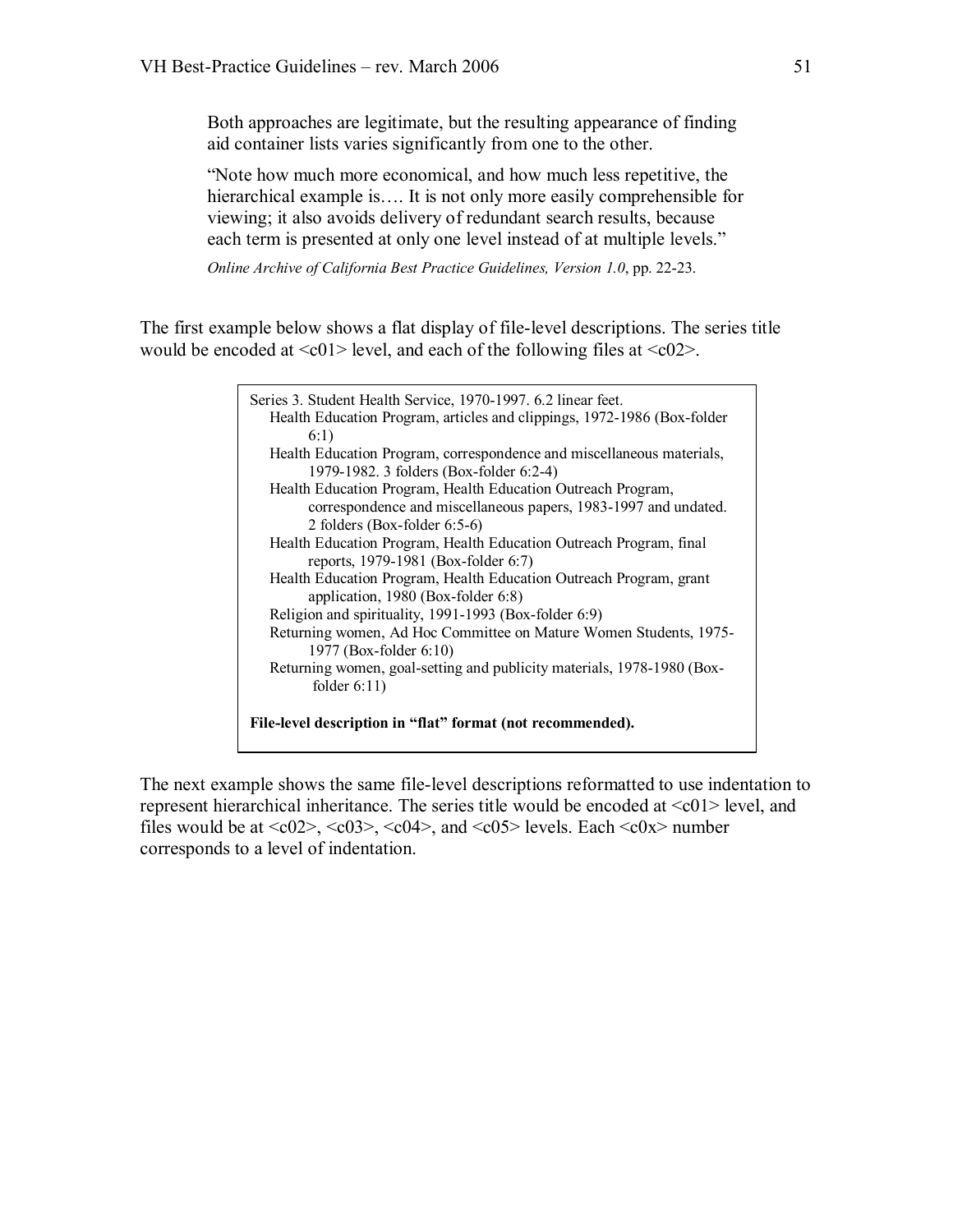Both approaches are legitimate, but the resulting appearance of finding aid container lists varies significantly from one to the other.

"Note how much more economical, and how much less repetitive, the hierarchical example is.... It is not only more easily comprehensible for viewing; it also avoids delivery of redundant search results, because each term is presented at only one level instead of at multiple levels."

*Online Archive of California Best Practice Guidelines, Version 1.0, pp. 22-23.* 

The first example below shows a flat display of file-level descriptions. The series title would be encoded at  $\leq c01$  level, and each of the following files at  $\leq c02$ .



The next example shows the same file-level descriptions reformatted to use indentation to represent hierarchical inheritance. The series title would be encoded at  $\langle 0|2 \rangle$  level, and files would be at  $\langle c02 \rangle$ ,  $\langle c03 \rangle$ ,  $\langle c04 \rangle$ , and  $\langle c05 \rangle$  levels. Each  $\langle c0x \rangle$  number corresponds to a level of indentation.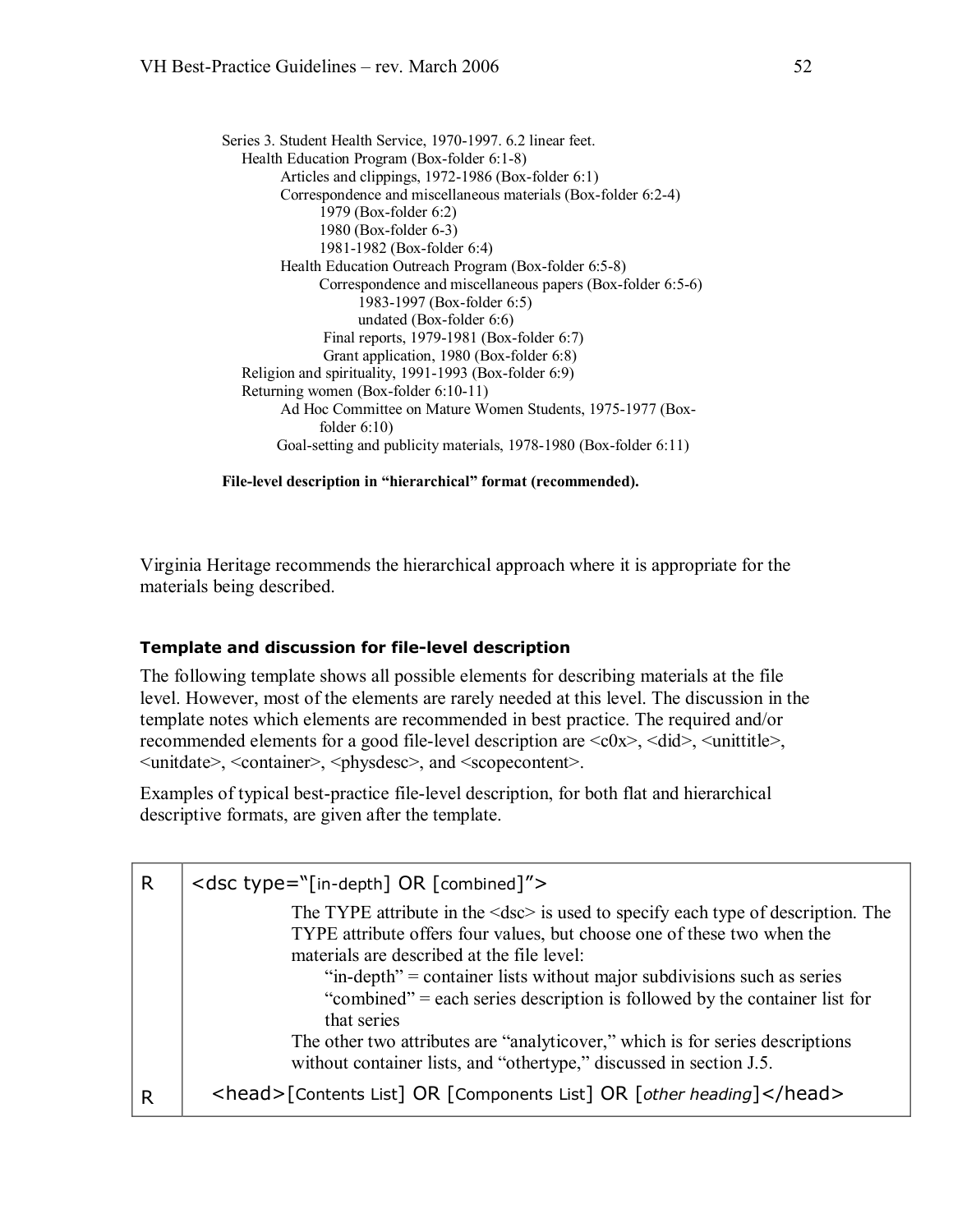Series 3. Student Health Service, 1970-1997. 6.2 linear feet. Health Education Program (Box-folder  $6:1-8$ ) Articles and clippings, 1972-1986 (Box-folder 6:1) Correspondence and miscellaneous materials (Box-folder 6:2-4) 1979 (Box-folder 6:2) 1980 (Box-folder 6-3) 1981-1982 (Box-folder 6:4) Health Education Outreach Program (Box-folder 6:5-8) Correspondence and miscellaneous papers (Box-folder 6:5-6) 1983-1997 (Box-folder 6:5) undated (Box-folder  $6:6$ ) Final reports,  $1979-1981$  (Box-folder 6:7) Grant application, 1980 (Box-folder 6:8) Religion and spirituality,  $1991-1993$  (Box-folder 6:9) Returning women (Box-folder 6:10-11) Ad Hoc Committee on Mature Women Students, 1975-1977 (Boxfolder 6:10) Goal-setting and publicity materials, 1978-1980 (Box-folder 6:11)

**Filelevel description in "hierarchical" format (recommended).**

Virginia Heritage recommends the hierarchical approach where it is appropriate for the materials being described.

#### **Template and discussion for file-level description**

The following template shows all possible elements for describing materials at the file level. However, most of the elements are rarely needed at this level. The discussion in the template notes which elements are recommended in best practice. The required and/or recommended elements for a good file-level description are  $\langle c0x \rangle$ ,  $\langle did \rangle$ ,  $\langle unititle \rangle$ , <unitdate>, <container>, <physdesc>, and <scopecontent>.

Examples of typical best-practice file-level description, for both flat and hierarchical descriptive formats, are given after the template.

| R                                                                                                                                                                                                                                                                                            | <dsc type="[in-depth] OR [combined]"></dsc>                                                                                                          |  |
|----------------------------------------------------------------------------------------------------------------------------------------------------------------------------------------------------------------------------------------------------------------------------------------------|------------------------------------------------------------------------------------------------------------------------------------------------------|--|
| The TYPE attribute in the $\leq$ dsc $>$ is used to specify each type of description. The<br>TYPE attribute offers four values, but choose one of these two when the<br>materials are described at the file level:<br>"in-depth" = container lists without major subdivisions such as series |                                                                                                                                                      |  |
|                                                                                                                                                                                                                                                                                              | "combined" = each series description is followed by the container list for<br>that series                                                            |  |
|                                                                                                                                                                                                                                                                                              | The other two attributes are "analyticover," which is for series descriptions<br>without container lists, and "othertype," discussed in section J.5. |  |
|                                                                                                                                                                                                                                                                                              | <head>[Contents List] OR [Components List] OR [other heading]</head>                                                                                 |  |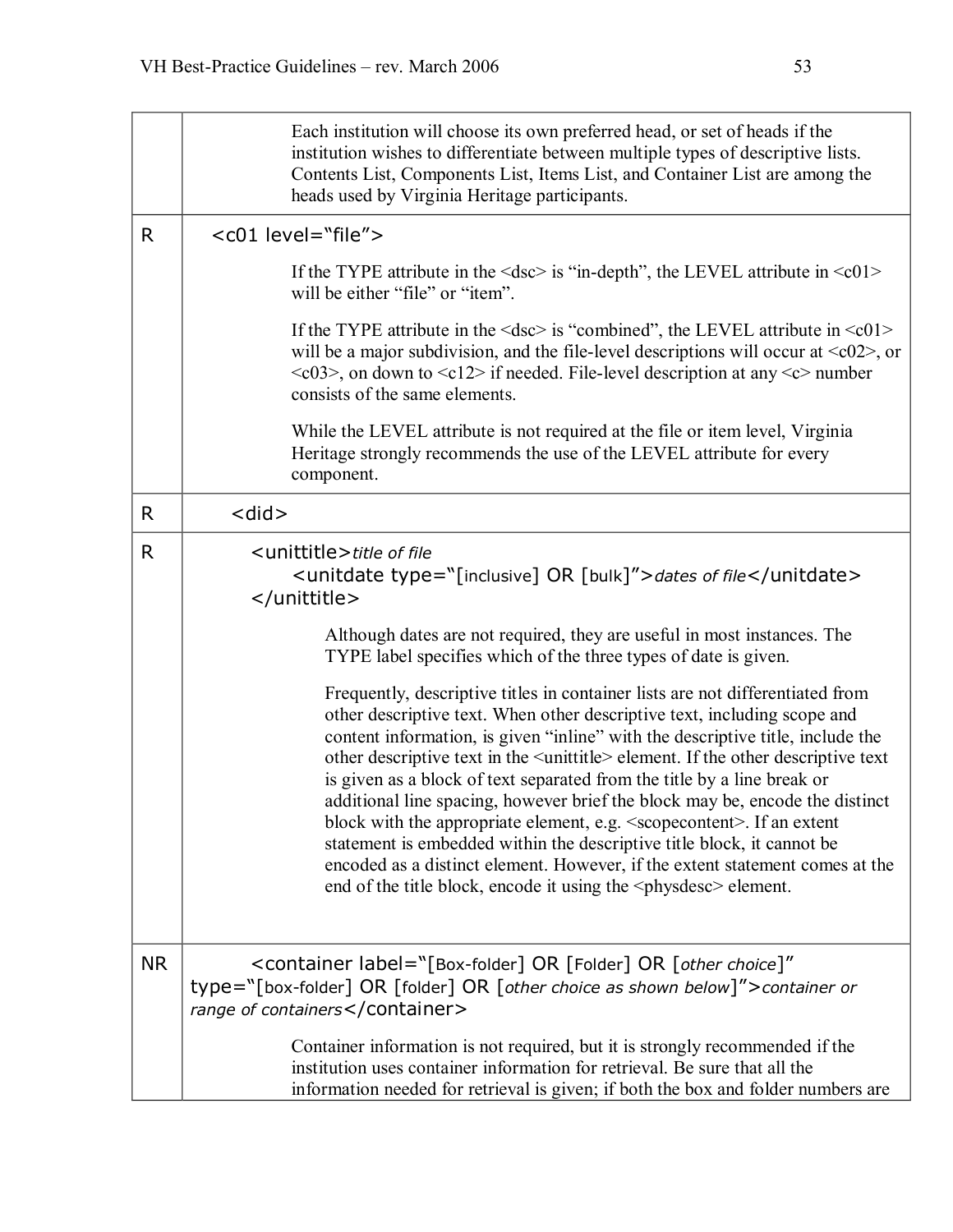|              | Each institution will choose its own preferred head, or set of heads if the<br>institution wishes to differentiate between multiple types of descriptive lists.<br>Contents List, Components List, Items List, and Container List are among the<br>heads used by Virginia Heritage participants.                                                                                                                                                                                                                                                                                                                                                                                                                                                                                                                                                 |  |
|--------------|--------------------------------------------------------------------------------------------------------------------------------------------------------------------------------------------------------------------------------------------------------------------------------------------------------------------------------------------------------------------------------------------------------------------------------------------------------------------------------------------------------------------------------------------------------------------------------------------------------------------------------------------------------------------------------------------------------------------------------------------------------------------------------------------------------------------------------------------------|--|
| R.           | <c01 level="file"></c01>                                                                                                                                                                                                                                                                                                                                                                                                                                                                                                                                                                                                                                                                                                                                                                                                                         |  |
|              | If the TYPE attribute in the $\langle$ dsc $>$ is "in-depth", the LEVEL attribute in $\langle$ c01 $>$<br>will be either "file" or "item".                                                                                                                                                                                                                                                                                                                                                                                                                                                                                                                                                                                                                                                                                                       |  |
|              | If the TYPE attribute in the $\langle$ dsc $>$ is "combined", the LEVEL attribute in $\langle$ c01 $>$<br>will be a major subdivision, and the file-level descriptions will occur at $\langle c02 \rangle$ , or<br>$\langle 0.03 \rangle$ , on down to $\langle 0.12 \rangle$ if needed. File-level description at any $\langle c \rangle$ number<br>consists of the same elements.                                                                                                                                                                                                                                                                                                                                                                                                                                                              |  |
|              | While the LEVEL attribute is not required at the file or item level, Virginia<br>Heritage strongly recommends the use of the LEVEL attribute for every<br>component.                                                                                                                                                                                                                                                                                                                                                                                                                                                                                                                                                                                                                                                                             |  |
| R            | <did></did>                                                                                                                                                                                                                                                                                                                                                                                                                                                                                                                                                                                                                                                                                                                                                                                                                                      |  |
| $\mathsf{R}$ | <unittitle>title of file<br/><unitdate type="[inclusive] OR [bulk]">dates of file</unitdate><br/></unittitle>                                                                                                                                                                                                                                                                                                                                                                                                                                                                                                                                                                                                                                                                                                                                    |  |
|              | Although dates are not required, they are useful in most instances. The<br>TYPE label specifies which of the three types of date is given.                                                                                                                                                                                                                                                                                                                                                                                                                                                                                                                                                                                                                                                                                                       |  |
|              | Frequently, descriptive titles in container lists are not differentiated from<br>other descriptive text. When other descriptive text, including scope and<br>content information, is given "inline" with the descriptive title, include the<br>other descriptive text in the <unittitle> element. If the other descriptive text<br/>is given as a block of text separated from the title by a line break or<br/>additional line spacing, however brief the block may be, encode the distinct<br/>block with the appropriate element, e.g. <scoperativent>. If an extent<br/>statement is embedded within the descriptive title block, it cannot be<br/>encoded as a distinct element. However, if the extent statement comes at the<br/>end of the title block, encode it using the <physitesc> element.</physitesc></scoperativent></unittitle> |  |
| <b>NR</b>    | <container <br="" label="[Box-folder] OR [Folder] OR [other choice]">type="[box-folder] OR [folder] OR [other choice as shown below]"&gt;container or<br/>range of containers</container>                                                                                                                                                                                                                                                                                                                                                                                                                                                                                                                                                                                                                                                        |  |
|              | Container information is not required, but it is strongly recommended if the<br>institution uses container information for retrieval. Be sure that all the<br>information needed for retrieval is given; if both the box and folder numbers are                                                                                                                                                                                                                                                                                                                                                                                                                                                                                                                                                                                                  |  |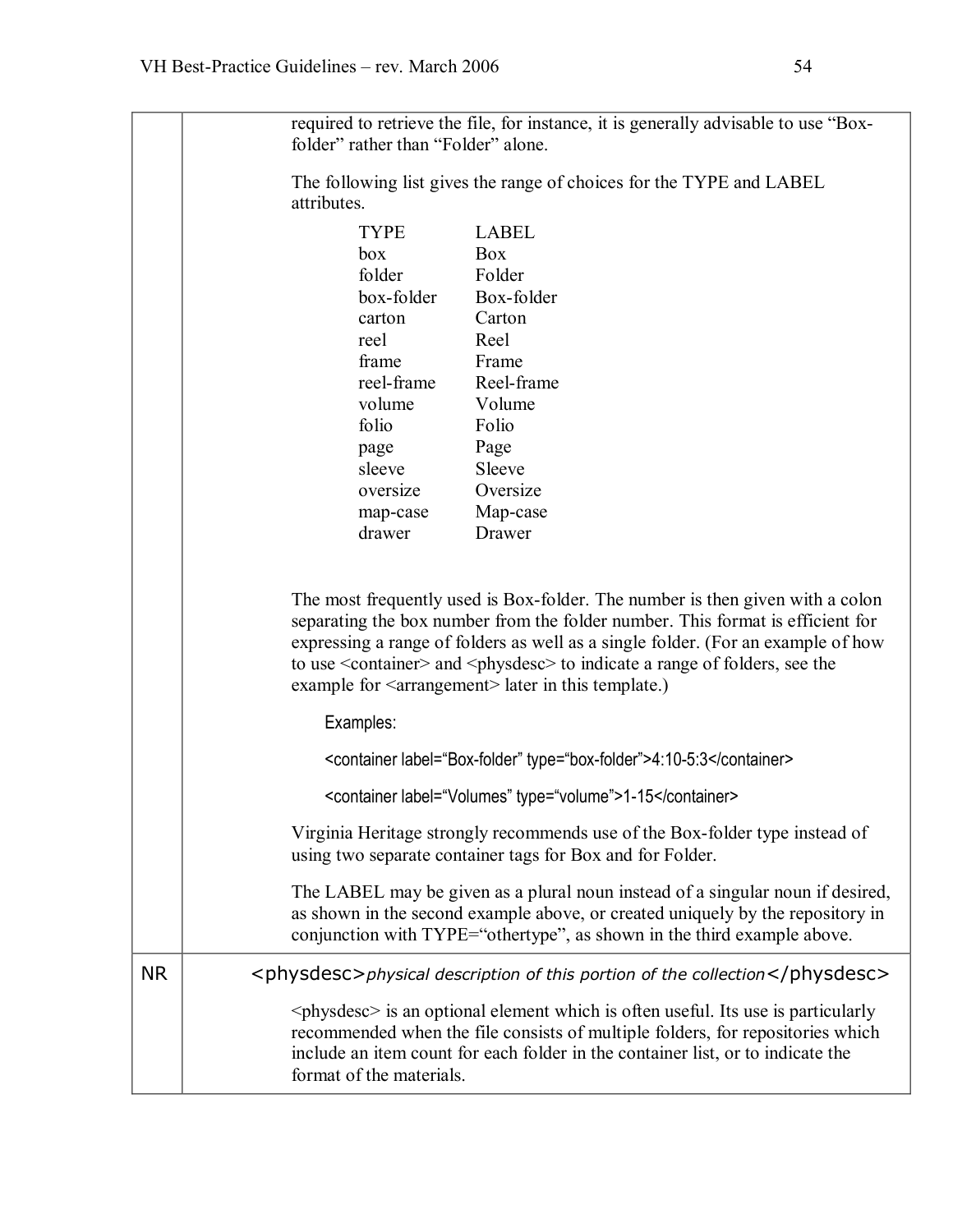|           | required to retrieve the file, for instance, it is generally advisable to use "Box-<br>folder" rather than "Folder" alone.                                                                                                                                                                                                                                                                                                   |  |
|-----------|------------------------------------------------------------------------------------------------------------------------------------------------------------------------------------------------------------------------------------------------------------------------------------------------------------------------------------------------------------------------------------------------------------------------------|--|
|           | The following list gives the range of choices for the TYPE and LABEL<br>attributes.                                                                                                                                                                                                                                                                                                                                          |  |
|           | <b>LABEL</b><br>TYPE<br>Box<br>box<br>folder<br>Folder<br>box-folder<br>Box-folder<br>Carton<br>carton<br>reel<br>Reel<br>frame<br>Frame<br>reel-frame<br>Reel-frame<br>volume<br>Volume<br>folio<br>Folio<br>Page<br>page<br>sleeve<br>Sleeve<br>Oversize<br>oversize<br>Map-case<br>map-case<br>drawer<br>Drawer                                                                                                           |  |
|           | The most frequently used is Box-folder. The number is then given with a colon<br>separating the box number from the folder number. This format is efficient for<br>expressing a range of folders as well as a single folder. (For an example of how<br>to use <container> and <physdesc> to indicate a range of folders, see the<br/>example for <arrangement> later in this template.)</arrangement></physdesc></container> |  |
|           | Examples:                                                                                                                                                                                                                                                                                                                                                                                                                    |  |
|           | <container label="Box-folder" type="box-folder">4:10-5:3</container>                                                                                                                                                                                                                                                                                                                                                         |  |
|           | <container label="Volumes" type="volume">1-15</container>                                                                                                                                                                                                                                                                                                                                                                    |  |
|           | Virginia Heritage strongly recommends use of the Box-folder type instead of<br>using two separate container tags for Box and for Folder.                                                                                                                                                                                                                                                                                     |  |
|           | The LABEL may be given as a plural noun instead of a singular noun if desired,<br>as shown in the second example above, or created uniquely by the repository in<br>conjunction with TYPE="othertype", as shown in the third example above.                                                                                                                                                                                  |  |
| <b>NR</b> | <physdesc>physical description of this portion of the collection</physdesc>                                                                                                                                                                                                                                                                                                                                                  |  |
|           | $\langle$ physdesc $>$ is an optional element which is often useful. Its use is particularly<br>recommended when the file consists of multiple folders, for repositories which<br>include an item count for each folder in the container list, or to indicate the<br>format of the materials.                                                                                                                                |  |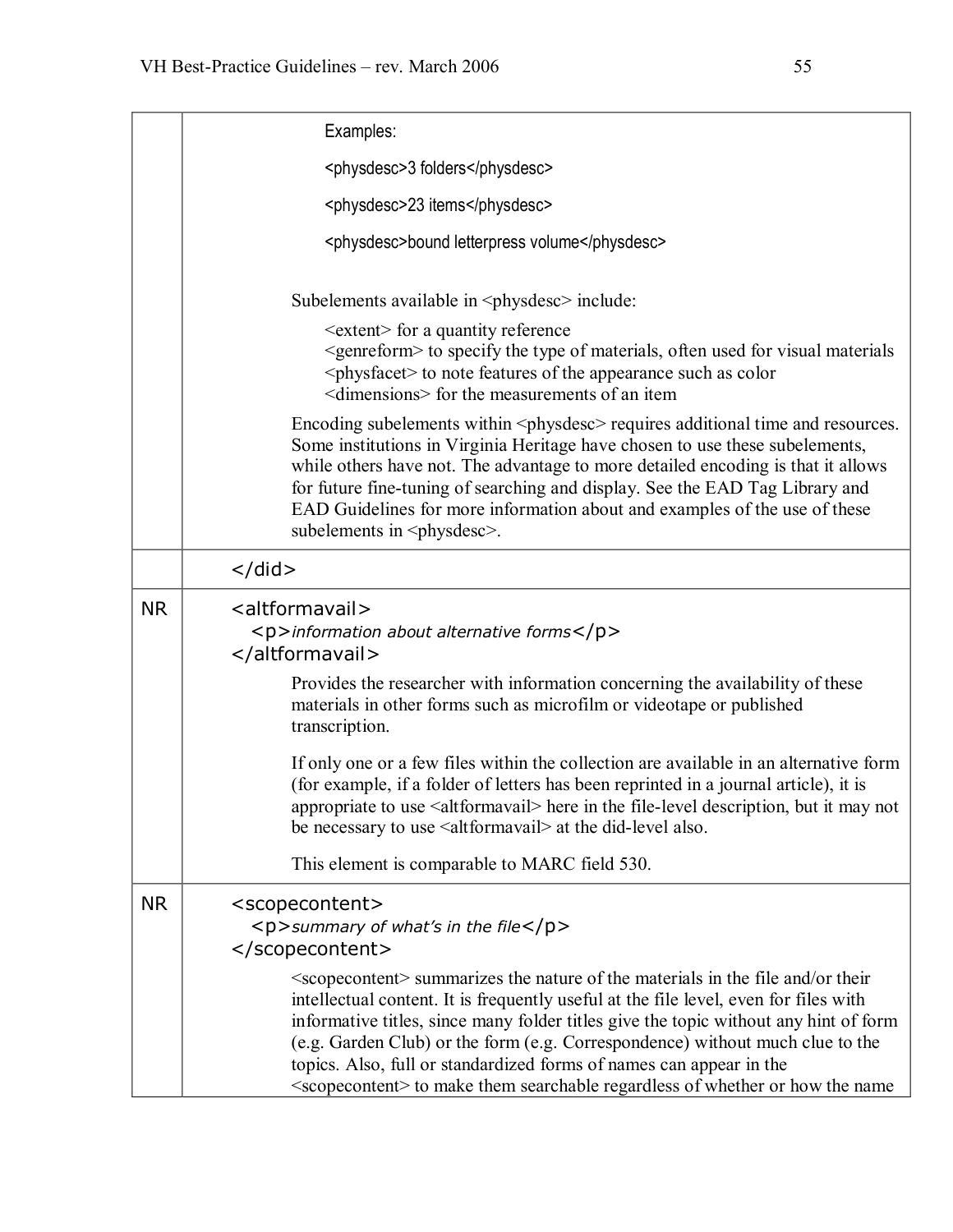|           | Examples:                                                                                                                                                                                                                                                                                                                                                                                                                                                                                                                             |  |
|-----------|---------------------------------------------------------------------------------------------------------------------------------------------------------------------------------------------------------------------------------------------------------------------------------------------------------------------------------------------------------------------------------------------------------------------------------------------------------------------------------------------------------------------------------------|--|
|           | <physdesc>3 folders</physdesc>                                                                                                                                                                                                                                                                                                                                                                                                                                                                                                        |  |
|           | <physdesc>23 items</physdesc>                                                                                                                                                                                                                                                                                                                                                                                                                                                                                                         |  |
|           | <physdesc>bound letterpress volume</physdesc>                                                                                                                                                                                                                                                                                                                                                                                                                                                                                         |  |
|           | Subelements available in <physites> include:</physites>                                                                                                                                                                                                                                                                                                                                                                                                                                                                               |  |
|           | <extent> for a quantity reference<br/><genreform> to specify the type of materials, often used for visual materials<br/><physfacet> to note features of the appearance such as color<br/><dimensions> for the measurements of an item</dimensions></physfacet></genreform></extent>                                                                                                                                                                                                                                                   |  |
|           | Encoding subelements within <physitesc> requires additional time and resources.<br/>Some institutions in Virginia Heritage have chosen to use these subelements,<br/>while others have not. The advantage to more detailed encoding is that it allows<br/>for future fine-tuning of searching and display. See the EAD Tag Library and<br/>EAD Guidelines for more information about and examples of the use of these<br/>subelements in <physdesc>.</physdesc></physitesc>                                                           |  |
|           | $\langle$ did $\rangle$                                                                                                                                                                                                                                                                                                                                                                                                                                                                                                               |  |
| <b>NR</b> | <altformavail><br/><p>information about alternative forms</p><br/></altformavail>                                                                                                                                                                                                                                                                                                                                                                                                                                                     |  |
|           | Provides the researcher with information concerning the availability of these<br>materials in other forms such as microfilm or videotape or published<br>transcription.                                                                                                                                                                                                                                                                                                                                                               |  |
|           | If only one or a few files within the collection are available in an alternative form<br>(for example, if a folder of letters has been reprinted in a journal article), it is<br>appropriate to use <altformavail> here in the file-level description, but it may not<br/>be necessary to use <altformavail> at the did-level also.</altformavail></altformavail>                                                                                                                                                                     |  |
|           | This element is comparable to MARC field 530.                                                                                                                                                                                                                                                                                                                                                                                                                                                                                         |  |
| <b>NR</b> | <scopecontent><br/><p>summary of what's in the file</p><br/></scopecontent>                                                                                                                                                                                                                                                                                                                                                                                                                                                           |  |
|           | <scoperiant> summarizes the nature of the materials in the file and/or their<br/>intellectual content. It is frequently useful at the file level, even for files with<br/>informative titles, since many folder titles give the topic without any hint of form<br/>(e.g. Garden Club) or the form (e.g. Correspondence) without much clue to the<br/>topics. Also, full or standardized forms of names can appear in the<br/><scopecontent> to make them searchable regardless of whether or how the name</scopecontent></scoperiant> |  |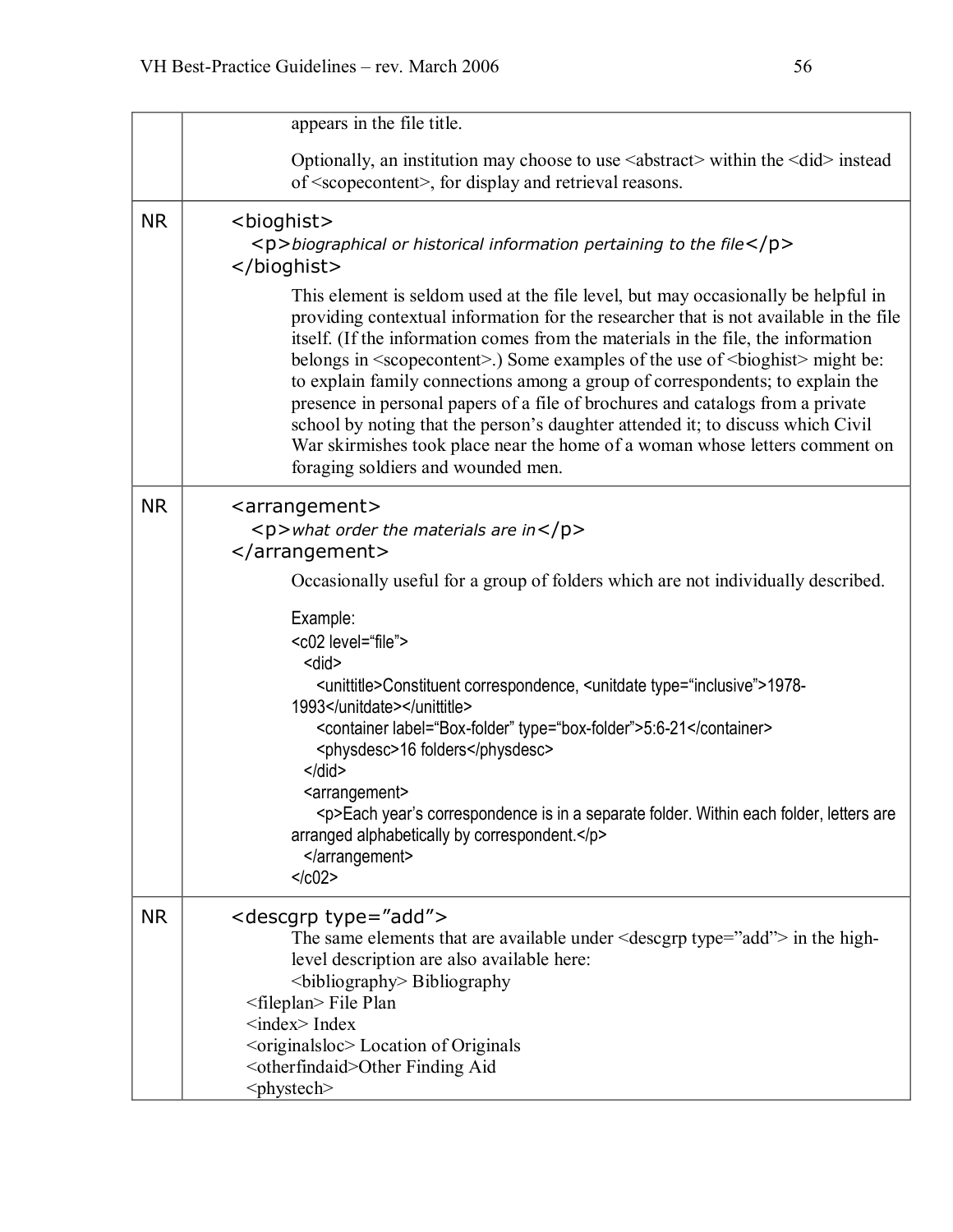|           | appears in the file title.                                                                                                                                                                                                                                                                                                                                                                                                                                                                                                                                                                                                                                                                                                                                                                                                                                                                                            |
|-----------|-----------------------------------------------------------------------------------------------------------------------------------------------------------------------------------------------------------------------------------------------------------------------------------------------------------------------------------------------------------------------------------------------------------------------------------------------------------------------------------------------------------------------------------------------------------------------------------------------------------------------------------------------------------------------------------------------------------------------------------------------------------------------------------------------------------------------------------------------------------------------------------------------------------------------|
|           | Optionally, an institution may choose to use <abstract> within the <did> instead<br/>of <scopecontent>, for display and retrieval reasons.</scopecontent></did></abstract>                                                                                                                                                                                                                                                                                                                                                                                                                                                                                                                                                                                                                                                                                                                                            |
| <b>NR</b> | <bioghist><br/><math>\langle p \rangle</math>biographical or historical information pertaining to the file<math>\langle p \rangle</math><br/></bioghist><br>This element is seldom used at the file level, but may occasionally be helpful in<br>providing contextual information for the researcher that is not available in the file<br>itself. (If the information comes from the materials in the file, the information<br>belongs in <scoperontent>.) Some examples of the use of <br/>bioghist&gt; might be:<br/>to explain family connections among a group of correspondents; to explain the<br/>presence in personal papers of a file of brochures and catalogs from a private<br>school by noting that the person's daughter attended it; to discuss which Civil<br/>War skirmishes took place near the home of a woman whose letters comment on<br/>foraging soldiers and wounded men.</br></scoperontent> |
| <b>NR</b> | <arrangement><br/><math>\langle p \rangle</math> what order the materials are in<math>\langle p \rangle</math><br/></arrangement><br>Occasionally useful for a group of folders which are not individually described.<br>Example:<br><c02 level="file"><br/><did><br/><unittitle>Constituent correspondence, <unitdate type="inclusive">1978-<br/>1993</unitdate></unittitle><br/><container label="Box-folder" type="box-folder">5:6-21</container><br/><physdesc>16 folders</physdesc><br/><math>\le</math>/did&gt;<br/><arrangement><br/><p>Each year's correspondence is in a separate folder. Within each folder, letters are<br/>arranged alphabetically by correspondent.</p><br/></arrangement><br/><math>&lt;</math>/<math>c02</math>&gt;</did></c02>                                                                                                                                                        |
| <b>NR</b> | <descgrp type="add"><br/>The same elements that are available under <math>\leq</math> descgrp type="add"&gt; in the high-<br/>level description are also available here:<br/><br/>bibliography&gt; Bibliography<br/><fileplan> File Plan<br/><math>\langle</math>index<math>\rangle</math>Index<br><br/> &lt; originalsloc&gt; Location of Originals<br/><otherfindaid>Other Finding Aid<br/><phystech></phystech></otherfindaid></br></fileplan></descgrp>                                                                                                                                                                                                                                                                                                                                                                                                                                                           |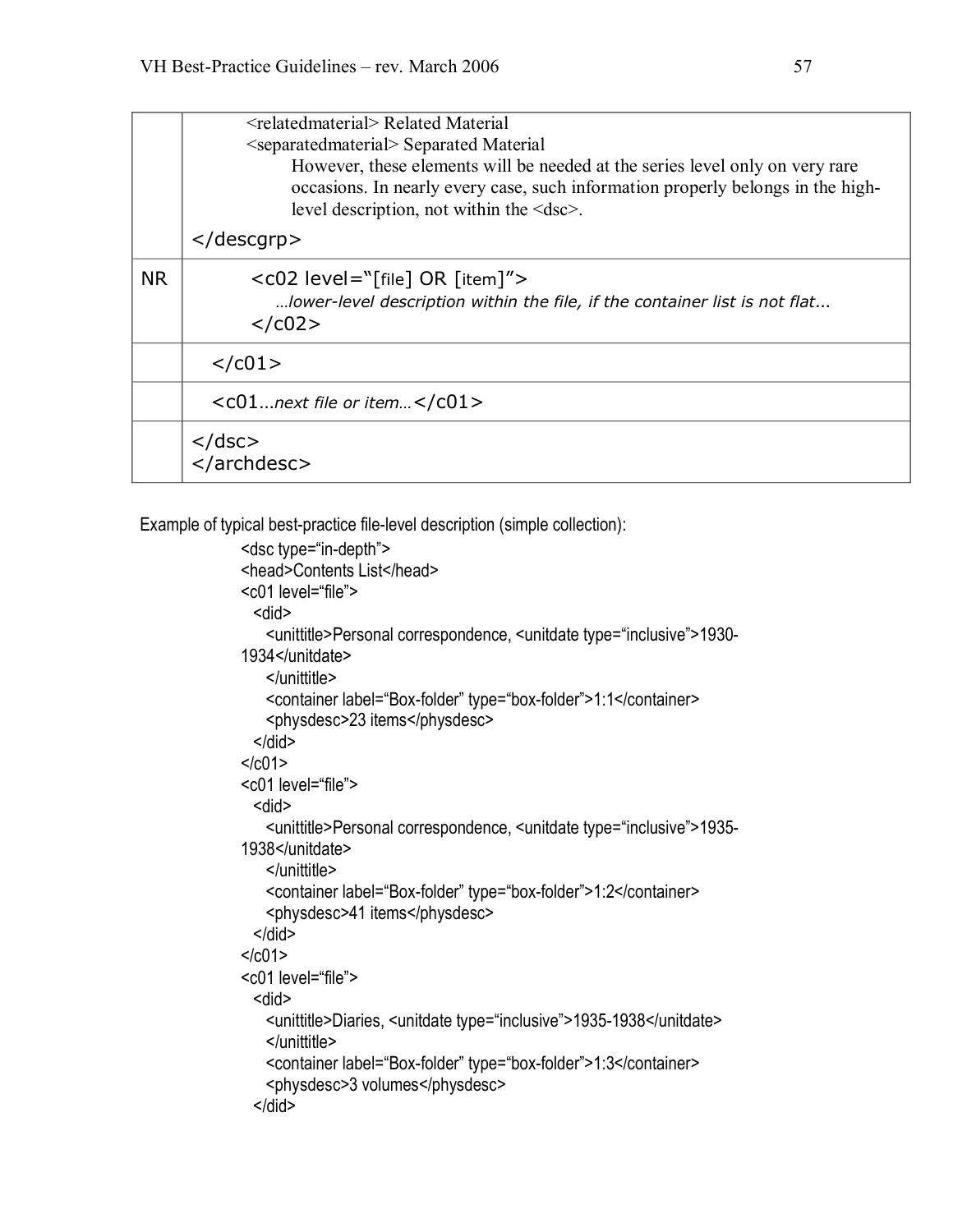|           | <relatedmaterial> Related Material<br/><separatedmaterial> Separated Material<br/>However, these elements will be needed at the series level only on very rare<br/>occasions. In nearly every case, such information properly belongs in the high-<br/>level description, not within the <math>\leq</math>dsc<math>\geq</math>.</separatedmaterial></relatedmaterial> |  |
|-----------|-----------------------------------------------------------------------------------------------------------------------------------------------------------------------------------------------------------------------------------------------------------------------------------------------------------------------------------------------------------------------|--|
|           | $\langle$ descgrp $\rangle$                                                                                                                                                                                                                                                                                                                                           |  |
| <b>NR</b> | $<$ c02 level="[file] OR [item]"><br>lower-level description within the file, if the container list is not flat<br>$<$ /c02>                                                                                                                                                                                                                                          |  |
|           | $<$ / $c01$ >                                                                                                                                                                                                                                                                                                                                                         |  |
|           | $<<01$ next file or item $<$ / $<01>$                                                                                                                                                                                                                                                                                                                                 |  |
|           | $\langle$ /dsc $\rangle$<br>                                                                                                                                                                                                                                                                                                                                          |  |

Example of typical best-practice file-level description (simple collection):

```
<dsc type="in-depth">
<head>Contents List</head> 
<c01 level="file"> 
 <did> 
   <unittitle>Personal correspondence, <unitdate type="inclusive">1930 1934</unitdate> 
   </unittitle> 
   <container label="Box-folder" type="box-folder">1:1</container>
   <physdesc>23 items</physdesc> 
 </did></c01>
<c01 level="file"> 
 <did> 
   <unittitle>Personal correspondence, <unitdate type="inclusive">1935 1938</unitdate> 
   </unittitle> 
   <container label="Box-folder" type="box-folder">1:2</container>
   <physdesc>41 items</physdesc> 
 </did>
</c01>
<c01 level="file"> 
 <did> 
   <unittitle>Diaries, <unitdate type="inclusive">1935-1938</unitdate>
   </unittitle> 
   <container label="Box-folder" type="box-folder">1:3</container>
   <physdesc>3 volumes</physdesc> 
 </did>
```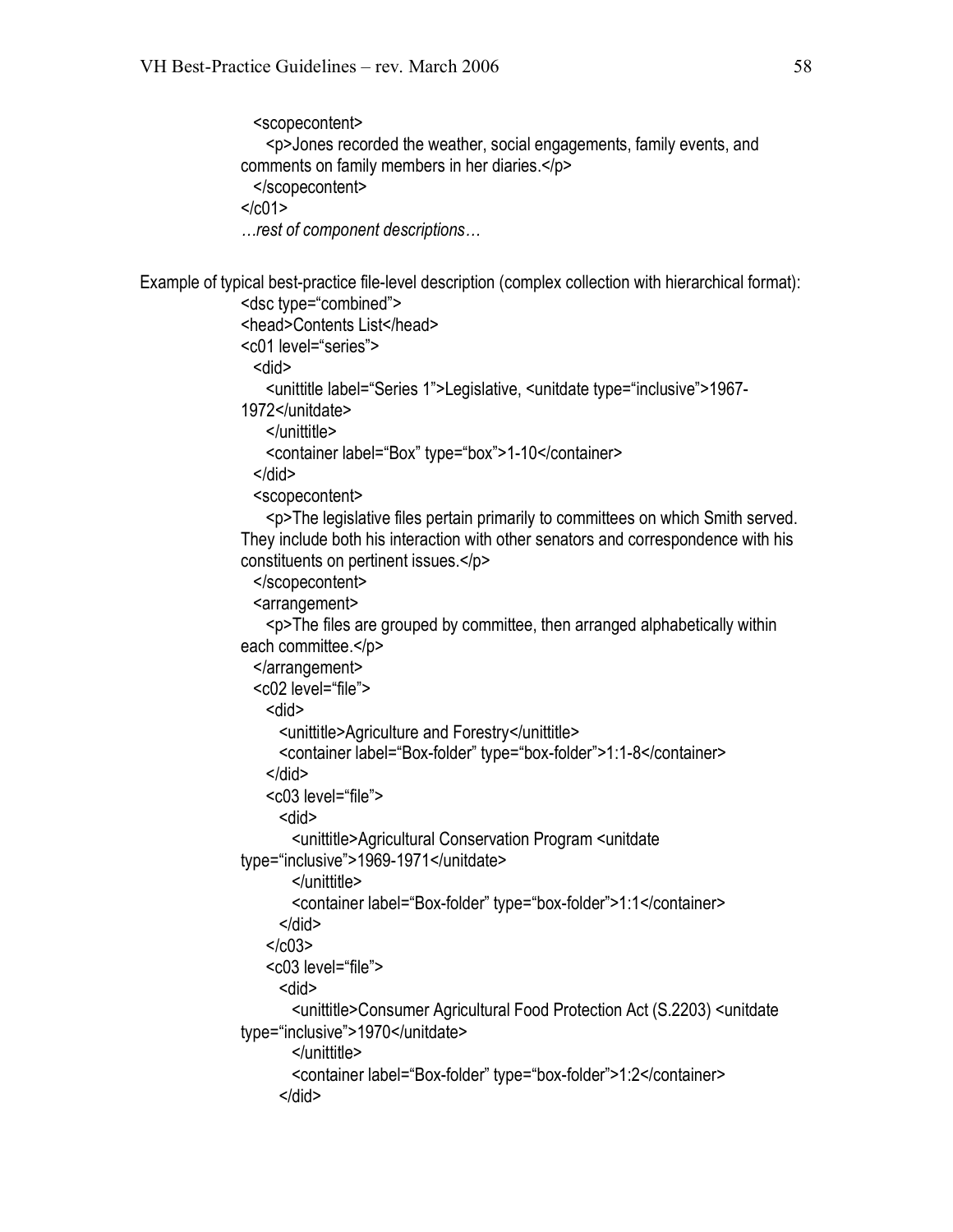<scopecontent>

```
<p>Jones recorded the weather, social engagements, family events, and 
               comments on family members in her diaries.</p> 
                </scopecontent> 
               </c01>
               …rest of component descriptions…
Example of typical best-practice file-level description (complex collection with hierarchical format):
               <dsc type="combined"> 
               <head>Contents List</head> 
               <c01 level="series"> 
                <did> 
                  <unittitle label="Series 1">Legislative, <unitdate type="inclusive">1967 1972</unitdate> 
                  </unittitle> 
                  <container label="Box" type="box">1-10</container>
                </did>
                <scopecontent> 
                  <p>The legislative files pertain primarily to committees on which Smith served. They include both his interaction with other senators and correspondence with his
               constituents on pertinent issues.</p> 
                </scopecontent> 
                <arrangement> 
                  <p>The files are grouped by committee, then arranged alphabetically within 
               each committee.</p>
                </arrangement> 
                <c02 level="file"> 
                  <did> 
                    <unittitle>Agriculture and Forestry</unittitle> 
                    <container label="Box-folder" type="box-folder">1:1-8</container>
                  </did>
                  <c03 level="file"> 
                    <did> 
                      <unittitle>Agricultural Conservation Program <unitdate 
               type="inclusive">1969-1971</unitdate>
                      </unittitle> 
                      <container label="Box-folder" type="box-folder">1:1</container>
                    </did>
                  <\sqrt{c}0.3><c03 level="file"> 
                    <did> 
                      <unittitle>Consumer Agricultural Food Protection Act (S.2203) <unitdate 
               type="inclusive">1970</unitdate> 
                      </unittitle> 
                      <container label="Box-folder" type="box-folder">1:2</container>
                    </did>
```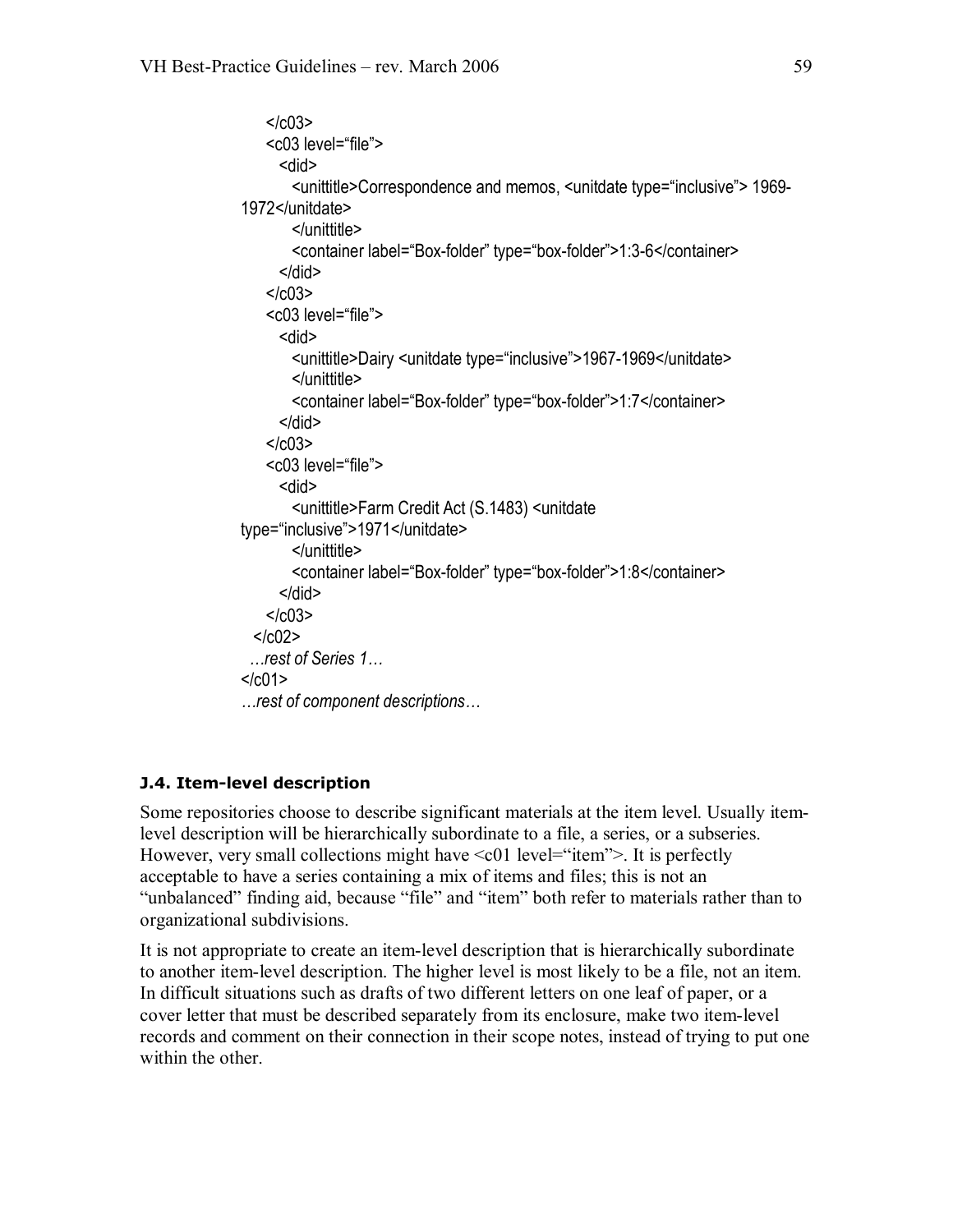```
</c03>
   <c03 level="file"> 
     <did> 
       <unittitle>Correspondence and memos, <unitdate type="inclusive"> 1969 1972</unitdate> 
       </unittitle> 
       <container label="Box-folder" type="box-folder">1:3-6</container>
     </did>
   </c03>
   <c03 level="file"> 
     <did> 
       <unittitle>Dairy <unitdate type="inclusive">1967-1969</unitdate>
       </unittitle> 
       <container label="Box-folder" type="box-folder">1:7</container>
     </did>
   </c03>
   <c03 level="file"> 
     <did> 
       <unittitle>Farm Credit Act (S.1483) <unitdate 
type="inclusive">1971</unitdate> 
       </unittitle> 
       <container label="Box-folder" type="box-folder">1:8</container>
     </did>
   </c03><1002…rest of Series 1…
</c01>
…rest of component descriptions…
```
#### **J.4. Item-level description**

Some repositories choose to describe significant materials at the item level. Usually itemlevel description will be hierarchically subordinate to a file, a series, or a subseries. However, very small collections might have  $\leq c01$  level="item">. It is perfectly acceptable to have a series containing a mix of items and files; this is not an "unbalanced" finding aid, because "file" and "item" both refer to materials rather than to organizational subdivisions.

It is not appropriate to create an item-level description that is hierarchically subordinate to another item-level description. The higher level is most likely to be a file, not an item. In difficult situations such as drafts of two different letters on one leaf of paper, or a cover letter that must be described separately from its enclosure, make two itemlevel records and comment on their connection in their scope notes, instead of trying to put one within the other.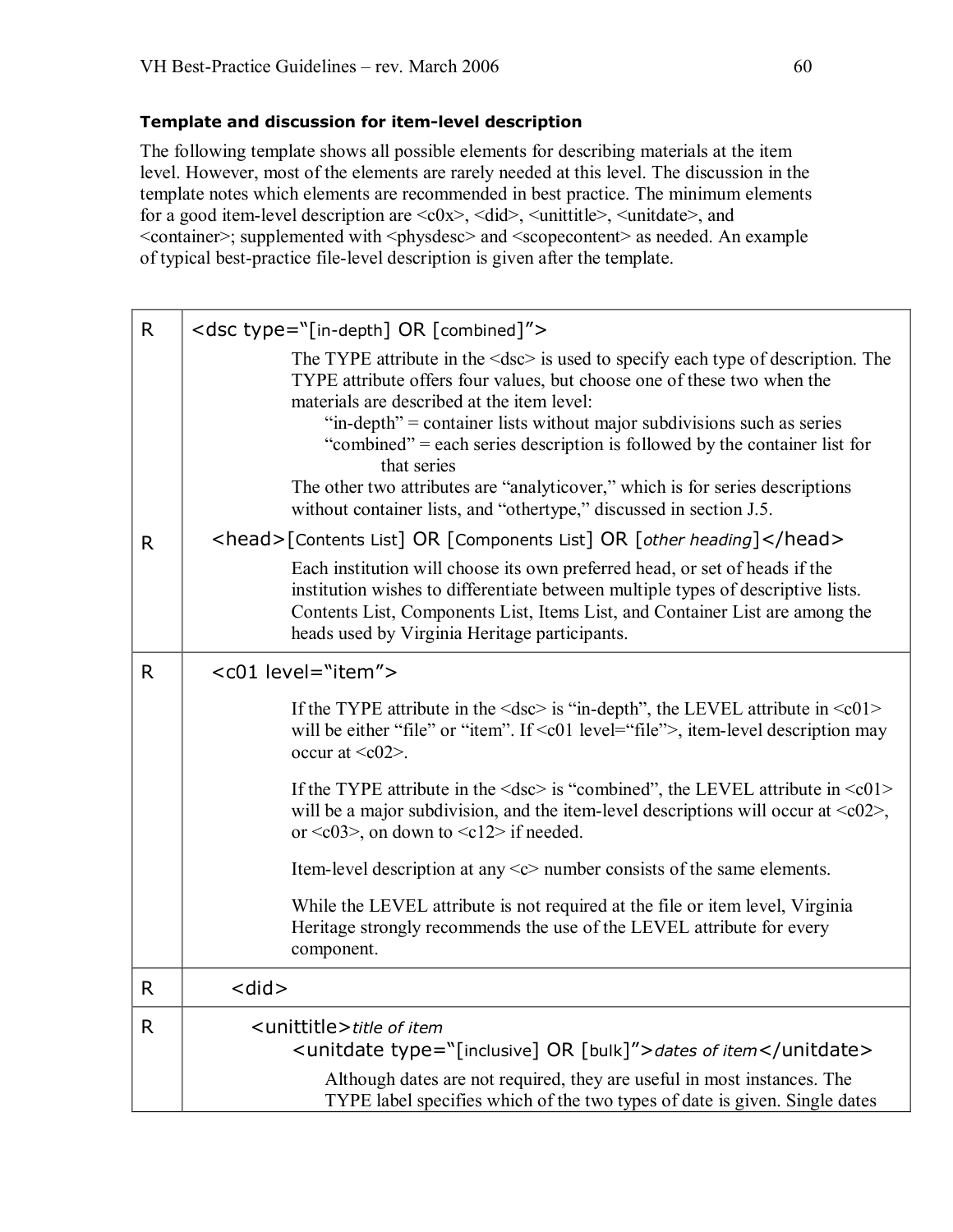#### **Template and discussion for itemlevel description**

The following template shows all possible elements for describing materials at the item level. However, most of the elements are rarely needed at this level. The discussion in the template notes which elements are recommended in best practice. The minimum elements for a good item-level description are  $\langle c0x \rangle$ ,  $\langle did \rangle$ ,  $\langle unititle \rangle$ ,  $\langle unitdate \rangle$ , and <container>; supplemented with <physdesc> and <scopecontent> as needed. An example of typical best-practice file-level description is given after the template.

| $\mathsf{R}$ | <dsc type="[in-depth] OR [combined]"></dsc>                                                                                                                                                                                                                                                                                                                                                                                                                                                                                                       |  |
|--------------|---------------------------------------------------------------------------------------------------------------------------------------------------------------------------------------------------------------------------------------------------------------------------------------------------------------------------------------------------------------------------------------------------------------------------------------------------------------------------------------------------------------------------------------------------|--|
|              | The TYPE attribute in the $\leq$ dsc $>$ is used to specify each type of description. The<br>TYPE attribute offers four values, but choose one of these two when the<br>materials are described at the item level:<br>"in-depth" = container lists without major subdivisions such as series<br>"combined" = each series description is followed by the container list for<br>that series<br>The other two attributes are "analyticover," which is for series descriptions<br>without container lists, and "othertype," discussed in section J.5. |  |
| R.           | <head>[Contents List] OR [Components List] OR [other heading]</head>                                                                                                                                                                                                                                                                                                                                                                                                                                                                              |  |
|              | Each institution will choose its own preferred head, or set of heads if the<br>institution wishes to differentiate between multiple types of descriptive lists.<br>Contents List, Components List, Items List, and Container List are among the<br>heads used by Virginia Heritage participants.                                                                                                                                                                                                                                                  |  |
| R            | <c01 level="item"></c01>                                                                                                                                                                                                                                                                                                                                                                                                                                                                                                                          |  |
|              | If the TYPE attribute in the $\langle$ dsc $>$ is "in-depth", the LEVEL attribute in $\langle$ c01 $>$<br>will be either "file" or "item". If $\leq$ 01 level="file">, item-level description may<br>occur at $\langle c02 \rangle$ .                                                                                                                                                                                                                                                                                                             |  |
|              | If the TYPE attribute in the $\langle$ dsc $>$ is "combined", the LEVEL attribute in $\langle$ c01 $>$<br>will be a major subdivision, and the item-level descriptions will occur at $\langle c02 \rangle$ ,<br>or $\langle c03 \rangle$ , on down to $\langle c12 \rangle$ if needed.                                                                                                                                                                                                                                                            |  |
|              | Item-level description at any $\langle c \rangle$ number consists of the same elements.                                                                                                                                                                                                                                                                                                                                                                                                                                                           |  |
|              | While the LEVEL attribute is not required at the file or item level, Virginia<br>Heritage strongly recommends the use of the LEVEL attribute for every<br>component.                                                                                                                                                                                                                                                                                                                                                                              |  |
| R.           | <did></did>                                                                                                                                                                                                                                                                                                                                                                                                                                                                                                                                       |  |
| R            | <unittitle>title of item<br/><unitdate type="[inclusive] OR [bulk]">dates of item</unitdate></unittitle>                                                                                                                                                                                                                                                                                                                                                                                                                                          |  |
|              | Although dates are not required, they are useful in most instances. The<br>TYPE label specifies which of the two types of date is given. Single dates                                                                                                                                                                                                                                                                                                                                                                                             |  |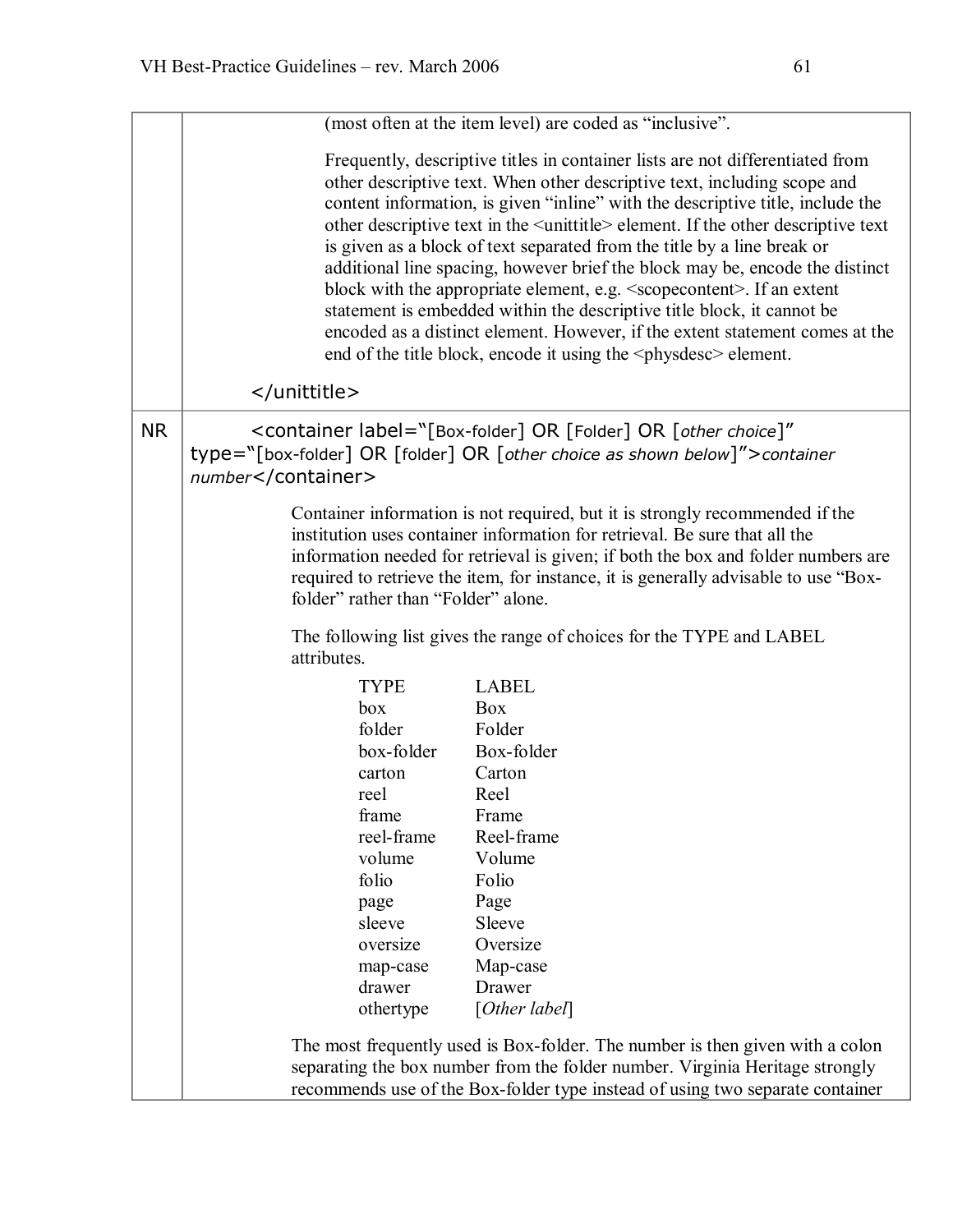|           |                                                                                                                                                                           | (most often at the item level) are coded as "inclusive".                                                                                                                                                                                                                                                                                                                                                                                                                                                                                                                                                                                                                                                                                                                                                                                       |
|-----------|---------------------------------------------------------------------------------------------------------------------------------------------------------------------------|------------------------------------------------------------------------------------------------------------------------------------------------------------------------------------------------------------------------------------------------------------------------------------------------------------------------------------------------------------------------------------------------------------------------------------------------------------------------------------------------------------------------------------------------------------------------------------------------------------------------------------------------------------------------------------------------------------------------------------------------------------------------------------------------------------------------------------------------|
|           |                                                                                                                                                                           | Frequently, descriptive titles in container lists are not differentiated from<br>other descriptive text. When other descriptive text, including scope and<br>content information, is given "inline" with the descriptive title, include the<br>other descriptive text in the <unittitle> element. If the other descriptive text<br/>is given as a block of text separated from the title by a line break or<br/>additional line spacing, however brief the block may be, encode the distinct<br/>block with the appropriate element, e.g. <scopecontent>. If an extent<br/>statement is embedded within the descriptive title block, it cannot be<br/>encoded as a distinct element. However, if the extent statement comes at the<br/>end of the title block, encode it using the <physitesc> element.</physitesc></scopecontent></unittitle> |
|           |                                                                                                                                                                           |                                                                                                                                                                                                                                                                                                                                                                                                                                                                                                                                                                                                                                                                                                                                                                                                                                                |
| <b>NR</b> | <container <br="" label="[Box-folder] OR [Folder] OR [other choice]">type="[box-folder] OR [folder] OR [other choice as shown below]"&gt;container<br/>number</container> |                                                                                                                                                                                                                                                                                                                                                                                                                                                                                                                                                                                                                                                                                                                                                                                                                                                |
|           | folder" rather than "Folder" alone.                                                                                                                                       | Container information is not required, but it is strongly recommended if the<br>institution uses container information for retrieval. Be sure that all the<br>information needed for retrieval is given; if both the box and folder numbers are<br>required to retrieve the item, for instance, it is generally advisable to use "Box-                                                                                                                                                                                                                                                                                                                                                                                                                                                                                                         |
|           | The following list gives the range of choices for the TYPE and LABEL<br>attributes.                                                                                       |                                                                                                                                                                                                                                                                                                                                                                                                                                                                                                                                                                                                                                                                                                                                                                                                                                                |
|           | <b>TYPE</b><br>box<br>folder<br>box-folder<br>carton<br>reel<br>frame<br>reel-frame<br>volume<br>folio<br>page<br>sleeve<br>oversize<br>map-case<br>drawer<br>othertype   | <b>LABEL</b><br>Box<br>Folder<br>Box-folder<br>Carton<br>Reel<br>Frame<br>Reel-frame<br>Volume<br>Folio<br>Page<br>Sleeve<br>Oversize<br>Map-case<br>Drawer<br>[Other label]<br>The most frequently used is Box-folder. The number is then given with a colon                                                                                                                                                                                                                                                                                                                                                                                                                                                                                                                                                                                  |
|           |                                                                                                                                                                           | separating the box number from the folder number. Virginia Heritage strongly<br>recommends use of the Box-folder type instead of using two separate container                                                                                                                                                                                                                                                                                                                                                                                                                                                                                                                                                                                                                                                                                  |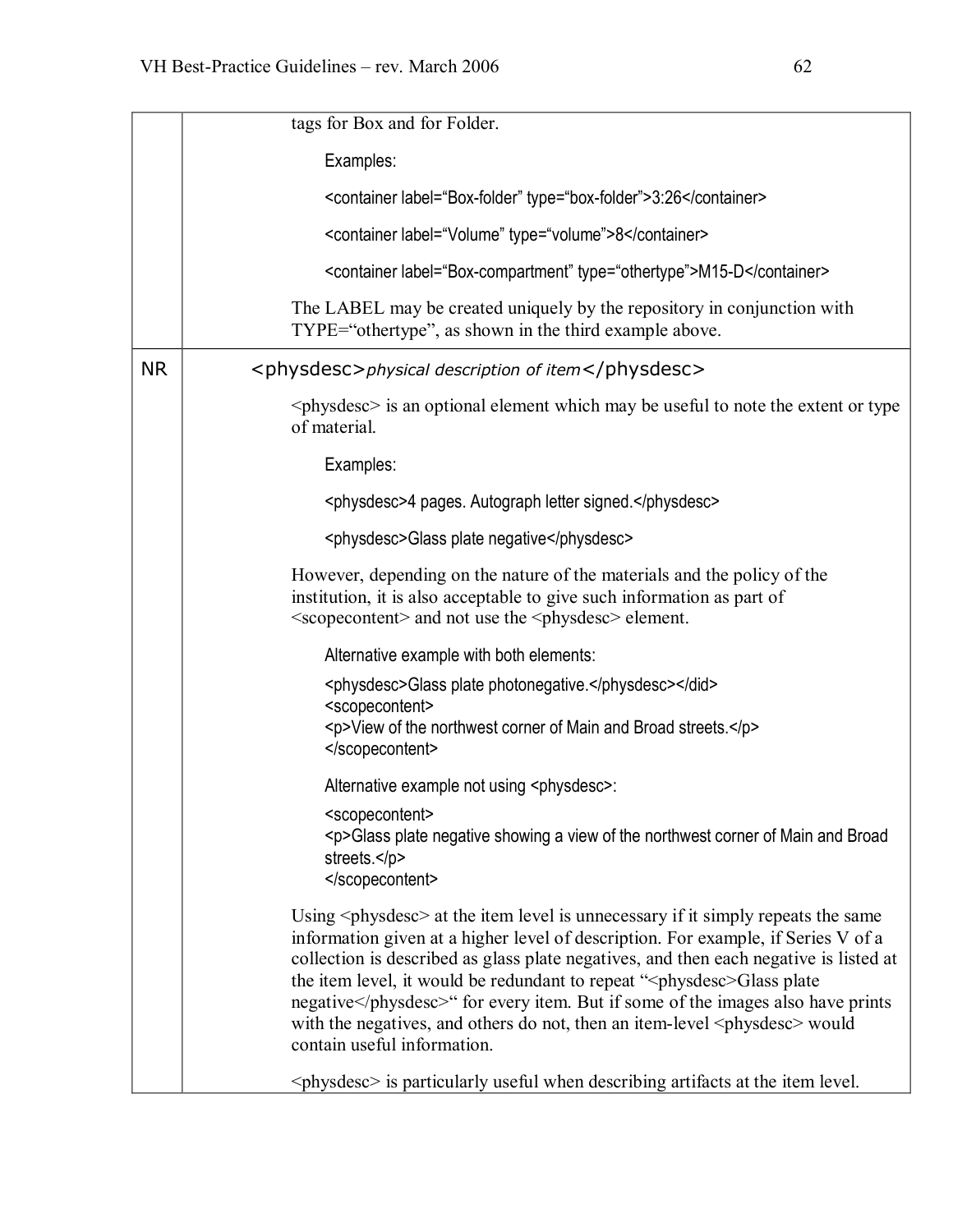|           | tags for Box and for Folder.                                                                                                                                                                                                                                                                                                                                                                                                                                                                                                                                            |
|-----------|-------------------------------------------------------------------------------------------------------------------------------------------------------------------------------------------------------------------------------------------------------------------------------------------------------------------------------------------------------------------------------------------------------------------------------------------------------------------------------------------------------------------------------------------------------------------------|
|           | Examples:                                                                                                                                                                                                                                                                                                                                                                                                                                                                                                                                                               |
|           | <container label="Box-folder" type="box-folder">3:26</container>                                                                                                                                                                                                                                                                                                                                                                                                                                                                                                        |
|           | <container label="Volume" type="volume">8</container>                                                                                                                                                                                                                                                                                                                                                                                                                                                                                                                   |
|           | <container label="Box-compartment" type="othertype">M15-D</container>                                                                                                                                                                                                                                                                                                                                                                                                                                                                                                   |
|           | The LABEL may be created uniquely by the repository in conjunction with<br>TYPE="othertype", as shown in the third example above.                                                                                                                                                                                                                                                                                                                                                                                                                                       |
| <b>NR</b> | <physdesc>physical description of item</physdesc>                                                                                                                                                                                                                                                                                                                                                                                                                                                                                                                       |
|           | $\langle$ physdesc $>$ is an optional element which may be useful to note the extent or type<br>of material.                                                                                                                                                                                                                                                                                                                                                                                                                                                            |
|           | Examples:                                                                                                                                                                                                                                                                                                                                                                                                                                                                                                                                                               |
|           | <physdesc>4 pages. Autograph letter signed.</physdesc>                                                                                                                                                                                                                                                                                                                                                                                                                                                                                                                  |
|           | <physdesc>Glass plate negative</physdesc>                                                                                                                                                                                                                                                                                                                                                                                                                                                                                                                               |
|           | However, depending on the nature of the materials and the policy of the<br>institution, it is also acceptable to give such information as part of<br><scopecontent> and not use the <physdesc> element.</physdesc></scopecontent>                                                                                                                                                                                                                                                                                                                                       |
|           | Alternative example with both elements:                                                                                                                                                                                                                                                                                                                                                                                                                                                                                                                                 |
|           | <physdesc>Glass plate photonegative.</physdesc><br><scopecontent><br/><p>View of the northwest corner of Main and Broad streets.</p><br/></scopecontent>                                                                                                                                                                                                                                                                                                                                                                                                                |
|           | Alternative example not using <physdesc>:</physdesc>                                                                                                                                                                                                                                                                                                                                                                                                                                                                                                                    |
|           | <scopecontent><br/><p>Glass plate negative showing a view of the northwest corner of Main and Broad<br/>streets.</p><br/></scopecontent>                                                                                                                                                                                                                                                                                                                                                                                                                                |
|           | Using <physolesc> at the item level is unnecessary if it simply repeats the same<br/>information given at a higher level of description. For example, if Series V of a<br/>collection is described as glass plate negatives, and then each negative is listed at<br/>the item level, it would be redundant to repeat "<physdesc>Glass plate<br/>negative</physdesc>" for every item. But if some of the images also have prints<br/>with the negatives, and others do not, then an item-level <physitese> would<br/>contain useful information.</physitese></physolesc> |
|           | $\langle$ physdesc $>$ is particularly useful when describing artifacts at the item level.                                                                                                                                                                                                                                                                                                                                                                                                                                                                              |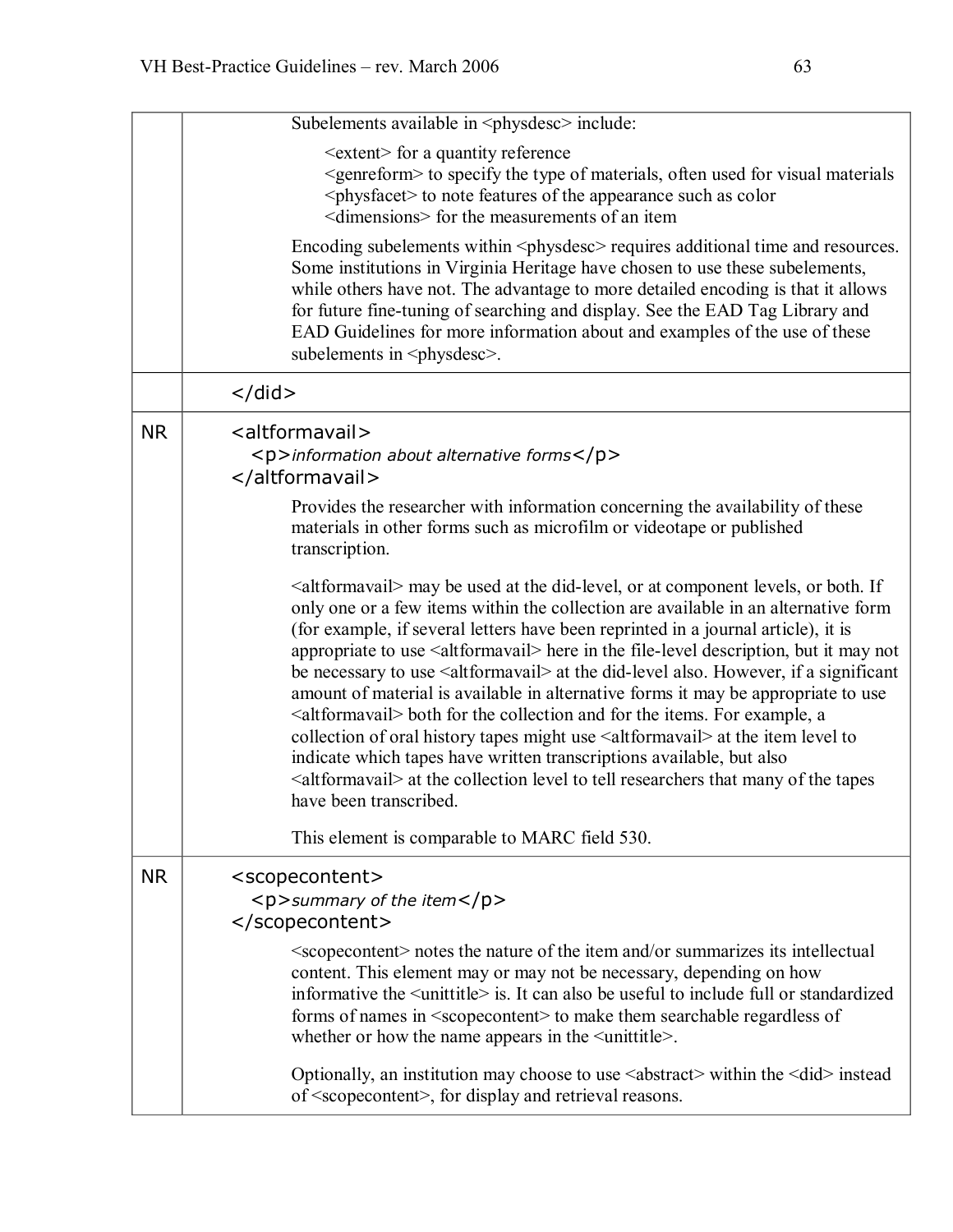|           | Subelements available in <physdesc> include:</physdesc>                                                                                                                                                                                                                                                                                                                                                                                                                                                                                                                                                                                                                                                                                                                                                                                                                                                                                                                                  |
|-----------|------------------------------------------------------------------------------------------------------------------------------------------------------------------------------------------------------------------------------------------------------------------------------------------------------------------------------------------------------------------------------------------------------------------------------------------------------------------------------------------------------------------------------------------------------------------------------------------------------------------------------------------------------------------------------------------------------------------------------------------------------------------------------------------------------------------------------------------------------------------------------------------------------------------------------------------------------------------------------------------|
|           | <extent> for a quantity reference<br/><genreform> to specify the type of materials, often used for visual materials<br/><physfacet> to note features of the appearance such as color<br/><dimensions> for the measurements of an item</dimensions></physfacet></genreform></extent>                                                                                                                                                                                                                                                                                                                                                                                                                                                                                                                                                                                                                                                                                                      |
|           | Encoding subelements within <physdesc> requires additional time and resources.<br/>Some institutions in Virginia Heritage have chosen to use these subelements,<br/>while others have not. The advantage to more detailed encoding is that it allows<br/>for future fine-tuning of searching and display. See the EAD Tag Library and<br/>EAD Guidelines for more information about and examples of the use of these<br/>subelements in <physitese>.</physitese></physdesc>                                                                                                                                                                                                                                                                                                                                                                                                                                                                                                              |
|           | $\langle$ /did $\rangle$                                                                                                                                                                                                                                                                                                                                                                                                                                                                                                                                                                                                                                                                                                                                                                                                                                                                                                                                                                 |
| <b>NR</b> | <altformavail><br/><p>information about alternative forms</p><br/></altformavail>                                                                                                                                                                                                                                                                                                                                                                                                                                                                                                                                                                                                                                                                                                                                                                                                                                                                                                        |
|           | Provides the researcher with information concerning the availability of these<br>materials in other forms such as microfilm or videotape or published<br>transcription.                                                                                                                                                                                                                                                                                                                                                                                                                                                                                                                                                                                                                                                                                                                                                                                                                  |
|           | <altformavail> may be used at the did-level, or at component levels, or both. If<br/>only one or a few items within the collection are available in an alternative form<br/>(for example, if several letters have been reprinted in a journal article), it is<br/>appropriate to use <altformavail> here in the file-level description, but it may not<br/>be necessary to use <altformavail> at the did-level also. However, if a significant<br/>amount of material is available in alternative forms it may be appropriate to use<br/><altformavail> both for the collection and for the items. For example, a<br/>collection of oral history tapes might use <altformavail> at the item level to<br/>indicate which tapes have written transcriptions available, but also<br/><altformavail> at the collection level to tell researchers that many of the tapes<br/>have been transcribed.</altformavail></altformavail></altformavail></altformavail></altformavail></altformavail> |
|           | This element is comparable to MARC field 530.                                                                                                                                                                                                                                                                                                                                                                                                                                                                                                                                                                                                                                                                                                                                                                                                                                                                                                                                            |
| <b>NR</b> | <scopecontent><br/><math>&lt;</math>p&gt;summary of the item<math>&lt;</math>/p&gt;<br/></scopecontent>                                                                                                                                                                                                                                                                                                                                                                                                                                                                                                                                                                                                                                                                                                                                                                                                                                                                                  |
|           | <scoperiant> notes the nature of the item and/or summarizes its intellectual<br/>content. This element may or may not be necessary, depending on how<br/>informative the <math>\leq</math>unittitle<math>\geq</math> is. It can also be useful to include full or standardized<br/>forms of names in <scopecontent> to make them searchable regardless of<br/>whether or how the name appears in the <math>\leq</math>unittitle<math>\geq</math>.</scopecontent></scoperiant>                                                                                                                                                                                                                                                                                                                                                                                                                                                                                                            |
|           | Optionally, an institution may choose to use $\leq$ abstract> within the $\leq$ did> instead<br>of <scopecontent>, for display and retrieval reasons.</scopecontent>                                                                                                                                                                                                                                                                                                                                                                                                                                                                                                                                                                                                                                                                                                                                                                                                                     |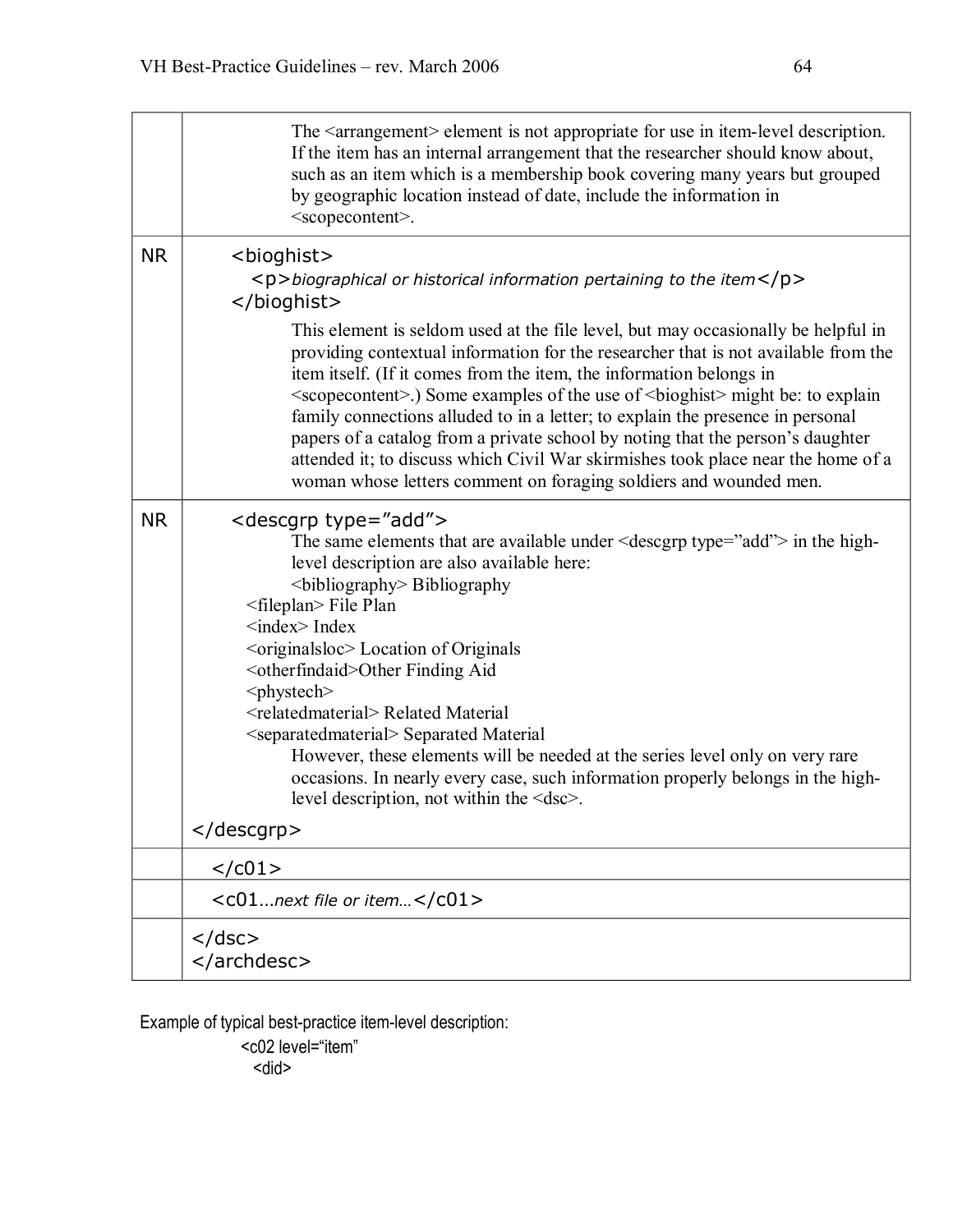|           | The <arrangement> element is not appropriate for use in item-level description.<br/>If the item has an internal arrangement that the researcher should know about,<br/>such as an item which is a membership book covering many years but grouped<br/>by geographic location instead of date, include the information in<br/><scopecontent>.</scopecontent></arrangement>                                                                                                                                                                                                                                                                                                                                                                                                                                            |
|-----------|----------------------------------------------------------------------------------------------------------------------------------------------------------------------------------------------------------------------------------------------------------------------------------------------------------------------------------------------------------------------------------------------------------------------------------------------------------------------------------------------------------------------------------------------------------------------------------------------------------------------------------------------------------------------------------------------------------------------------------------------------------------------------------------------------------------------|
| <b>NR</b> | <bioghist><br/><math>\langle p \rangle</math>biographical or historical information pertaining to the item<math>\langle p \rangle</math><br/></bioghist>                                                                                                                                                                                                                                                                                                                                                                                                                                                                                                                                                                                                                                                             |
|           | This element is seldom used at the file level, but may occasionally be helpful in<br>providing contextual information for the researcher that is not available from the<br>item itself. (If it comes from the item, the information belongs in<br><scopecontent>.) Some examples of the use of <br/>bioghist&gt; might be: to explain<br/>family connections alluded to in a letter; to explain the presence in personal<br/>papers of a catalog from a private school by noting that the person's daughter<br>attended it; to discuss which Civil War skirmishes took place near the home of a<br/>woman whose letters comment on foraging soldiers and wounded men.</br></scopecontent>                                                                                                                            |
| <b>NR</b> | <descgrp type="add"><br/>The same elements that are available under <math>\leq</math> descgrp type="add"&gt; in the high-<br/>level description are also available here:<br/><br/>bibliography&gt; Bibliography<br/><fileplan> File Plan<br/><math>\langle</math>index<math>\rangle</math>Index<br><br/> <br/> coriginalsloc&gt; Location of Originals<br/><otherfindaid>Other Finding Aid<br/><phystech><br/><relatedmaterial>Related Material<br/><separatedmaterial> Separated Material<br>However, these elements will be needed at the series level only on very rare<br>occasions. In nearly every case, such information properly belongs in the high-<br/>level description, not within the <dsc>.</dsc></br></br></separatedmaterial></relatedmaterial></phystech></otherfindaid></br></fileplan></descgrp> |
|           |                                                                                                                                                                                                                                                                                                                                                                                                                                                                                                                                                                                                                                                                                                                                                                                                                      |
|           |                                                                                                                                                                                                                                                                                                                                                                                                                                                                                                                                                                                                                                                                                                                                                                                                                      |
|           | $<$ CO1next file or item $<$ /CO1>                                                                                                                                                                                                                                                                                                                                                                                                                                                                                                                                                                                                                                                                                                                                                                                   |
|           | $<$ /dsc><br>                                                                                                                                                                                                                                                                                                                                                                                                                                                                                                                                                                                                                                                                                                                                                                                                        |

Example of typical best-practice item-level description:

<c02 level="item" <did>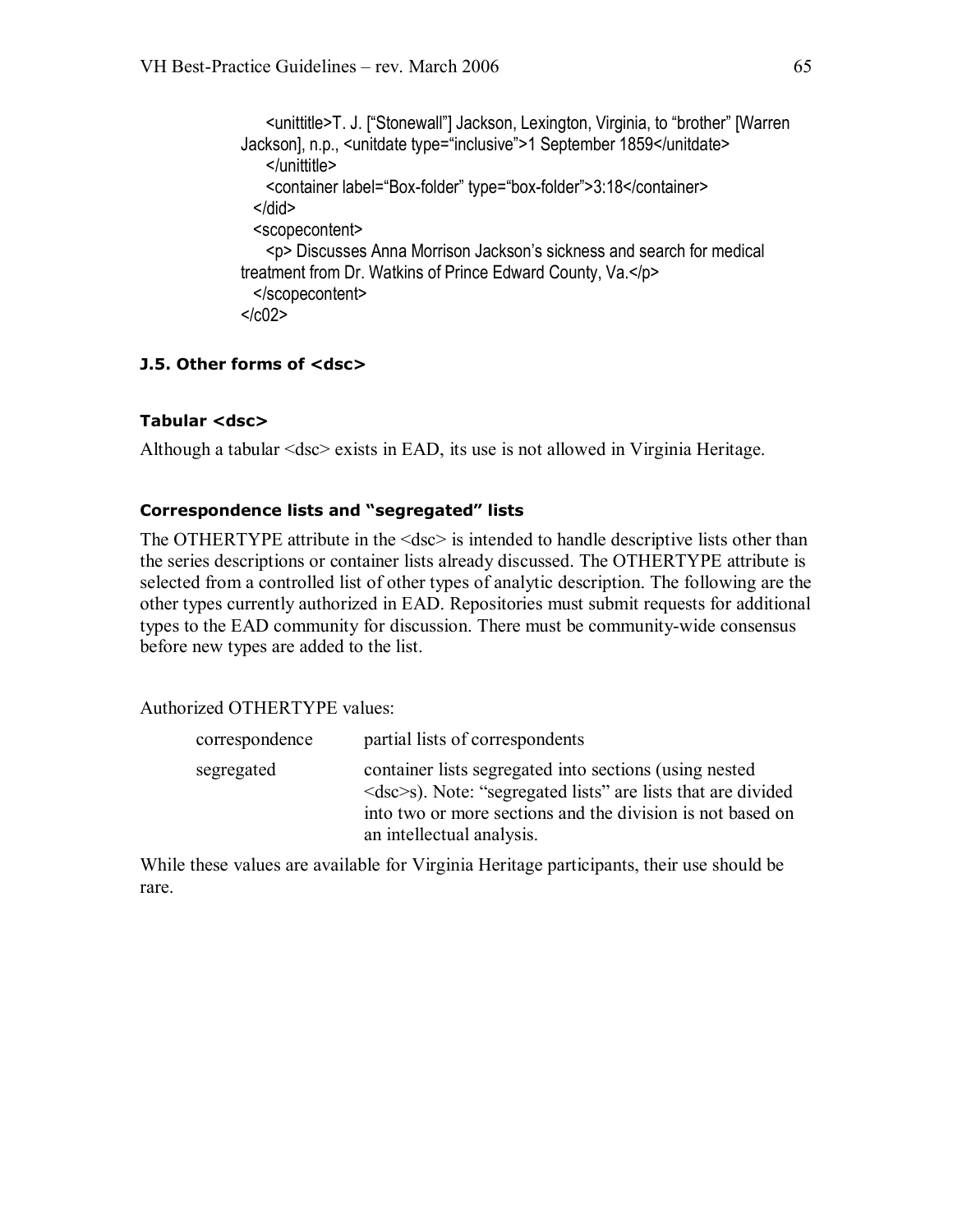<unittitle>T. J. ["Stonewall"] Jackson, Lexington, Virginia, to "brother" [Warren Jackson], n.p., <unitdate type="inclusive">1 September 1859</unitdate> </unittitle> <container label="Box-folder" type="box-folder">3:18</container> </did> <scopecontent> <p> Discusses Anna Morrison Jackson's sickness and search for medical treatment from Dr. Watkins of Prince Edward County, Va.</p> </scopecontent>  $<$ / $c02$ >

#### **J.5. Other forms of <dsc>**

#### **Tabular <dsc>**

Although a tabular <dsc> exists in EAD, its use is not allowed in Virginia Heritage.

#### **Correspondence lists and "segregated" lists**

The OTHERTYPE attribute in the <dsc> is intended to handle descriptive lists other than the series descriptions or container lists already discussed. The OTHERTYPE attribute is selected from a controlled list of other types of analytic description. The following are the other types currently authorized in EAD. Repositories must submit requests for additional types to the EAD community for discussion. There must be community-wide consensus before new types are added to the list.

Authorized OTHERTYPE values:

| correspondence | partial lists of correspondents                                                                                                                                                                                                      |
|----------------|--------------------------------------------------------------------------------------------------------------------------------------------------------------------------------------------------------------------------------------|
| segregated     | container lists segregated into sections (using nested<br>$\langle$ dsc $\rangle$ s). Note: "segregated lists" are lists that are divided<br>into two or more sections and the division is not based on<br>an intellectual analysis. |

While these values are available for Virginia Heritage participants, their use should be rare.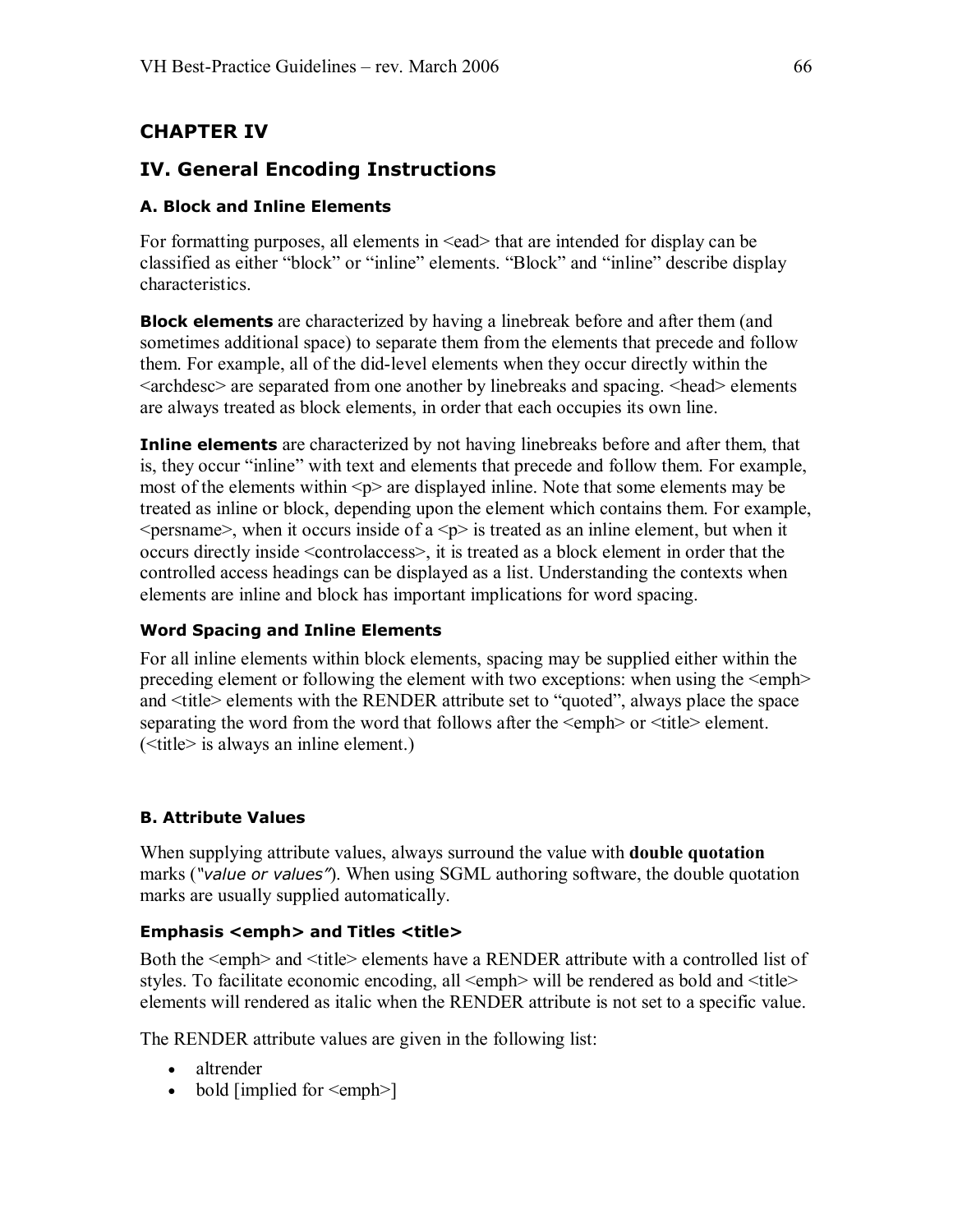# **CHAPTER IV**

# **IV. General Encoding Instructions**

### **A. Block and Inline Elements**

For formatting purposes, all elements in  $\leq$ ead that are intended for display can be classified as either "block" or "inline" elements. "Block" and "inline" describe display characteristics.

**Block elements** are characterized by having a linebreak before and after them (and sometimes additional space) to separate them from the elements that precede and follow them. For example, all of the did-level elements when they occur directly within the <archdesc> are separated from one another by linebreaks and spacing. <head> elements are always treated as block elements, in order that each occupies its own line.

**Inline elements** are characterized by not having linebreaks before and after them, that is, they occur "inline" with text and elements that precede and follow them. For example, most of the elements within  $\leq p$  are displayed inline. Note that some elements may be treated as inline or block, depending upon the element which contains them. For example,  $\leq$  persname>, when it occurs inside of a  $\leq$  p> is treated as an inline element, but when it occurs directly inside <controlaccess>, it is treated as a block element in order that the controlled access headings can be displayed as a list. Understanding the contexts when elements are inline and block has important implications for word spacing.

#### **Word Spacing and Inline Elements**

For all inline elements within block elements, spacing may be supplied either within the preceding element or following the element with two exceptions: when using the <emph> and <title> elements with the RENDER attribute set to "quoted", always place the space separating the word from the word that follows after the  $\leq$ emph $>$  or  $\leq$ title $>$  element. (<title> is always an inline element.)

# **B. Attribute Values**

When supplying attribute values, always surround the value with **double quotation** marks (*"value or values"*). When using SGML authoring software, the double quotation marks are usually supplied automatically.

#### **Emphasis <emph> and Titles <title>**

Both the <emph> and <title> elements have a RENDER attribute with a controlled list of styles. To facilitate economic encoding, all <emph> will be rendered as bold and <title> elements will rendered as italic when the RENDER attribute is not set to a specific value.

The RENDER attribute values are given in the following list:

- altrender
- bold [implied for  $\leq$ emph $>$ ]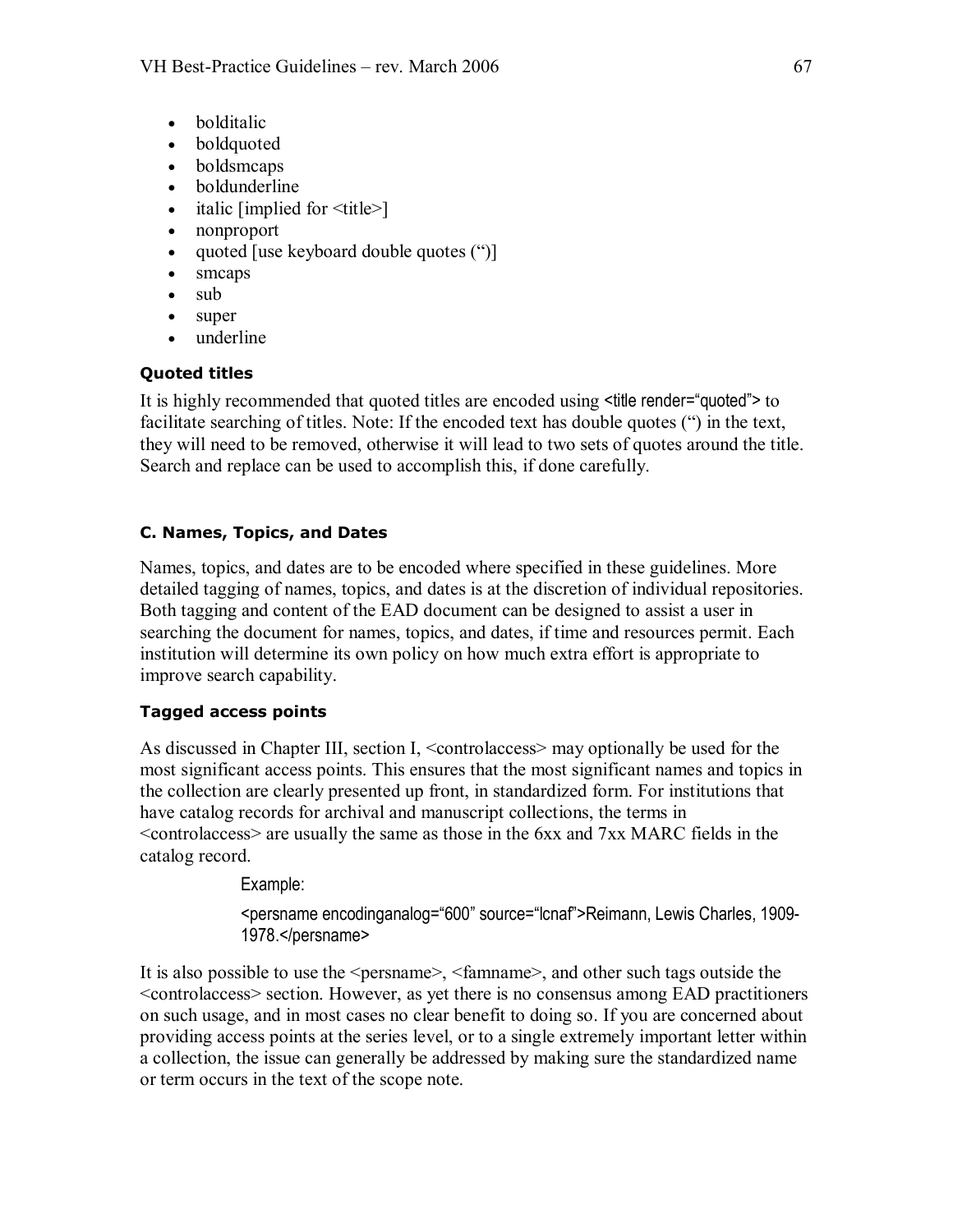- bolditalic
- boldquoted
- boldsmcaps
- boldunderline
- italic [implied for  $\lt{title}$ ]
- · nonproport
- quoted [use keyboard double quotes (")]
- smcaps
- sub
- super
- underline

## **Quoted titles**

It is highly recommended that quoted titles are encoded using <title render="quoted"> to facilitate searching of titles. Note: If the encoded text has double quotes (") in the text, they will need to be removed, otherwise it will lead to two sets of quotes around the title. Search and replace can be used to accomplish this, if done carefully.

## **C. Names, Topics, and Dates**

Names, topics, and dates are to be encoded where specified in these guidelines. More detailed tagging of names, topics, and dates is at the discretion of individual repositories. Both tagging and content of the EAD document can be designed to assist a user in searching the document for names, topics, and dates, if time and resources permit. Each institution will determine its own policy on how much extra effort is appropriate to improve search capability.

#### **Tagged access points**

As discussed in Chapter III, section I, <controlaccess> may optionally be used for the most significant access points. This ensures that the most significant names and topics in the collection are clearly presented up front, in standardized form. For institutions that have catalog records for archival and manuscript collections, the terms in <controlaccess> are usually the same as those in the 6xx and 7xx MARC fields in the catalog record.

Example:

<persname encodinganalog="600" source="lcnaf">Reimann, Lewis Charles, 1909 1978.</persname>

It is also possible to use the <persname>, <famname>, and other such tags outside the <controlaccess> section. However, as yet there is no consensus among EAD practitioners on such usage, and in most cases no clear benefit to doing so. If you are concerned about providing access points at the series level, or to a single extremely important letter within a collection, the issue can generally be addressed by making sure the standardized name or term occurs in the text of the scope note.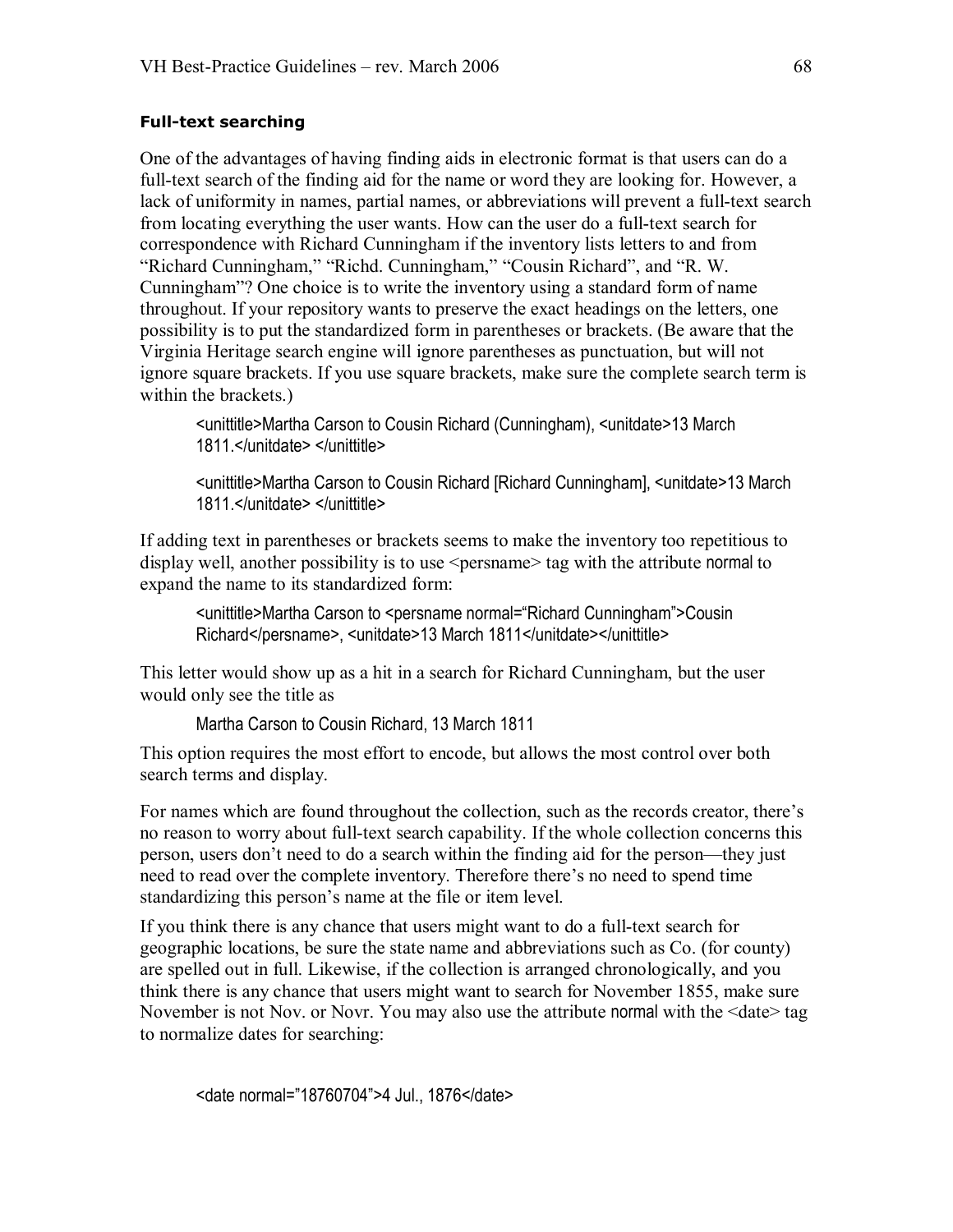#### **Full-text searching**

One of the advantages of having finding aids in electronic format is that users can do a full-text search of the finding aid for the name or word they are looking for. However, a lack of uniformity in names, partial names, or abbreviations will prevent a full-text search from locating everything the user wants. How can the user do a full-text search for correspondence with Richard Cunningham if the inventory lists letters to and from "Richard Cunningham," "Richd. Cunningham," "Cousin Richard", and "R. W. Cunningham"? One choice is to write the inventory using a standard form of name throughout. If your repository wants to preserve the exact headings on the letters, one possibility is to put the standardized form in parentheses or brackets. (Be aware that the Virginia Heritage search engine will ignore parentheses as punctuation, but will not ignore square brackets. If you use square brackets, make sure the complete search term is within the brackets.)

<unittitle>Martha Carson to Cousin Richard (Cunningham), <unitdate>13 March 1811.</unitdate> </unittitle>

<unittitle>Martha Carson to Cousin Richard [Richard Cunningham], <unitdate>13 March 1811.</unitdate> </unittitle>

If adding text in parentheses or brackets seems to make the inventory too repetitious to display well, another possibility is to use <persname> tag with the attribute normal to expand the name to its standardized form:

<unittitle>Martha Carson to <persname normal="Richard Cunningham">Cousin Richard</persname>, <unitdate>13 March 1811</unitdate></unittitle>

This letter would show up as a hit in a search for Richard Cunningham, but the user would only see the title as

Martha Carson to Cousin Richard, 13 March 1811

This option requires the most effort to encode, but allows the most control over both search terms and display.

For names which are found throughout the collection, such as the records creator, there's no reason to worry about full-text search capability. If the whole collection concerns this person, users don't need to do a search within the finding aid for the person—they just need to read over the complete inventory. Therefore there's no need to spend time standardizing this person's name at the file or item level.

If you think there is any chance that users might want to do a full-text search for geographic locations, be sure the state name and abbreviations such as Co. (for county) are spelled out in full. Likewise, if the collection is arranged chronologically, and you think there is any chance that users might want to search for November 1855, make sure November is not Nov. or Novr. You may also use the attribute normal with the <date> tag to normalize dates for searching:

<date normal="18760704">4 Jul., 1876</date>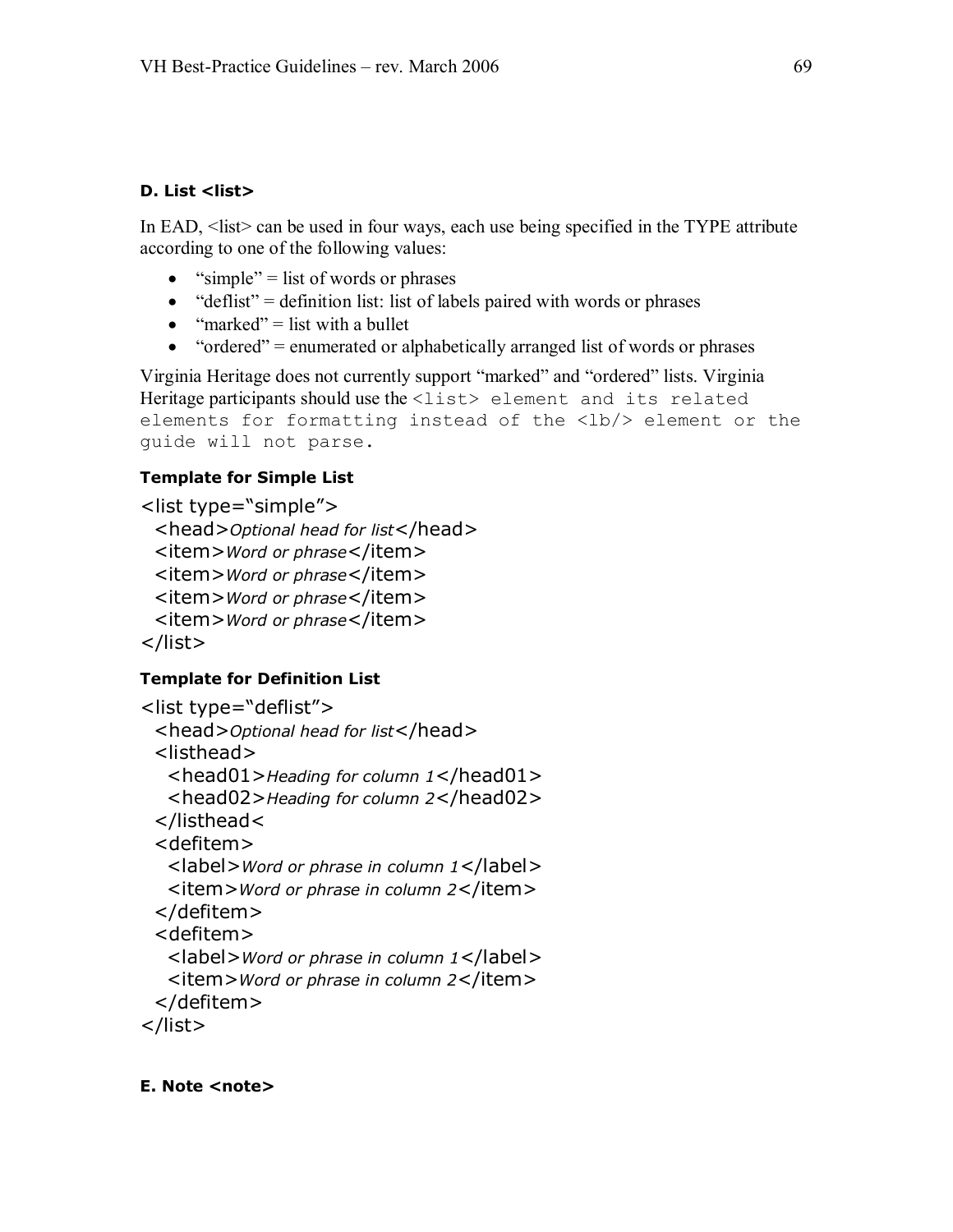## **D.** List <list>

In EAD, <list> can be used in four ways, each use being specified in the TYPE attribute according to one of the following values:

- "simple" = list of words or phrases
- "deflist" = definition list: list of labels paired with words or phrases
- "marked" = list with a bullet
- "ordered" = enumerated or alphabetically arranged list of words or phrases

Virginia Heritage does not currently support "marked" and "ordered" lists. Virginia Heritage participants should use the <list> element and its related elements for formatting instead of the <lb/> element or the guide will not parse.

## **Template for Simple List**

```
<list type="simple">
 <head>Optional head for list</head> 
 <item>Word or phrase</item> 
 <item>Word or phrase</item> 
 <item>Word or phrase</item> 
 <item>Word or phrase</item> 
</list>
```
# **Template for Definition List**

```
<list type="deflist"> 
 <head>Optional head for list</head> 
 <listhead> 
  <head01>Heading for column 1</head01> 
  <head02>Heading for column 2</head02> 
 </listhead< 
 <defitem> 
  <label>Word or phrase in column 1</label> 
  <item>Word or phrase in column 2</item> 
 </defitem> 
 <defitem> 
  <label>Word or phrase in column 1</label> 
  <item>Word or phrase in column 2</item> 
 </defitem> 
</list>
```
#### **E. Note <note>**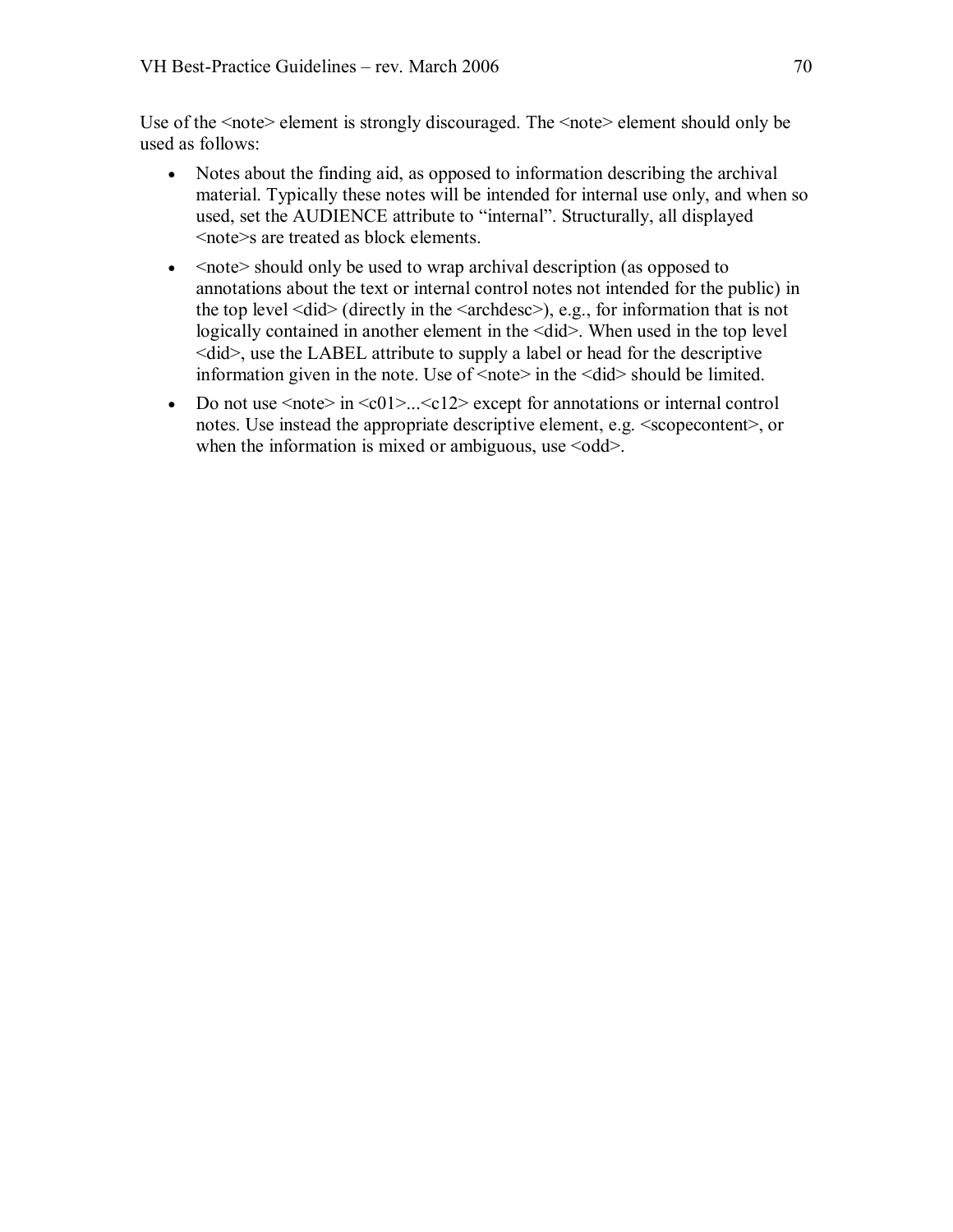Use of the  $\leq$  note element is strongly discouraged. The  $\leq$  note element should only be used as follows:

- · Notes about the finding aid, as opposed to information describing the archival material. Typically these notes will be intended for internal use only, and when so used, set the AUDIENCE attribute to "internal". Structurally, all displayed <note>s are treated as block elements.
- $\bullet$  <note should only be used to wrap archival description (as opposed to annotations about the text or internal control notes not intended for the public) in the top level  $\langle \text{did} \rangle$  (directly in the  $\langle \text{archdesc} \rangle$ ), e.g., for information that is not logically contained in another element in the <did>. When used in the top level  $\leq$ did $\geq$ , use the LABEL attribute to supply a label or head for the descriptive information given in the note. Use of  $\langle$ note $\rangle$  in the  $\langle$ did $\rangle$ should be limited.
- Do not use  $\langle \text{note} \rangle$  in  $\langle \text{c}01 \rangle$ ... $\langle \text{c}12 \rangle$  except for annotations or internal control notes. Use instead the appropriate descriptive element, e.g.  $\leq$ scopecontent $\geq$ , or when the information is mixed or ambiguous, use  $\leq$  odd $\geq$ .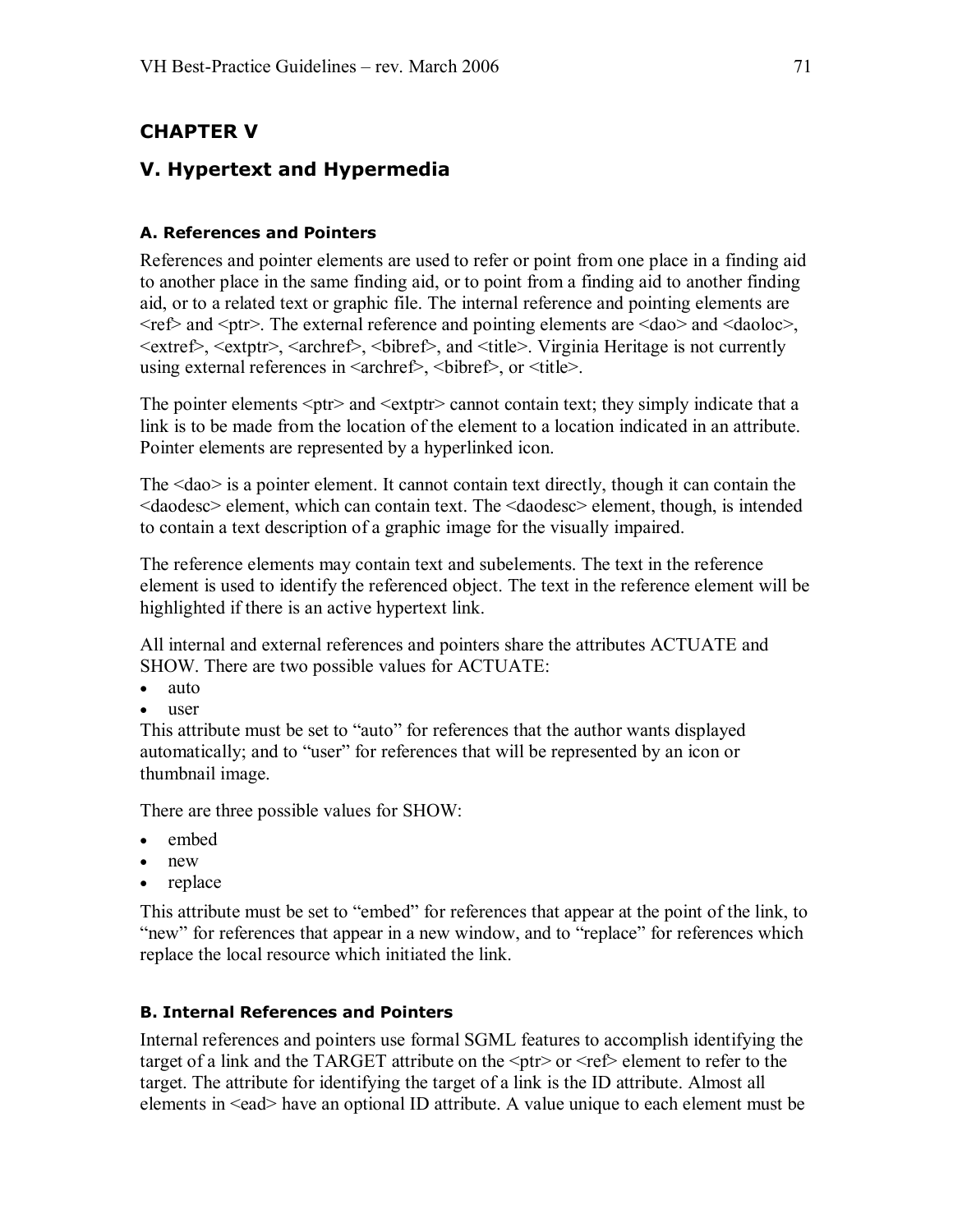# **CHAPTER V**

# **V. Hypertext and Hypermedia**

### **A. References and Pointers**

References and pointer elements are used to refer or point from one place in a finding aid to another place in the same finding aid, or to point from a finding aid to another finding aid, or to a related text or graphic file. The internal reference and pointing elements are  $\langle \text{ref} \rangle$  and  $\langle \text{ptr} \rangle$ . The external reference and pointing elements are  $\langle \text{dao} \rangle$  and  $\langle \text{dao} \rangle$ , <extref>, <extptr>, <archref>, <bibref>, and <title>. Virginia Heritage is not currently using external references in  $\langle \text{archref} \rangle$ ,  $\langle \text{bibref} \rangle$ , or  $\langle \text{title} \rangle$ .

The pointer elements  $\langle \text{ptr}\rangle$  and  $\langle \text{extr} \rangle$  cannot contain text; they simply indicate that a link is to be made from the location of the element to a location indicated in an attribute. Pointer elements are represented by a hyperlinked icon.

The <dao> is a pointer element. It cannot contain text directly, though it can contain the <daodesc> element, which can contain text. The <daodesc> element, though, is intended to contain a text description of a graphic image for the visually impaired.

The reference elements may contain text and subelements. The text in the reference element is used to identify the referenced object. The text in the reference element will be highlighted if there is an active hypertext link.

All internal and external references and pointers share the attributes ACTUATE and SHOW. There are two possible values for ACTUATE:

- auto
- · user

This attribute must be set to "auto" for references that the author wants displayed automatically; and to "user" for references that will be represented by an icon or thumbnail image.

There are three possible values for SHOW:

- · embed
- · new
- · replace

This attribute must be set to "embed" for references that appear at the point of the link, to "new" for references that appear in a new window, and to "replace" for references which replace the local resource which initiated the link.

#### **B. Internal References and Pointers**

Internal references and pointers use formal SGML features to accomplish identifying the target of a link and the TARGET attribute on the  $\langle \text{ptr} \rangle$  or  $\langle \text{ref} \rangle$  element to refer to the target. The attribute for identifying the target of a link is the ID attribute. Almost all elements in <ead> have an optional ID attribute. A value unique to each element must be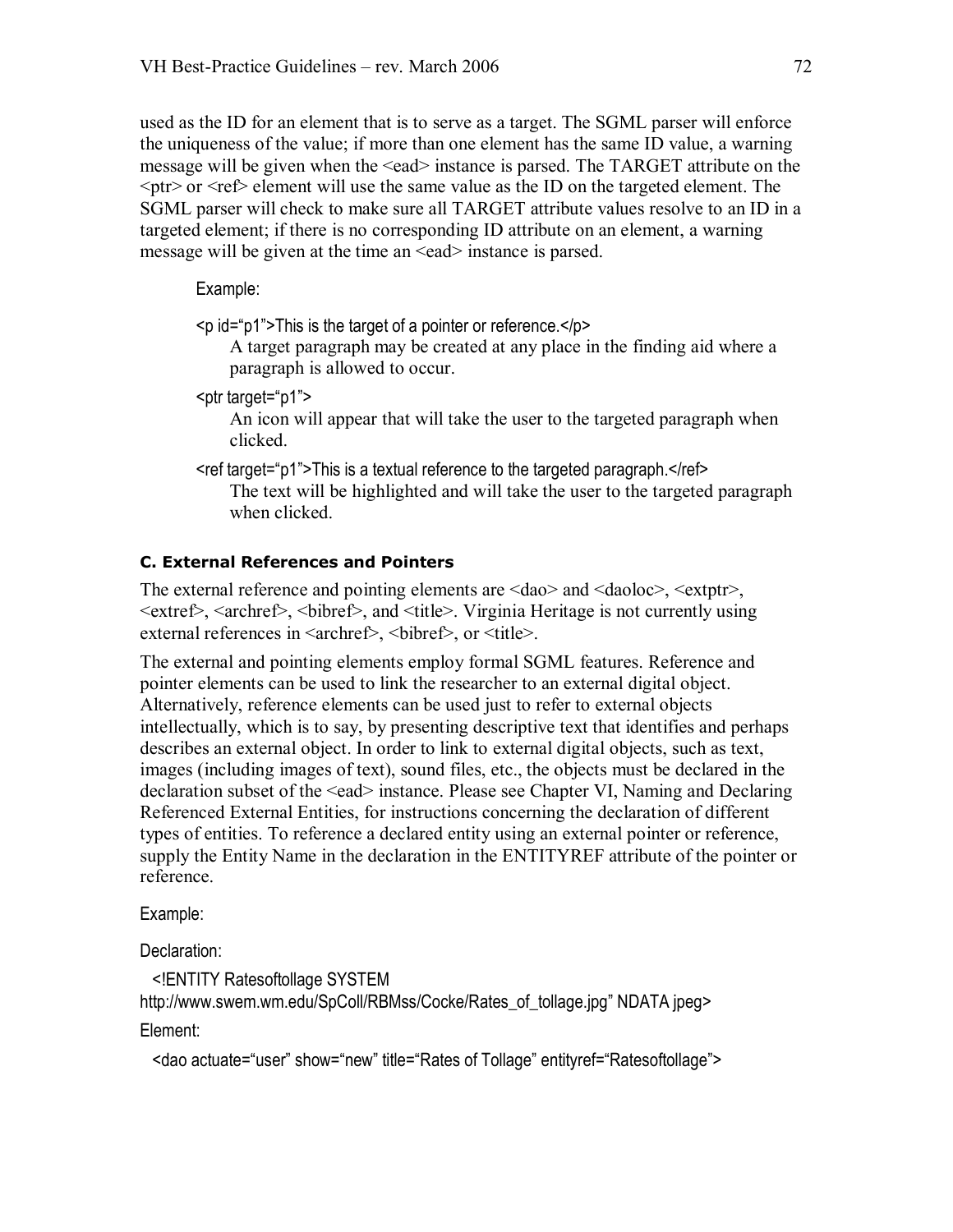used as the ID for an element that is to serve as a target. The SGML parser will enforce the uniqueness of the value; if more than one element has the same ID value, a warning message will be given when the <ead> instance is parsed. The TARGET attribute on the  $\epsilon$  or  $\epsilon$  and  $\epsilon$  element will use the same value as the ID on the targeted element. The SGML parser will check to make sure all TARGET attribute values resolve to an ID in a targeted element; if there is no corresponding ID attribute on an element, a warning message will be given at the time an  $\leq$ ead $\geq$  instance is parsed.

Example:

 $\leq p$  id="p1">This is the target of a pointer or reference. $\leq /p$ >

A target paragraph may be created at any place in the finding aid where a paragraph is allowed to occur.

<ptr target="p1">

An icon will appear that will take the user to the targeted paragraph when clicked.

<ref target="p1">This is a textual reference to the targeted paragraph.</ref> The text will be highlighted and will take the user to the targeted paragraph when clicked.

## **C. External References and Pointers**

The external reference and pointing elements are <dao> and <daoloc>, <extptr>,  $\leq$   $\leq$   $\leq$   $\leq$   $\leq$   $\leq$   $\leq$   $\leq$   $\leq$   $\leq$   $\leq$   $\leq$   $\leq$   $\leq$   $\leq$   $\leq$   $\leq$   $\leq$   $\leq$   $\leq$   $\leq$   $\leq$   $\leq$   $\leq$   $\leq$   $\leq$   $\leq$   $\leq$   $\leq$   $\leq$   $\leq$   $\leq$   $\leq$   $\leq$   $\leq$   $\leq$   $\leq$ external references in <archref>, <br/> <br/>bibref>, or <title>.

The external and pointing elements employ formal SGML features. Reference and pointer elements can be used to link the researcher to an external digital object. Alternatively, reference elements can be used just to refer to external objects intellectually, which is to say, by presenting descriptive text that identifies and perhaps describes an external object. In order to link to external digital objects, such as text, images (including images of text), sound files, etc., the objects must be declared in the declaration subset of the <ead> instance. Please see Chapter VI, Naming and Declaring Referenced External Entities, for instructions concerning the declaration of different types of entities. To reference a declared entity using an external pointer or reference, supply the Entity Name in the declaration in the ENTITYREF attribute of the pointer or reference.

Example:

Declaration:

<!ENTITY Ratesoftollage SYSTEM http://www.swem.wm.edu/SpColl/RBMss/Cocke/Rates\_of\_tollage.jpg" NDATA jpeg> Element:

<dao actuate="user" show="new" title="Rates of Tollage" entityref="Ratesoftollage">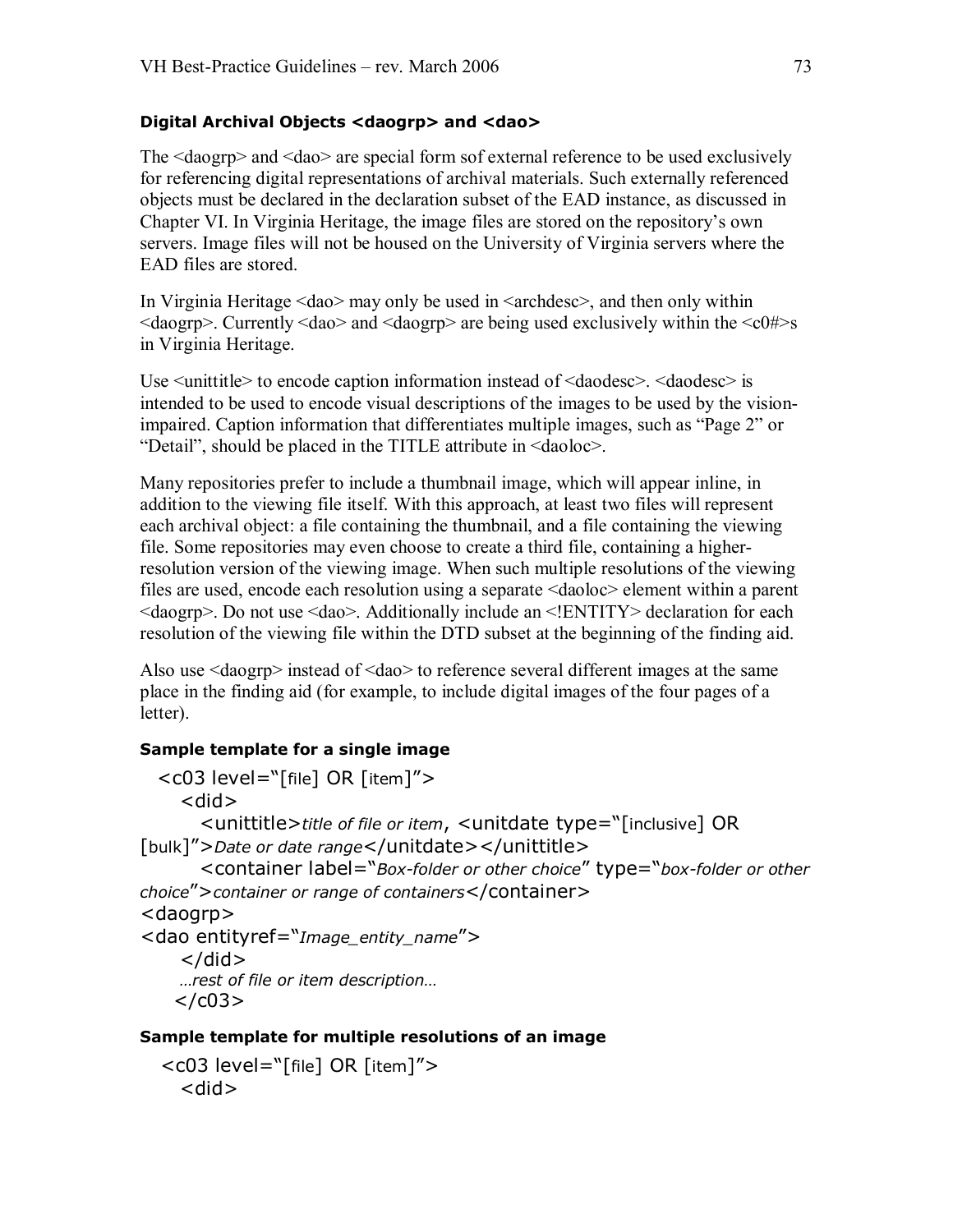### **Digital Archival Objects <daogrp> and <dao>**

The <daogrp> and <dao> are special form sofexternal reference to be used exclusively for referencing digital representations of archival materials. Such externally referenced objects must be declared in the declaration subset of the EAD instance, as discussed in Chapter VI. In Virginia Heritage, the image files are stored on the repository's own servers. Image files will not be housed on the University of Virginia servers where the EAD files are stored.

In Virginia Heritage <dao> may only be used in <archdesc>, and then only within  $\langle \text{daogrp}\rangle$ . Currently  $\langle \text{dao}\rangle$  and  $\langle \text{daogrp}\rangle$  are being used exclusively within the  $\langle \text{c}0\sharp \rangle$ s in Virginia Heritage.

Use <unittitle> to encode caption information instead of <daodesc>. <daodesc> is intended to be used to encode visual descriptions of the images to be used by the visionimpaired. Caption information that differentiates multiple images, such as "Page 2" or "Detail", should be placed in the TITLE attribute in <daoloc>.

Many repositories prefer to include a thumbnail image, which will appear inline, in addition to the viewing file itself. With this approach, at least two files will represent each archival object: a file containing the thumbnail, and a file containing the viewing file. Some repositories may even choose to create a third file, containing a higherresolution version of the viewing image. When such multiple resolutions of the viewing files are used, encode each resolution using a separate <daoloc> element within a parent <daogrp>. Do not use <dao>. Additionally include an <!ENTITY> declaration for each resolution of the viewing file within the DTD subset at the beginning of the finding aid.

Also use <daogrp> instead of <dao> to reference several different images at the same place in the finding aid (for example, to include digital images of the four pages of a letter).

## **Sample template for a single image**

```
<c03 level="[file] OR [item]"> 
     <did> 
       <unittitle>title of file or item, <unitdate type="[inclusive] OR 
[bulk]">Date or date range</unitdate></unittitle> 
       <container label="Box-folder or other choice" type="box-folder or other
choice">container or range of containers</container> 
<daogrp> 
<dao entityref="Image_entity_name"> 
    \langledid\rangle…rest of file or item description… \langle / \zeta / \zeta 0 3 >Sample template for multiple resolutions of an image
```

```
<c03 level="[file] OR [item]"> 
  <did>
```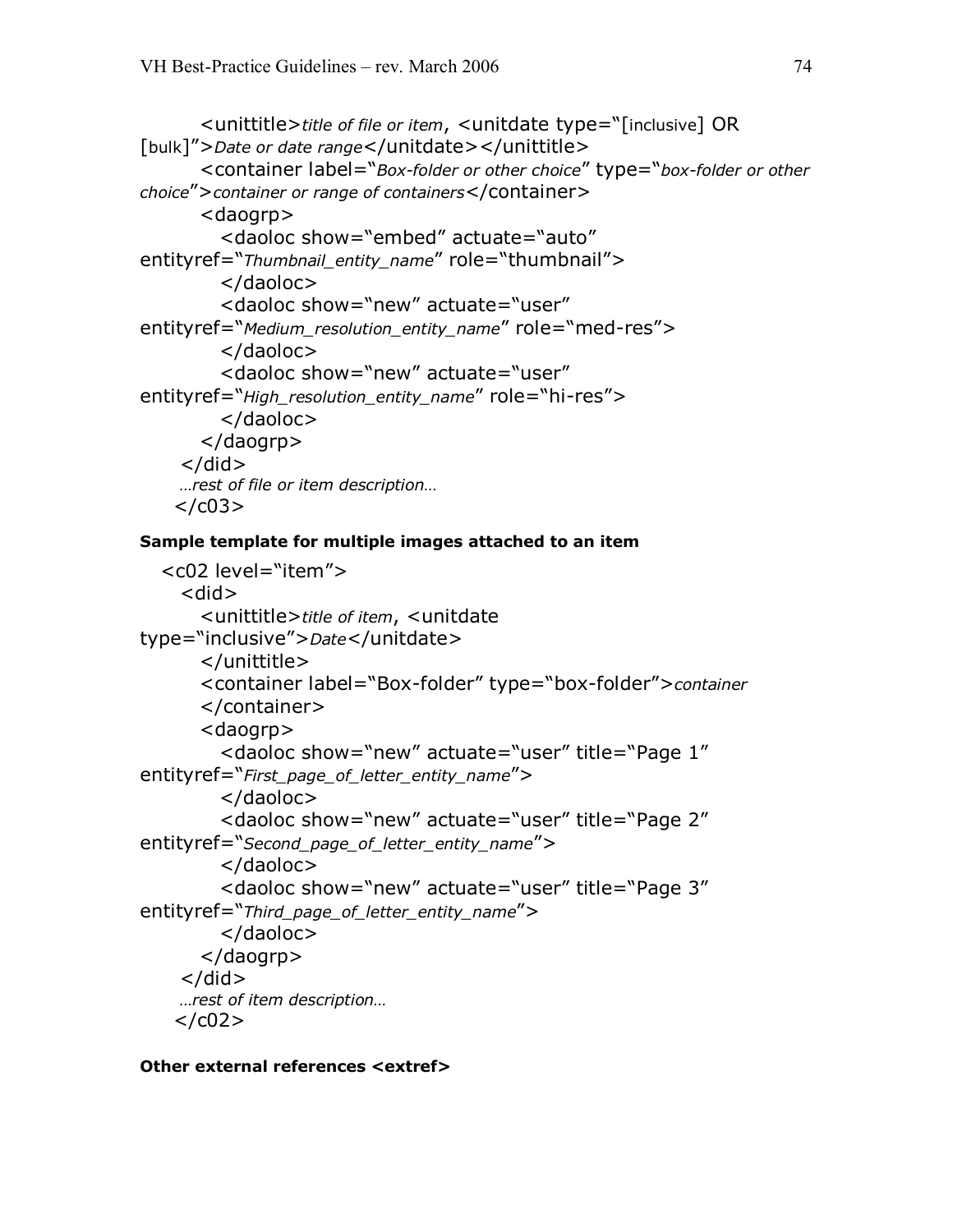```
<unittitle>title of file or item, <unitdate type="[inclusive] OR 
[bulk]">Date or date range</unitdate></unittitle>
      <container label="Box-folder or other choice" type="box-folder or other
choice">container or range of containers</container> 
      <daogrp> 
        <daoloc show="embed" actuate="auto" 
entityref="Thumbnail_entity_name" role="thumbnail"> 
        </daoloc> 
        <daoloc show="new" actuate="user" 
entityref="Medium_resolution_entity_name" role="med-res">
        </daoloc> 
        <daoloc show="new" actuate="user" 
entityref="High_resolution_entity_name" role="hi-res">
        </daoloc> 
      </daogrp> 
    \langledid\rangle…rest of file or item description…
```

```
\langle /c03\rangle
```
### **Sample template for multiple images attached to an item**

```
<c02 level="item"> 
    <did> 
      <unittitle>title of item, <unitdate 
type="inclusive">Date</unitdate> 
      </unittitle>
      <container label="Box-folder" type="box-folder">container
      </container> 
      <daogrp> 
         <daoloc show="new" actuate="user" title="Page 1" 
entityref="First_page_of_letter_entity_name"> 
         </daoloc> 
         <daoloc show="new" actuate="user" title="Page 2" 
entityref="Second_page_of_letter_entity_name"> 
         </daoloc> 
         <daoloc show="new" actuate="user" title="Page 3" 
entityref="Third_page_of_letter_entity_name"> 
         </daoloc> 
      </daogrp> 
    \langledid\rangle…rest of item description… \langle/c02>
```
#### **Other external references <extref>**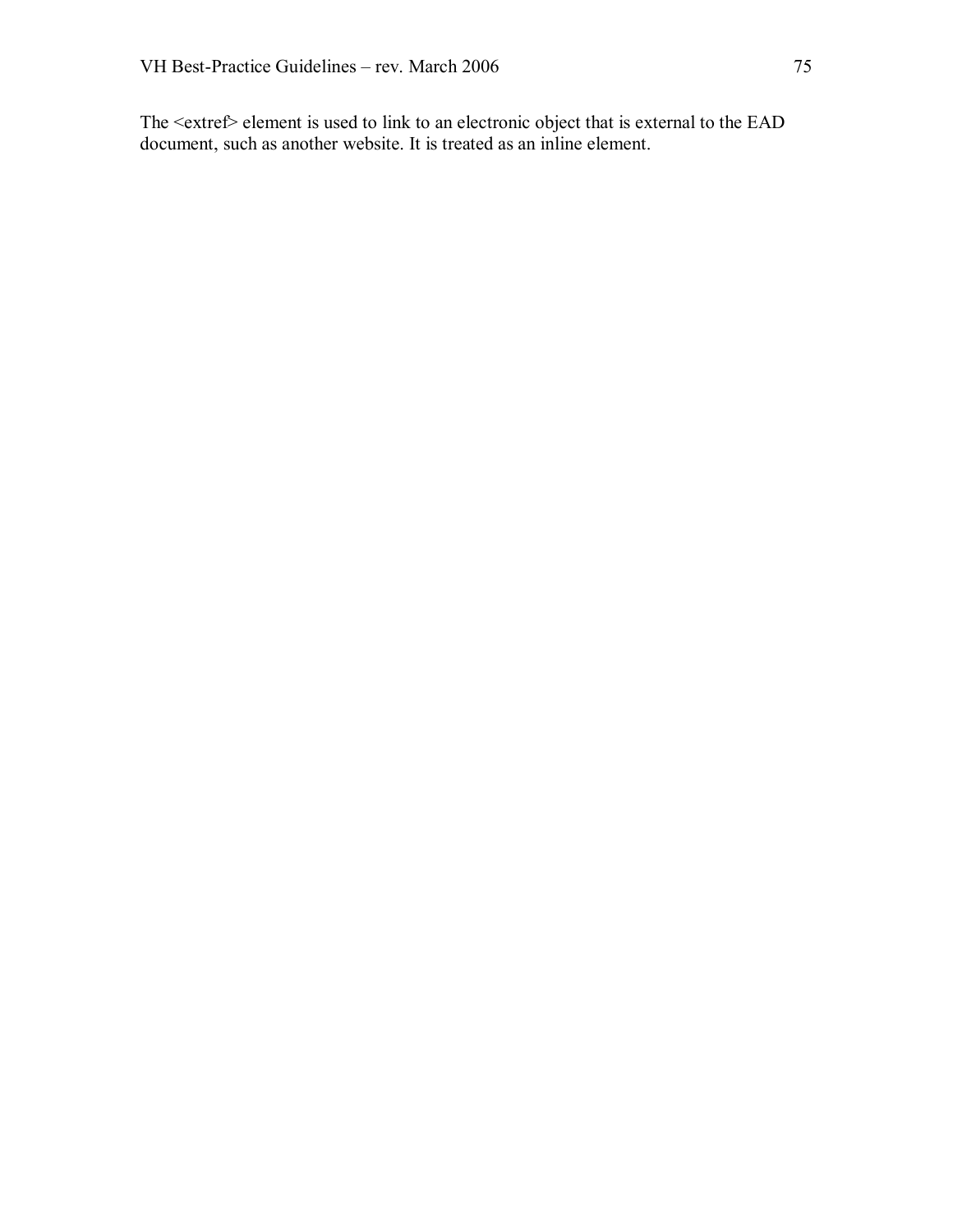The <extref> element is used to link to an electronic object that is external to the EAD document, such as another website. It is treated as an inline element.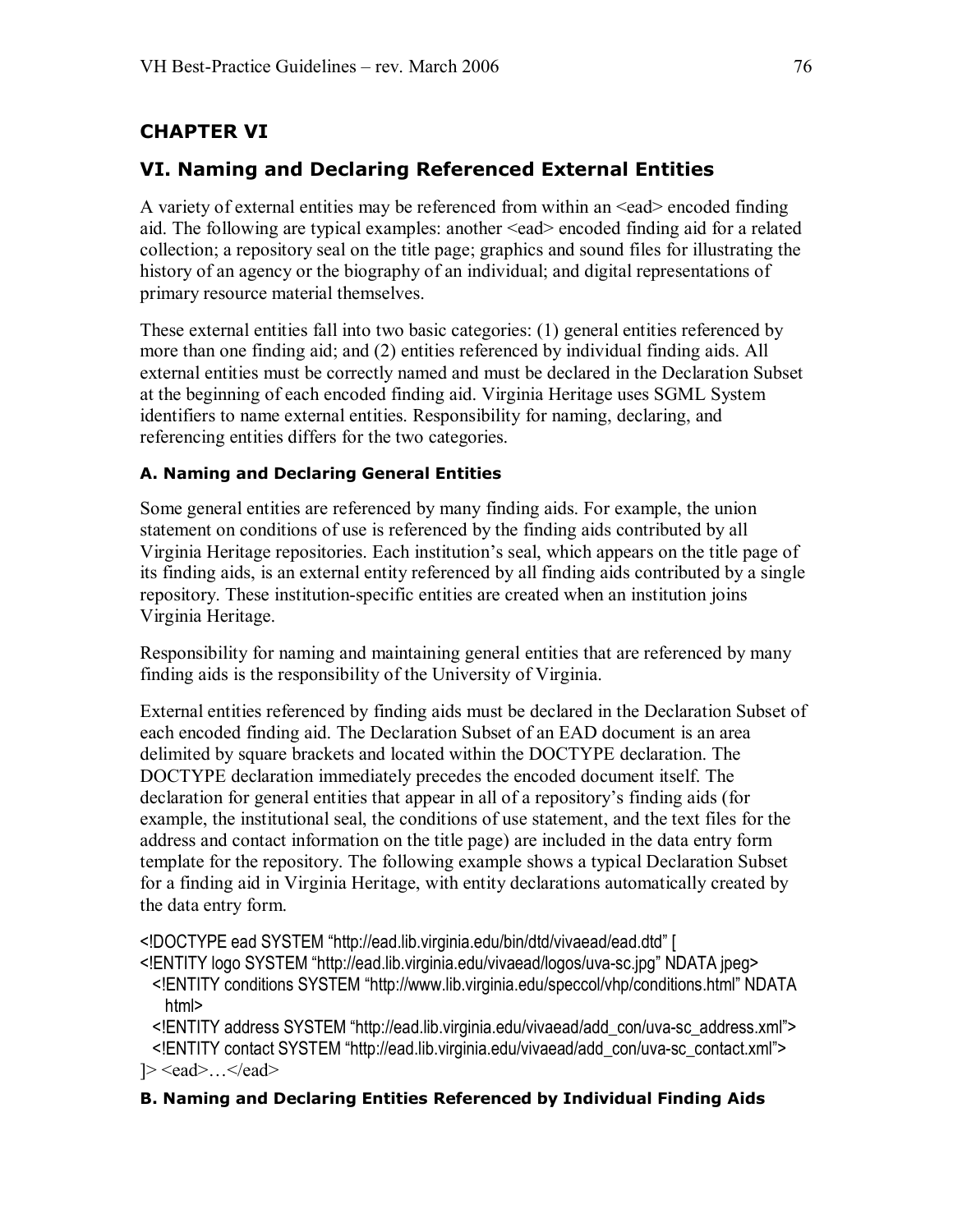# **CHAPTER VI**

# **VI. Naming and Declaring Referenced External Entities**

A variety of external entities may be referenced from within an <ead> encoded finding aid. The following are typical examples: another <ead> encoded finding aid for a related collection; a repository seal on the title page; graphics and sound files for illustrating the history of an agency or the biography of an individual; and digital representations of primary resource material themselves.

These external entities fall into two basic categories: (1) general entities referenced by more than one finding aid; and (2) entities referenced by individual finding aids. All external entities must be correctly named and must be declared in the Declaration Subset at the beginning of each encoded finding aid. Virginia Heritage uses SGML System identifiers to name external entities. Responsibility for naming, declaring, and referencing entities differs for the two categories.

### **A. Naming and Declaring General Entities**

Some general entities are referenced by many finding aids. For example, the union statement on conditions of use is referenced by the finding aids contributed by all Virginia Heritage repositories. Each institution's seal, which appears on the title page of its finding aids, is an external entity referenced by all finding aids contributed by a single repository. These institution-specific entities are created when an institution joins Virginia Heritage.

Responsibility for naming and maintaining general entities that are referenced by many finding aids is the responsibility of the University of Virginia.

External entities referenced by finding aids must be declared in the Declaration Subset of each encoded finding aid. The Declaration Subset of an EAD document is an area delimited by square brackets and located within the DOCTYPE declaration. The DOCTYPE declaration immediately precedes the encoded document itself. The declaration for general entities that appear in all of a repository's finding aids (for example, the institutional seal, the conditions of use statement, and the text files for the address and contact information on the title page) are included in the data entry form template for the repository. The following example shows a typical Declaration Subset for a finding aid in Virginia Heritage, with entity declarations automatically created by the data entry form.

<!DOCTYPE ead SYSTEM "http://ead.lib.virginia.edu/bin/dtd/vivaead/ead.dtd" [

<!ENTITY logo SYSTEM "http://ead.lib.virginia.edu/vivaead/logos/uva-sc.jpg" NDATA jpeg>

<!ENTITY conditions SYSTEM "http://www.lib.virginia.edu/speccol/vhp/conditions.html" NDATA html>

<! ENTITY address SYSTEM "http://ead.lib.virginia.edu/vivaead/add\_con/uva-sc\_address.xml"> <!ENTITY contact SYSTEM "http://ead.lib.virginia.edu/vivaead/add\_con/uva-sc\_contact.xml">  $\geq$  <ead>... </ead>

### **B. Naming and Declaring Entities Referenced by Individual Finding Aids**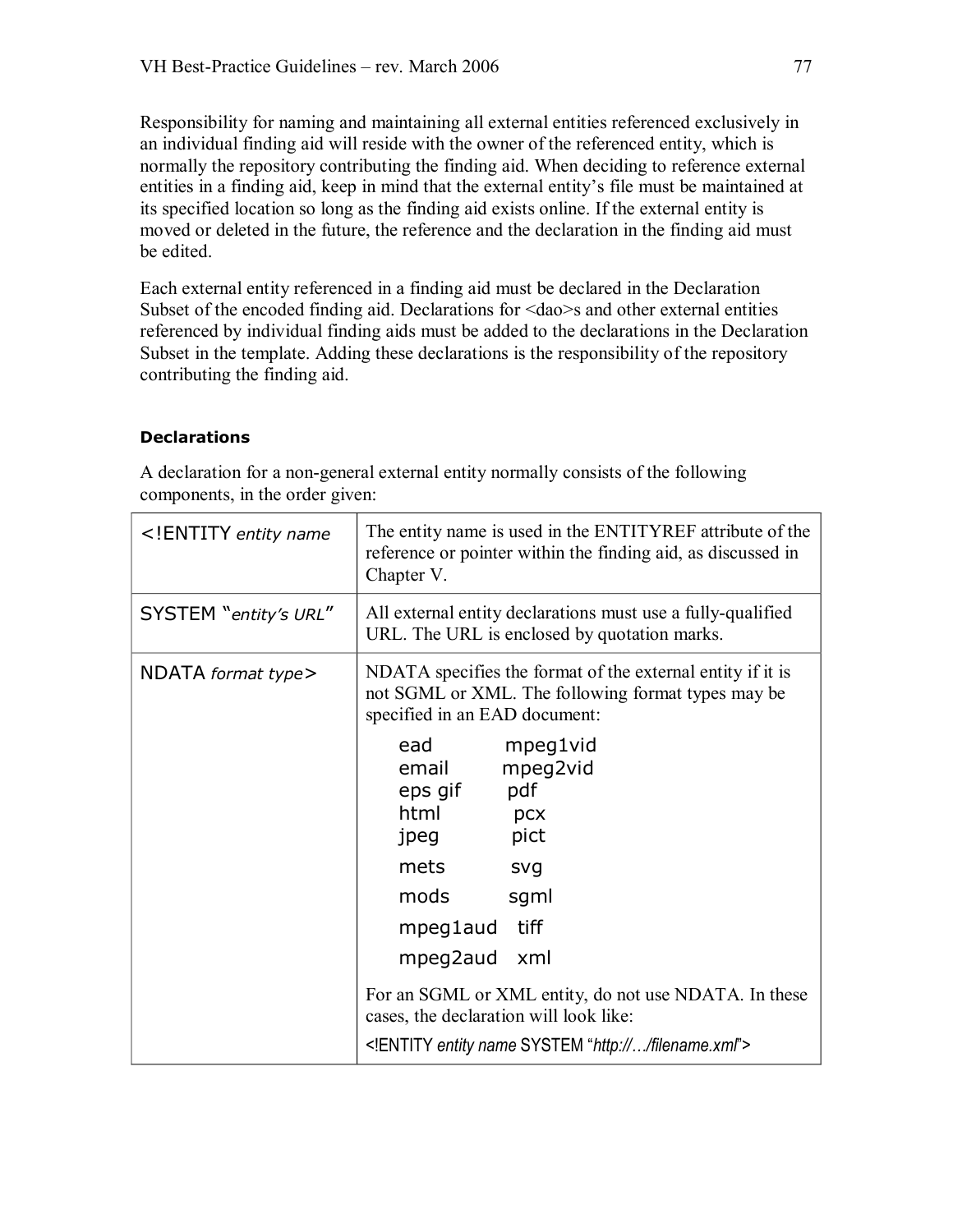Responsibility for naming and maintaining all external entities referenced exclusively in an individual finding aid will reside with the owner of the referenced entity, which is normally the repository contributing the finding aid. When deciding to reference external entities in a finding aid, keep in mind that the external entity's file must be maintained at its specified location so long as the finding aid exists online. If the external entity is moved or deleted in the future, the reference and the declaration in the finding aid must be edited.

Each external entity referenced in a finding aid must be declared in the Declaration Subset of the encoded finding aid. Declarations for <dao>s and other external entities referenced by individual finding aids must be added to the declarations in the Declaration Subset in the template. Adding these declarations is the responsibility of the repository contributing the finding aid.

### **Declarations**

| ENTITY entity name</th <th>The entity name is used in the ENTITYREF attribute of the<br/>reference or pointer within the finding aid, as discussed in<br/>Chapter V.</th> | The entity name is used in the ENTITYREF attribute of the<br>reference or pointer within the finding aid, as discussed in<br>Chapter V.           |
|---------------------------------------------------------------------------------------------------------------------------------------------------------------------------|---------------------------------------------------------------------------------------------------------------------------------------------------|
| SYSTEM "entity's URL"                                                                                                                                                     | All external entity declarations must use a fully-qualified<br>URL. The URL is enclosed by quotation marks.                                       |
| NDATA format type>                                                                                                                                                        | NDATA specifies the format of the external entity if it is<br>not SGML or XML. The following format types may be<br>specified in an EAD document: |
|                                                                                                                                                                           | mpeg1vid<br>ead<br>mpeg2vid<br>email<br>pdf<br>eps gif<br>html<br>pcx<br>pict<br>jpeg                                                             |
|                                                                                                                                                                           | mets<br>svg<br>mods<br>sgml                                                                                                                       |
|                                                                                                                                                                           | tiff<br>mpeg1aud<br>mpeg2aud<br>xml                                                                                                               |
|                                                                                                                                                                           | For an SGML or XML entity, do not use NDATA. In these<br>cases, the declaration will look like:                                                   |
|                                                                                                                                                                           | ENTITY entity name SYSTEM "http:///filename.xml"                                                                                                  |

A declaration for a non-general external entity normally consists of the following components, in the order given: